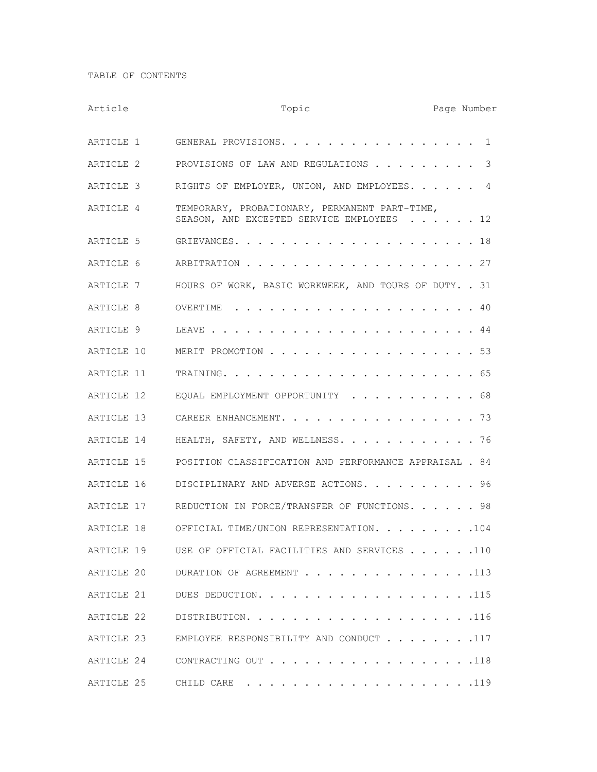TABLE OF CONTENTS

| Article    | Topic                                                                                      |  |  | Page Number |
|------------|--------------------------------------------------------------------------------------------|--|--|-------------|
| ARTICLE 1  | GENERAL PROVISIONS.                                                                        |  |  | 1           |
| ARTICLE 2  | PROVISIONS OF LAW AND REGULATIONS                                                          |  |  | 3           |
| ARTICLE 3  | RIGHTS OF EMPLOYER, UNION, AND EMPLOYEES. 4                                                |  |  |             |
| ARTICLE 4  | TEMPORARY, PROBATIONARY, PERMANENT PART-TIME,<br>SEASON, AND EXCEPTED SERVICE EMPLOYEES 12 |  |  |             |
| ARTICLE 5  |                                                                                            |  |  |             |
| ARTICLE 6  |                                                                                            |  |  |             |
| ARTICLE 7  | HOURS OF WORK, BASIC WORKWEEK, AND TOURS OF DUTY. . 31                                     |  |  |             |
| ARTICLE 8  |                                                                                            |  |  |             |
| ARTICLE 9  |                                                                                            |  |  |             |
| ARTICLE 10 | MERIT PROMOTION 53                                                                         |  |  |             |
| ARTICLE 11 |                                                                                            |  |  |             |
| ARTICLE 12 | EQUAL EMPLOYMENT OPPORTUNITY 68                                                            |  |  |             |
| ARTICLE 13 | CAREER ENHANCEMENT. 73                                                                     |  |  |             |
| ARTICLE 14 | HEALTH, SAFETY, AND WELLNESS. 76                                                           |  |  |             |
| ARTICLE 15 | POSITION CLASSIFICATION AND PERFORMANCE APPRAISAL . 84                                     |  |  |             |
| ARTICLE 16 | DISCIPLINARY AND ADVERSE ACTIONS. 96                                                       |  |  |             |
| ARTICLE 17 | REDUCTION IN FORCE/TRANSFER OF FUNCTIONS. 98                                               |  |  |             |
| ARTICLE 18 | OFFICIAL TIME/UNION REPRESENTATION. 104                                                    |  |  |             |
|            | ARTICLE 19 USE OF OFFICIAL FACILITIES AND SERVICES 110                                     |  |  |             |
| ARTICLE 20 | DURATION OF AGREEMENT 113                                                                  |  |  |             |
| ARTICLE 21 | DUES DEDUCTION. 115                                                                        |  |  |             |
| ARTICLE 22 |                                                                                            |  |  |             |
| ARTICLE 23 | EMPLOYEE RESPONSIBILITY AND CONDUCT 117                                                    |  |  |             |
|            | ARTICLE 24 CONTRACTING OUT 118                                                             |  |  |             |
|            |                                                                                            |  |  |             |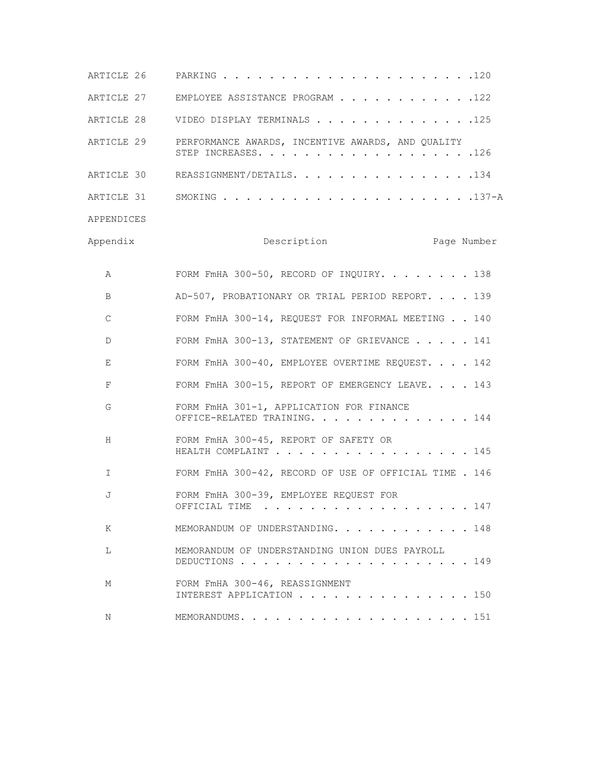| ARTICLE 26 |                                                                          |
|------------|--------------------------------------------------------------------------|
| ARTICLE 27 | EMPLOYEE ASSISTANCE PROGRAM 122                                          |
| ARTICLE 28 | VIDEO DISPLAY TERMINALS 125                                              |
| ARTICLE 29 | PERFORMANCE AWARDS, INCENTIVE AWARDS, AND QUALITY<br>STEP INCREASES. 126 |
| ARTICLE 30 | REASSIGNMENT/DETAILS. 134                                                |
|            |                                                                          |
| APPENDICES |                                                                          |
| Appendix   | Page Number<br>Description                                               |
| Α          | FORM FmHA 300-50, RECORD OF INQUIRY. 138                                 |
| B          | AD-507, PROBATIONARY OR TRIAL PERIOD REPORT. 139                         |
| C          | FORM FMHA 300-14, REQUEST FOR INFORMAL MEETING 140                       |
| D          | FORM FMHA 300-13, STATEMENT OF GRIEVANCE 141                             |
| E          | FORM FMHA 300-40, EMPLOYEE OVERTIME REQUEST. 142                         |
| F          | FORM FmHA 300-15, REPORT OF EMERGENCY LEAVE. 143                         |
| G          | FORM FMHA 301-1, APPLICATION FOR FINANCE<br>OFFICE-RELATED TRAINING. 144 |
| H          | FORM FMHA 300-45, REPORT OF SAFETY OR<br>HEALTH COMPLAINT 145            |
| I.         | FORM FmHA 300-42, RECORD OF USE OF OFFICIAL TIME . 146                   |
| J          | FORM FMHA 300-39, EMPLOYEE REQUEST FOR<br>147<br>OFFICIAL TIME           |
| K          | MEMORANDUM OF UNDERSTANDING. 148                                         |
| L          | MEMORANDUM OF UNDERSTANDING UNION DUES PAYROLL<br>DEDUCTIONS 149         |
| М          | FORM FMHA 300-46, REASSIGNMENT<br>INTEREST APPLICATION 150               |
| Ν          |                                                                          |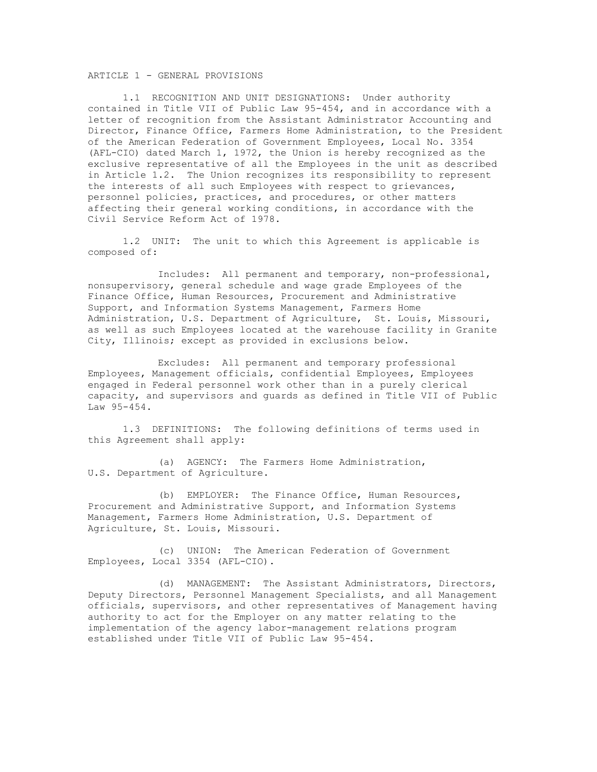# ARTICLE 1 - GENERAL PROVISIONS

1.1 RECOGNITION AND UNIT DESIGNATIONS: Under authority contained in Title VII of Public Law 95-454, and in accordance with a letter of recognition from the Assistant Administrator Accounting and Director, Finance Office, Farmers Home Administration, to the President of the American Federation of Government Employees, Local No. 3354 (AFL-CIO) dated March 1, 1972, the Union is hereby recognized as the exclusive representative of all the Employees in the unit as described in Article 1.2. The Union recognizes its responsibility to represent the interests of all such Employees with respect to grievances, personnel policies, practices, and procedures, or other matters affecting their general working conditions, in accordance with the Civil Service Reform Act of 1978.

1.2 UNIT: The unit to which this Agreement is applicable is composed of:

Includes: All permanent and temporary, non-professional, nonsupervisory, general schedule and wage grade Employees of the Finance Office, Human Resources, Procurement and Administrative Support, and Information Systems Management, Farmers Home Administration, U.S. Department of Agriculture, St. Louis, Missouri, as well as such Employees located at the warehouse facility in Granite City, Illinois; except as provided in exclusions below.

Excludes: All permanent and temporary professional Employees, Management officials, confidential Employees, Employees engaged in Federal personnel work other than in a purely clerical capacity, and supervisors and guards as defined in Title VII of Public Law 95-454.

1.3 DEFINITIONS: The following definitions of terms used in this Agreement shall apply:

(a) AGENCY: The Farmers Home Administration, U.S. Department of Agriculture.

(b) EMPLOYER: The Finance Office, Human Resources, Procurement and Administrative Support, and Information Systems Management, Farmers Home Administration, U.S. Department of Agriculture, St. Louis, Missouri.

(c) UNION: The American Federation of Government Employees, Local 3354 (AFL-CIO).

(d) MANAGEMENT: The Assistant Administrators, Directors, Deputy Directors, Personnel Management Specialists, and all Management officials, supervisors, and other representatives of Management having authority to act for the Employer on any matter relating to the implementation of the agency labor-management relations program established under Title VII of Public Law 95-454.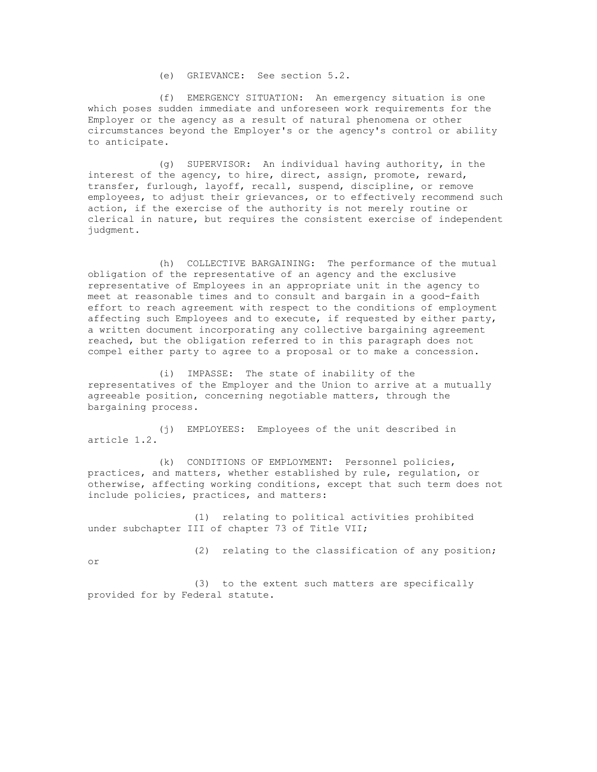(e) GRIEVANCE: See section 5.2.

(f) EMERGENCY SITUATION: An emergency situation is one which poses sudden immediate and unforeseen work requirements for the Employer or the agency as a result of natural phenomena or other circumstances beyond the Employer's or the agency's control or ability to anticipate.

(g) SUPERVISOR: An individual having authority, in the interest of the agency, to hire, direct, assign, promote, reward, transfer, furlough, layoff, recall, suspend, discipline, or remove employees, to adjust their grievances, or to effectively recommend such action, if the exercise of the authority is not merely routine or clerical in nature, but requires the consistent exercise of independent judgment.

(h) COLLECTIVE BARGAINING: The performance of the mutual obligation of the representative of an agency and the exclusive representative of Employees in an appropriate unit in the agency to meet at reasonable times and to consult and bargain in a good-faith effort to reach agreement with respect to the conditions of employment affecting such Employees and to execute, if requested by either party, a written document incorporating any collective bargaining agreement reached, but the obligation referred to in this paragraph does not compel either party to agree to a proposal or to make a concession.

(i) IMPASSE: The state of inability of the representatives of the Employer and the Union to arrive at a mutually agreeable position, concerning negotiable matters, through the bargaining process.

(j) EMPLOYEES: Employees of the unit described in article 1.2.

(k) CONDITIONS OF EMPLOYMENT: Personnel policies, practices, and matters, whether established by rule, regulation, or otherwise, affecting working conditions, except that such term does not include policies, practices, and matters:

(1) relating to political activities prohibited under subchapter III of chapter 73 of Title VII;

(2) relating to the classification of any position;

or

provided for by Federal statute.

(3) to the extent such matters are specifically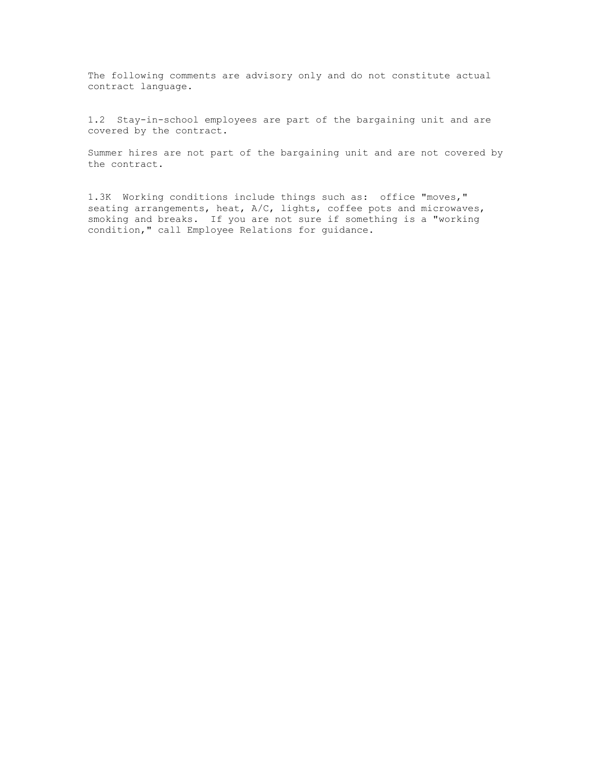The following comments are advisory only and do not constitute actual contract language.

1.2 Stay-in-school employees are part of the bargaining unit and are covered by the contract.

Summer hires are not part of the bargaining unit and are not covered by the contract.

1.3K Working conditions include things such as: office "moves," seating arrangements, heat, A/C, lights, coffee pots and microwaves, smoking and breaks. If you are not sure if something is a "working condition," call Employee Relations for guidance.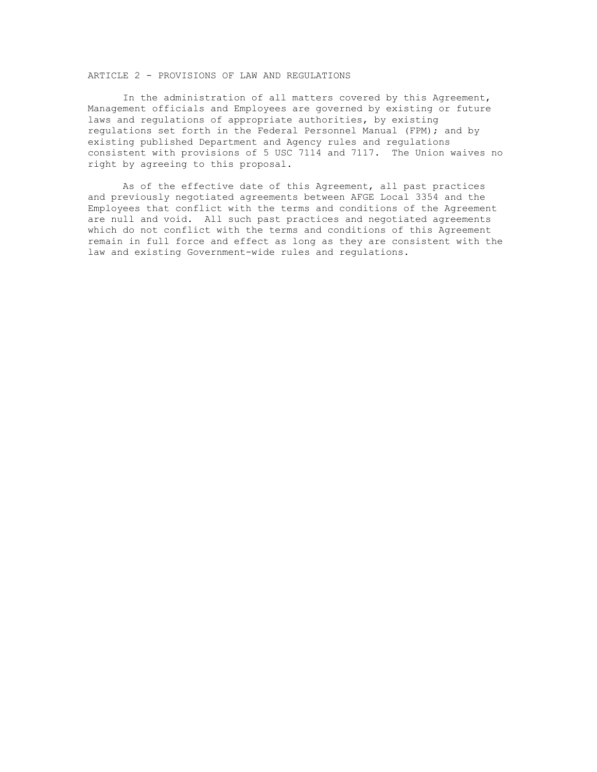# ARTICLE 2 - PROVISIONS OF LAW AND REGULATIONS

In the administration of all matters covered by this Agreement, Management officials and Employees are governed by existing or future laws and regulations of appropriate authorities, by existing regulations set forth in the Federal Personnel Manual (FPM); and by existing published Department and Agency rules and regulations consistent with provisions of 5 USC 7114 and 7117. The Union waives no right by agreeing to this proposal.

As of the effective date of this Agreement, all past practices and previously negotiated agreements between AFGE Local 3354 and the Employees that conflict with the terms and conditions of the Agreement are null and void. All such past practices and negotiated agreements which do not conflict with the terms and conditions of this Agreement remain in full force and effect as long as they are consistent with the law and existing Government-wide rules and regulations.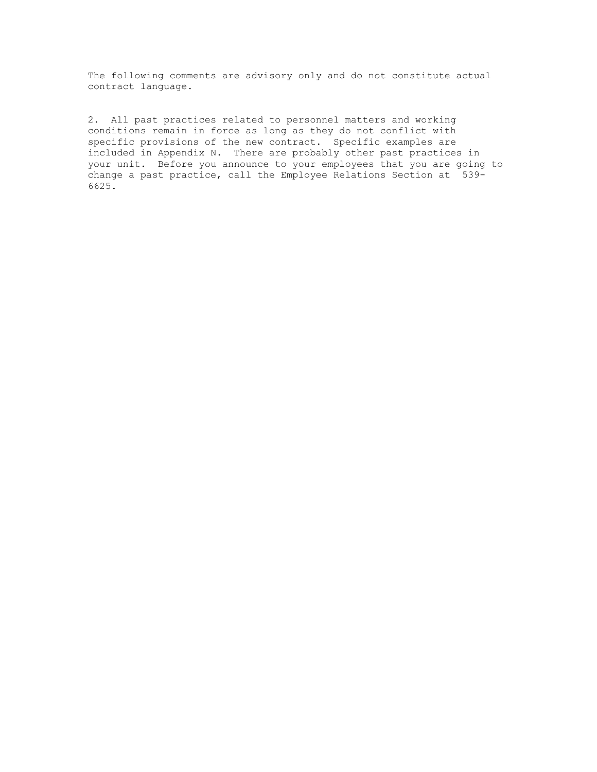The following comments are advisory only and do not constitute actual contract language.

2. All past practices related to personnel matters and working conditions remain in force as long as they do not conflict with specific provisions of the new contract. Specific examples are included in Appendix N. There are probably other past practices in your unit. Before you announce to your employees that you are going to change a past practice, call the Employee Relations Section at 539- 6625.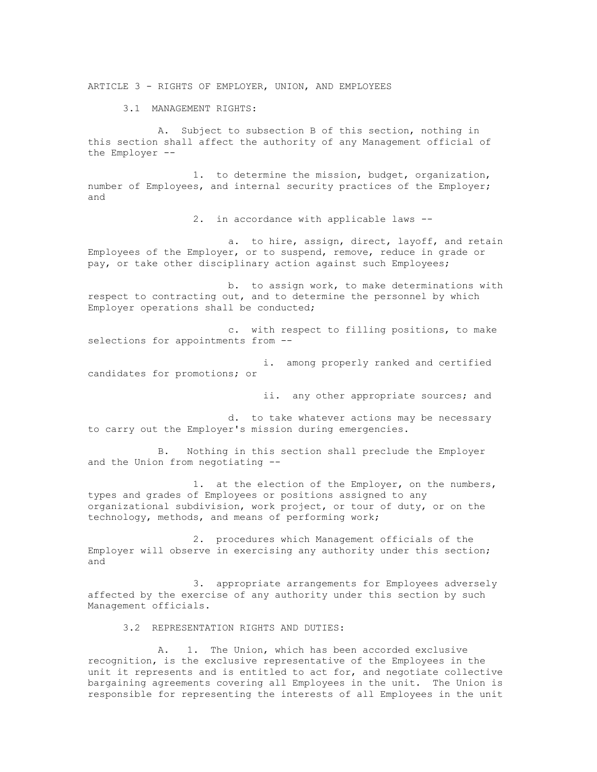ARTICLE 3 - RIGHTS OF EMPLOYER, UNION, AND EMPLOYEES

3.1 MANAGEMENT RIGHTS:

A. Subject to subsection B of this section, nothing in this section shall affect the authority of any Management official of the Employer --

1. to determine the mission, budget, organization, number of Employees, and internal security practices of the Employer; and

2. in accordance with applicable laws --

a. to hire, assign, direct, layoff, and retain Employees of the Employer, or to suspend, remove, reduce in grade or pay, or take other disciplinary action against such Employees;

b. to assign work, to make determinations with respect to contracting out, and to determine the personnel by which Employer operations shall be conducted;

c. with respect to filling positions, to make selections for appointments from --

i. among properly ranked and certified candidates for promotions; or

ii. any other appropriate sources; and

d. to take whatever actions may be necessary to carry out the Employer's mission during emergencies.

B. Nothing in this section shall preclude the Employer and the Union from negotiating --

1. at the election of the Employer, on the numbers, types and grades of Employees or positions assigned to any organizational subdivision, work project, or tour of duty, or on the technology, methods, and means of performing work;

2. procedures which Management officials of the Employer will observe in exercising any authority under this section; and

3. appropriate arrangements for Employees adversely affected by the exercise of any authority under this section by such Management officials.

3.2 REPRESENTATION RIGHTS AND DUTIES:

A. 1. The Union, which has been accorded exclusive recognition, is the exclusive representative of the Employees in the unit it represents and is entitled to act for, and negotiate collective bargaining agreements covering all Employees in the unit. The Union is responsible for representing the interests of all Employees in the unit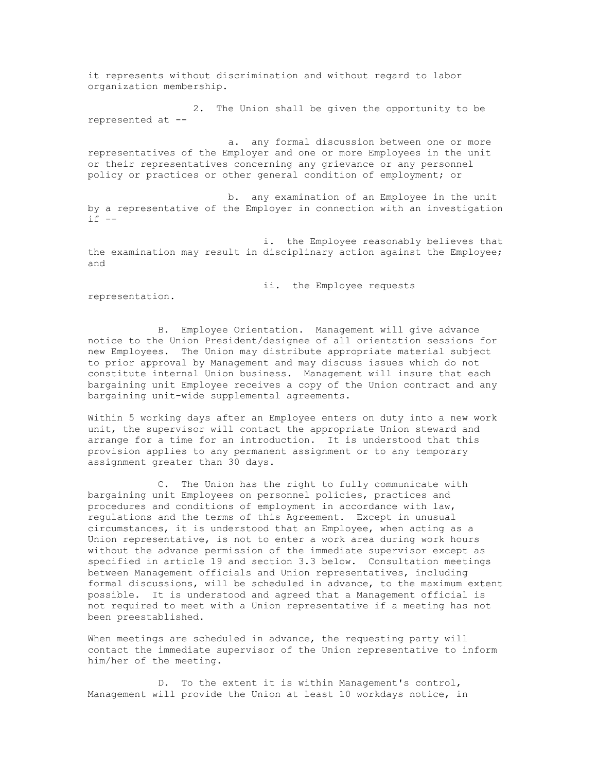it represents without discrimination and without regard to labor organization membership.

2. The Union shall be given the opportunity to be represented at --

a. any formal discussion between one or more representatives of the Employer and one or more Employees in the unit or their representatives concerning any grievance or any personnel policy or practices or other general condition of employment; or

b. any examination of an Employee in the unit by a representative of the Employer in connection with an investigation  $if --$ 

i. the Employee reasonably believes that the examination may result in disciplinary action against the Employee; and

ii. the Employee requests

representation.

B. Employee Orientation. Management will give advance notice to the Union President/designee of all orientation sessions for new Employees. The Union may distribute appropriate material subject to prior approval by Management and may discuss issues which do not constitute internal Union business. Management will insure that each bargaining unit Employee receives a copy of the Union contract and any bargaining unit-wide supplemental agreements.

Within 5 working days after an Employee enters on duty into a new work unit, the supervisor will contact the appropriate Union steward and arrange for a time for an introduction. It is understood that this provision applies to any permanent assignment or to any temporary assignment greater than 30 days.

C. The Union has the right to fully communicate with bargaining unit Employees on personnel policies, practices and procedures and conditions of employment in accordance with law, regulations and the terms of this Agreement. Except in unusual circumstances, it is understood that an Employee, when acting as a Union representative, is not to enter a work area during work hours without the advance permission of the immediate supervisor except as specified in article 19 and section 3.3 below. Consultation meetings between Management officials and Union representatives, including formal discussions, will be scheduled in advance, to the maximum extent possible. It is understood and agreed that a Management official is not required to meet with a Union representative if a meeting has not been preestablished.

When meetings are scheduled in advance, the requesting party will contact the immediate supervisor of the Union representative to inform him/her of the meeting.

D. To the extent it is within Management's control, Management will provide the Union at least 10 workdays notice, in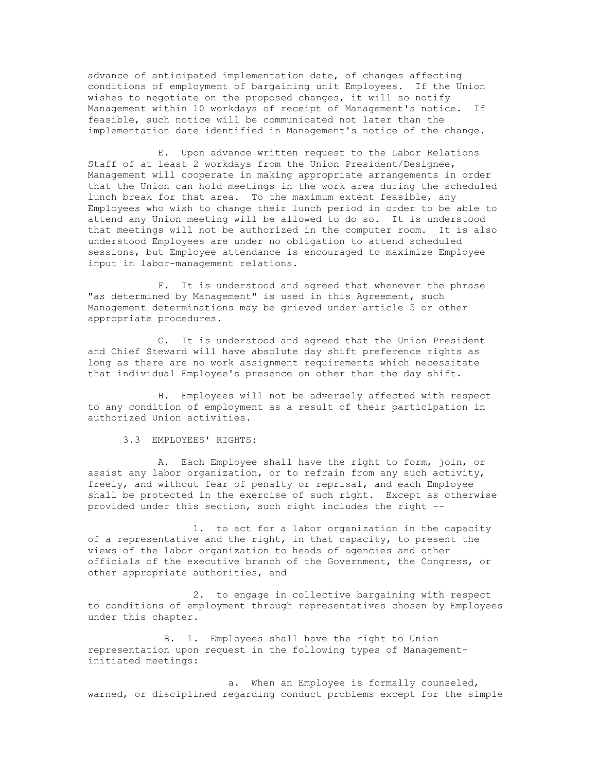advance of anticipated implementation date, of changes affecting conditions of employment of bargaining unit Employees. If the Union wishes to negotiate on the proposed changes, it will so notify Management within 10 workdays of receipt of Management's notice. If feasible, such notice will be communicated not later than the implementation date identified in Management's notice of the change.

E. Upon advance written request to the Labor Relations Staff of at least 2 workdays from the Union President/Designee, Management will cooperate in making appropriate arrangements in order that the Union can hold meetings in the work area during the scheduled lunch break for that area. To the maximum extent feasible, any Employees who wish to change their lunch period in order to be able to attend any Union meeting will be allowed to do so. It is understood that meetings will not be authorized in the computer room. It is also understood Employees are under no obligation to attend scheduled sessions, but Employee attendance is encouraged to maximize Employee input in labor-management relations.

F. It is understood and agreed that whenever the phrase "as determined by Management" is used in this Agreement, such Management determinations may be grieved under article 5 or other appropriate procedures.

G. It is understood and agreed that the Union President and Chief Steward will have absolute day shift preference rights as long as there are no work assignment requirements which necessitate that individual Employee's presence on other than the day shift.

H. Employees will not be adversely affected with respect to any condition of employment as a result of their participation in authorized Union activities.

3.3 EMPLOYEES' RIGHTS:

A. Each Employee shall have the right to form, join, or assist any labor organization, or to refrain from any such activity, freely, and without fear of penalty or reprisal, and each Employee shall be protected in the exercise of such right. Except as otherwise provided under this section, such right includes the right --

1. to act for a labor organization in the capacity of a representative and the right, in that capacity, to present the views of the labor organization to heads of agencies and other officials of the executive branch of the Government, the Congress, or other appropriate authorities, and

2. to engage in collective bargaining with respect to conditions of employment through representatives chosen by Employees under this chapter.

B. 1. Employees shall have the right to Union representation upon request in the following types of Managementinitiated meetings:

a. When an Employee is formally counseled, warned, or disciplined regarding conduct problems except for the simple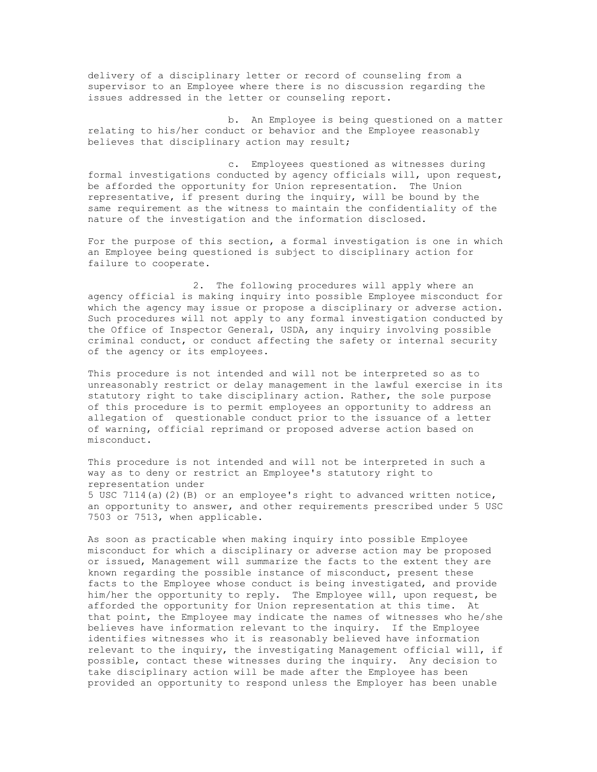delivery of a disciplinary letter or record of counseling from a supervisor to an Employee where there is no discussion regarding the issues addressed in the letter or counseling report.

b. An Employee is being questioned on a matter relating to his/her conduct or behavior and the Employee reasonably believes that disciplinary action may result;

c. Employees questioned as witnesses during formal investigations conducted by agency officials will, upon request, be afforded the opportunity for Union representation. The Union representative, if present during the inquiry, will be bound by the same requirement as the witness to maintain the confidentiality of the nature of the investigation and the information disclosed.

For the purpose of this section, a formal investigation is one in which an Employee being questioned is subject to disciplinary action for failure to cooperate.

2. The following procedures will apply where an agency official is making inquiry into possible Employee misconduct for which the agency may issue or propose a disciplinary or adverse action. Such procedures will not apply to any formal investigation conducted by the Office of Inspector General, USDA, any inquiry involving possible criminal conduct, or conduct affecting the safety or internal security of the agency or its employees.

This procedure is not intended and will not be interpreted so as to unreasonably restrict or delay management in the lawful exercise in its statutory right to take disciplinary action. Rather, the sole purpose of this procedure is to permit employees an opportunity to address an allegation of questionable conduct prior to the issuance of a letter of warning, official reprimand or proposed adverse action based on misconduct.

This procedure is not intended and will not be interpreted in such a way as to deny or restrict an Employee's statutory right to representation under 5 USC 7114(a)(2)(B) or an employee's right to advanced written notice, an opportunity to answer, and other requirements prescribed under 5 USC 7503 or 7513, when applicable.

As soon as practicable when making inquiry into possible Employee misconduct for which a disciplinary or adverse action may be proposed or issued, Management will summarize the facts to the extent they are known regarding the possible instance of misconduct, present these facts to the Employee whose conduct is being investigated, and provide him/her the opportunity to reply. The Employee will, upon request, be afforded the opportunity for Union representation at this time. At that point, the Employee may indicate the names of witnesses who he/she believes have information relevant to the inquiry. If the Employee identifies witnesses who it is reasonably believed have information relevant to the inquiry, the investigating Management official will, if possible, contact these witnesses during the inquiry. Any decision to take disciplinary action will be made after the Employee has been provided an opportunity to respond unless the Employer has been unable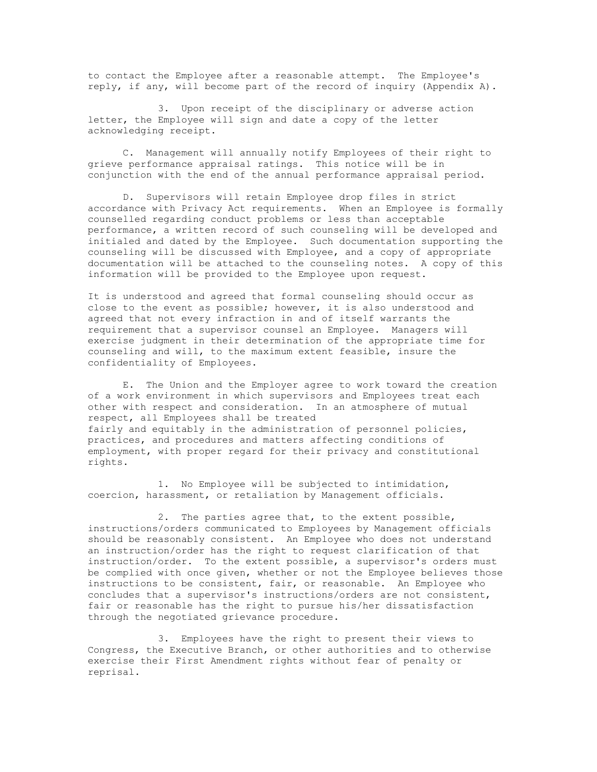to contact the Employee after a reasonable attempt. The Employee's reply, if any, will become part of the record of inquiry (Appendix A).

3. Upon receipt of the disciplinary or adverse action letter, the Employee will sign and date a copy of the letter acknowledging receipt.

C. Management will annually notify Employees of their right to grieve performance appraisal ratings. This notice will be in conjunction with the end of the annual performance appraisal period.

D. Supervisors will retain Employee drop files in strict accordance with Privacy Act requirements. When an Employee is formally counselled regarding conduct problems or less than acceptable performance, a written record of such counseling will be developed and initialed and dated by the Employee. Such documentation supporting the counseling will be discussed with Employee, and a copy of appropriate documentation will be attached to the counseling notes. A copy of this information will be provided to the Employee upon request.

It is understood and agreed that formal counseling should occur as close to the event as possible; however, it is also understood and agreed that not every infraction in and of itself warrants the requirement that a supervisor counsel an Employee. Managers will exercise judgment in their determination of the appropriate time for counseling and will, to the maximum extent feasible, insure the confidentiality of Employees.

E. The Union and the Employer agree to work toward the creation of a work environment in which supervisors and Employees treat each other with respect and consideration. In an atmosphere of mutual respect, all Employees shall be treated fairly and equitably in the administration of personnel policies, practices, and procedures and matters affecting conditions of employment, with proper regard for their privacy and constitutional rights.

1. No Employee will be subjected to intimidation, coercion, harassment, or retaliation by Management officials.

2. The parties agree that, to the extent possible, instructions/orders communicated to Employees by Management officials should be reasonably consistent. An Employee who does not understand an instruction/order has the right to request clarification of that instruction/order. To the extent possible, a supervisor's orders must be complied with once given, whether or not the Employee believes those instructions to be consistent, fair, or reasonable. An Employee who concludes that a supervisor's instructions/orders are not consistent, fair or reasonable has the right to pursue his/her dissatisfaction through the negotiated grievance procedure.

3. Employees have the right to present their views to Congress, the Executive Branch, or other authorities and to otherwise exercise their First Amendment rights without fear of penalty or reprisal.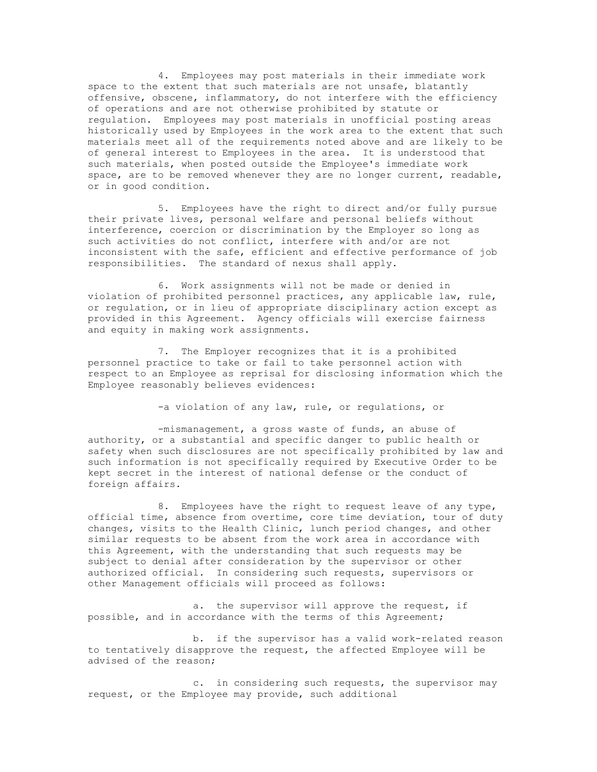4. Employees may post materials in their immediate work space to the extent that such materials are not unsafe, blatantly offensive, obscene, inflammatory, do not interfere with the efficiency of operations and are not otherwise prohibited by statute or regulation. Employees may post materials in unofficial posting areas historically used by Employees in the work area to the extent that such materials meet all of the requirements noted above and are likely to be of general interest to Employees in the area. It is understood that such materials, when posted outside the Employee's immediate work space, are to be removed whenever they are no longer current, readable, or in good condition.

5. Employees have the right to direct and/or fully pursue their private lives, personal welfare and personal beliefs without interference, coercion or discrimination by the Employer so long as such activities do not conflict, interfere with and/or are not inconsistent with the safe, efficient and effective performance of job responsibilities. The standard of nexus shall apply.

6. Work assignments will not be made or denied in violation of prohibited personnel practices, any applicable law, rule, or regulation, or in lieu of appropriate disciplinary action except as provided in this Agreement. Agency officials will exercise fairness and equity in making work assignments.

7. The Employer recognizes that it is a prohibited personnel practice to take or fail to take personnel action with respect to an Employee as reprisal for disclosing information which the Employee reasonably believes evidences:

-a violation of any law, rule, or regulations, or

-mismanagement, a gross waste of funds, an abuse of authority, or a substantial and specific danger to public health or safety when such disclosures are not specifically prohibited by law and such information is not specifically required by Executive Order to be kept secret in the interest of national defense or the conduct of foreign affairs.

8. Employees have the right to request leave of any type, official time, absence from overtime, core time deviation, tour of duty changes, visits to the Health Clinic, lunch period changes, and other similar requests to be absent from the work area in accordance with this Agreement, with the understanding that such requests may be subject to denial after consideration by the supervisor or other authorized official. In considering such requests, supervisors or other Management officials will proceed as follows:

a. the supervisor will approve the request, if possible, and in accordance with the terms of this Agreement;

b. if the supervisor has a valid work-related reason to tentatively disapprove the request, the affected Employee will be advised of the reason;

c. in considering such requests, the supervisor may request, or the Employee may provide, such additional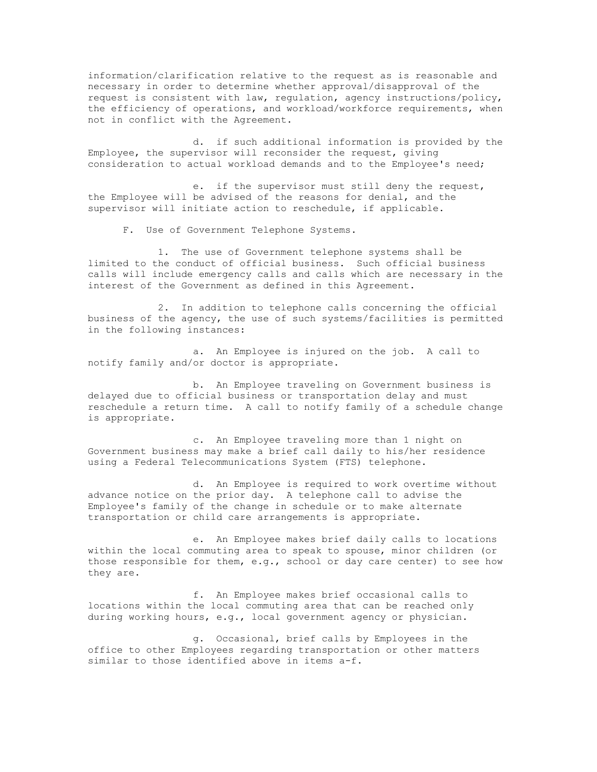information/clarification relative to the request as is reasonable and necessary in order to determine whether approval/disapproval of the request is consistent with law, regulation, agency instructions/policy, the efficiency of operations, and workload/workforce requirements, when not in conflict with the Agreement.

d. if such additional information is provided by the Employee, the supervisor will reconsider the request, giving consideration to actual workload demands and to the Employee's need;

e. if the supervisor must still deny the request, the Employee will be advised of the reasons for denial, and the supervisor will initiate action to reschedule, if applicable.

F. Use of Government Telephone Systems.

1. The use of Government telephone systems shall be limited to the conduct of official business. Such official business calls will include emergency calls and calls which are necessary in the interest of the Government as defined in this Agreement.

2. In addition to telephone calls concerning the official business of the agency, the use of such systems/facilities is permitted in the following instances:

a. An Employee is injured on the job. A call to notify family and/or doctor is appropriate.

b. An Employee traveling on Government business is delayed due to official business or transportation delay and must reschedule a return time. A call to notify family of a schedule change is appropriate.

c. An Employee traveling more than 1 night on Government business may make a brief call daily to his/her residence using a Federal Telecommunications System (FTS) telephone.

d. An Employee is required to work overtime without advance notice on the prior day. A telephone call to advise the Employee's family of the change in schedule or to make alternate transportation or child care arrangements is appropriate.

e. An Employee makes brief daily calls to locations within the local commuting area to speak to spouse, minor children (or those responsible for them, e.g., school or day care center) to see how they are.

f. An Employee makes brief occasional calls to locations within the local commuting area that can be reached only during working hours, e.g., local government agency or physician.

g. Occasional, brief calls by Employees in the office to other Employees regarding transportation or other matters similar to those identified above in items a-f.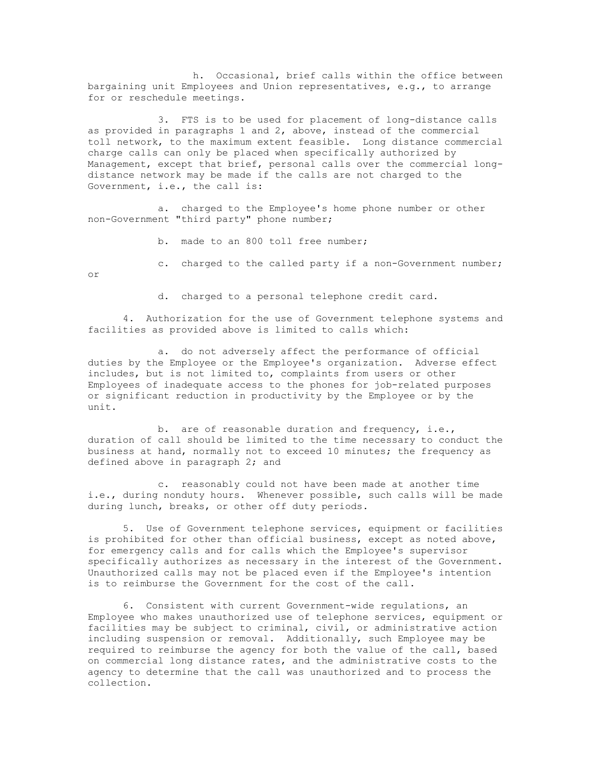h. Occasional, brief calls within the office between bargaining unit Employees and Union representatives, e.g., to arrange for or reschedule meetings.

3. FTS is to be used for placement of long-distance calls as provided in paragraphs 1 and 2, above, instead of the commercial toll network, to the maximum extent feasible. Long distance commercial charge calls can only be placed when specifically authorized by Management, except that brief, personal calls over the commercial longdistance network may be made if the calls are not charged to the Government, i.e., the call is:

a. charged to the Employee's home phone number or other non-Government "third party" phone number;

b. made to an 800 toll free number;

c. charged to the called party if a non-Government number;

or

d. charged to a personal telephone credit card.

4. Authorization for the use of Government telephone systems and facilities as provided above is limited to calls which:

a. do not adversely affect the performance of official duties by the Employee or the Employee's organization. Adverse effect includes, but is not limited to, complaints from users or other Employees of inadequate access to the phones for job-related purposes or significant reduction in productivity by the Employee or by the unit.

b. are of reasonable duration and frequency, i.e., duration of call should be limited to the time necessary to conduct the business at hand, normally not to exceed 10 minutes; the frequency as defined above in paragraph 2; and

c. reasonably could not have been made at another time i.e., during nonduty hours. Whenever possible, such calls will be made during lunch, breaks, or other off duty periods.

5. Use of Government telephone services, equipment or facilities is prohibited for other than official business, except as noted above, for emergency calls and for calls which the Employee's supervisor specifically authorizes as necessary in the interest of the Government. Unauthorized calls may not be placed even if the Employee's intention is to reimburse the Government for the cost of the call.

6. Consistent with current Government-wide regulations, an Employee who makes unauthorized use of telephone services, equipment or facilities may be subject to criminal, civil, or administrative action including suspension or removal. Additionally, such Employee may be required to reimburse the agency for both the value of the call, based on commercial long distance rates, and the administrative costs to the agency to determine that the call was unauthorized and to process the collection.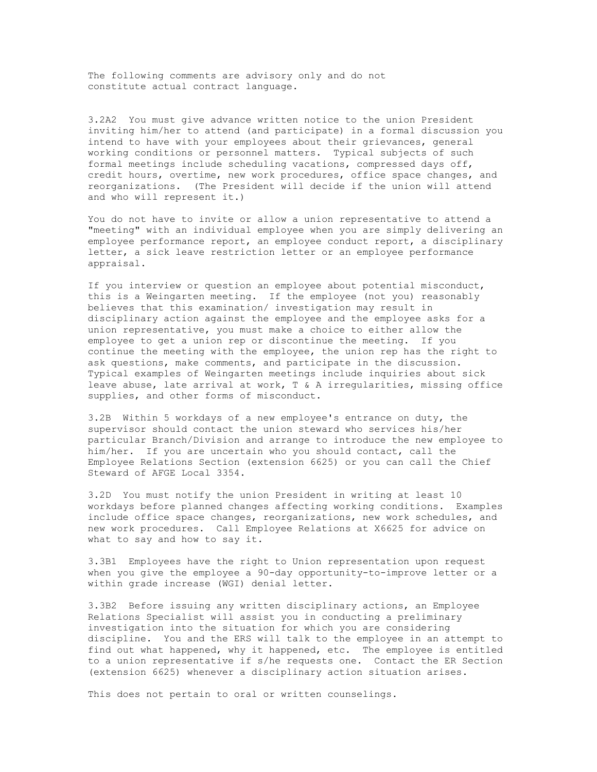The following comments are advisory only and do not constitute actual contract language.

3.2A2 You must give advance written notice to the union President inviting him/her to attend (and participate) in a formal discussion you intend to have with your employees about their grievances, general working conditions or personnel matters. Typical subjects of such formal meetings include scheduling vacations, compressed days off, credit hours, overtime, new work procedures, office space changes, and reorganizations. (The President will decide if the union will attend and who will represent it.)

You do not have to invite or allow a union representative to attend a "meeting" with an individual employee when you are simply delivering an employee performance report, an employee conduct report, a disciplinary letter, a sick leave restriction letter or an employee performance appraisal.

If you interview or question an employee about potential misconduct, this is a Weingarten meeting. If the employee (not you) reasonably believes that this examination/ investigation may result in disciplinary action against the employee and the employee asks for a union representative, you must make a choice to either allow the employee to get a union rep or discontinue the meeting. If you continue the meeting with the employee, the union rep has the right to ask questions, make comments, and participate in the discussion. Typical examples of Weingarten meetings include inquiries about sick leave abuse, late arrival at work, T & A irregularities, missing office supplies, and other forms of misconduct.

3.2B Within 5 workdays of a new employee's entrance on duty, the supervisor should contact the union steward who services his/her particular Branch/Division and arrange to introduce the new employee to him/her. If you are uncertain who you should contact, call the Employee Relations Section (extension 6625) or you can call the Chief Steward of AFGE Local 3354.

3.2D You must notify the union President in writing at least 10 workdays before planned changes affecting working conditions. Examples include office space changes, reorganizations, new work schedules, and new work procedures. Call Employee Relations at X6625 for advice on what to say and how to say it.

3.3B1 Employees have the right to Union representation upon request when you give the employee a 90-day opportunity-to-improve letter or a within grade increase (WGI) denial letter.

3.3B2 Before issuing any written disciplinary actions, an Employee Relations Specialist will assist you in conducting a preliminary investigation into the situation for which you are considering discipline. You and the ERS will talk to the employee in an attempt to find out what happened, why it happened, etc. The employee is entitled to a union representative if s/he requests one. Contact the ER Section (extension 6625) whenever a disciplinary action situation arises.

This does not pertain to oral or written counselings.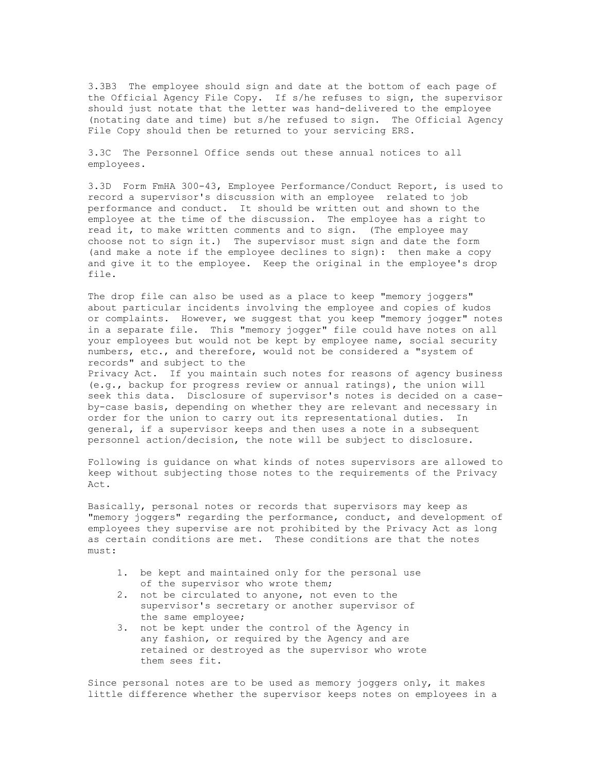3.3B3 The employee should sign and date at the bottom of each page of the Official Agency File Copy. If s/he refuses to sign, the supervisor should just notate that the letter was hand-delivered to the employee (notating date and time) but s/he refused to sign. The Official Agency File Copy should then be returned to your servicing ERS.

3.3C The Personnel Office sends out these annual notices to all employees.

3.3D Form FmHA 300-43, Employee Performance/Conduct Report, is used to record a supervisor's discussion with an employee related to job performance and conduct. It should be written out and shown to the employee at the time of the discussion. The employee has a right to read it, to make written comments and to sign. (The employee may choose not to sign it.) The supervisor must sign and date the form (and make a note if the employee declines to sign): then make a copy and give it to the employee. Keep the original in the employee's drop file.

The drop file can also be used as a place to keep "memory joggers" about particular incidents involving the employee and copies of kudos or complaints. However, we suggest that you keep "memory jogger" notes in a separate file. This "memory jogger" file could have notes on all your employees but would not be kept by employee name, social security numbers, etc., and therefore, would not be considered a "system of records" and subject to the

Privacy Act. If you maintain such notes for reasons of agency business (e.g., backup for progress review or annual ratings), the union will seek this data. Disclosure of supervisor's notes is decided on a caseby-case basis, depending on whether they are relevant and necessary in order for the union to carry out its representational duties. In general, if a supervisor keeps and then uses a note in a subsequent personnel action/decision, the note will be subject to disclosure.

Following is guidance on what kinds of notes supervisors are allowed to keep without subjecting those notes to the requirements of the Privacy Act.

Basically, personal notes or records that supervisors may keep as "memory joggers" regarding the performance, conduct, and development of employees they supervise are not prohibited by the Privacy Act as long as certain conditions are met. These conditions are that the notes must:

- 1. be kept and maintained only for the personal use of the supervisor who wrote them;
- 2. not be circulated to anyone, not even to the supervisor's secretary or another supervisor of the same employee;
- 3. not be kept under the control of the Agency in any fashion, or required by the Agency and are retained or destroyed as the supervisor who wrote them sees fit.

Since personal notes are to be used as memory joggers only, it makes little difference whether the supervisor keeps notes on employees in a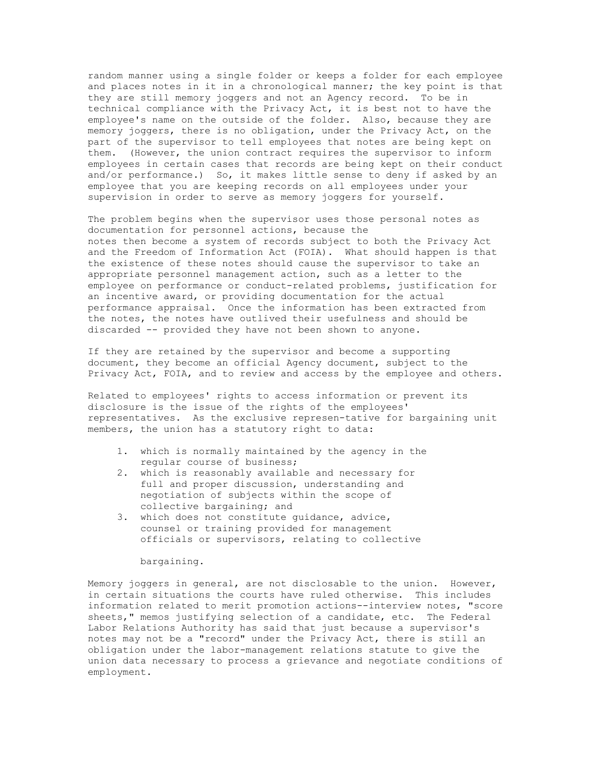random manner using a single folder or keeps a folder for each employee and places notes in it in a chronological manner; the key point is that they are still memory joggers and not an Agency record. To be in technical compliance with the Privacy Act, it is best not to have the employee's name on the outside of the folder. Also, because they are memory joggers, there is no obligation, under the Privacy Act, on the part of the supervisor to tell employees that notes are being kept on them. (However, the union contract requires the supervisor to inform employees in certain cases that records are being kept on their conduct and/or performance.) So, it makes little sense to deny if asked by an employee that you are keeping records on all employees under your supervision in order to serve as memory joggers for yourself.

The problem begins when the supervisor uses those personal notes as documentation for personnel actions, because the notes then become a system of records subject to both the Privacy Act and the Freedom of Information Act (FOIA). What should happen is that the existence of these notes should cause the supervisor to take an appropriate personnel management action, such as a letter to the employee on performance or conduct-related problems, justification for an incentive award, or providing documentation for the actual performance appraisal. Once the information has been extracted from the notes, the notes have outlived their usefulness and should be discarded -- provided they have not been shown to anyone.

If they are retained by the supervisor and become a supporting document, they become an official Agency document, subject to the Privacy Act, FOIA, and to review and access by the employee and others.

Related to employees' rights to access information or prevent its disclosure is the issue of the rights of the employees' representatives. As the exclusive represen-tative for bargaining unit members, the union has a statutory right to data:

- 1. which is normally maintained by the agency in the regular course of business;
- 2. which is reasonably available and necessary for full and proper discussion, understanding and negotiation of subjects within the scope of collective bargaining; and
- 3. which does not constitute guidance, advice, counsel or training provided for management officials or supervisors, relating to collective

#### bargaining.

Memory joggers in general, are not disclosable to the union. However, in certain situations the courts have ruled otherwise. This includes information related to merit promotion actions--interview notes, "score sheets," memos justifying selection of a candidate, etc. The Federal Labor Relations Authority has said that just because a supervisor's notes may not be a "record" under the Privacy Act, there is still an obligation under the labor-management relations statute to give the union data necessary to process a grievance and negotiate conditions of employment.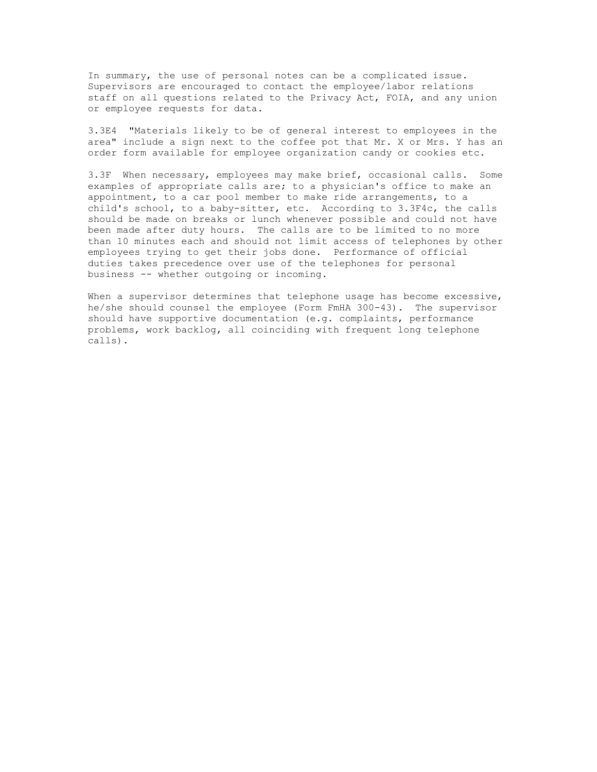In summary, the use of personal notes can be a complicated issue. Supervisors are encouraged to contact the employee/labor relations staff on all questions related to the Privacy Act, FOIA, and any union or employee requests for data.

3.3E4 "Materials likely to be of general interest to employees in the area" include a sign next to the coffee pot that Mr. X or Mrs. Y has an order form available for employee organization candy or cookies etc.

3.3F When necessary, employees may make brief, occasional calls. Some examples of appropriate calls are; to a physician's office to make an appointment, to a car pool member to make ride arrangements, to a child's school, to a baby-sitter, etc. According to 3.3F4c, the calls should be made on breaks or lunch whenever possible and could not have been made after duty hours. The calls are to be limited to no more than 10 minutes each and should not limit access of telephones by other employees trying to get their jobs done. Performance of official duties takes precedence over use of the telephones for personal business -- whether outgoing or incoming.

When a supervisor determines that telephone usage has become excessive, he/she should counsel the employee (Form FmHA 300-43). The supervisor should have supportive documentation (e.g. complaints, performance problems, work backlog, all coinciding with frequent long telephone calls).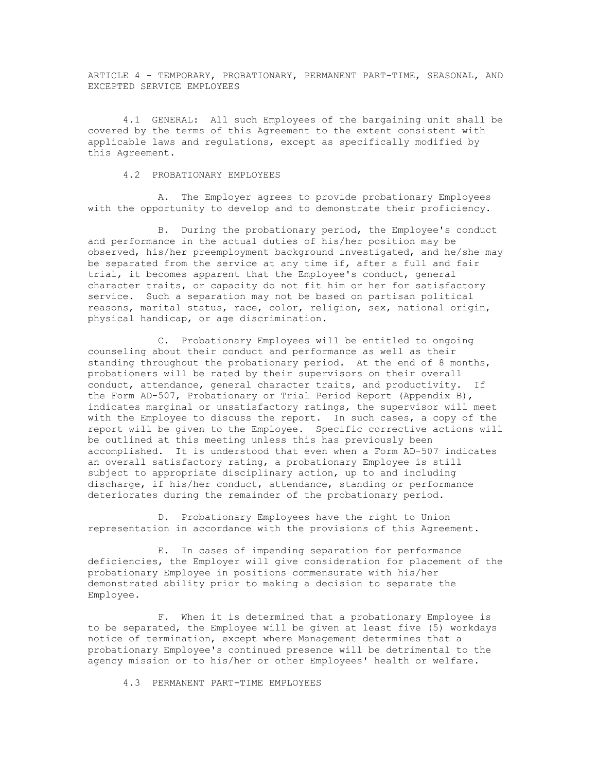ARTICLE 4 - TEMPORARY, PROBATIONARY, PERMANENT PART-TIME, SEASONAL, AND EXCEPTED SERVICE EMPLOYEES

4.1 GENERAL: All such Employees of the bargaining unit shall be covered by the terms of this Agreement to the extent consistent with applicable laws and regulations, except as specifically modified by this Agreement.

# 4.2 PROBATIONARY EMPLOYEES

A. The Employer agrees to provide probationary Employees with the opportunity to develop and to demonstrate their proficiency.

B. During the probationary period, the Employee's conduct and performance in the actual duties of his/her position may be observed, his/her preemployment background investigated, and he/she may be separated from the service at any time if, after a full and fair trial, it becomes apparent that the Employee's conduct, general character traits, or capacity do not fit him or her for satisfactory service. Such a separation may not be based on partisan political reasons, marital status, race, color, religion, sex, national origin, physical handicap, or age discrimination.

C. Probationary Employees will be entitled to ongoing counseling about their conduct and performance as well as their standing throughout the probationary period. At the end of 8 months, probationers will be rated by their supervisors on their overall conduct, attendance, general character traits, and productivity. If the Form AD-507, Probationary or Trial Period Report (Appendix B), indicates marginal or unsatisfactory ratings, the supervisor will meet with the Employee to discuss the report. In such cases, a copy of the report will be given to the Employee. Specific corrective actions will be outlined at this meeting unless this has previously been accomplished. It is understood that even when a Form AD-507 indicates an overall satisfactory rating, a probationary Employee is still subject to appropriate disciplinary action, up to and including discharge, if his/her conduct, attendance, standing or performance deteriorates during the remainder of the probationary period.

D. Probationary Employees have the right to Union representation in accordance with the provisions of this Agreement.

E. In cases of impending separation for performance deficiencies, the Employer will give consideration for placement of the probationary Employee in positions commensurate with his/her demonstrated ability prior to making a decision to separate the Employee.

F. When it is determined that a probationary Employee is to be separated, the Employee will be given at least five (5) workdays notice of termination, except where Management determines that a probationary Employee's continued presence will be detrimental to the agency mission or to his/her or other Employees' health or welfare.

4.3 PERMANENT PART-TIME EMPLOYEES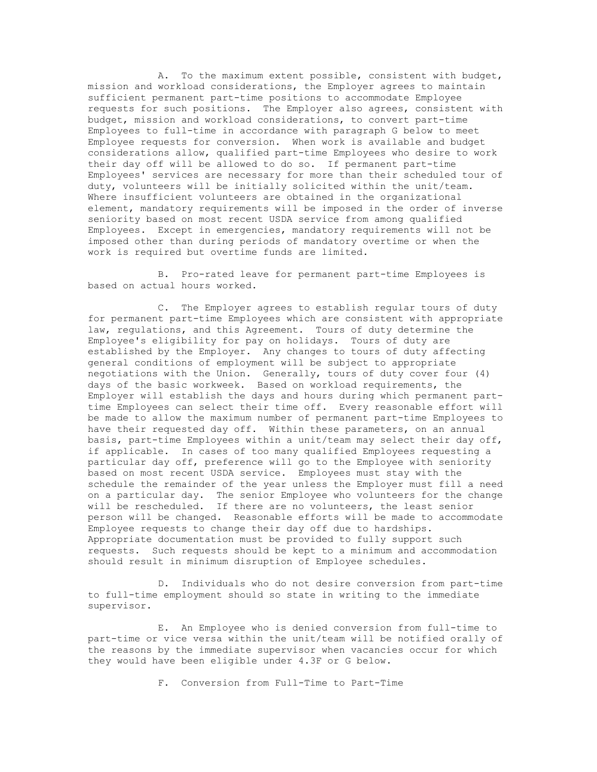A. To the maximum extent possible, consistent with budget, mission and workload considerations, the Employer agrees to maintain sufficient permanent part-time positions to accommodate Employee requests for such positions. The Employer also agrees, consistent with budget, mission and workload considerations, to convert part-time Employees to full-time in accordance with paragraph G below to meet Employee requests for conversion. When work is available and budget considerations allow, qualified part-time Employees who desire to work their day off will be allowed to do so. If permanent part-time Employees' services are necessary for more than their scheduled tour of duty, volunteers will be initially solicited within the unit/team. Where insufficient volunteers are obtained in the organizational element, mandatory requirements will be imposed in the order of inverse seniority based on most recent USDA service from among qualified Employees. Except in emergencies, mandatory requirements will not be imposed other than during periods of mandatory overtime or when the work is required but overtime funds are limited.

B. Pro-rated leave for permanent part-time Employees is based on actual hours worked.

C. The Employer agrees to establish regular tours of duty for permanent part-time Employees which are consistent with appropriate law, regulations, and this Agreement. Tours of duty determine the Employee's eligibility for pay on holidays. Tours of duty are established by the Employer. Any changes to tours of duty affecting general conditions of employment will be subject to appropriate negotiations with the Union. Generally, tours of duty cover four (4) days of the basic workweek. Based on workload requirements, the Employer will establish the days and hours during which permanent parttime Employees can select their time off. Every reasonable effort will be made to allow the maximum number of permanent part-time Employees to have their requested day off. Within these parameters, on an annual basis, part-time Employees within a unit/team may select their day off, if applicable. In cases of too many qualified Employees requesting a particular day off, preference will go to the Employee with seniority based on most recent USDA service. Employees must stay with the schedule the remainder of the year unless the Employer must fill a need on a particular day. The senior Employee who volunteers for the change will be rescheduled. If there are no volunteers, the least senior person will be changed. Reasonable efforts will be made to accommodate Employee requests to change their day off due to hardships. Appropriate documentation must be provided to fully support such requests. Such requests should be kept to a minimum and accommodation should result in minimum disruption of Employee schedules.

D. Individuals who do not desire conversion from part-time to full-time employment should so state in writing to the immediate supervisor.

E. An Employee who is denied conversion from full-time to part-time or vice versa within the unit/team will be notified orally of the reasons by the immediate supervisor when vacancies occur for which they would have been eligible under 4.3F or G below.

F. Conversion from Full-Time to Part-Time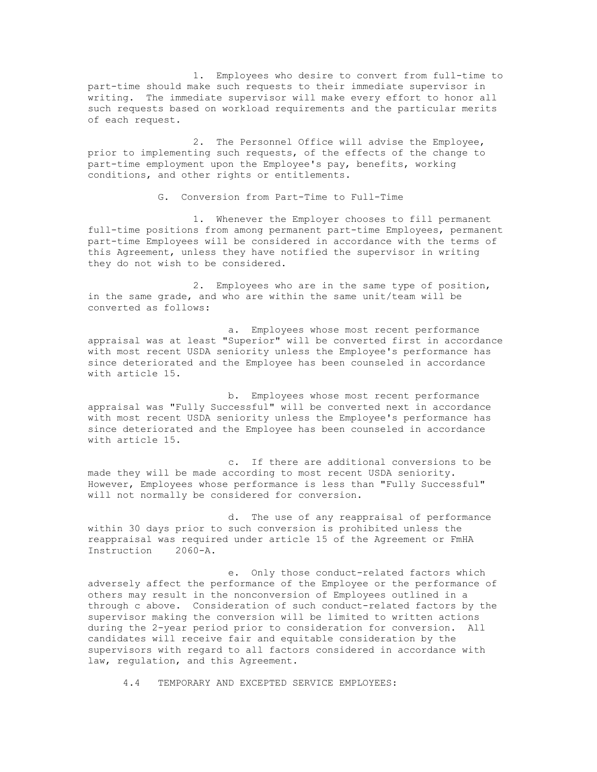1. Employees who desire to convert from full-time to part-time should make such requests to their immediate supervisor in writing. The immediate supervisor will make every effort to honor all such requests based on workload requirements and the particular merits of each request.

2. The Personnel Office will advise the Employee, prior to implementing such requests, of the effects of the change to part-time employment upon the Employee's pay, benefits, working conditions, and other rights or entitlements.

G. Conversion from Part-Time to Full-Time

1. Whenever the Employer chooses to fill permanent full-time positions from among permanent part-time Employees, permanent part-time Employees will be considered in accordance with the terms of this Agreement, unless they have notified the supervisor in writing they do not wish to be considered.

2. Employees who are in the same type of position, in the same grade, and who are within the same unit/team will be converted as follows:

a. Employees whose most recent performance appraisal was at least "Superior" will be converted first in accordance with most recent USDA seniority unless the Employee's performance has since deteriorated and the Employee has been counseled in accordance with article 15.

b. Employees whose most recent performance appraisal was "Fully Successful" will be converted next in accordance with most recent USDA seniority unless the Employee's performance has since deteriorated and the Employee has been counseled in accordance with article 15.

c. If there are additional conversions to be made they will be made according to most recent USDA seniority. However, Employees whose performance is less than "Fully Successful" will not normally be considered for conversion.

d. The use of any reappraisal of performance within 30 days prior to such conversion is prohibited unless the reappraisal was required under article 15 of the Agreement or FmHA Instruction 2060-A.

e. Only those conduct-related factors which adversely affect the performance of the Employee or the performance of others may result in the nonconversion of Employees outlined in a through c above. Consideration of such conduct-related factors by the supervisor making the conversion will be limited to written actions during the 2-year period prior to consideration for conversion. All candidates will receive fair and equitable consideration by the supervisors with regard to all factors considered in accordance with law, regulation, and this Agreement.

4.4 TEMPORARY AND EXCEPTED SERVICE EMPLOYEES: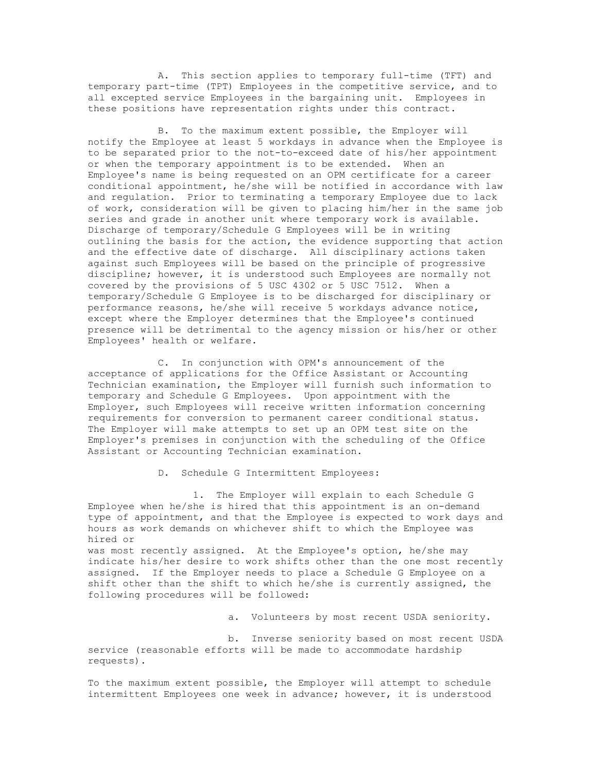A. This section applies to temporary full-time (TFT) and temporary part-time (TPT) Employees in the competitive service, and to all excepted service Employees in the bargaining unit. Employees in these positions have representation rights under this contract.

B. To the maximum extent possible, the Employer will notify the Employee at least 5 workdays in advance when the Employee is to be separated prior to the not-to-exceed date of his/her appointment or when the temporary appointment is to be extended. When an Employee's name is being requested on an OPM certificate for a career conditional appointment, he/she will be notified in accordance with law and regulation. Prior to terminating a temporary Employee due to lack of work, consideration will be given to placing him/her in the same job series and grade in another unit where temporary work is available. Discharge of temporary/Schedule G Employees will be in writing outlining the basis for the action, the evidence supporting that action and the effective date of discharge. All disciplinary actions taken against such Employees will be based on the principle of progressive discipline; however, it is understood such Employees are normally not covered by the provisions of 5 USC 4302 or 5 USC 7512. When a temporary/Schedule G Employee is to be discharged for disciplinary or performance reasons, he/she will receive 5 workdays advance notice, except where the Employer determines that the Employee's continued presence will be detrimental to the agency mission or his/her or other Employees' health or welfare.

C. In conjunction with OPM's announcement of the acceptance of applications for the Office Assistant or Accounting Technician examination, the Employer will furnish such information to temporary and Schedule G Employees. Upon appointment with the Employer, such Employees will receive written information concerning requirements for conversion to permanent career conditional status. The Employer will make attempts to set up an OPM test site on the Employer's premises in conjunction with the scheduling of the Office Assistant or Accounting Technician examination.

D. Schedule G Intermittent Employees:

1. The Employer will explain to each Schedule G Employee when he/she is hired that this appointment is an on-demand type of appointment, and that the Employee is expected to work days and hours as work demands on whichever shift to which the Employee was hired or was most recently assigned. At the Employee's option, he/she may indicate his/her desire to work shifts other than the one most recently assigned. If the Employer needs to place a Schedule G Employee on a shift other than the shift to which he/she is currently assigned, the following procedures will be followed:

a. Volunteers by most recent USDA seniority.

b. Inverse seniority based on most recent USDA service (reasonable efforts will be made to accommodate hardship requests).

To the maximum extent possible, the Employer will attempt to schedule intermittent Employees one week in advance; however, it is understood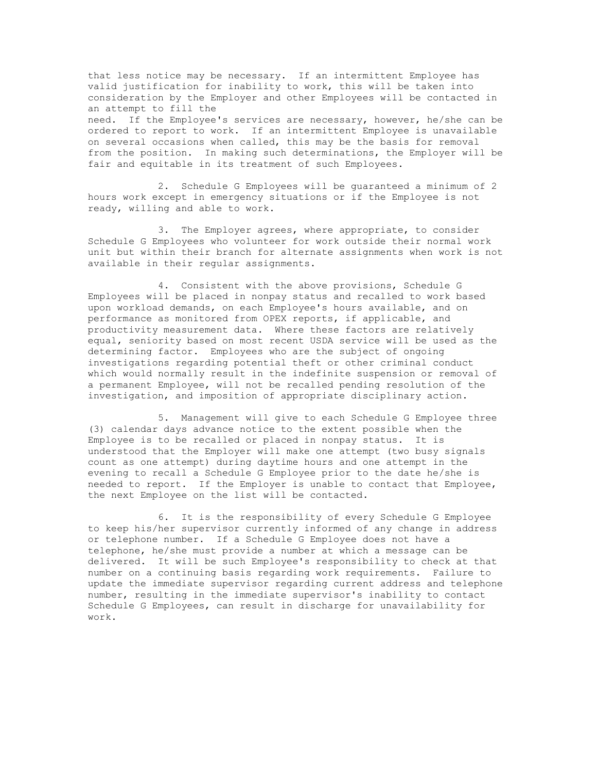that less notice may be necessary. If an intermittent Employee has valid justification for inability to work, this will be taken into consideration by the Employer and other Employees will be contacted in an attempt to fill the need. If the Employee's services are necessary, however, he/she can be ordered to report to work. If an intermittent Employee is unavailable on several occasions when called, this may be the basis for removal from the position. In making such determinations, the Employer will be fair and equitable in its treatment of such Employees.

2. Schedule G Employees will be guaranteed a minimum of 2 hours work except in emergency situations or if the Employee is not ready, willing and able to work.

3. The Employer agrees, where appropriate, to consider Schedule G Employees who volunteer for work outside their normal work unit but within their branch for alternate assignments when work is not available in their regular assignments.

4. Consistent with the above provisions, Schedule G Employees will be placed in nonpay status and recalled to work based upon workload demands, on each Employee's hours available, and on performance as monitored from OPEX reports, if applicable, and productivity measurement data. Where these factors are relatively equal, seniority based on most recent USDA service will be used as the determining factor. Employees who are the subject of ongoing investigations regarding potential theft or other criminal conduct which would normally result in the indefinite suspension or removal of a permanent Employee, will not be recalled pending resolution of the investigation, and imposition of appropriate disciplinary action.

5. Management will give to each Schedule G Employee three (3) calendar days advance notice to the extent possible when the Employee is to be recalled or placed in nonpay status. It is understood that the Employer will make one attempt (two busy signals count as one attempt) during daytime hours and one attempt in the evening to recall a Schedule G Employee prior to the date he/she is needed to report. If the Employer is unable to contact that Employee, the next Employee on the list will be contacted.

6. It is the responsibility of every Schedule G Employee to keep his/her supervisor currently informed of any change in address or telephone number. If a Schedule G Employee does not have a telephone, he/she must provide a number at which a message can be delivered. It will be such Employee's responsibility to check at that number on a continuing basis regarding work requirements. Failure to update the immediate supervisor regarding current address and telephone number, resulting in the immediate supervisor's inability to contact Schedule G Employees, can result in discharge for unavailability for work.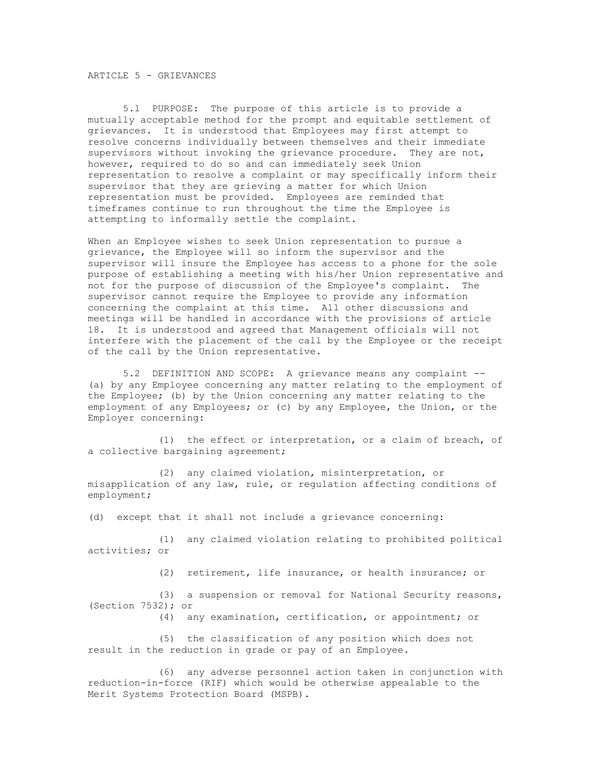# ARTICLE 5 - GRIEVANCES

5.1 PURPOSE: The purpose of this article is to provide a mutually acceptable method for the prompt and equitable settlement of grievances. It is understood that Employees may first attempt to resolve concerns individually between themselves and their immediate supervisors without invoking the grievance procedure. They are not, however, required to do so and can immediately seek Union representation to resolve a complaint or may specifically inform their supervisor that they are grieving a matter for which Union representation must be provided. Employees are reminded that timeframes continue to run throughout the time the Employee is attempting to informally settle the complaint.

When an Employee wishes to seek Union representation to pursue a grievance, the Employee will so inform the supervisor and the supervisor will insure the Employee has access to a phone for the sole purpose of establishing a meeting with his/her Union representative and not for the purpose of discussion of the Employee's complaint. The supervisor cannot require the Employee to provide any information concerning the complaint at this time. All other discussions and meetings will be handled in accordance with the provisions of article 18. It is understood and agreed that Management officials will not interfere with the placement of the call by the Employee or the receipt of the call by the Union representative.

5.2 DEFINITION AND SCOPE: A grievance means any complaint -- (a) by any Employee concerning any matter relating to the employment of the Employee; (b) by the Union concerning any matter relating to the employment of any Employees; or (c) by any Employee, the Union, or the Employer concerning:

(1) the effect or interpretation, or a claim of breach, of a collective bargaining agreement;

(2) any claimed violation, misinterpretation, or misapplication of any law, rule, or regulation affecting conditions of employment;

(d) except that it shall not include a grievance concerning:

(1) any claimed violation relating to prohibited political activities; or

(2) retirement, life insurance, or health insurance; or

(3) a suspension or removal for National Security reasons, (Section 7532); or

(4) any examination, certification, or appointment; or

(5) the classification of any position which does not result in the reduction in grade or pay of an Employee.

(6) any adverse personnel action taken in conjunction with reduction-in-force (RIF) which would be otherwise appealable to the Merit Systems Protection Board (MSPB).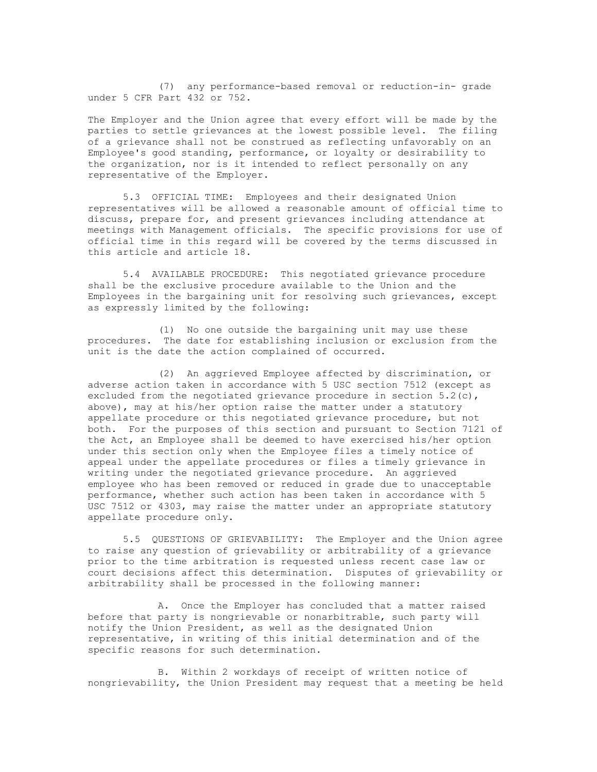(7) any performance-based removal or reduction-in- grade under 5 CFR Part 432 or 752.

The Employer and the Union agree that every effort will be made by the parties to settle grievances at the lowest possible level. The filing of a grievance shall not be construed as reflecting unfavorably on an Employee's good standing, performance, or loyalty or desirability to the organization, nor is it intended to reflect personally on any representative of the Employer.

5.3 OFFICIAL TIME: Employees and their designated Union representatives will be allowed a reasonable amount of official time to discuss, prepare for, and present grievances including attendance at meetings with Management officials. The specific provisions for use of official time in this regard will be covered by the terms discussed in this article and article 18.

5.4 AVAILABLE PROCEDURE: This negotiated grievance procedure shall be the exclusive procedure available to the Union and the Employees in the bargaining unit for resolving such grievances, except as expressly limited by the following:

(1) No one outside the bargaining unit may use these procedures. The date for establishing inclusion or exclusion from the unit is the date the action complained of occurred.

(2) An aggrieved Employee affected by discrimination, or adverse action taken in accordance with 5 USC section 7512 (except as excluded from the negotiated grievance procedure in section  $5.2(c)$ , above), may at his/her option raise the matter under a statutory appellate procedure or this negotiated grievance procedure, but not both. For the purposes of this section and pursuant to Section 7121 of the Act, an Employee shall be deemed to have exercised his/her option under this section only when the Employee files a timely notice of appeal under the appellate procedures or files a timely grievance in writing under the negotiated grievance procedure. An aggrieved employee who has been removed or reduced in grade due to unacceptable performance, whether such action has been taken in accordance with 5 USC 7512 or 4303, may raise the matter under an appropriate statutory appellate procedure only.

5.5 QUESTIONS OF GRIEVABILITY: The Employer and the Union agree to raise any question of grievability or arbitrability of a grievance prior to the time arbitration is requested unless recent case law or court decisions affect this determination. Disputes of grievability or arbitrability shall be processed in the following manner:

A. Once the Employer has concluded that a matter raised before that party is nongrievable or nonarbitrable, such party will notify the Union President, as well as the designated Union representative, in writing of this initial determination and of the specific reasons for such determination.

B. Within 2 workdays of receipt of written notice of nongrievability, the Union President may request that a meeting be held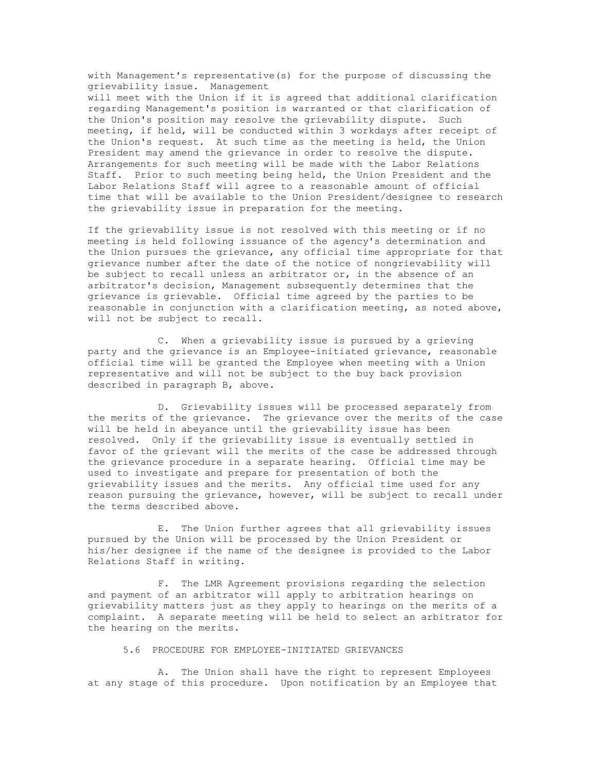with Management's representative(s) for the purpose of discussing the grievability issue. Management

will meet with the Union if it is agreed that additional clarification regarding Management's position is warranted or that clarification of the Union's position may resolve the grievability dispute. Such meeting, if held, will be conducted within 3 workdays after receipt of the Union's request. At such time as the meeting is held, the Union President may amend the grievance in order to resolve the dispute. Arrangements for such meeting will be made with the Labor Relations Staff. Prior to such meeting being held, the Union President and the Labor Relations Staff will agree to a reasonable amount of official time that will be available to the Union President/designee to research the grievability issue in preparation for the meeting.

If the grievability issue is not resolved with this meeting or if no meeting is held following issuance of the agency's determination and the Union pursues the grievance, any official time appropriate for that grievance number after the date of the notice of nongrievability will be subject to recall unless an arbitrator or, in the absence of an arbitrator's decision, Management subsequently determines that the grievance is grievable. Official time agreed by the parties to be reasonable in conjunction with a clarification meeting, as noted above, will not be subject to recall.

C. When a grievability issue is pursued by a grieving party and the grievance is an Employee-initiated grievance, reasonable official time will be granted the Employee when meeting with a Union representative and will not be subject to the buy back provision described in paragraph B, above.

D. Grievability issues will be processed separately from the merits of the grievance. The grievance over the merits of the case will be held in abeyance until the grievability issue has been resolved. Only if the grievability issue is eventually settled in favor of the grievant will the merits of the case be addressed through the grievance procedure in a separate hearing. Official time may be used to investigate and prepare for presentation of both the grievability issues and the merits. Any official time used for any reason pursuing the grievance, however, will be subject to recall under the terms described above.

E. The Union further agrees that all grievability issues pursued by the Union will be processed by the Union President or his/her designee if the name of the designee is provided to the Labor Relations Staff in writing.

F. The LMR Agreement provisions regarding the selection and payment of an arbitrator will apply to arbitration hearings on grievability matters just as they apply to hearings on the merits of a complaint. A separate meeting will be held to select an arbitrator for the hearing on the merits.

#### 5.6 PROCEDURE FOR EMPLOYEE-INITIATED GRIEVANCES

A. The Union shall have the right to represent Employees at any stage of this procedure. Upon notification by an Employee that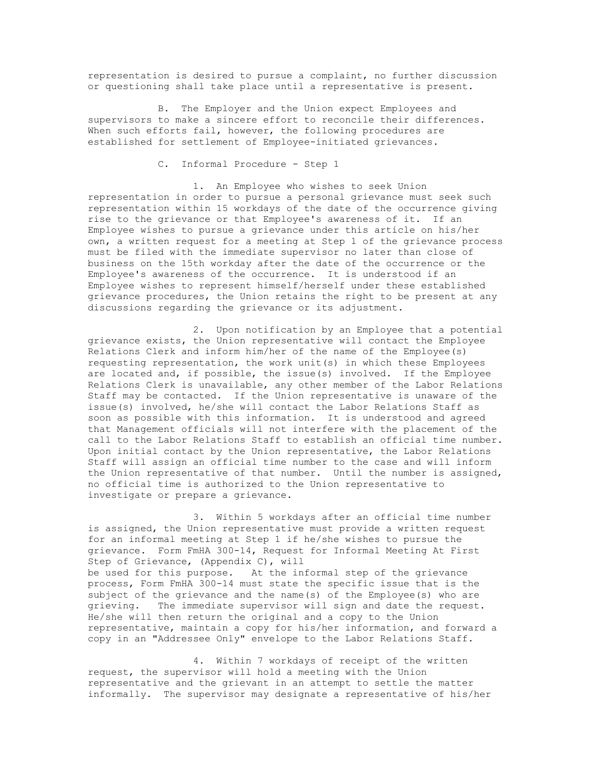representation is desired to pursue a complaint, no further discussion or questioning shall take place until a representative is present.

B. The Employer and the Union expect Employees and supervisors to make a sincere effort to reconcile their differences. When such efforts fail, however, the following procedures are established for settlement of Employee-initiated grievances.

C. Informal Procedure - Step 1

1. An Employee who wishes to seek Union representation in order to pursue a personal grievance must seek such representation within 15 workdays of the date of the occurrence giving rise to the grievance or that Employee's awareness of it. If an Employee wishes to pursue a grievance under this article on his/her own, a written request for a meeting at Step 1 of the grievance process must be filed with the immediate supervisor no later than close of business on the 15th workday after the date of the occurrence or the Employee's awareness of the occurrence. It is understood if an Employee wishes to represent himself/herself under these established grievance procedures, the Union retains the right to be present at any discussions regarding the grievance or its adjustment.

2. Upon notification by an Employee that a potential grievance exists, the Union representative will contact the Employee Relations Clerk and inform him/her of the name of the Employee(s) requesting representation, the work unit(s) in which these Employees are located and, if possible, the issue(s) involved. If the Employee Relations Clerk is unavailable, any other member of the Labor Relations Staff may be contacted. If the Union representative is unaware of the issue(s) involved, he/she will contact the Labor Relations Staff as soon as possible with this information. It is understood and agreed that Management officials will not interfere with the placement of the call to the Labor Relations Staff to establish an official time number. Upon initial contact by the Union representative, the Labor Relations Staff will assign an official time number to the case and will inform the Union representative of that number. Until the number is assigned, no official time is authorized to the Union representative to investigate or prepare a grievance.

3. Within 5 workdays after an official time number is assigned, the Union representative must provide a written request for an informal meeting at Step 1 if he/she wishes to pursue the grievance. Form FmHA 300-14, Request for Informal Meeting At First Step of Grievance, (Appendix C), will be used for this purpose. At the informal step of the grievance process, Form FmHA 300-14 must state the specific issue that is the subject of the grievance and the name (s) of the Employee (s) who are grieving. The immediate supervisor will sign and date the request. He/she will then return the original and a copy to the Union representative, maintain a copy for his/her information, and forward a copy in an "Addressee Only" envelope to the Labor Relations Staff.

4. Within 7 workdays of receipt of the written request, the supervisor will hold a meeting with the Union representative and the grievant in an attempt to settle the matter informally. The supervisor may designate a representative of his/her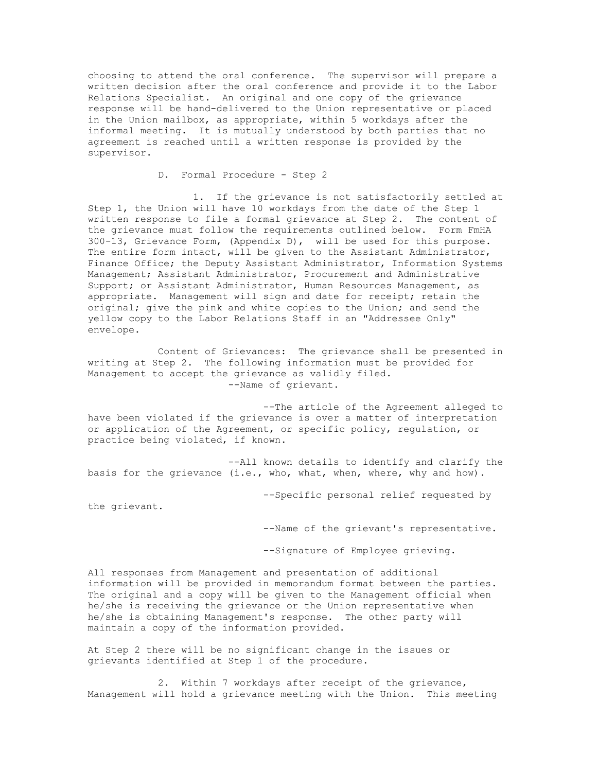choosing to attend the oral conference. The supervisor will prepare a written decision after the oral conference and provide it to the Labor Relations Specialist. An original and one copy of the grievance response will be hand-delivered to the Union representative or placed in the Union mailbox, as appropriate, within 5 workdays after the informal meeting. It is mutually understood by both parties that no agreement is reached until a written response is provided by the supervisor.

D. Formal Procedure - Step 2

1. If the grievance is not satisfactorily settled at Step 1, the Union will have 10 workdays from the date of the Step 1 written response to file a formal grievance at Step 2. The content of the grievance must follow the requirements outlined below. Form FmHA 300-13, Grievance Form, (Appendix D), will be used for this purpose. The entire form intact, will be given to the Assistant Administrator, Finance Office; the Deputy Assistant Administrator, Information Systems Management; Assistant Administrator, Procurement and Administrative Support; or Assistant Administrator, Human Resources Management, as appropriate. Management will sign and date for receipt; retain the original; give the pink and white copies to the Union; and send the yellow copy to the Labor Relations Staff in an "Addressee Only" envelope.

Content of Grievances: The grievance shall be presented in writing at Step 2. The following information must be provided for Management to accept the grievance as validly filed. --Name of grievant.

--The article of the Agreement alleged to have been violated if the grievance is over a matter of interpretation or application of the Agreement, or specific policy, regulation, or practice being violated, if known.

--All known details to identify and clarify the basis for the grievance (i.e., who, what, when, where, why and how).

--Specific personal relief requested by

the grievant.

--Name of the grievant's representative.

--Signature of Employee grieving.

All responses from Management and presentation of additional information will be provided in memorandum format between the parties. The original and a copy will be given to the Management official when he/she is receiving the grievance or the Union representative when he/she is obtaining Management's response. The other party will maintain a copy of the information provided.

At Step 2 there will be no significant change in the issues or grievants identified at Step 1 of the procedure.

2. Within 7 workdays after receipt of the grievance, Management will hold a grievance meeting with the Union. This meeting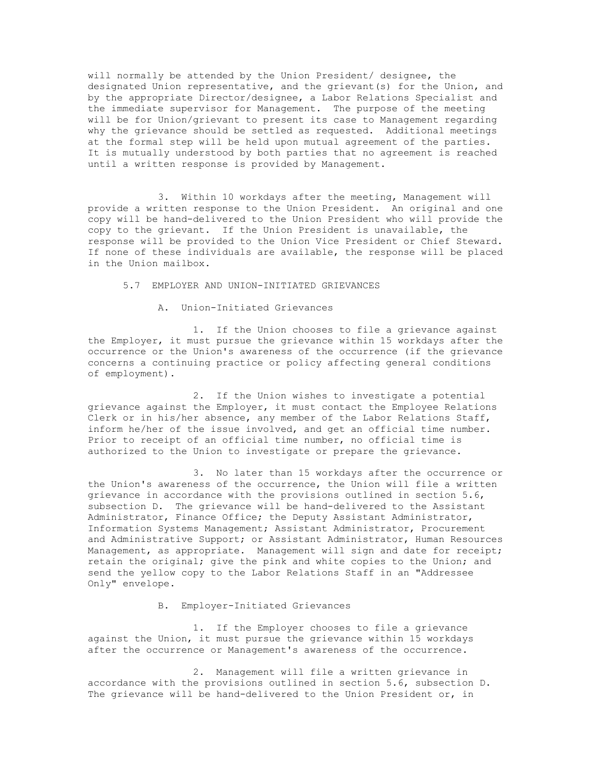will normally be attended by the Union President/ designee, the designated Union representative, and the grievant(s) for the Union, and by the appropriate Director/designee, a Labor Relations Specialist and the immediate supervisor for Management. The purpose of the meeting will be for Union/grievant to present its case to Management regarding why the grievance should be settled as requested. Additional meetings at the formal step will be held upon mutual agreement of the parties. It is mutually understood by both parties that no agreement is reached until a written response is provided by Management.

3. Within 10 workdays after the meeting, Management will provide a written response to the Union President. An original and one copy will be hand-delivered to the Union President who will provide the copy to the grievant. If the Union President is unavailable, the response will be provided to the Union Vice President or Chief Steward. If none of these individuals are available, the response will be placed in the Union mailbox.

5.7 EMPLOYER AND UNION-INITIATED GRIEVANCES

A. Union-Initiated Grievances

1. If the Union chooses to file a grievance against the Employer, it must pursue the grievance within 15 workdays after the occurrence or the Union's awareness of the occurrence (if the grievance concerns a continuing practice or policy affecting general conditions of employment).

2. If the Union wishes to investigate a potential grievance against the Employer, it must contact the Employee Relations Clerk or in his/her absence, any member of the Labor Relations Staff, inform he/her of the issue involved, and get an official time number. Prior to receipt of an official time number, no official time is authorized to the Union to investigate or prepare the grievance.

3. No later than 15 workdays after the occurrence or the Union's awareness of the occurrence, the Union will file a written grievance in accordance with the provisions outlined in section 5.6, subsection D. The grievance will be hand-delivered to the Assistant Administrator, Finance Office; the Deputy Assistant Administrator, Information Systems Management; Assistant Administrator, Procurement and Administrative Support; or Assistant Administrator, Human Resources Management, as appropriate. Management will sign and date for receipt; retain the original; give the pink and white copies to the Union; and send the yellow copy to the Labor Relations Staff in an "Addressee Only" envelope.

B. Employer-Initiated Grievances

1. If the Employer chooses to file a grievance against the Union, it must pursue the grievance within 15 workdays after the occurrence or Management's awareness of the occurrence.

2. Management will file a written grievance in accordance with the provisions outlined in section 5.6, subsection D. The grievance will be hand-delivered to the Union President or, in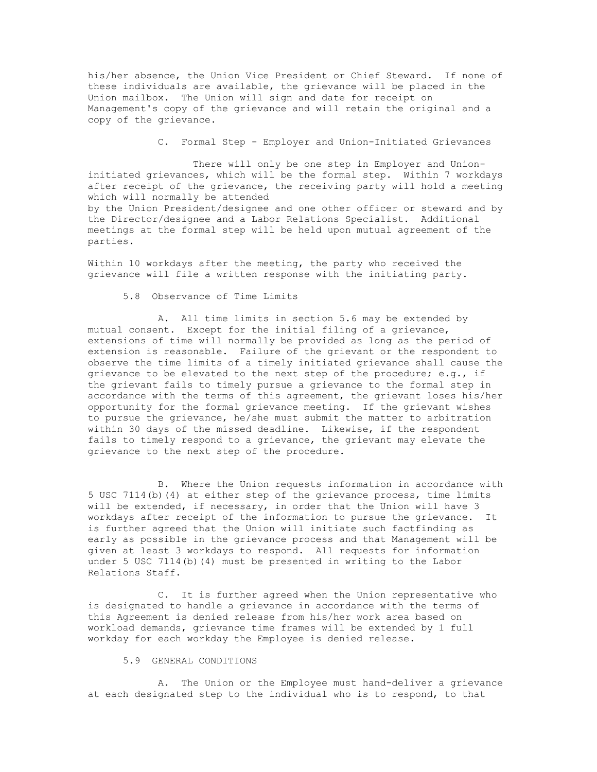his/her absence, the Union Vice President or Chief Steward. If none of these individuals are available, the grievance will be placed in the Union mailbox. The Union will sign and date for receipt on Management's copy of the grievance and will retain the original and a copy of the grievance.

C. Formal Step - Employer and Union-Initiated Grievances

There will only be one step in Employer and Unioninitiated grievances, which will be the formal step. Within 7 workdays after receipt of the grievance, the receiving party will hold a meeting which will normally be attended by the Union President/designee and one other officer or steward and by the Director/designee and a Labor Relations Specialist. Additional meetings at the formal step will be held upon mutual agreement of the parties.

Within 10 workdays after the meeting, the party who received the grievance will file a written response with the initiating party.

5.8 Observance of Time Limits

A. All time limits in section 5.6 may be extended by mutual consent. Except for the initial filing of a grievance, extensions of time will normally be provided as long as the period of extension is reasonable. Failure of the grievant or the respondent to observe the time limits of a timely initiated grievance shall cause the grievance to be elevated to the next step of the procedure; e.g., if the grievant fails to timely pursue a grievance to the formal step in accordance with the terms of this agreement, the grievant loses his/her opportunity for the formal grievance meeting. If the grievant wishes to pursue the grievance, he/she must submit the matter to arbitration within 30 days of the missed deadline. Likewise, if the respondent fails to timely respond to a grievance, the grievant may elevate the grievance to the next step of the procedure.

B. Where the Union requests information in accordance with 5 USC 7114(b)(4) at either step of the grievance process, time limits will be extended, if necessary, in order that the Union will have 3 workdays after receipt of the information to pursue the grievance. It is further agreed that the Union will initiate such factfinding as early as possible in the grievance process and that Management will be given at least 3 workdays to respond. All requests for information under 5 USC 7114(b)(4) must be presented in writing to the Labor Relations Staff.

C. It is further agreed when the Union representative who is designated to handle a grievance in accordance with the terms of this Agreement is denied release from his/her work area based on workload demands, grievance time frames will be extended by 1 full workday for each workday the Employee is denied release.

#### 5.9 GENERAL CONDITIONS

A. The Union or the Employee must hand-deliver a grievance at each designated step to the individual who is to respond, to that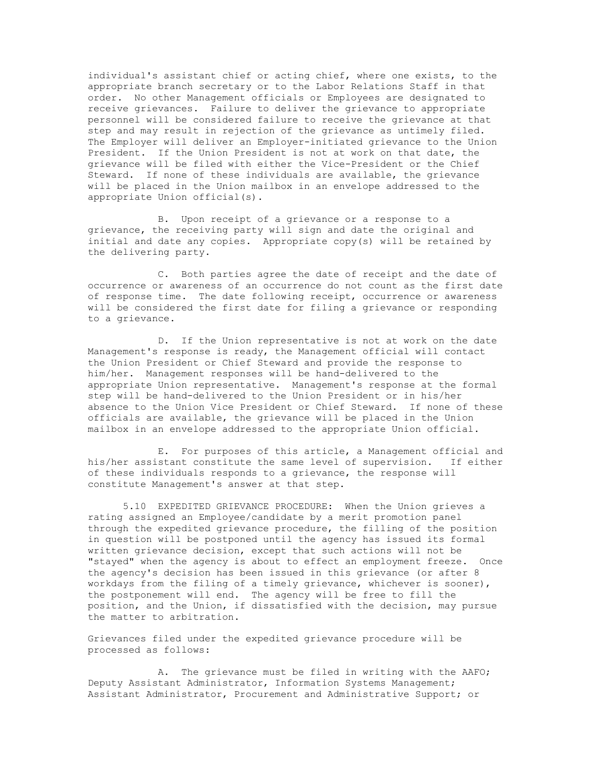individual's assistant chief or acting chief, where one exists, to the appropriate branch secretary or to the Labor Relations Staff in that order. No other Management officials or Employees are designated to receive grievances. Failure to deliver the grievance to appropriate personnel will be considered failure to receive the grievance at that step and may result in rejection of the grievance as untimely filed. The Employer will deliver an Employer-initiated grievance to the Union President. If the Union President is not at work on that date, the grievance will be filed with either the Vice-President or the Chief Steward. If none of these individuals are available, the grievance will be placed in the Union mailbox in an envelope addressed to the appropriate Union official(s).

B. Upon receipt of a grievance or a response to a grievance, the receiving party will sign and date the original and initial and date any copies. Appropriate copy(s) will be retained by the delivering party.

C. Both parties agree the date of receipt and the date of occurrence or awareness of an occurrence do not count as the first date of response time. The date following receipt, occurrence or awareness will be considered the first date for filing a grievance or responding to a grievance.

D. If the Union representative is not at work on the date Management's response is ready, the Management official will contact the Union President or Chief Steward and provide the response to him/her. Management responses will be hand-delivered to the appropriate Union representative. Management's response at the formal step will be hand-delivered to the Union President or in his/her absence to the Union Vice President or Chief Steward. If none of these officials are available, the grievance will be placed in the Union mailbox in an envelope addressed to the appropriate Union official.

E. For purposes of this article, a Management official and his/her assistant constitute the same level of supervision. If either of these individuals responds to a grievance, the response will constitute Management's answer at that step.

5.10 EXPEDITED GRIEVANCE PROCEDURE: When the Union grieves a rating assigned an Employee/candidate by a merit promotion panel through the expedited grievance procedure, the filling of the position in question will be postponed until the agency has issued its formal written grievance decision, except that such actions will not be "stayed" when the agency is about to effect an employment freeze. Once the agency's decision has been issued in this grievance (or after 8 workdays from the filing of a timely grievance, whichever is sooner), the postponement will end. The agency will be free to fill the position, and the Union, if dissatisfied with the decision, may pursue the matter to arbitration.

Grievances filed under the expedited grievance procedure will be processed as follows:

A. The grievance must be filed in writing with the AAFO; Deputy Assistant Administrator, Information Systems Management; Assistant Administrator, Procurement and Administrative Support; or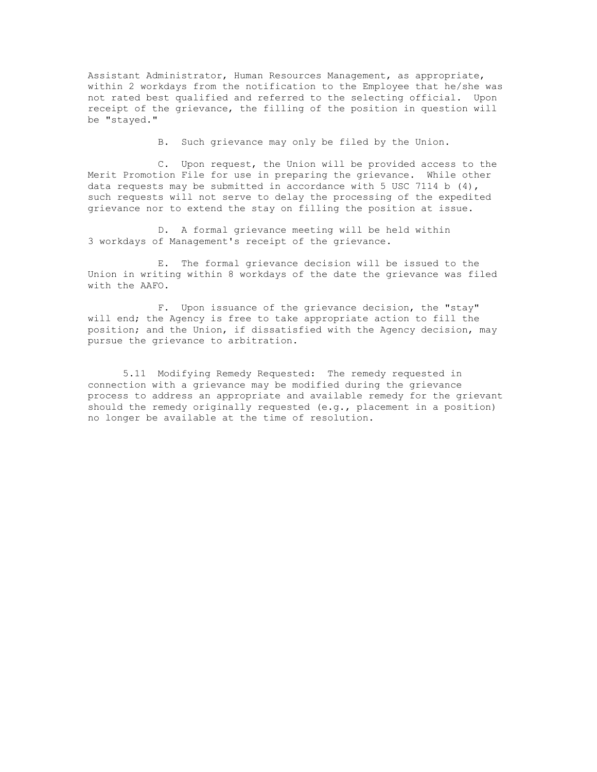Assistant Administrator, Human Resources Management, as appropriate, within 2 workdays from the notification to the Employee that he/she was not rated best qualified and referred to the selecting official. Upon receipt of the grievance, the filling of the position in question will be "stayed."

B. Such grievance may only be filed by the Union.

C. Upon request, the Union will be provided access to the Merit Promotion File for use in preparing the grievance. While other data requests may be submitted in accordance with 5 USC 7114 b  $(4)$ , such requests will not serve to delay the processing of the expedited grievance nor to extend the stay on filling the position at issue.

D. A formal grievance meeting will be held within 3 workdays of Management's receipt of the grievance.

E. The formal grievance decision will be issued to the Union in writing within 8 workdays of the date the grievance was filed with the AAFO.

F. Upon issuance of the grievance decision, the "stay" will end; the Agency is free to take appropriate action to fill the position; and the Union, if dissatisfied with the Agency decision, may pursue the grievance to arbitration.

5.11 Modifying Remedy Requested: The remedy requested in connection with a grievance may be modified during the grievance process to address an appropriate and available remedy for the grievant should the remedy originally requested (e.g., placement in a position) no longer be available at the time of resolution.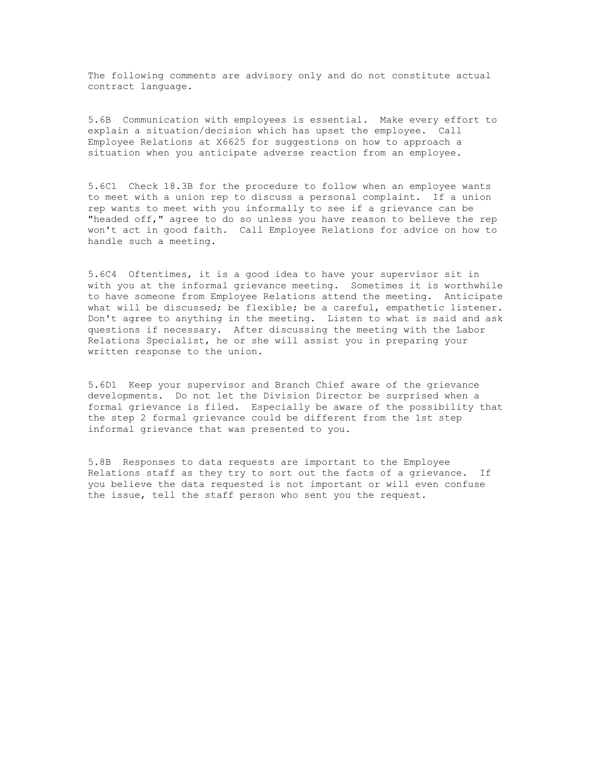The following comments are advisory only and do not constitute actual contract language.

5.6B Communication with employees is essential. Make every effort to explain a situation/decision which has upset the employee. Call Employee Relations at X6625 for suggestions on how to approach a situation when you anticipate adverse reaction from an employee.

5.6C1 Check 18.3B for the procedure to follow when an employee wants to meet with a union rep to discuss a personal complaint. If a union rep wants to meet with you informally to see if a grievance can be "headed off," agree to do so unless you have reason to believe the rep won't act in good faith. Call Employee Relations for advice on how to handle such a meeting.

5.6C4 Oftentimes, it is a good idea to have your supervisor sit in with you at the informal grievance meeting. Sometimes it is worthwhile to have someone from Employee Relations attend the meeting. Anticipate what will be discussed; be flexible; be a careful, empathetic listener. Don't agree to anything in the meeting. Listen to what is said and ask questions if necessary. After discussing the meeting with the Labor Relations Specialist, he or she will assist you in preparing your written response to the union.

5.6D1 Keep your supervisor and Branch Chief aware of the grievance developments. Do not let the Division Director be surprised when a formal grievance is filed. Especially be aware of the possibility that the step 2 formal grievance could be different from the 1st step informal grievance that was presented to you.

5.8B Responses to data requests are important to the Employee Relations staff as they try to sort out the facts of a grievance. If you believe the data requested is not important or will even confuse the issue, tell the staff person who sent you the request.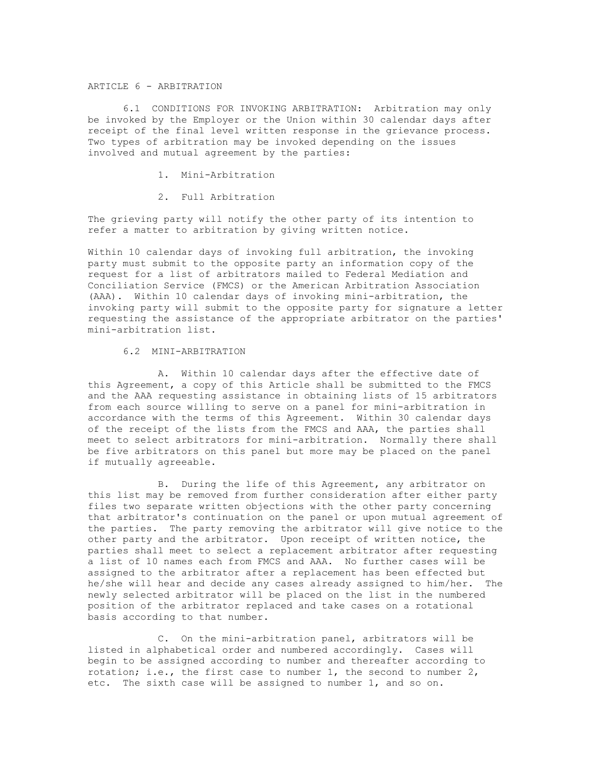# ARTICLE 6 - ARBITRATION

6.1 CONDITIONS FOR INVOKING ARBITRATION: Arbitration may only be invoked by the Employer or the Union within 30 calendar days after receipt of the final level written response in the grievance process. Two types of arbitration may be invoked depending on the issues involved and mutual agreement by the parties:

- 1. Mini-Arbitration
- 2. Full Arbitration

The grieving party will notify the other party of its intention to refer a matter to arbitration by giving written notice.

Within 10 calendar days of invoking full arbitration, the invoking party must submit to the opposite party an information copy of the request for a list of arbitrators mailed to Federal Mediation and Conciliation Service (FMCS) or the American Arbitration Association (AAA). Within 10 calendar days of invoking mini-arbitration, the invoking party will submit to the opposite party for signature a letter requesting the assistance of the appropriate arbitrator on the parties' mini-arbitration list.

#### 6.2 MINI-ARBITRATION

A. Within 10 calendar days after the effective date of this Agreement, a copy of this Article shall be submitted to the FMCS and the AAA requesting assistance in obtaining lists of 15 arbitrators from each source willing to serve on a panel for mini-arbitration in accordance with the terms of this Agreement. Within 30 calendar days of the receipt of the lists from the FMCS and AAA, the parties shall meet to select arbitrators for mini-arbitration. Normally there shall be five arbitrators on this panel but more may be placed on the panel if mutually agreeable.

B. During the life of this Agreement, any arbitrator on this list may be removed from further consideration after either party files two separate written objections with the other party concerning that arbitrator's continuation on the panel or upon mutual agreement of the parties. The party removing the arbitrator will give notice to the other party and the arbitrator. Upon receipt of written notice, the parties shall meet to select a replacement arbitrator after requesting a list of 10 names each from FMCS and AAA. No further cases will be assigned to the arbitrator after a replacement has been effected but he/she will hear and decide any cases already assigned to him/her. The newly selected arbitrator will be placed on the list in the numbered position of the arbitrator replaced and take cases on a rotational basis according to that number.

C. On the mini-arbitration panel, arbitrators will be listed in alphabetical order and numbered accordingly. Cases will begin to be assigned according to number and thereafter according to rotation; i.e., the first case to number 1, the second to number 2, etc. The sixth case will be assigned to number 1, and so on.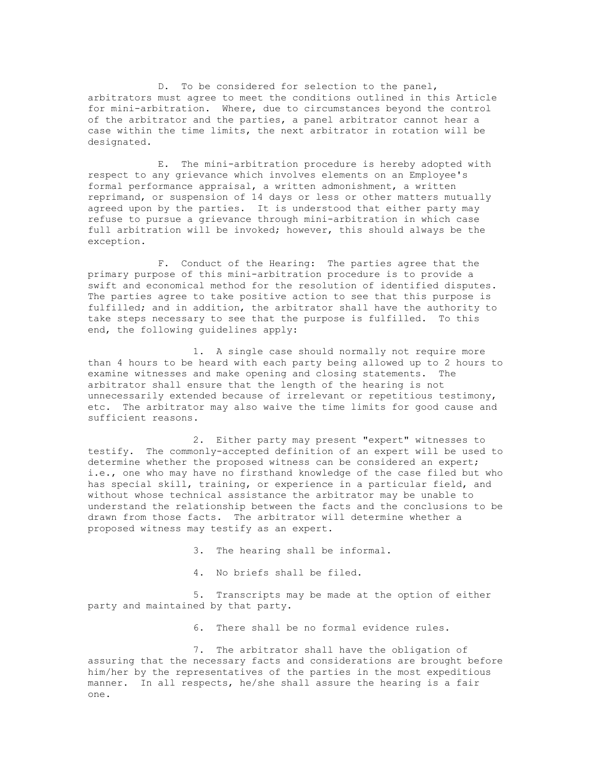D. To be considered for selection to the panel, arbitrators must agree to meet the conditions outlined in this Article for mini-arbitration. Where, due to circumstances beyond the control of the arbitrator and the parties, a panel arbitrator cannot hear a case within the time limits, the next arbitrator in rotation will be designated.

E. The mini-arbitration procedure is hereby adopted with respect to any grievance which involves elements on an Employee's formal performance appraisal, a written admonishment, a written reprimand, or suspension of 14 days or less or other matters mutually agreed upon by the parties. It is understood that either party may refuse to pursue a grievance through mini-arbitration in which case full arbitration will be invoked; however, this should always be the exception.

F. Conduct of the Hearing: The parties agree that the primary purpose of this mini-arbitration procedure is to provide a swift and economical method for the resolution of identified disputes. The parties agree to take positive action to see that this purpose is fulfilled; and in addition, the arbitrator shall have the authority to take steps necessary to see that the purpose is fulfilled. To this end, the following guidelines apply:

1. A single case should normally not require more than 4 hours to be heard with each party being allowed up to 2 hours to examine witnesses and make opening and closing statements. The arbitrator shall ensure that the length of the hearing is not unnecessarily extended because of irrelevant or repetitious testimony, etc. The arbitrator may also waive the time limits for good cause and sufficient reasons.

2. Either party may present "expert" witnesses to testify. The commonly-accepted definition of an expert will be used to determine whether the proposed witness can be considered an expert; i.e., one who may have no firsthand knowledge of the case filed but who has special skill, training, or experience in a particular field, and without whose technical assistance the arbitrator may be unable to understand the relationship between the facts and the conclusions to be drawn from those facts. The arbitrator will determine whether a proposed witness may testify as an expert.

3. The hearing shall be informal.

4. No briefs shall be filed.

5. Transcripts may be made at the option of either party and maintained by that party.

6. There shall be no formal evidence rules.

7. The arbitrator shall have the obligation of assuring that the necessary facts and considerations are brought before him/her by the representatives of the parties in the most expeditious manner. In all respects, he/she shall assure the hearing is a fair one.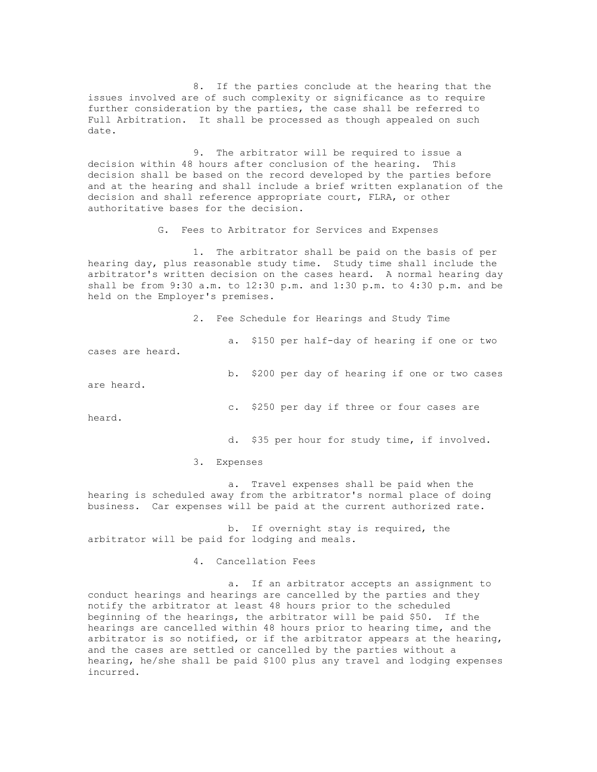8. If the parties conclude at the hearing that the issues involved are of such complexity or significance as to require further consideration by the parties, the case shall be referred to Full Arbitration. It shall be processed as though appealed on such date.

9. The arbitrator will be required to issue a decision within 48 hours after conclusion of the hearing. This decision shall be based on the record developed by the parties before and at the hearing and shall include a brief written explanation of the decision and shall reference appropriate court, FLRA, or other authoritative bases for the decision.

G. Fees to Arbitrator for Services and Expenses

1. The arbitrator shall be paid on the basis of per hearing day, plus reasonable study time. Study time shall include the arbitrator's written decision on the cases heard. A normal hearing day shall be from 9:30 a.m. to 12:30 p.m. and 1:30 p.m. to 4:30 p.m. and be held on the Employer's premises.

2. Fee Schedule for Hearings and Study Time

a. \$150 per half-day of hearing if one or two cases are heard.

b. \$200 per day of hearing if one or two cases are heard.

c. \$250 per day if three or four cases are

heard.

d. \$35 per hour for study time, if involved.

3. Expenses

a. Travel expenses shall be paid when the hearing is scheduled away from the arbitrator's normal place of doing business. Car expenses will be paid at the current authorized rate.

b. If overnight stay is required, the arbitrator will be paid for lodging and meals.

4. Cancellation Fees

a. If an arbitrator accepts an assignment to conduct hearings and hearings are cancelled by the parties and they notify the arbitrator at least 48 hours prior to the scheduled beginning of the hearings, the arbitrator will be paid \$50. If the hearings are cancelled within 48 hours prior to hearing time, and the arbitrator is so notified, or if the arbitrator appears at the hearing, and the cases are settled or cancelled by the parties without a hearing, he/she shall be paid \$100 plus any travel and lodging expenses incurred.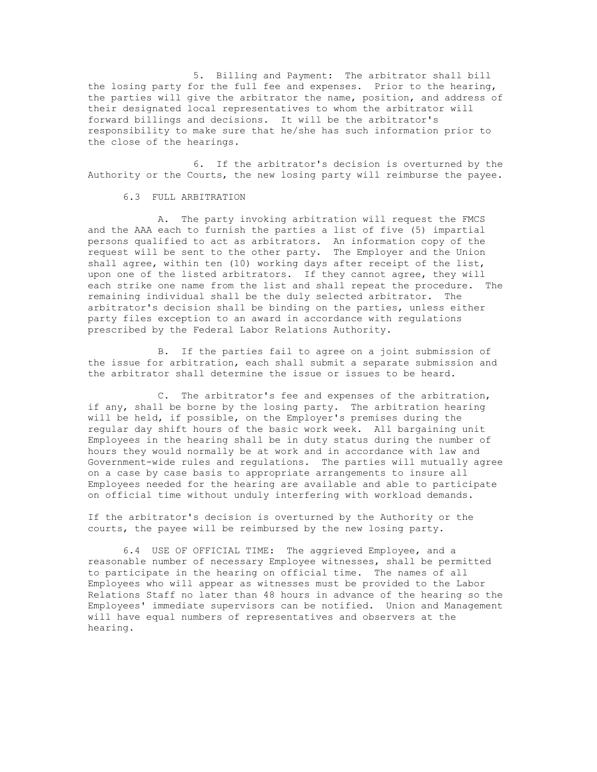5. Billing and Payment: The arbitrator shall bill the losing party for the full fee and expenses. Prior to the hearing, the parties will give the arbitrator the name, position, and address of their designated local representatives to whom the arbitrator will forward billings and decisions. It will be the arbitrator's responsibility to make sure that he/she has such information prior to the close of the hearings.

6. If the arbitrator's decision is overturned by the Authority or the Courts, the new losing party will reimburse the payee.

6.3 FULL ARBITRATION

A. The party invoking arbitration will request the FMCS and the AAA each to furnish the parties a list of five (5) impartial persons qualified to act as arbitrators. An information copy of the request will be sent to the other party. The Employer and the Union shall agree, within ten (10) working days after receipt of the list, upon one of the listed arbitrators. If they cannot agree, they will each strike one name from the list and shall repeat the procedure. The remaining individual shall be the duly selected arbitrator. The arbitrator's decision shall be binding on the parties, unless either party files exception to an award in accordance with regulations prescribed by the Federal Labor Relations Authority.

B. If the parties fail to agree on a joint submission of the issue for arbitration, each shall submit a separate submission and the arbitrator shall determine the issue or issues to be heard.

C. The arbitrator's fee and expenses of the arbitration, if any, shall be borne by the losing party. The arbitration hearing will be held, if possible, on the Employer's premises during the regular day shift hours of the basic work week. All bargaining unit Employees in the hearing shall be in duty status during the number of hours they would normally be at work and in accordance with law and Government-wide rules and regulations. The parties will mutually agree on a case by case basis to appropriate arrangements to insure all Employees needed for the hearing are available and able to participate on official time without unduly interfering with workload demands.

If the arbitrator's decision is overturned by the Authority or the courts, the payee will be reimbursed by the new losing party.

6.4 USE OF OFFICIAL TIME: The aggrieved Employee, and a reasonable number of necessary Employee witnesses, shall be permitted to participate in the hearing on official time. The names of all Employees who will appear as witnesses must be provided to the Labor Relations Staff no later than 48 hours in advance of the hearing so the Employees' immediate supervisors can be notified. Union and Management will have equal numbers of representatives and observers at the hearing.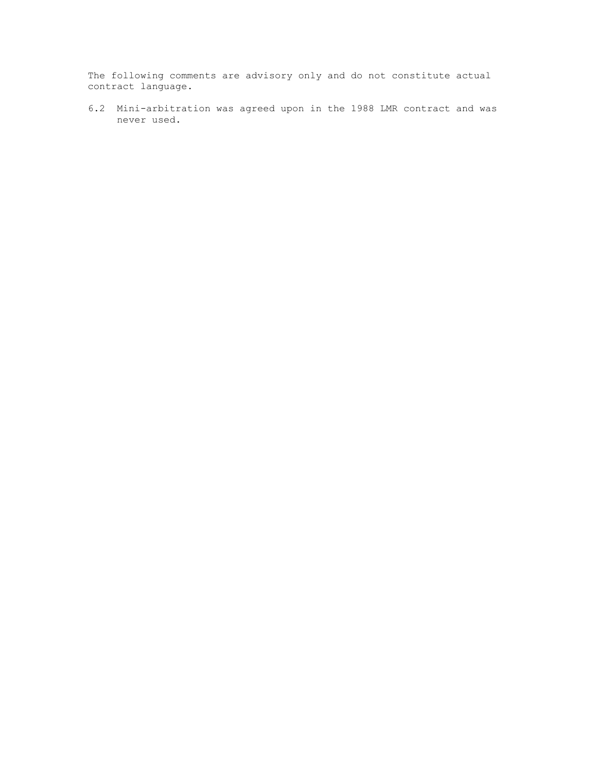The following comments are advisory only and do not constitute actual contract language.

6.2 Mini-arbitration was agreed upon in the 1988 LMR contract and was never used.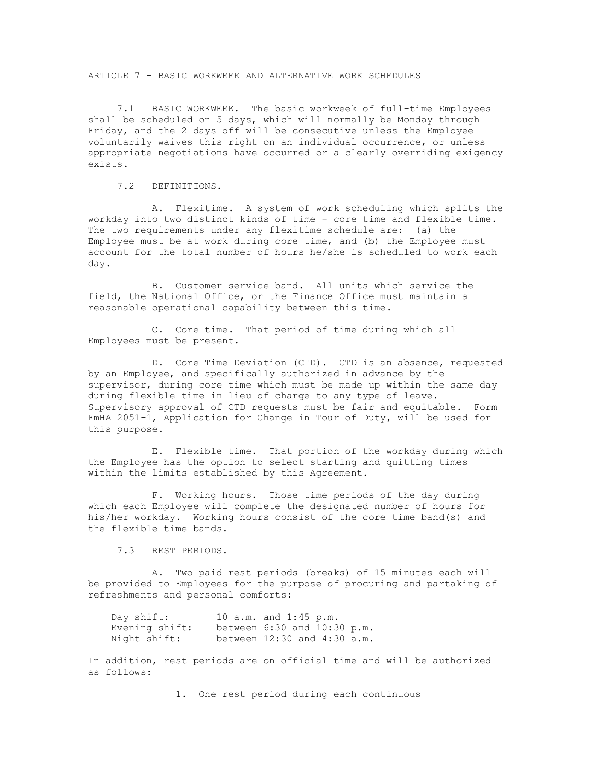ARTICLE 7 - BASIC WORKWEEK AND ALTERNATIVE WORK SCHEDULES

 7.1 BASIC WORKWEEK. The basic workweek of full-time Employees shall be scheduled on 5 days, which will normally be Monday through Friday, and the 2 days off will be consecutive unless the Employee voluntarily waives this right on an individual occurrence, or unless appropriate negotiations have occurred or a clearly overriding exigency exists.

7.2 DEFINITIONS.

 A. Flexitime. A system of work scheduling which splits the workday into two distinct kinds of time - core time and flexible time. The two requirements under any flexitime schedule are: (a) the Employee must be at work during core time, and (b) the Employee must account for the total number of hours he/she is scheduled to work each day.

 B. Customer service band. All units which service the field, the National Office, or the Finance Office must maintain a reasonable operational capability between this time.

 C. Core time. That period of time during which all Employees must be present.

 D. Core Time Deviation (CTD). CTD is an absence, requested by an Employee, and specifically authorized in advance by the supervisor, during core time which must be made up within the same day during flexible time in lieu of charge to any type of leave. Supervisory approval of CTD requests must be fair and equitable. Form FmHA 2051-1, Application for Change in Tour of Duty, will be used for this purpose.

 E. Flexible time. That portion of the workday during which the Employee has the option to select starting and quitting times within the limits established by this Agreement.

 F. Working hours. Those time periods of the day during which each Employee will complete the designated number of hours for his/her workday. Working hours consist of the core time band(s) and the flexible time bands.

7.3 REST PERIODS.

 A. Two paid rest periods (breaks) of 15 minutes each will be provided to Employees for the purpose of procuring and partaking of refreshments and personal comforts:

 Day shift: 10 a.m. and 1:45 p.m. Evening shift: between 6:30 and 10:30 p.m. Night shift: between 12:30 and 4:30 a.m.

In addition, rest periods are on official time and will be authorized as follows:

1. One rest period during each continuous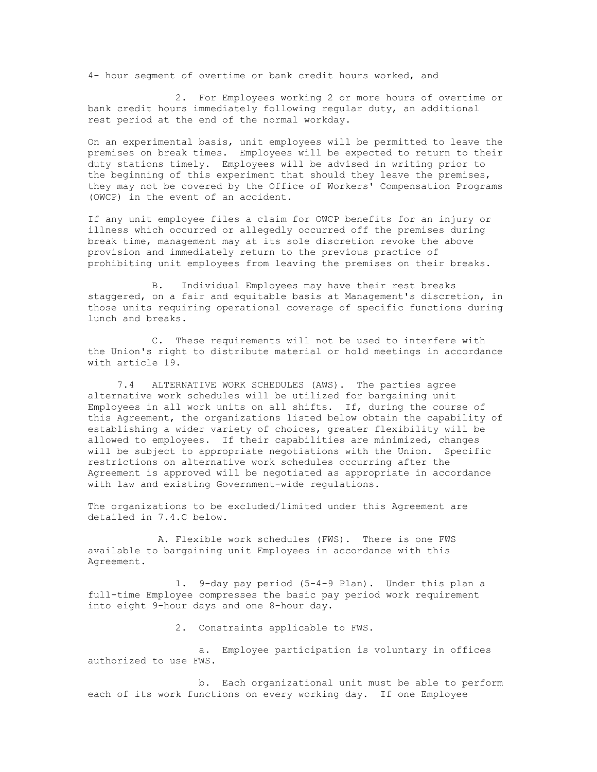4- hour segment of overtime or bank credit hours worked, and

 2. For Employees working 2 or more hours of overtime or bank credit hours immediately following regular duty, an additional rest period at the end of the normal workday.

On an experimental basis, unit employees will be permitted to leave the premises on break times. Employees will be expected to return to their duty stations timely. Employees will be advised in writing prior to the beginning of this experiment that should they leave the premises, they may not be covered by the Office of Workers' Compensation Programs (OWCP) in the event of an accident.

If any unit employee files a claim for OWCP benefits for an injury or illness which occurred or allegedly occurred off the premises during break time, management may at its sole discretion revoke the above provision and immediately return to the previous practice of prohibiting unit employees from leaving the premises on their breaks.

 B. Individual Employees may have their rest breaks staggered, on a fair and equitable basis at Management's discretion, in those units requiring operational coverage of specific functions during lunch and breaks.

 C. These requirements will not be used to interfere with the Union's right to distribute material or hold meetings in accordance with article 19.

 7.4 ALTERNATIVE WORK SCHEDULES (AWS). The parties agree alternative work schedules will be utilized for bargaining unit Employees in all work units on all shifts. If, during the course of this Agreement, the organizations listed below obtain the capability of establishing a wider variety of choices, greater flexibility will be allowed to employees. If their capabilities are minimized, changes will be subject to appropriate negotiations with the Union. Specific restrictions on alternative work schedules occurring after the Agreement is approved will be negotiated as appropriate in accordance with law and existing Government-wide regulations.

The organizations to be excluded/limited under this Agreement are detailed in 7.4.C below.

 A. Flexible work schedules (FWS). There is one FWS available to bargaining unit Employees in accordance with this Agreement.

 1. 9-day pay period (5-4-9 Plan). Under this plan a full-time Employee compresses the basic pay period work requirement into eight 9-hour days and one 8-hour day.

2. Constraints applicable to FWS.

 a. Employee participation is voluntary in offices authorized to use FWS.

 b. Each organizational unit must be able to perform each of its work functions on every working day. If one Employee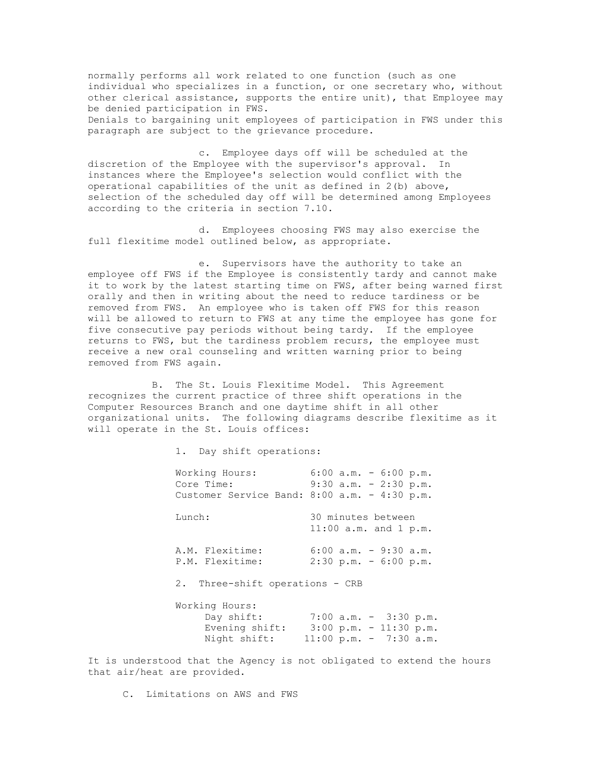normally performs all work related to one function (such as one individual who specializes in a function, or one secretary who, without other clerical assistance, supports the entire unit), that Employee may be denied participation in FWS. Denials to bargaining unit employees of participation in FWS under this paragraph are subject to the grievance procedure.

 c. Employee days off will be scheduled at the discretion of the Employee with the supervisor's approval. In instances where the Employee's selection would conflict with the operational capabilities of the unit as defined in 2(b) above, selection of the scheduled day off will be determined among Employees according to the criteria in section 7.10.

 d. Employees choosing FWS may also exercise the full flexitime model outlined below, as appropriate.

 e. Supervisors have the authority to take an employee off FWS if the Employee is consistently tardy and cannot make it to work by the latest starting time on FWS, after being warned first orally and then in writing about the need to reduce tardiness or be removed from FWS. An employee who is taken off FWS for this reason will be allowed to return to FWS at any time the employee has gone for five consecutive pay periods without being tardy. If the employee returns to FWS, but the tardiness problem recurs, the employee must receive a new oral counseling and written warning prior to being removed from FWS again.

 B. The St. Louis Flexitime Model. This Agreement recognizes the current practice of three shift operations in the Computer Resources Branch and one daytime shift in all other organizational units. The following diagrams describe flexitime as it will operate in the St. Louis offices:

1. Day shift operations:

| Working Hours:<br>Core Time:<br>Customer Service Band: 8:00 a.m. - 4:30 p.m. | $6:00$ a.m. - $6:00$ p.m.<br>$9:30$ a.m. - 2:30 p.m.                                                            |
|------------------------------------------------------------------------------|-----------------------------------------------------------------------------------------------------------------|
| Lunch:                                                                       | 30 minutes between<br>11:00 $a.m.$ and 1 $p.m.$                                                                 |
| A.M. Flexitime:<br>P.M. Flexitime:                                           | $6:00$ a.m. - 9:30 a.m.<br>$2:30 \text{ p.m.} - 6:00 \text{ p.m.}$                                              |
| 2. Three-shift operations - CRB                                              |                                                                                                                 |
| Working Hours:<br>Day shift:<br>Evening shift:<br>Night shift:               | $7:00$ a.m. - 3:30 p.m.<br>$3:00 \text{ p.m.} - 11:30 \text{ p.m.}$<br>$11:00 \text{ p.m.} - 7:30 \text{ a.m.}$ |

It is understood that the Agency is not obligated to extend the hours that air/heat are provided.

C. Limitations on AWS and FWS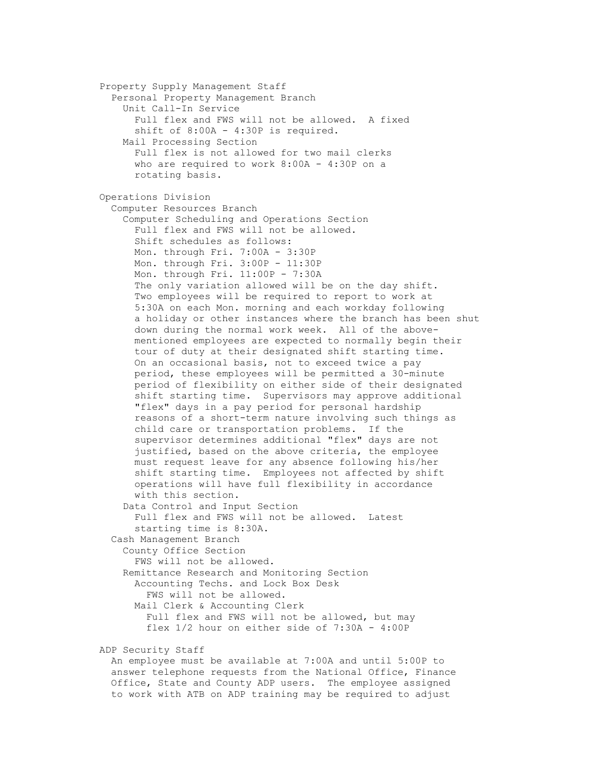Property Supply Management Staff Personal Property Management Branch Unit Call-In Service Full flex and FWS will not be allowed. A fixed shift of 8:00A - 4:30P is required. Mail Processing Section Full flex is not allowed for two mail clerks who are required to work 8:00A - 4:30P on a rotating basis. Operations Division Computer Resources Branch Computer Scheduling and Operations Section Full flex and FWS will not be allowed. Shift schedules as follows: Mon. through Fri. 7:00A - 3:30P Mon. through Fri. 3:00P - 11:30P Mon. through Fri. 11:00P - 7:30A The only variation allowed will be on the day shift. Two employees will be required to report to work at 5:30A on each Mon. morning and each workday following a holiday or other instances where the branch has been shut down during the normal work week. All of the above mentioned employees are expected to normally begin their tour of duty at their designated shift starting time. On an occasional basis, not to exceed twice a pay period, these employees will be permitted a 30-minute period of flexibility on either side of their designated shift starting time. Supervisors may approve additional "flex" days in a pay period for personal hardship reasons of a short-term nature involving such things as child care or transportation problems. If the supervisor determines additional "flex" days are not justified, based on the above criteria, the employee must request leave for any absence following his/her shift starting time. Employees not affected by shift operations will have full flexibility in accordance with this section. Data Control and Input Section Full flex and FWS will not be allowed. Latest starting time is 8:30A. Cash Management Branch County Office Section FWS will not be allowed. Remittance Research and Monitoring Section Accounting Techs. and Lock Box Desk FWS will not be allowed. Mail Clerk & Accounting Clerk Full flex and FWS will not be allowed, but may flex 1/2 hour on either side of 7:30A - 4:00P

ADP Security Staff

 An employee must be available at 7:00A and until 5:00P to answer telephone requests from the National Office, Finance Office, State and County ADP users. The employee assigned to work with ATB on ADP training may be required to adjust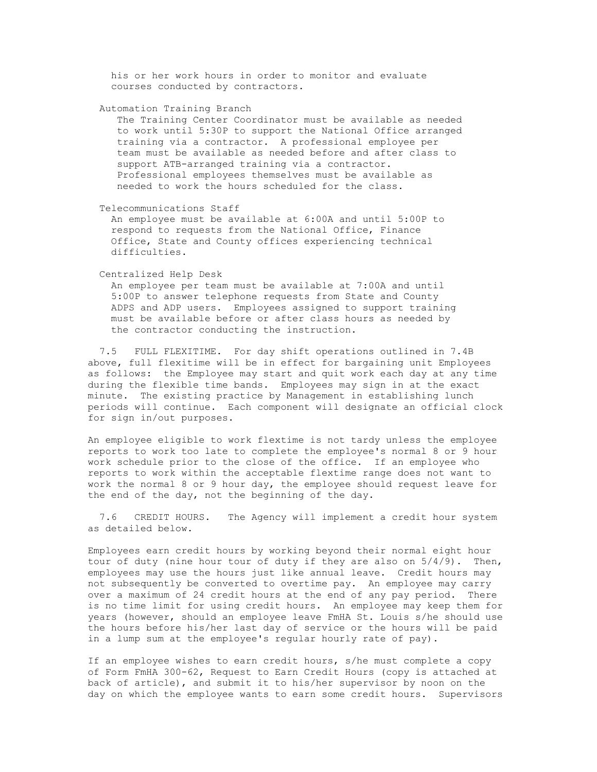his or her work hours in order to monitor and evaluate courses conducted by contractors.

Automation Training Branch

 The Training Center Coordinator must be available as needed to work until 5:30P to support the National Office arranged training via a contractor. A professional employee per team must be available as needed before and after class to support ATB-arranged training via a contractor. Professional employees themselves must be available as needed to work the hours scheduled for the class.

Telecommunications Staff

 An employee must be available at 6:00A and until 5:00P to respond to requests from the National Office, Finance Office, State and County offices experiencing technical difficulties.

Centralized Help Desk

 An employee per team must be available at 7:00A and until 5:00P to answer telephone requests from State and County ADPS and ADP users. Employees assigned to support training must be available before or after class hours as needed by the contractor conducting the instruction.

 7.5 FULL FLEXITIME. For day shift operations outlined in 7.4B above, full flexitime will be in effect for bargaining unit Employees as follows: the Employee may start and quit work each day at any time during the flexible time bands. Employees may sign in at the exact minute. The existing practice by Management in establishing lunch periods will continue. Each component will designate an official clock for sign in/out purposes.

An employee eligible to work flextime is not tardy unless the employee reports to work too late to complete the employee's normal 8 or 9 hour work schedule prior to the close of the office. If an employee who reports to work within the acceptable flextime range does not want to work the normal 8 or 9 hour day, the employee should request leave for the end of the day, not the beginning of the day.

 7.6 CREDIT HOURS. The Agency will implement a credit hour system as detailed below.

Employees earn credit hours by working beyond their normal eight hour tour of duty (nine hour tour of duty if they are also on 5/4/9). Then, employees may use the hours just like annual leave. Credit hours may not subsequently be converted to overtime pay. An employee may carry over a maximum of 24 credit hours at the end of any pay period. There is no time limit for using credit hours. An employee may keep them for years (however, should an employee leave FmHA St. Louis s/he should use the hours before his/her last day of service or the hours will be paid in a lump sum at the employee's regular hourly rate of pay).

If an employee wishes to earn credit hours, s/he must complete a copy of Form FmHA 300-62, Request to Earn Credit Hours (copy is attached at back of article), and submit it to his/her supervisor by noon on the day on which the employee wants to earn some credit hours. Supervisors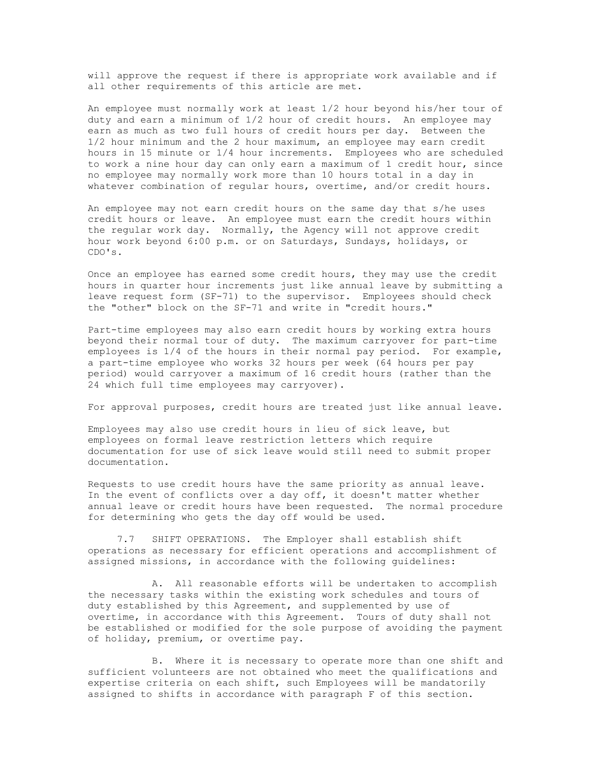will approve the request if there is appropriate work available and if all other requirements of this article are met.

An employee must normally work at least 1/2 hour beyond his/her tour of duty and earn a minimum of 1/2 hour of credit hours. An employee may earn as much as two full hours of credit hours per day. Between the 1/2 hour minimum and the 2 hour maximum, an employee may earn credit hours in 15 minute or 1/4 hour increments. Employees who are scheduled to work a nine hour day can only earn a maximum of 1 credit hour, since no employee may normally work more than 10 hours total in a day in whatever combination of regular hours, overtime, and/or credit hours.

An employee may not earn credit hours on the same day that s/he uses credit hours or leave. An employee must earn the credit hours within the regular work day. Normally, the Agency will not approve credit hour work beyond 6:00 p.m. or on Saturdays, Sundays, holidays, or CDO's.

Once an employee has earned some credit hours, they may use the credit hours in quarter hour increments just like annual leave by submitting a leave request form (SF-71) to the supervisor. Employees should check the "other" block on the SF-71 and write in "credit hours."

Part-time employees may also earn credit hours by working extra hours beyond their normal tour of duty. The maximum carryover for part-time employees is 1/4 of the hours in their normal pay period. For example, a part-time employee who works 32 hours per week (64 hours per pay period) would carryover a maximum of 16 credit hours (rather than the 24 which full time employees may carryover).

For approval purposes, credit hours are treated just like annual leave.

Employees may also use credit hours in lieu of sick leave, but employees on formal leave restriction letters which require documentation for use of sick leave would still need to submit proper documentation.

Requests to use credit hours have the same priority as annual leave. In the event of conflicts over a day off, it doesn't matter whether annual leave or credit hours have been requested. The normal procedure for determining who gets the day off would be used.

 7.7 SHIFT OPERATIONS. The Employer shall establish shift operations as necessary for efficient operations and accomplishment of assigned missions, in accordance with the following guidelines:

 A. All reasonable efforts will be undertaken to accomplish the necessary tasks within the existing work schedules and tours of duty established by this Agreement, and supplemented by use of overtime, in accordance with this Agreement. Tours of duty shall not be established or modified for the sole purpose of avoiding the payment of holiday, premium, or overtime pay.

 B. Where it is necessary to operate more than one shift and sufficient volunteers are not obtained who meet the qualifications and expertise criteria on each shift, such Employees will be mandatorily assigned to shifts in accordance with paragraph F of this section.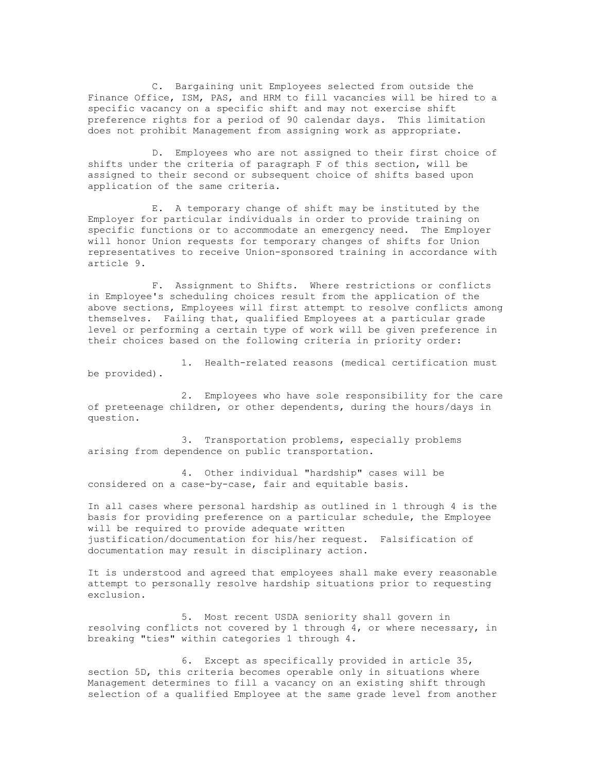C. Bargaining unit Employees selected from outside the Finance Office, ISM, PAS, and HRM to fill vacancies will be hired to a specific vacancy on a specific shift and may not exercise shift preference rights for a period of 90 calendar days. This limitation does not prohibit Management from assigning work as appropriate.

 D. Employees who are not assigned to their first choice of shifts under the criteria of paragraph F of this section, will be assigned to their second or subsequent choice of shifts based upon application of the same criteria.

 E. A temporary change of shift may be instituted by the Employer for particular individuals in order to provide training on specific functions or to accommodate an emergency need. The Employer will honor Union requests for temporary changes of shifts for Union representatives to receive Union-sponsored training in accordance with article 9.

 F. Assignment to Shifts. Where restrictions or conflicts in Employee's scheduling choices result from the application of the above sections, Employees will first attempt to resolve conflicts among themselves. Failing that, qualified Employees at a particular grade level or performing a certain type of work will be given preference in their choices based on the following criteria in priority order:

 1. Health-related reasons (medical certification must be provided).

 2. Employees who have sole responsibility for the care of preteenage children, or other dependents, during the hours/days in question.

 3. Transportation problems, especially problems arising from dependence on public transportation.

 4. Other individual "hardship" cases will be considered on a case-by-case, fair and equitable basis.

In all cases where personal hardship as outlined in 1 through 4 is the basis for providing preference on a particular schedule, the Employee will be required to provide adequate written justification/documentation for his/her request. Falsification of documentation may result in disciplinary action.

It is understood and agreed that employees shall make every reasonable attempt to personally resolve hardship situations prior to requesting exclusion.

 5. Most recent USDA seniority shall govern in resolving conflicts not covered by 1 through 4, or where necessary, in breaking "ties" within categories 1 through 4.

 6. Except as specifically provided in article 35, section 5D, this criteria becomes operable only in situations where Management determines to fill a vacancy on an existing shift through selection of a qualified Employee at the same grade level from another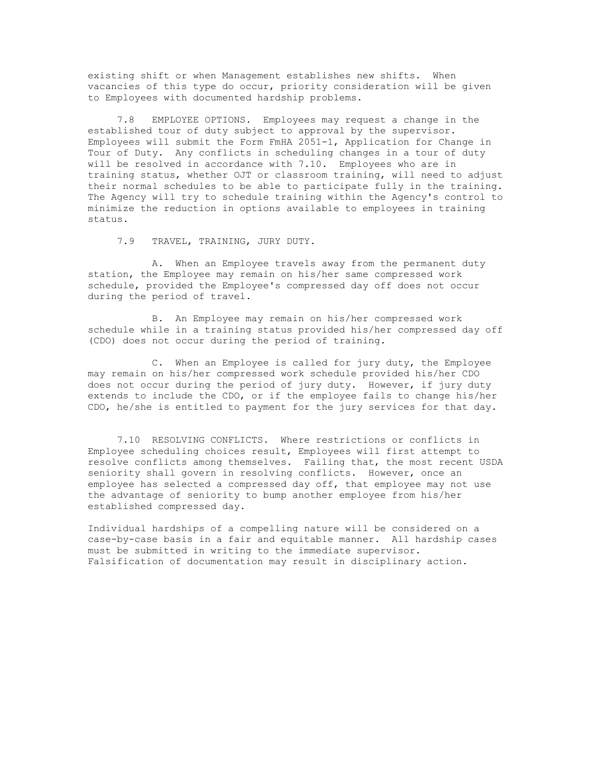existing shift or when Management establishes new shifts. When vacancies of this type do occur, priority consideration will be given to Employees with documented hardship problems.

 7.8 EMPLOYEE OPTIONS. Employees may request a change in the established tour of duty subject to approval by the supervisor. Employees will submit the Form FmHA 2051-1, Application for Change in Tour of Duty. Any conflicts in scheduling changes in a tour of duty will be resolved in accordance with 7.10. Employees who are in training status, whether OJT or classroom training, will need to adjust their normal schedules to be able to participate fully in the training. The Agency will try to schedule training within the Agency's control to minimize the reduction in options available to employees in training status.

7.9 TRAVEL, TRAINING, JURY DUTY.

 A. When an Employee travels away from the permanent duty station, the Employee may remain on his/her same compressed work schedule, provided the Employee's compressed day off does not occur during the period of travel.

 B. An Employee may remain on his/her compressed work schedule while in a training status provided his/her compressed day off (CDO) does not occur during the period of training.

 C. When an Employee is called for jury duty, the Employee may remain on his/her compressed work schedule provided his/her CDO does not occur during the period of jury duty. However, if jury duty extends to include the CDO, or if the employee fails to change his/her CDO, he/she is entitled to payment for the jury services for that day.

 7.10 RESOLVING CONFLICTS. Where restrictions or conflicts in Employee scheduling choices result, Employees will first attempt to resolve conflicts among themselves. Failing that, the most recent USDA seniority shall govern in resolving conflicts. However, once an employee has selected a compressed day off, that employee may not use the advantage of seniority to bump another employee from his/her established compressed day.

Individual hardships of a compelling nature will be considered on a case-by-case basis in a fair and equitable manner. All hardship cases must be submitted in writing to the immediate supervisor. Falsification of documentation may result in disciplinary action.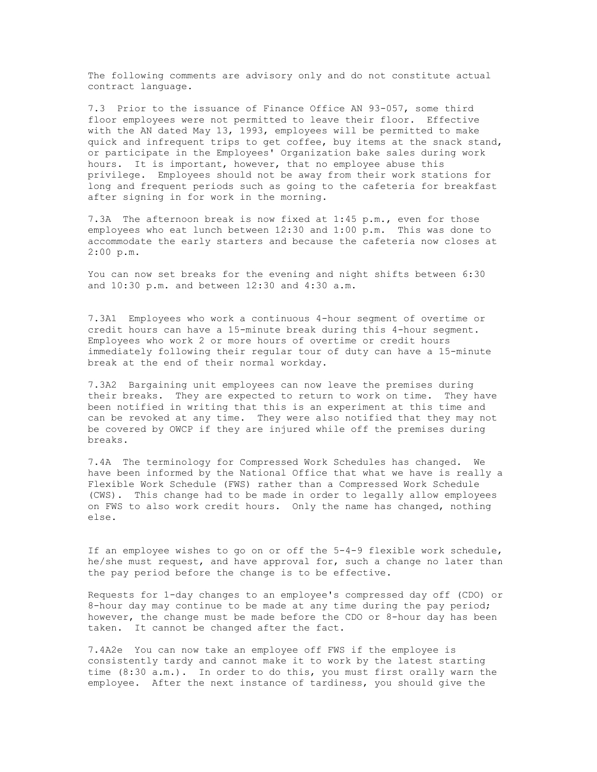The following comments are advisory only and do not constitute actual contract language.

7.3 Prior to the issuance of Finance Office AN 93-057, some third floor employees were not permitted to leave their floor. Effective with the AN dated May 13, 1993, employees will be permitted to make quick and infrequent trips to get coffee, buy items at the snack stand, or participate in the Employees' Organization bake sales during work hours. It is important, however, that no employee abuse this privilege. Employees should not be away from their work stations for long and frequent periods such as going to the cafeteria for breakfast after signing in for work in the morning.

7.3A The afternoon break is now fixed at 1:45 p.m., even for those employees who eat lunch between 12:30 and 1:00 p.m. This was done to accommodate the early starters and because the cafeteria now closes at 2:00 p.m.

You can now set breaks for the evening and night shifts between 6:30 and 10:30 p.m. and between 12:30 and 4:30 a.m.

7.3A1 Employees who work a continuous 4-hour segment of overtime or credit hours can have a 15-minute break during this 4-hour segment. Employees who work 2 or more hours of overtime or credit hours immediately following their regular tour of duty can have a 15-minute break at the end of their normal workday.

7.3A2 Bargaining unit employees can now leave the premises during their breaks. They are expected to return to work on time. They have been notified in writing that this is an experiment at this time and can be revoked at any time. They were also notified that they may not be covered by OWCP if they are injured while off the premises during breaks.

7.4A The terminology for Compressed Work Schedules has changed. We have been informed by the National Office that what we have is really a Flexible Work Schedule (FWS) rather than a Compressed Work Schedule (CWS). This change had to be made in order to legally allow employees on FWS to also work credit hours. Only the name has changed, nothing else.

If an employee wishes to go on or off the 5-4-9 flexible work schedule, he/she must request, and have approval for, such a change no later than the pay period before the change is to be effective.

Requests for 1-day changes to an employee's compressed day off (CDO) or 8-hour day may continue to be made at any time during the pay period; however, the change must be made before the CDO or 8-hour day has been taken. It cannot be changed after the fact.

7.4A2e You can now take an employee off FWS if the employee is consistently tardy and cannot make it to work by the latest starting time (8:30 a.m.). In order to do this, you must first orally warn the employee. After the next instance of tardiness, you should give the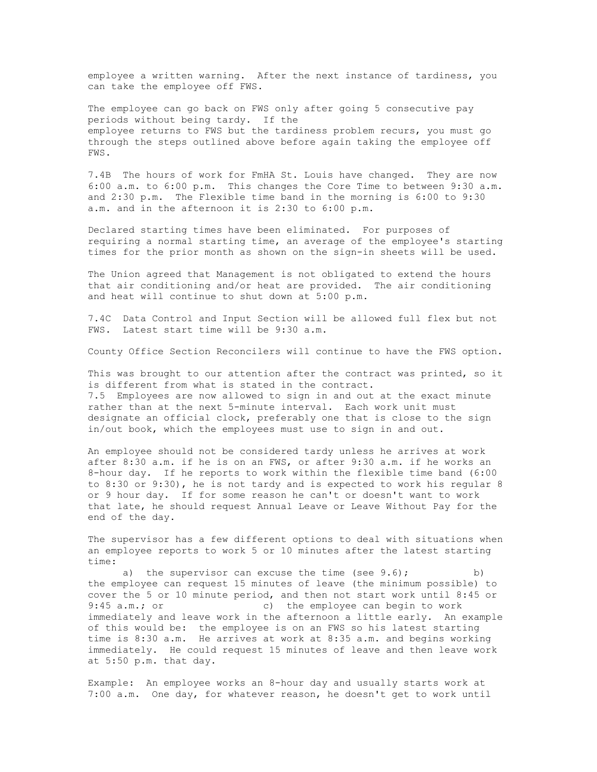employee a written warning. After the next instance of tardiness, you can take the employee off FWS.

The employee can go back on FWS only after going 5 consecutive pay periods without being tardy. If the employee returns to FWS but the tardiness problem recurs, you must go through the steps outlined above before again taking the employee off FWS.

7.4B The hours of work for FmHA St. Louis have changed. They are now 6:00 a.m. to 6:00 p.m. This changes the Core Time to between 9:30 a.m. and 2:30 p.m. The Flexible time band in the morning is 6:00 to 9:30 a.m. and in the afternoon it is 2:30 to 6:00 p.m.

Declared starting times have been eliminated. For purposes of requiring a normal starting time, an average of the employee's starting times for the prior month as shown on the sign-in sheets will be used.

The Union agreed that Management is not obligated to extend the hours that air conditioning and/or heat are provided. The air conditioning and heat will continue to shut down at 5:00 p.m.

7.4C Data Control and Input Section will be allowed full flex but not FWS. Latest start time will be 9:30 a.m.

County Office Section Reconcilers will continue to have the FWS option.

This was brought to our attention after the contract was printed, so it is different from what is stated in the contract. 7.5 Employees are now allowed to sign in and out at the exact minute rather than at the next 5-minute interval. Each work unit must designate an official clock, preferably one that is close to the sign in/out book, which the employees must use to sign in and out.

An employee should not be considered tardy unless he arrives at work after 8:30 a.m. if he is on an FWS, or after 9:30 a.m. if he works an 8-hour day. If he reports to work within the flexible time band (6:00 to 8:30 or 9:30), he is not tardy and is expected to work his regular 8 or 9 hour day. If for some reason he can't or doesn't want to work that late, he should request Annual Leave or Leave Without Pay for the end of the day.

The supervisor has a few different options to deal with situations when an employee reports to work 5 or 10 minutes after the latest starting time:

a) the supervisor can excuse the time (see  $9.6$ ); b) the employee can request 15 minutes of leave (the minimum possible) to cover the 5 or 10 minute period, and then not start work until 8:45 or 9:45 a.m.; or c) the employee can begin to work immediately and leave work in the afternoon a little early. An example of this would be: the employee is on an FWS so his latest starting time is 8:30 a.m. He arrives at work at 8:35 a.m. and begins working immediately. He could request 15 minutes of leave and then leave work at 5:50 p.m. that day.

Example: An employee works an 8-hour day and usually starts work at 7:00 a.m. One day, for whatever reason, he doesn't get to work until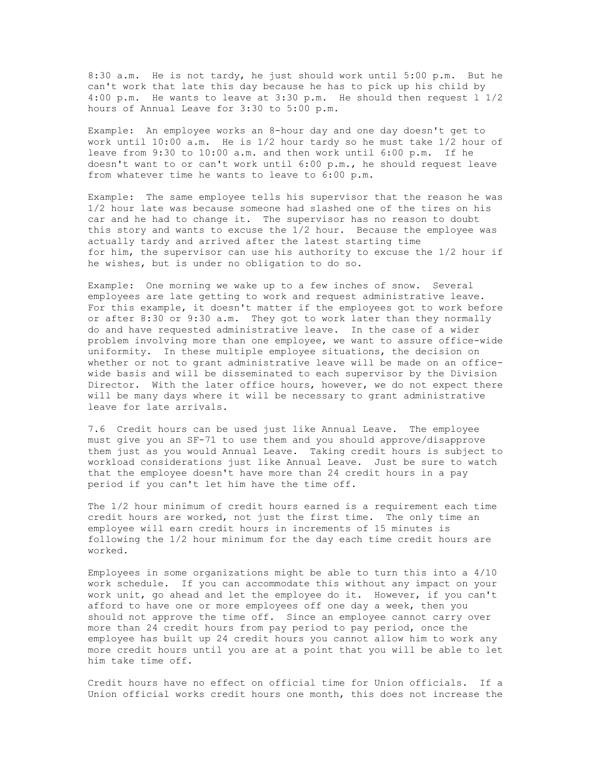8:30 a.m. He is not tardy, he just should work until 5:00 p.m. But he can't work that late this day because he has to pick up his child by 4:00 p.m. He wants to leave at 3:30 p.m. He should then request l 1/2 hours of Annual Leave for 3:30 to 5:00 p.m.

Example: An employee works an 8-hour day and one day doesn't get to work until 10:00 a.m. He is 1/2 hour tardy so he must take 1/2 hour of leave from 9:30 to 10:00 a.m. and then work until 6:00 p.m. If he doesn't want to or can't work until 6:00 p.m., he should request leave from whatever time he wants to leave to 6:00 p.m.

Example: The same employee tells his supervisor that the reason he was 1/2 hour late was because someone had slashed one of the tires on his car and he had to change it. The supervisor has no reason to doubt this story and wants to excuse the 1/2 hour. Because the employee was actually tardy and arrived after the latest starting time for him, the supervisor can use his authority to excuse the 1/2 hour if he wishes, but is under no obligation to do so.

Example: One morning we wake up to a few inches of snow. Several employees are late getting to work and request administrative leave. For this example, it doesn't matter if the employees got to work before or after 8:30 or 9:30 a.m. They got to work later than they normally do and have requested administrative leave. In the case of a wider problem involving more than one employee, we want to assure office-wide uniformity. In these multiple employee situations, the decision on whether or not to grant administrative leave will be made on an officewide basis and will be disseminated to each supervisor by the Division Director. With the later office hours, however, we do not expect there will be many days where it will be necessary to grant administrative leave for late arrivals.

7.6 Credit hours can be used just like Annual Leave. The employee must give you an SF-71 to use them and you should approve/disapprove them just as you would Annual Leave. Taking credit hours is subject to workload considerations just like Annual Leave. Just be sure to watch that the employee doesn't have more than 24 credit hours in a pay period if you can't let him have the time off.

The 1/2 hour minimum of credit hours earned is a requirement each time credit hours are worked, not just the first time. The only time an employee will earn credit hours in increments of 15 minutes is following the 1/2 hour minimum for the day each time credit hours are worked.

Employees in some organizations might be able to turn this into a 4/10 work schedule. If you can accommodate this without any impact on your work unit, go ahead and let the employee do it. However, if you can't afford to have one or more employees off one day a week, then you should not approve the time off. Since an employee cannot carry over more than 24 credit hours from pay period to pay period, once the employee has built up 24 credit hours you cannot allow him to work any more credit hours until you are at a point that you will be able to let him take time off.

Credit hours have no effect on official time for Union officials. If a Union official works credit hours one month, this does not increase the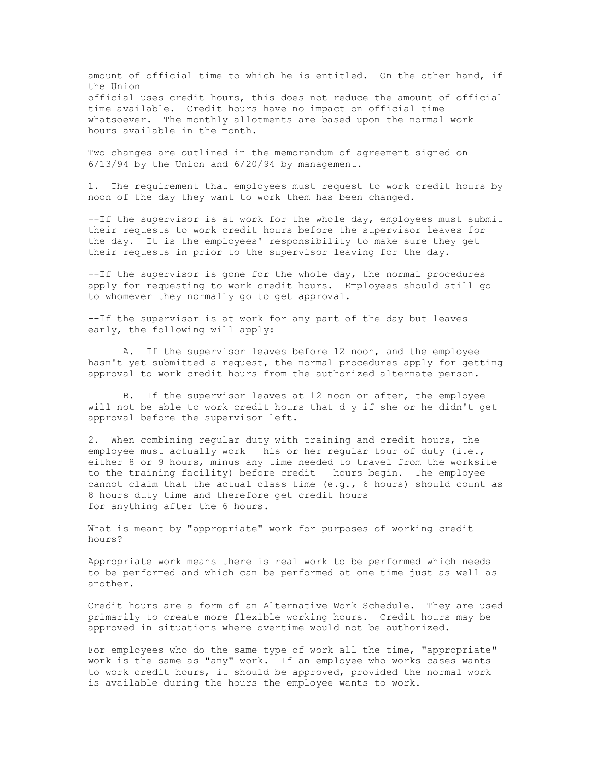amount of official time to which he is entitled. On the other hand, if the Union official uses credit hours, this does not reduce the amount of official time available. Credit hours have no impact on official time whatsoever. The monthly allotments are based upon the normal work hours available in the month.

Two changes are outlined in the memorandum of agreement signed on 6/13/94 by the Union and 6/20/94 by management.

1. The requirement that employees must request to work credit hours by noon of the day they want to work them has been changed.

--If the supervisor is at work for the whole day, employees must submit their requests to work credit hours before the supervisor leaves for the day. It is the employees' responsibility to make sure they get their requests in prior to the supervisor leaving for the day.

--If the supervisor is gone for the whole day, the normal procedures apply for requesting to work credit hours. Employees should still go to whomever they normally go to get approval.

--If the supervisor is at work for any part of the day but leaves early, the following will apply:

A. If the supervisor leaves before 12 noon, and the employee hasn't yet submitted a request, the normal procedures apply for getting approval to work credit hours from the authorized alternate person.

B. If the supervisor leaves at 12 noon or after, the employee will not be able to work credit hours that d y if she or he didn't get approval before the supervisor left.

2. When combining regular duty with training and credit hours, the employee must actually work his or her regular tour of duty (i.e., either 8 or 9 hours, minus any time needed to travel from the worksite to the training facility) before credit hours begin. The employee cannot claim that the actual class time  $(e,q, f)$  follows) should count as 8 hours duty time and therefore get credit hours for anything after the 6 hours.

What is meant by "appropriate" work for purposes of working credit hours?

Appropriate work means there is real work to be performed which needs to be performed and which can be performed at one time just as well as another.

Credit hours are a form of an Alternative Work Schedule. They are used primarily to create more flexible working hours. Credit hours may be approved in situations where overtime would not be authorized.

For employees who do the same type of work all the time, "appropriate" work is the same as "any" work. If an employee who works cases wants to work credit hours, it should be approved, provided the normal work is available during the hours the employee wants to work.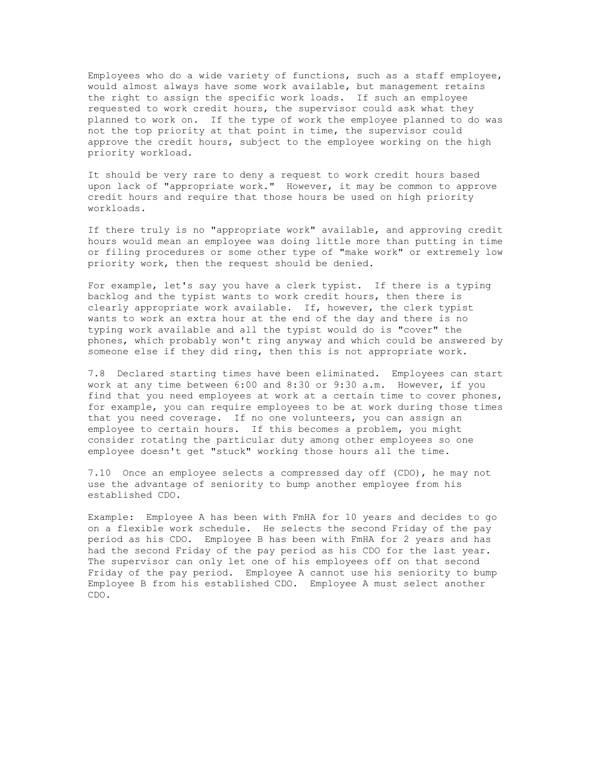Employees who do a wide variety of functions, such as a staff employee, would almost always have some work available, but management retains the right to assign the specific work loads. If such an employee requested to work credit hours, the supervisor could ask what they planned to work on. If the type of work the employee planned to do was not the top priority at that point in time, the supervisor could approve the credit hours, subject to the employee working on the high priority workload.

It should be very rare to deny a request to work credit hours based upon lack of "appropriate work." However, it may be common to approve credit hours and require that those hours be used on high priority workloads.

If there truly is no "appropriate work" available, and approving credit hours would mean an employee was doing little more than putting in time or filing procedures or some other type of "make work" or extremely low priority work, then the request should be denied.

For example, let's say you have a clerk typist. If there is a typing backlog and the typist wants to work credit hours, then there is clearly appropriate work available. If, however, the clerk typist wants to work an extra hour at the end of the day and there is no typing work available and all the typist would do is "cover" the phones, which probably won't ring anyway and which could be answered by someone else if they did ring, then this is not appropriate work.

7.8 Declared starting times have been eliminated. Employees can start work at any time between 6:00 and 8:30 or 9:30 a.m. However, if you find that you need employees at work at a certain time to cover phones, for example, you can require employees to be at work during those times that you need coverage. If no one volunteers, you can assign an employee to certain hours. If this becomes a problem, you might consider rotating the particular duty among other employees so one employee doesn't get "stuck" working those hours all the time.

7.10 Once an employee selects a compressed day off (CDO), he may not use the advantage of seniority to bump another employee from his established CDO.

Example: Employee A has been with FmHA for 10 years and decides to go on a flexible work schedule. He selects the second Friday of the pay period as his CDO. Employee B has been with FmHA for 2 years and has had the second Friday of the pay period as his CDO for the last year. The supervisor can only let one of his employees off on that second Friday of the pay period. Employee A cannot use his seniority to bump Employee B from his established CDO. Employee A must select another CDO.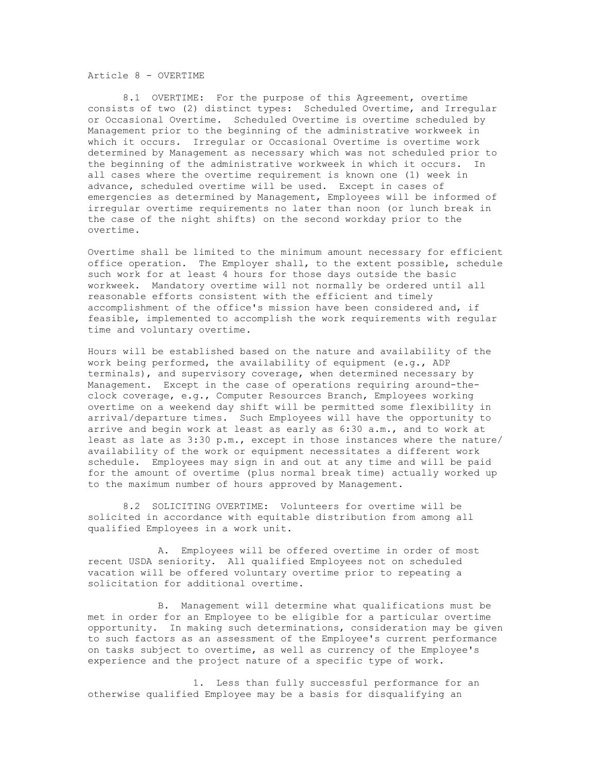Article 8 - OVERTIME

8.1 OVERTIME: For the purpose of this Agreement, overtime consists of two (2) distinct types: Scheduled Overtime, and Irregular or Occasional Overtime. Scheduled Overtime is overtime scheduled by Management prior to the beginning of the administrative workweek in which it occurs. Irregular or Occasional Overtime is overtime work determined by Management as necessary which was not scheduled prior to the beginning of the administrative workweek in which it occurs. In all cases where the overtime requirement is known one (1) week in advance, scheduled overtime will be used. Except in cases of emergencies as determined by Management, Employees will be informed of irregular overtime requirements no later than noon (or lunch break in the case of the night shifts) on the second workday prior to the overtime.

Overtime shall be limited to the minimum amount necessary for efficient office operation. The Employer shall, to the extent possible, schedule such work for at least 4 hours for those days outside the basic workweek. Mandatory overtime will not normally be ordered until all reasonable efforts consistent with the efficient and timely accomplishment of the office's mission have been considered and, if feasible, implemented to accomplish the work requirements with regular time and voluntary overtime.

Hours will be established based on the nature and availability of the work being performed, the availability of equipment (e.g., ADP terminals), and supervisory coverage, when determined necessary by Management. Except in the case of operations requiring around-theclock coverage, e.g., Computer Resources Branch, Employees working overtime on a weekend day shift will be permitted some flexibility in arrival/departure times. Such Employees will have the opportunity to arrive and begin work at least as early as 6:30 a.m., and to work at least as late as 3:30 p.m., except in those instances where the nature/ availability of the work or equipment necessitates a different work schedule. Employees may sign in and out at any time and will be paid for the amount of overtime (plus normal break time) actually worked up to the maximum number of hours approved by Management.

8.2 SOLICITING OVERTIME: Volunteers for overtime will be solicited in accordance with equitable distribution from among all qualified Employees in a work unit.

A. Employees will be offered overtime in order of most recent USDA seniority. All qualified Employees not on scheduled vacation will be offered voluntary overtime prior to repeating a solicitation for additional overtime.

B. Management will determine what qualifications must be met in order for an Employee to be eligible for a particular overtime opportunity. In making such determinations, consideration may be given to such factors as an assessment of the Employee's current performance on tasks subject to overtime, as well as currency of the Employee's experience and the project nature of a specific type of work.

1. Less than fully successful performance for an otherwise qualified Employee may be a basis for disqualifying an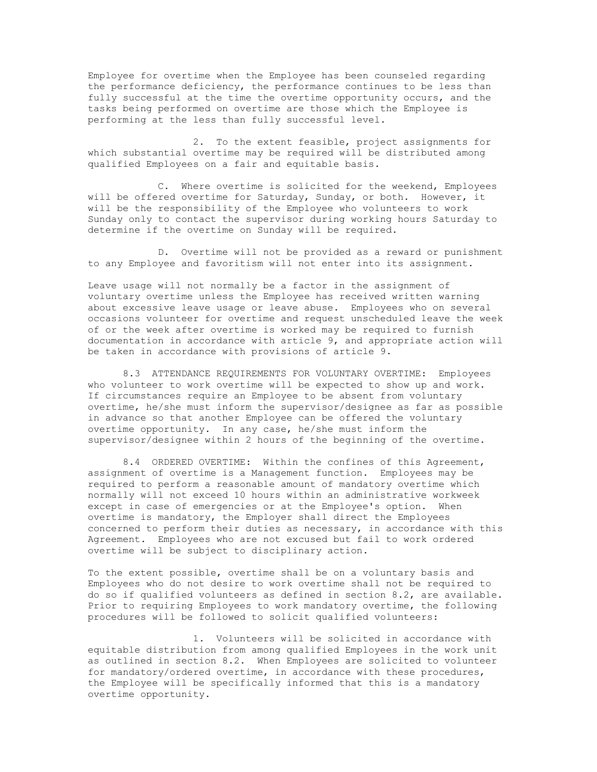Employee for overtime when the Employee has been counseled regarding the performance deficiency, the performance continues to be less than fully successful at the time the overtime opportunity occurs, and the tasks being performed on overtime are those which the Employee is performing at the less than fully successful level.

2. To the extent feasible, project assignments for which substantial overtime may be required will be distributed among qualified Employees on a fair and equitable basis.

C. Where overtime is solicited for the weekend, Employees will be offered overtime for Saturday, Sunday, or both. However, it will be the responsibility of the Employee who volunteers to work Sunday only to contact the supervisor during working hours Saturday to determine if the overtime on Sunday will be required.

D. Overtime will not be provided as a reward or punishment to any Employee and favoritism will not enter into its assignment.

Leave usage will not normally be a factor in the assignment of voluntary overtime unless the Employee has received written warning about excessive leave usage or leave abuse. Employees who on several occasions volunteer for overtime and request unscheduled leave the week of or the week after overtime is worked may be required to furnish documentation in accordance with article 9, and appropriate action will be taken in accordance with provisions of article 9.

8.3 ATTENDANCE REQUIREMENTS FOR VOLUNTARY OVERTIME: Employees who volunteer to work overtime will be expected to show up and work. If circumstances require an Employee to be absent from voluntary overtime, he/she must inform the supervisor/designee as far as possible in advance so that another Employee can be offered the voluntary overtime opportunity. In any case, he/she must inform the supervisor/designee within 2 hours of the beginning of the overtime.

8.4 ORDERED OVERTIME: Within the confines of this Agreement, assignment of overtime is a Management function. Employees may be required to perform a reasonable amount of mandatory overtime which normally will not exceed 10 hours within an administrative workweek except in case of emergencies or at the Employee's option. When overtime is mandatory, the Employer shall direct the Employees concerned to perform their duties as necessary, in accordance with this Agreement. Employees who are not excused but fail to work ordered overtime will be subject to disciplinary action.

To the extent possible, overtime shall be on a voluntary basis and Employees who do not desire to work overtime shall not be required to do so if qualified volunteers as defined in section 8.2, are available. Prior to requiring Employees to work mandatory overtime, the following procedures will be followed to solicit qualified volunteers:

1. Volunteers will be solicited in accordance with equitable distribution from among qualified Employees in the work unit as outlined in section 8.2. When Employees are solicited to volunteer for mandatory/ordered overtime, in accordance with these procedures, the Employee will be specifically informed that this is a mandatory overtime opportunity.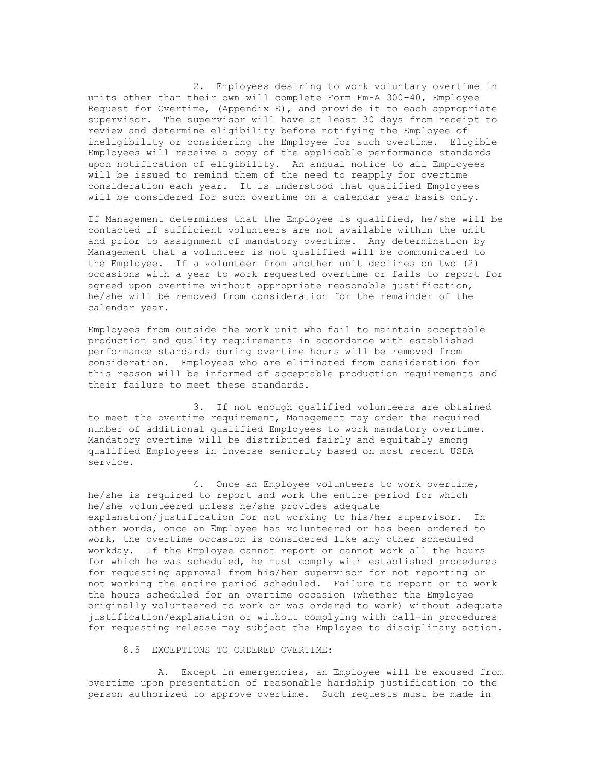2. Employees desiring to work voluntary overtime in units other than their own will complete Form FmHA 300-40, Employee Request for Overtime, (Appendix E), and provide it to each appropriate supervisor. The supervisor will have at least 30 days from receipt to review and determine eligibility before notifying the Employee of ineligibility or considering the Employee for such overtime. Eligible Employees will receive a copy of the applicable performance standards upon notification of eligibility. An annual notice to all Employees will be issued to remind them of the need to reapply for overtime consideration each year. It is understood that qualified Employees will be considered for such overtime on a calendar year basis only.

If Management determines that the Employee is qualified, he/she will be contacted if sufficient volunteers are not available within the unit and prior to assignment of mandatory overtime. Any determination by Management that a volunteer is not qualified will be communicated to the Employee. If a volunteer from another unit declines on two (2) occasions with a year to work requested overtime or fails to report for agreed upon overtime without appropriate reasonable justification, he/she will be removed from consideration for the remainder of the calendar year.

Employees from outside the work unit who fail to maintain acceptable production and quality requirements in accordance with established performance standards during overtime hours will be removed from consideration. Employees who are eliminated from consideration for this reason will be informed of acceptable production requirements and their failure to meet these standards.

3. If not enough qualified volunteers are obtained to meet the overtime requirement, Management may order the required number of additional qualified Employees to work mandatory overtime. Mandatory overtime will be distributed fairly and equitably among qualified Employees in inverse seniority based on most recent USDA service.

4. Once an Employee volunteers to work overtime, he/she is required to report and work the entire period for which he/she volunteered unless he/she provides adequate explanation/justification for not working to his/her supervisor. In other words, once an Employee has volunteered or has been ordered to work, the overtime occasion is considered like any other scheduled workday. If the Employee cannot report or cannot work all the hours for which he was scheduled, he must comply with established procedures for requesting approval from his/her supervisor for not reporting or not working the entire period scheduled. Failure to report or to work the hours scheduled for an overtime occasion (whether the Employee originally volunteered to work or was ordered to work) without adequate justification/explanation or without complying with call-in procedures for requesting release may subject the Employee to disciplinary action.

8.5 EXCEPTIONS TO ORDERED OVERTIME:

A. Except in emergencies, an Employee will be excused from overtime upon presentation of reasonable hardship justification to the person authorized to approve overtime. Such requests must be made in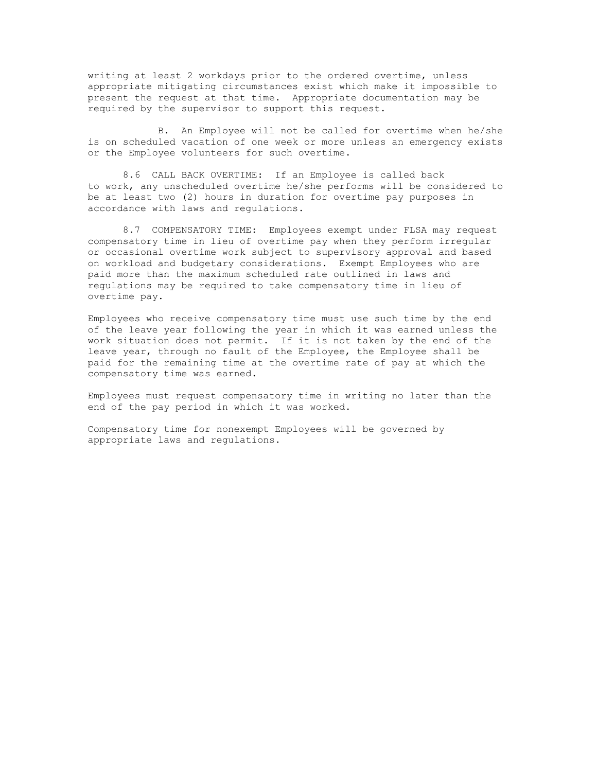writing at least 2 workdays prior to the ordered overtime, unless appropriate mitigating circumstances exist which make it impossible to present the request at that time. Appropriate documentation may be required by the supervisor to support this request.

B. An Employee will not be called for overtime when he/she is on scheduled vacation of one week or more unless an emergency exists or the Employee volunteers for such overtime.

8.6 CALL BACK OVERTIME: If an Employee is called back to work, any unscheduled overtime he/she performs will be considered to be at least two (2) hours in duration for overtime pay purposes in accordance with laws and regulations.

8.7 COMPENSATORY TIME: Employees exempt under FLSA may request compensatory time in lieu of overtime pay when they perform irregular or occasional overtime work subject to supervisory approval and based on workload and budgetary considerations. Exempt Employees who are paid more than the maximum scheduled rate outlined in laws and regulations may be required to take compensatory time in lieu of overtime pay.

Employees who receive compensatory time must use such time by the end of the leave year following the year in which it was earned unless the work situation does not permit. If it is not taken by the end of the leave year, through no fault of the Employee, the Employee shall be paid for the remaining time at the overtime rate of pay at which the compensatory time was earned.

Employees must request compensatory time in writing no later than the end of the pay period in which it was worked.

Compensatory time for nonexempt Employees will be governed by appropriate laws and regulations.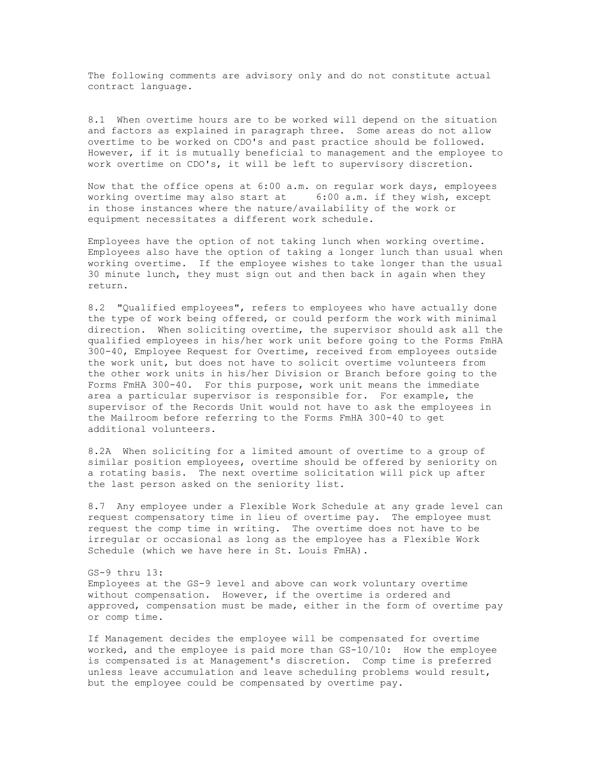The following comments are advisory only and do not constitute actual contract language.

8.1 When overtime hours are to be worked will depend on the situation and factors as explained in paragraph three. Some areas do not allow overtime to be worked on CDO's and past practice should be followed. However, if it is mutually beneficial to management and the employee to work overtime on CDO's, it will be left to supervisory discretion.

Now that the office opens at 6:00 a.m. on regular work days, employees working overtime may also start at 6:00 a.m. if they wish, except in those instances where the nature/availability of the work or equipment necessitates a different work schedule.

Employees have the option of not taking lunch when working overtime. Employees also have the option of taking a longer lunch than usual when working overtime. If the employee wishes to take longer than the usual 30 minute lunch, they must sign out and then back in again when they return.

8.2 "Qualified employees", refers to employees who have actually done the type of work being offered, or could perform the work with minimal direction. When soliciting overtime, the supervisor should ask all the qualified employees in his/her work unit before going to the Forms FmHA 300-40, Employee Request for Overtime, received from employees outside the work unit, but does not have to solicit overtime volunteers from the other work units in his/her Division or Branch before going to the Forms FmHA 300-40. For this purpose, work unit means the immediate area a particular supervisor is responsible for. For example, the supervisor of the Records Unit would not have to ask the employees in the Mailroom before referring to the Forms FmHA 300-40 to get additional volunteers.

8.2A When soliciting for a limited amount of overtime to a group of similar position employees, overtime should be offered by seniority on a rotating basis. The next overtime solicitation will pick up after the last person asked on the seniority list.

8.7 Any employee under a Flexible Work Schedule at any grade level can request compensatory time in lieu of overtime pay. The employee must request the comp time in writing. The overtime does not have to be irregular or occasional as long as the employee has a Flexible Work Schedule (which we have here in St. Louis FmHA).

GS-9 thru 13: Employees at the GS-9 level and above can work voluntary overtime without compensation. However, if the overtime is ordered and approved, compensation must be made, either in the form of overtime pay or comp time.

If Management decides the employee will be compensated for overtime worked, and the employee is paid more than GS-10/10: How the employee is compensated is at Management's discretion. Comp time is preferred unless leave accumulation and leave scheduling problems would result, but the employee could be compensated by overtime pay.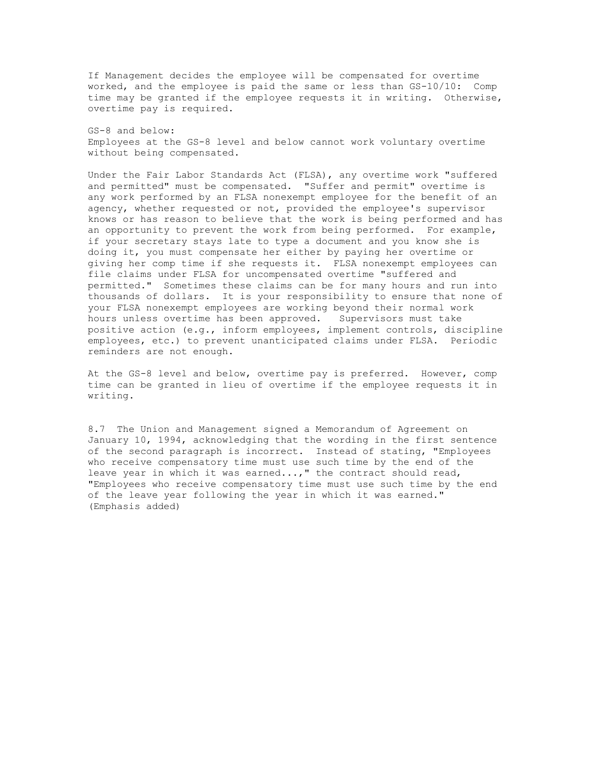If Management decides the employee will be compensated for overtime worked, and the employee is paid the same or less than GS-10/10: Comp time may be granted if the employee requests it in writing. Otherwise, overtime pay is required.

GS-8 and below: Employees at the GS-8 level and below cannot work voluntary overtime without being compensated.

Under the Fair Labor Standards Act (FLSA), any overtime work "suffered and permitted" must be compensated. "Suffer and permit" overtime is any work performed by an FLSA nonexempt employee for the benefit of an agency, whether requested or not, provided the employee's supervisor knows or has reason to believe that the work is being performed and has an opportunity to prevent the work from being performed. For example, if your secretary stays late to type a document and you know she is doing it, you must compensate her either by paying her overtime or giving her comp time if she requests it. FLSA nonexempt employees can file claims under FLSA for uncompensated overtime "suffered and permitted." Sometimes these claims can be for many hours and run into thousands of dollars. It is your responsibility to ensure that none of your FLSA nonexempt employees are working beyond their normal work hours unless overtime has been approved. Supervisors must take positive action (e.g., inform employees, implement controls, discipline employees, etc.) to prevent unanticipated claims under FLSA. Periodic reminders are not enough.

At the GS-8 level and below, overtime pay is preferred. However, comp time can be granted in lieu of overtime if the employee requests it in writing.

8.7 The Union and Management signed a Memorandum of Agreement on January 10, 1994, acknowledging that the wording in the first sentence of the second paragraph is incorrect. Instead of stating, "Employees who receive compensatory time must use such time by the end of the leave year in which it was earned...," the contract should read, "Employees who receive compensatory time must use such time by the end of the leave year following the year in which it was earned." (Emphasis added)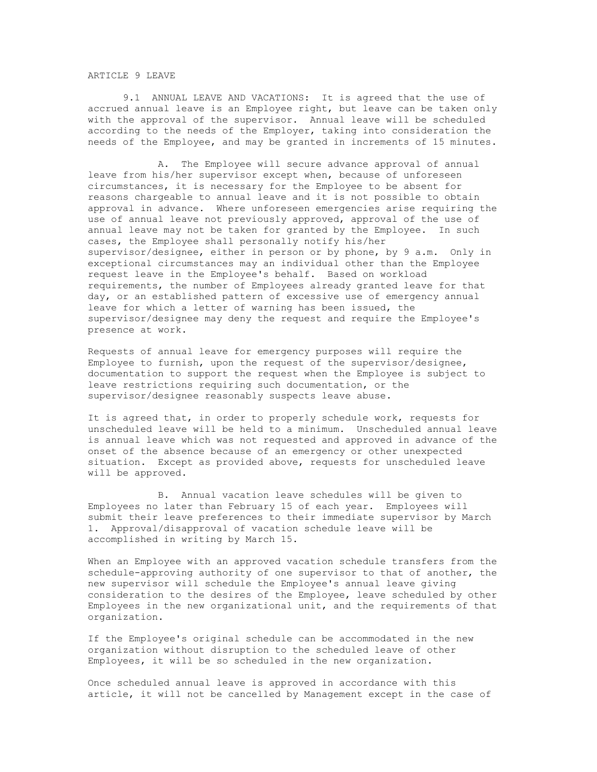## ARTICLE 9 LEAVE

9.1 ANNUAL LEAVE AND VACATIONS: It is agreed that the use of accrued annual leave is an Employee right, but leave can be taken only with the approval of the supervisor. Annual leave will be scheduled according to the needs of the Employer, taking into consideration the needs of the Employee, and may be granted in increments of 15 minutes.

 A. The Employee will secure advance approval of annual leave from his/her supervisor except when, because of unforeseen circumstances, it is necessary for the Employee to be absent for reasons chargeable to annual leave and it is not possible to obtain approval in advance. Where unforeseen emergencies arise requiring the use of annual leave not previously approved, approval of the use of annual leave may not be taken for granted by the Employee. In such cases, the Employee shall personally notify his/her supervisor/designee, either in person or by phone, by 9 a.m. Only in exceptional circumstances may an individual other than the Employee request leave in the Employee's behalf. Based on workload requirements, the number of Employees already granted leave for that day, or an established pattern of excessive use of emergency annual leave for which a letter of warning has been issued, the supervisor/designee may deny the request and require the Employee's presence at work.

Requests of annual leave for emergency purposes will require the Employee to furnish, upon the request of the supervisor/designee, documentation to support the request when the Employee is subject to leave restrictions requiring such documentation, or the supervisor/designee reasonably suspects leave abuse.

It is agreed that, in order to properly schedule work, requests for unscheduled leave will be held to a minimum. Unscheduled annual leave is annual leave which was not requested and approved in advance of the onset of the absence because of an emergency or other unexpected situation. Except as provided above, requests for unscheduled leave will be approved.

B. Annual vacation leave schedules will be given to Employees no later than February 15 of each year. Employees will submit their leave preferences to their immediate supervisor by March 1. Approval/disapproval of vacation schedule leave will be accomplished in writing by March 15.

When an Employee with an approved vacation schedule transfers from the schedule-approving authority of one supervisor to that of another, the new supervisor will schedule the Employee's annual leave giving consideration to the desires of the Employee, leave scheduled by other Employees in the new organizational unit, and the requirements of that organization.

If the Employee's original schedule can be accommodated in the new organization without disruption to the scheduled leave of other Employees, it will be so scheduled in the new organization.

Once scheduled annual leave is approved in accordance with this article, it will not be cancelled by Management except in the case of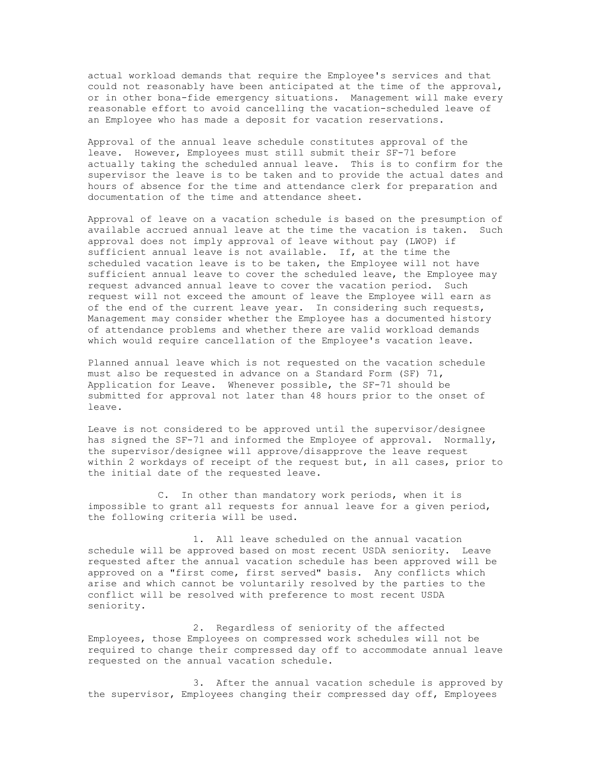actual workload demands that require the Employee's services and that could not reasonably have been anticipated at the time of the approval, or in other bona-fide emergency situations. Management will make every reasonable effort to avoid cancelling the vacation-scheduled leave of an Employee who has made a deposit for vacation reservations.

Approval of the annual leave schedule constitutes approval of the leave. However, Employees must still submit their SF-71 before actually taking the scheduled annual leave. This is to confirm for the supervisor the leave is to be taken and to provide the actual dates and hours of absence for the time and attendance clerk for preparation and documentation of the time and attendance sheet.

Approval of leave on a vacation schedule is based on the presumption of available accrued annual leave at the time the vacation is taken. Such approval does not imply approval of leave without pay (LWOP) if sufficient annual leave is not available. If, at the time the scheduled vacation leave is to be taken, the Employee will not have sufficient annual leave to cover the scheduled leave, the Employee may request advanced annual leave to cover the vacation period. Such request will not exceed the amount of leave the Employee will earn as of the end of the current leave year. In considering such requests, Management may consider whether the Employee has a documented history of attendance problems and whether there are valid workload demands which would require cancellation of the Employee's vacation leave.

Planned annual leave which is not requested on the vacation schedule must also be requested in advance on a Standard Form (SF) 71, Application for Leave. Whenever possible, the SF-71 should be submitted for approval not later than 48 hours prior to the onset of leave.

Leave is not considered to be approved until the supervisor/designee has signed the SF-71 and informed the Employee of approval. Normally, the supervisor/designee will approve/disapprove the leave request within 2 workdays of receipt of the request but, in all cases, prior to the initial date of the requested leave.

C. In other than mandatory work periods, when it is impossible to grant all requests for annual leave for a given period, the following criteria will be used.

1. All leave scheduled on the annual vacation schedule will be approved based on most recent USDA seniority. Leave requested after the annual vacation schedule has been approved will be approved on a "first come, first served" basis. Any conflicts which arise and which cannot be voluntarily resolved by the parties to the conflict will be resolved with preference to most recent USDA seniority.

2. Regardless of seniority of the affected Employees, those Employees on compressed work schedules will not be required to change their compressed day off to accommodate annual leave requested on the annual vacation schedule.

3. After the annual vacation schedule is approved by the supervisor, Employees changing their compressed day off, Employees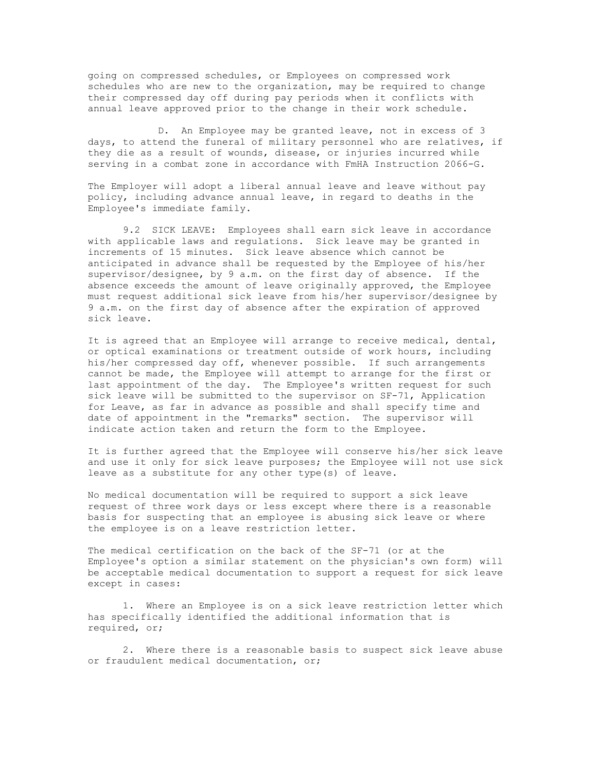going on compressed schedules, or Employees on compressed work schedules who are new to the organization, may be required to change their compressed day off during pay periods when it conflicts with annual leave approved prior to the change in their work schedule.

D. An Employee may be granted leave, not in excess of 3 days, to attend the funeral of military personnel who are relatives, if they die as a result of wounds, disease, or injuries incurred while serving in a combat zone in accordance with FmHA Instruction 2066-G.

The Employer will adopt a liberal annual leave and leave without pay policy, including advance annual leave, in regard to deaths in the Employee's immediate family.

9.2 SICK LEAVE: Employees shall earn sick leave in accordance with applicable laws and regulations. Sick leave may be granted in increments of 15 minutes. Sick leave absence which cannot be anticipated in advance shall be requested by the Employee of his/her supervisor/designee, by 9 a.m. on the first day of absence. If the absence exceeds the amount of leave originally approved, the Employee must request additional sick leave from his/her supervisor/designee by 9 a.m. on the first day of absence after the expiration of approved sick leave.

It is agreed that an Employee will arrange to receive medical, dental, or optical examinations or treatment outside of work hours, including his/her compressed day off, whenever possible. If such arrangements cannot be made, the Employee will attempt to arrange for the first or last appointment of the day. The Employee's written request for such sick leave will be submitted to the supervisor on SF-71, Application for Leave, as far in advance as possible and shall specify time and date of appointment in the "remarks" section. The supervisor will indicate action taken and return the form to the Employee.

It is further agreed that the Employee will conserve his/her sick leave and use it only for sick leave purposes; the Employee will not use sick leave as a substitute for any other type(s) of leave.

No medical documentation will be required to support a sick leave request of three work days or less except where there is a reasonable basis for suspecting that an employee is abusing sick leave or where the employee is on a leave restriction letter.

The medical certification on the back of the SF-71 (or at the Employee's option a similar statement on the physician's own form) will be acceptable medical documentation to support a request for sick leave except in cases:

1. Where an Employee is on a sick leave restriction letter which has specifically identified the additional information that is required, or;

2. Where there is a reasonable basis to suspect sick leave abuse or fraudulent medical documentation, or;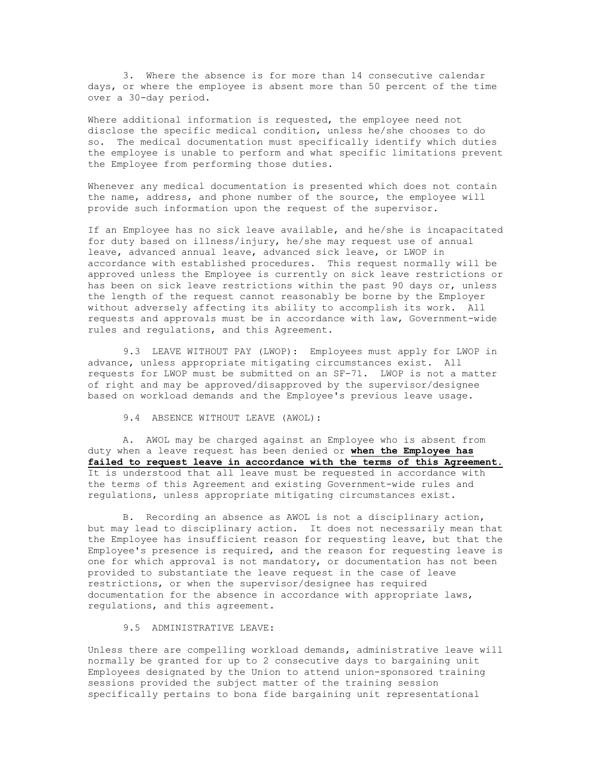3. Where the absence is for more than 14 consecutive calendar days, or where the employee is absent more than 50 percent of the time over a 30-day period.

Where additional information is requested, the employee need not disclose the specific medical condition, unless he/she chooses to do so. The medical documentation must specifically identify which duties the employee is unable to perform and what specific limitations prevent the Employee from performing those duties.

Whenever any medical documentation is presented which does not contain the name, address, and phone number of the source, the employee will provide such information upon the request of the supervisor.

If an Employee has no sick leave available, and he/she is incapacitated for duty based on illness/injury, he/she may request use of annual leave, advanced annual leave, advanced sick leave, or LWOP in accordance with established procedures. This request normally will be approved unless the Employee is currently on sick leave restrictions or has been on sick leave restrictions within the past 90 days or, unless the length of the request cannot reasonably be borne by the Employer without adversely affecting its ability to accomplish its work. All requests and approvals must be in accordance with law, Government-wide rules and regulations, and this Agreement.

9.3 LEAVE WITHOUT PAY (LWOP): Employees must apply for LWOP in advance, unless appropriate mitigating circumstances exist. All requests for LWOP must be submitted on an SF-71. LWOP is not a matter of right and may be approved/disapproved by the supervisor/designee based on workload demands and the Employee's previous leave usage.

9.4 ABSENCE WITHOUT LEAVE (AWOL):

A. AWOL may be charged against an Employee who is absent from duty when a leave request has been denied or **when the Employee has failed to request leave in accordance with the terms of this Agreement.**  It is understood that all leave must be requested in accordance with the terms of this Agreement and existing Government-wide rules and regulations, unless appropriate mitigating circumstances exist.

B. Recording an absence as AWOL is not a disciplinary action, but may lead to disciplinary action. It does not necessarily mean that the Employee has insufficient reason for requesting leave, but that the Employee's presence is required, and the reason for requesting leave is one for which approval is not mandatory, or documentation has not been provided to substantiate the leave request in the case of leave restrictions, or when the supervisor/designee has required documentation for the absence in accordance with appropriate laws, regulations, and this agreement.

## 9.5 ADMINISTRATIVE LEAVE:

Unless there are compelling workload demands, administrative leave will normally be granted for up to 2 consecutive days to bargaining unit Employees designated by the Union to attend union-sponsored training sessions provided the subject matter of the training session specifically pertains to bona fide bargaining unit representational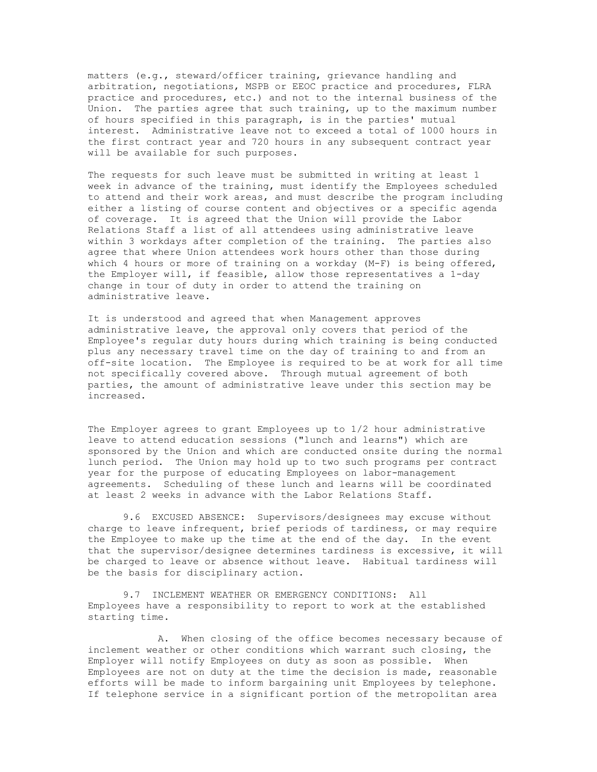matters (e.g., steward/officer training, grievance handling and arbitration, negotiations, MSPB or EEOC practice and procedures, FLRA practice and procedures, etc.) and not to the internal business of the Union. The parties agree that such training, up to the maximum number of hours specified in this paragraph, is in the parties' mutual interest. Administrative leave not to exceed a total of 1000 hours in the first contract year and 720 hours in any subsequent contract year will be available for such purposes.

The requests for such leave must be submitted in writing at least 1 week in advance of the training, must identify the Employees scheduled to attend and their work areas, and must describe the program including either a listing of course content and objectives or a specific agenda of coverage. It is agreed that the Union will provide the Labor Relations Staff a list of all attendees using administrative leave within 3 workdays after completion of the training. The parties also agree that where Union attendees work hours other than those during which 4 hours or more of training on a workday (M-F) is being offered, the Employer will, if feasible, allow those representatives a 1-day change in tour of duty in order to attend the training on administrative leave.

It is understood and agreed that when Management approves administrative leave, the approval only covers that period of the Employee's regular duty hours during which training is being conducted plus any necessary travel time on the day of training to and from an off-site location. The Employee is required to be at work for all time not specifically covered above. Through mutual agreement of both parties, the amount of administrative leave under this section may be increased.

The Employer agrees to grant Employees up to 1/2 hour administrative leave to attend education sessions ("lunch and learns") which are sponsored by the Union and which are conducted onsite during the normal lunch period. The Union may hold up to two such programs per contract year for the purpose of educating Employees on labor-management agreements. Scheduling of these lunch and learns will be coordinated at least 2 weeks in advance with the Labor Relations Staff.

9.6 EXCUSED ABSENCE: Supervisors/designees may excuse without charge to leave infrequent, brief periods of tardiness, or may require the Employee to make up the time at the end of the day. In the event that the supervisor/designee determines tardiness is excessive, it will be charged to leave or absence without leave. Habitual tardiness will be the basis for disciplinary action.

9.7 INCLEMENT WEATHER OR EMERGENCY CONDITIONS: All Employees have a responsibility to report to work at the established starting time.

A. When closing of the office becomes necessary because of inclement weather or other conditions which warrant such closing, the Employer will notify Employees on duty as soon as possible. When Employees are not on duty at the time the decision is made, reasonable efforts will be made to inform bargaining unit Employees by telephone. If telephone service in a significant portion of the metropolitan area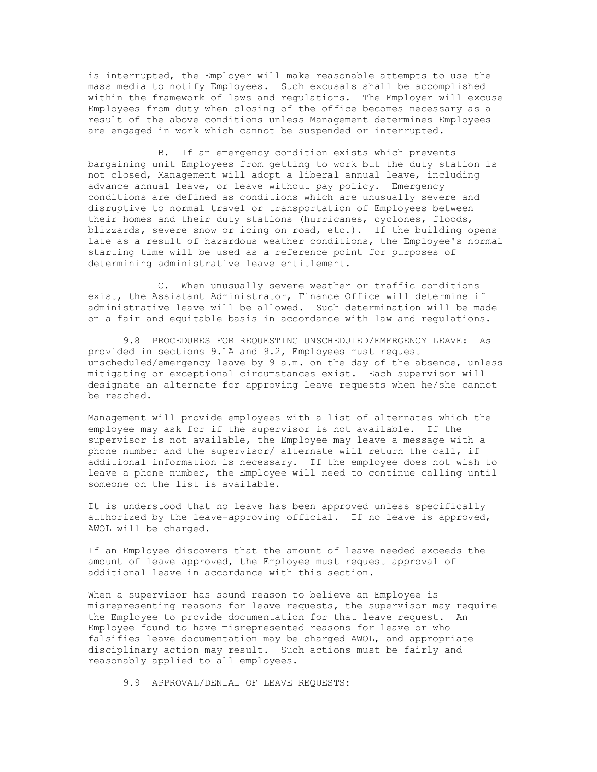is interrupted, the Employer will make reasonable attempts to use the mass media to notify Employees. Such excusals shall be accomplished within the framework of laws and regulations. The Employer will excuse Employees from duty when closing of the office becomes necessary as a result of the above conditions unless Management determines Employees are engaged in work which cannot be suspended or interrupted.

B. If an emergency condition exists which prevents bargaining unit Employees from getting to work but the duty station is not closed, Management will adopt a liberal annual leave, including advance annual leave, or leave without pay policy. Emergency conditions are defined as conditions which are unusually severe and disruptive to normal travel or transportation of Employees between their homes and their duty stations (hurricanes, cyclones, floods, blizzards, severe snow or icing on road, etc.). If the building opens late as a result of hazardous weather conditions, the Employee's normal starting time will be used as a reference point for purposes of determining administrative leave entitlement.

C. When unusually severe weather or traffic conditions exist, the Assistant Administrator, Finance Office will determine if administrative leave will be allowed. Such determination will be made on a fair and equitable basis in accordance with law and regulations.

9.8 PROCEDURES FOR REQUESTING UNSCHEDULED/EMERGENCY LEAVE: As provided in sections 9.1A and 9.2, Employees must request unscheduled/emergency leave by 9 a.m. on the day of the absence, unless mitigating or exceptional circumstances exist. Each supervisor will designate an alternate for approving leave requests when he/she cannot be reached.

Management will provide employees with a list of alternates which the employee may ask for if the supervisor is not available. If the supervisor is not available, the Employee may leave a message with a phone number and the supervisor/ alternate will return the call, if additional information is necessary. If the employee does not wish to leave a phone number, the Employee will need to continue calling until someone on the list is available.

It is understood that no leave has been approved unless specifically authorized by the leave-approving official. If no leave is approved, AWOL will be charged.

If an Employee discovers that the amount of leave needed exceeds the amount of leave approved, the Employee must request approval of additional leave in accordance with this section.

When a supervisor has sound reason to believe an Employee is misrepresenting reasons for leave requests, the supervisor may require the Employee to provide documentation for that leave request. An Employee found to have misrepresented reasons for leave or who falsifies leave documentation may be charged AWOL, and appropriate disciplinary action may result. Such actions must be fairly and reasonably applied to all employees.

9.9 APPROVAL/DENIAL OF LEAVE REQUESTS: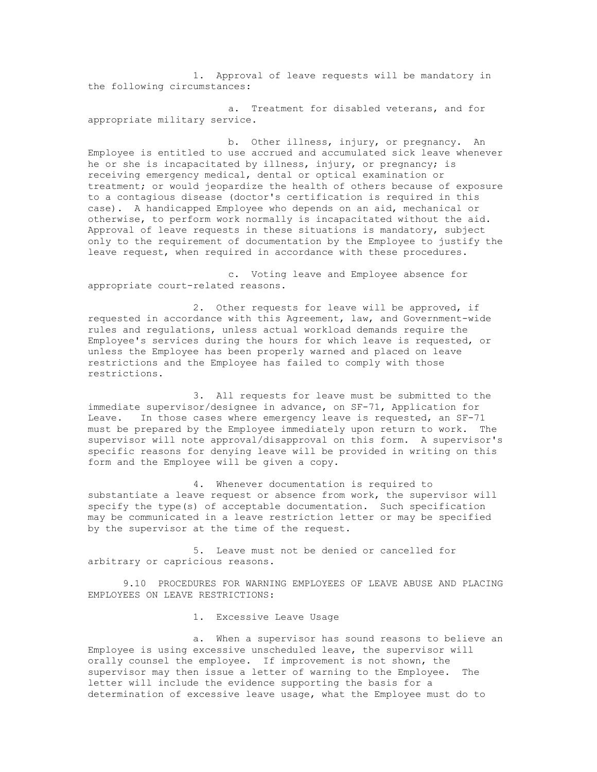1. Approval of leave requests will be mandatory in the following circumstances:

a. Treatment for disabled veterans, and for appropriate military service.

b. Other illness, injury, or pregnancy. An Employee is entitled to use accrued and accumulated sick leave whenever he or she is incapacitated by illness, injury, or pregnancy; is receiving emergency medical, dental or optical examination or treatment; or would jeopardize the health of others because of exposure to a contagious disease (doctor's certification is required in this case). A handicapped Employee who depends on an aid, mechanical or otherwise, to perform work normally is incapacitated without the aid. Approval of leave requests in these situations is mandatory, subject only to the requirement of documentation by the Employee to justify the leave request, when required in accordance with these procedures.

c. Voting leave and Employee absence for appropriate court-related reasons.

2. Other requests for leave will be approved, if requested in accordance with this Agreement, law, and Government-wide rules and regulations, unless actual workload demands require the Employee's services during the hours for which leave is requested, or unless the Employee has been properly warned and placed on leave restrictions and the Employee has failed to comply with those restrictions.

3. All requests for leave must be submitted to the immediate supervisor/designee in advance, on SF-71, Application for Leave. In those cases where emergency leave is requested, an SF-71 must be prepared by the Employee immediately upon return to work. The supervisor will note approval/disapproval on this form. A supervisor's specific reasons for denying leave will be provided in writing on this form and the Employee will be given a copy.

4. Whenever documentation is required to substantiate a leave request or absence from work, the supervisor will specify the type(s) of acceptable documentation. Such specification may be communicated in a leave restriction letter or may be specified by the supervisor at the time of the request.

5. Leave must not be denied or cancelled for arbitrary or capricious reasons.

9.10 PROCEDURES FOR WARNING EMPLOYEES OF LEAVE ABUSE AND PLACING EMPLOYEES ON LEAVE RESTRICTIONS:

1. Excessive Leave Usage

a. When a supervisor has sound reasons to believe an Employee is using excessive unscheduled leave, the supervisor will orally counsel the employee. If improvement is not shown, the supervisor may then issue a letter of warning to the Employee. The letter will include the evidence supporting the basis for a determination of excessive leave usage, what the Employee must do to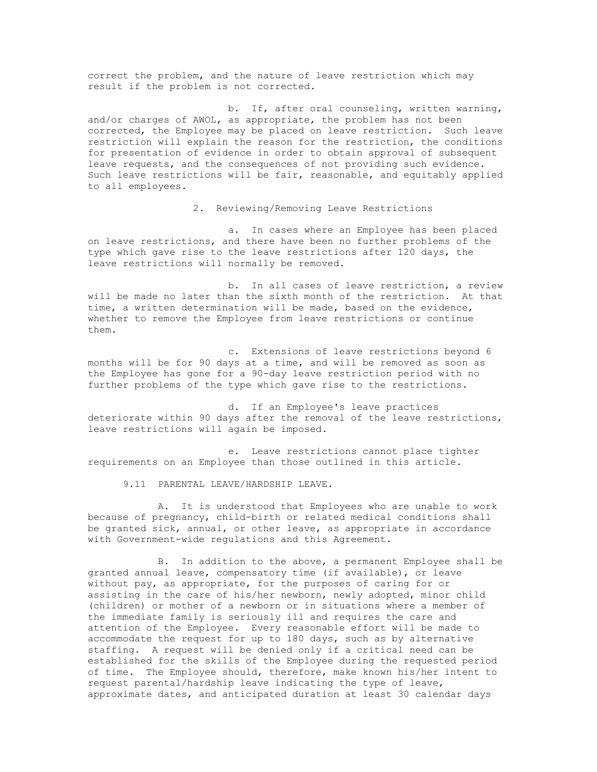correct the problem, and the nature of leave restriction which may result if the problem is not corrected.

b. If, after oral counseling, written warning, and/or charges of AWOL, as appropriate, the problem has not been corrected, the Employee may be placed on leave restriction. Such leave restriction will explain the reason for the restriction, the conditions for presentation of evidence in order to obtain approval of subsequent leave requests, and the consequences of not providing such evidence. Such leave restrictions will be fair, reasonable, and equitably applied to all employees.

2. Reviewing/Removing Leave Restrictions

a. In cases where an Employee has been placed on leave restrictions, and there have been no further problems of the type which gave rise to the leave restrictions after 120 days, the leave restrictions will normally be removed.

b. In all cases of leave restriction, a review will be made no later than the sixth month of the restriction. At that time, a written determination will be made, based on the evidence, whether to remove the Employee from leave restrictions or continue them.

c. Extensions of leave restrictions beyond 6 months will be for 90 days at a time, and will be removed as soon as the Employee has gone for a 90-day leave restriction period with no further problems of the type which gave rise to the restrictions.

d. If an Employee's leave practices deteriorate within 90 days after the removal of the leave restrictions, leave restrictions will again be imposed.

e. Leave restrictions cannot place tighter requirements on an Employee than those outlined in this article.

9.11 PARENTAL LEAVE/HARDSHIP LEAVE.

A. It is understood that Employees who are unable to work because of pregnancy, child-birth or related medical conditions shall be granted sick, annual, or other leave, as appropriate in accordance with Government-wide regulations and this Agreement.

B. In addition to the above, a permanent Employee shall be granted annual leave, compensatory time (if available), or leave without pay, as appropriate, for the purposes of caring for or assisting in the care of his/her newborn, newly adopted, minor child (children) or mother of a newborn or in situations where a member of the immediate family is seriously ill and requires the care and attention of the Employee. Every reasonable effort will be made to accommodate the request for up to 180 days, such as by alternative staffing. A request will be denied only if a critical need can be established for the skills of the Employee during the requested period of time. The Employee should, therefore, make known his/her intent to request parental/hardship leave indicating the type of leave, approximate dates, and anticipated duration at least 30 calendar days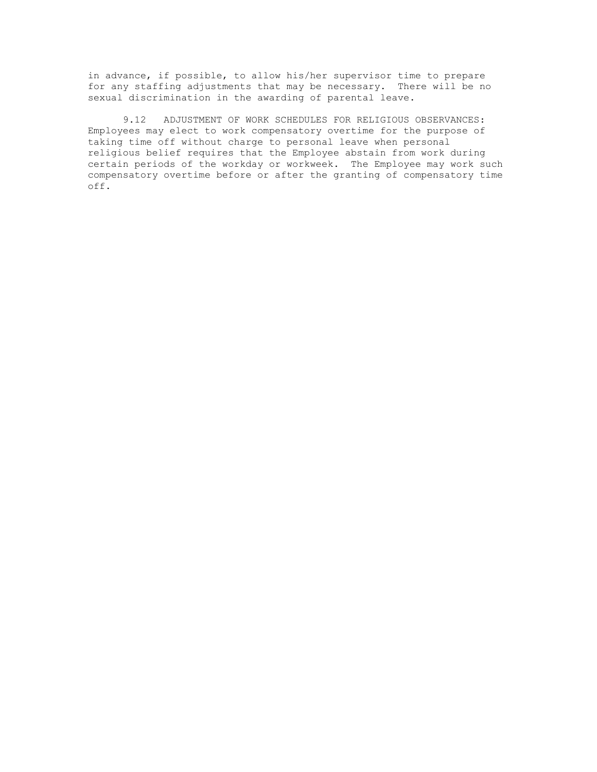in advance, if possible, to allow his/her supervisor time to prepare for any staffing adjustments that may be necessary. There will be no sexual discrimination in the awarding of parental leave.

9.12 ADJUSTMENT OF WORK SCHEDULES FOR RELIGIOUS OBSERVANCES: Employees may elect to work compensatory overtime for the purpose of taking time off without charge to personal leave when personal religious belief requires that the Employee abstain from work during certain periods of the workday or workweek. The Employee may work such compensatory overtime before or after the granting of compensatory time off.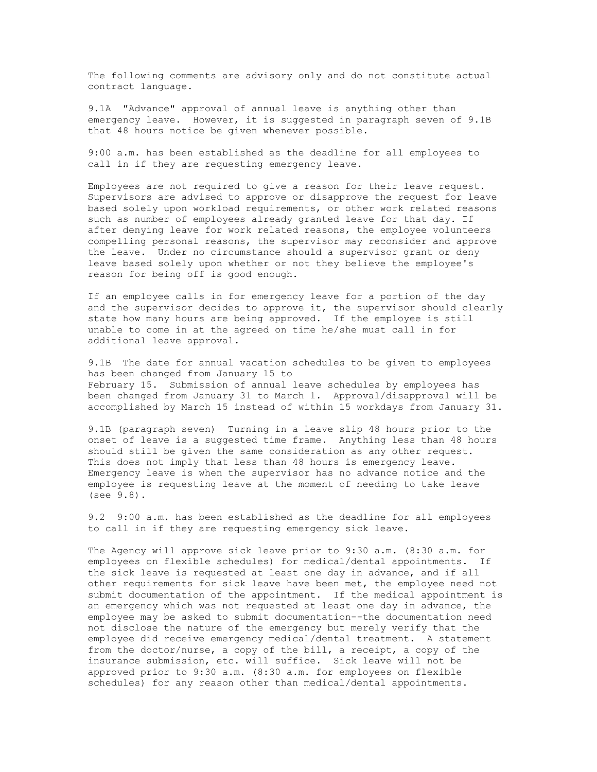The following comments are advisory only and do not constitute actual contract language.

9.1A "Advance" approval of annual leave is anything other than emergency leave. However, it is suggested in paragraph seven of 9.1B that 48 hours notice be given whenever possible.

9:00 a.m. has been established as the deadline for all employees to call in if they are requesting emergency leave.

Employees are not required to give a reason for their leave request. Supervisors are advised to approve or disapprove the request for leave based solely upon workload requirements, or other work related reasons such as number of employees already granted leave for that day. If after denying leave for work related reasons, the employee volunteers compelling personal reasons, the supervisor may reconsider and approve the leave. Under no circumstance should a supervisor grant or deny leave based solely upon whether or not they believe the employee's reason for being off is good enough.

If an employee calls in for emergency leave for a portion of the day and the supervisor decides to approve it, the supervisor should clearly state how many hours are being approved. If the employee is still unable to come in at the agreed on time he/she must call in for additional leave approval.

9.1B The date for annual vacation schedules to be given to employees has been changed from January 15 to February 15. Submission of annual leave schedules by employees has been changed from January 31 to March 1. Approval/disapproval will be accomplished by March 15 instead of within 15 workdays from January 31.

9.1B (paragraph seven) Turning in a leave slip 48 hours prior to the onset of leave is a suggested time frame. Anything less than 48 hours should still be given the same consideration as any other request. This does not imply that less than 48 hours is emergency leave. Emergency leave is when the supervisor has no advance notice and the employee is requesting leave at the moment of needing to take leave (see 9.8).

9.2 9:00 a.m. has been established as the deadline for all employees to call in if they are requesting emergency sick leave.

The Agency will approve sick leave prior to 9:30 a.m. (8:30 a.m. for employees on flexible schedules) for medical/dental appointments. If the sick leave is requested at least one day in advance, and if all other requirements for sick leave have been met, the employee need not submit documentation of the appointment. If the medical appointment is an emergency which was not requested at least one day in advance, the employee may be asked to submit documentation--the documentation need not disclose the nature of the emergency but merely verify that the employee did receive emergency medical/dental treatment. A statement from the doctor/nurse, a copy of the bill, a receipt, a copy of the insurance submission, etc. will suffice. Sick leave will not be approved prior to 9:30 a.m. (8:30 a.m. for employees on flexible schedules) for any reason other than medical/dental appointments.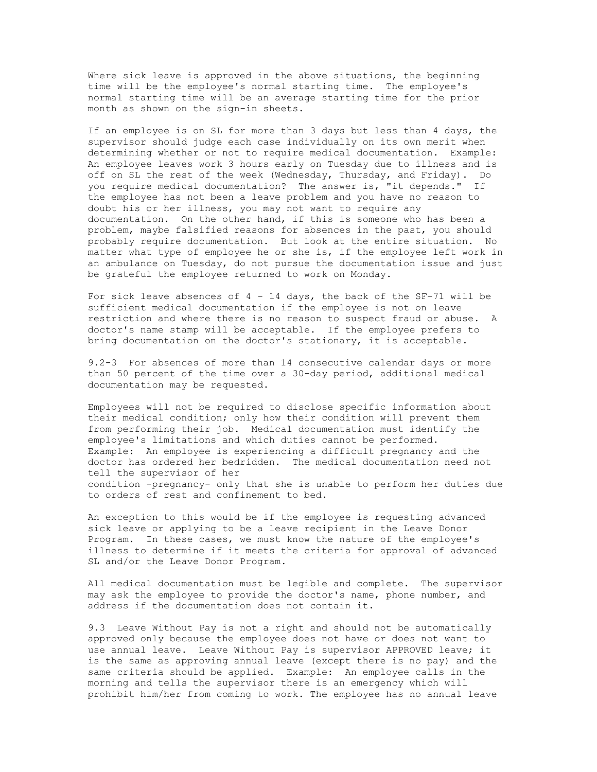Where sick leave is approved in the above situations, the beginning time will be the employee's normal starting time. The employee's normal starting time will be an average starting time for the prior month as shown on the sign-in sheets.

If an employee is on SL for more than 3 days but less than 4 days, the supervisor should judge each case individually on its own merit when determining whether or not to require medical documentation. Example: An employee leaves work 3 hours early on Tuesday due to illness and is off on SL the rest of the week (Wednesday, Thursday, and Friday). Do you require medical documentation? The answer is, "it depends." If the employee has not been a leave problem and you have no reason to doubt his or her illness, you may not want to require any documentation. On the other hand, if this is someone who has been a problem, maybe falsified reasons for absences in the past, you should probably require documentation. But look at the entire situation. No matter what type of employee he or she is, if the employee left work in an ambulance on Tuesday, do not pursue the documentation issue and just be grateful the employee returned to work on Monday.

For sick leave absences of  $4 - 14$  days, the back of the SF-71 will be sufficient medical documentation if the employee is not on leave restriction and where there is no reason to suspect fraud or abuse. A doctor's name stamp will be acceptable. If the employee prefers to bring documentation on the doctor's stationary, it is acceptable.

9.2-3 For absences of more than 14 consecutive calendar days or more than 50 percent of the time over a 30-day period, additional medical documentation may be requested.

Employees will not be required to disclose specific information about their medical condition; only how their condition will prevent them from performing their job. Medical documentation must identify the employee's limitations and which duties cannot be performed. Example: An employee is experiencing a difficult pregnancy and the doctor has ordered her bedridden. The medical documentation need not tell the supervisor of her condition -pregnancy- only that she is unable to perform her duties due to orders of rest and confinement to bed.

An exception to this would be if the employee is requesting advanced sick leave or applying to be a leave recipient in the Leave Donor Program. In these cases, we must know the nature of the employee's illness to determine if it meets the criteria for approval of advanced SL and/or the Leave Donor Program.

All medical documentation must be legible and complete. The supervisor may ask the employee to provide the doctor's name, phone number, and address if the documentation does not contain it.

9.3 Leave Without Pay is not a right and should not be automatically approved only because the employee does not have or does not want to use annual leave. Leave Without Pay is supervisor APPROVED leave; it is the same as approving annual leave (except there is no pay) and the same criteria should be applied. Example: An employee calls in the morning and tells the supervisor there is an emergency which will prohibit him/her from coming to work. The employee has no annual leave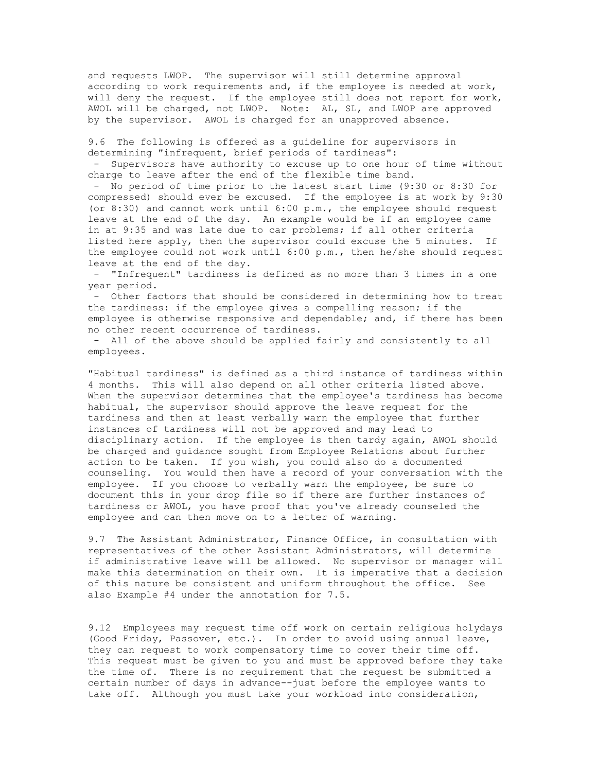and requests LWOP. The supervisor will still determine approval according to work requirements and, if the employee is needed at work, will deny the request. If the employee still does not report for work, AWOL will be charged, not LWOP. Note: AL, SL, and LWOP are approved by the supervisor. AWOL is charged for an unapproved absence.

9.6 The following is offered as a guideline for supervisors in determining "infrequent, brief periods of tardiness":

- Supervisors have authority to excuse up to one hour of time without charge to leave after the end of the flexible time band.

- No period of time prior to the latest start time (9:30 or 8:30 for compressed) should ever be excused. If the employee is at work by 9:30 (or 8:30) and cannot work until 6:00 p.m., the employee should request leave at the end of the day. An example would be if an employee came in at 9:35 and was late due to car problems; if all other criteria listed here apply, then the supervisor could excuse the 5 minutes. If the employee could not work until 6:00 p.m., then he/she should request leave at the end of the day.

- "Infrequent" tardiness is defined as no more than 3 times in a one year period.

- Other factors that should be considered in determining how to treat the tardiness: if the employee gives a compelling reason; if the employee is otherwise responsive and dependable; and, if there has been no other recent occurrence of tardiness.

- All of the above should be applied fairly and consistently to all employees.

"Habitual tardiness" is defined as a third instance of tardiness within 4 months. This will also depend on all other criteria listed above. When the supervisor determines that the employee's tardiness has become habitual, the supervisor should approve the leave request for the tardiness and then at least verbally warn the employee that further instances of tardiness will not be approved and may lead to disciplinary action. If the employee is then tardy again, AWOL should be charged and guidance sought from Employee Relations about further action to be taken. If you wish, you could also do a documented counseling. You would then have a record of your conversation with the employee. If you choose to verbally warn the employee, be sure to document this in your drop file so if there are further instances of tardiness or AWOL, you have proof that you've already counseled the employee and can then move on to a letter of warning.

9.7 The Assistant Administrator, Finance Office, in consultation with representatives of the other Assistant Administrators, will determine if administrative leave will be allowed. No supervisor or manager will make this determination on their own. It is imperative that a decision of this nature be consistent and uniform throughout the office. See also Example #4 under the annotation for 7.5.

9.12 Employees may request time off work on certain religious holydays (Good Friday, Passover, etc.). In order to avoid using annual leave, they can request to work compensatory time to cover their time off. This request must be given to you and must be approved before they take the time of. There is no requirement that the request be submitted a certain number of days in advance--just before the employee wants to take off. Although you must take your workload into consideration,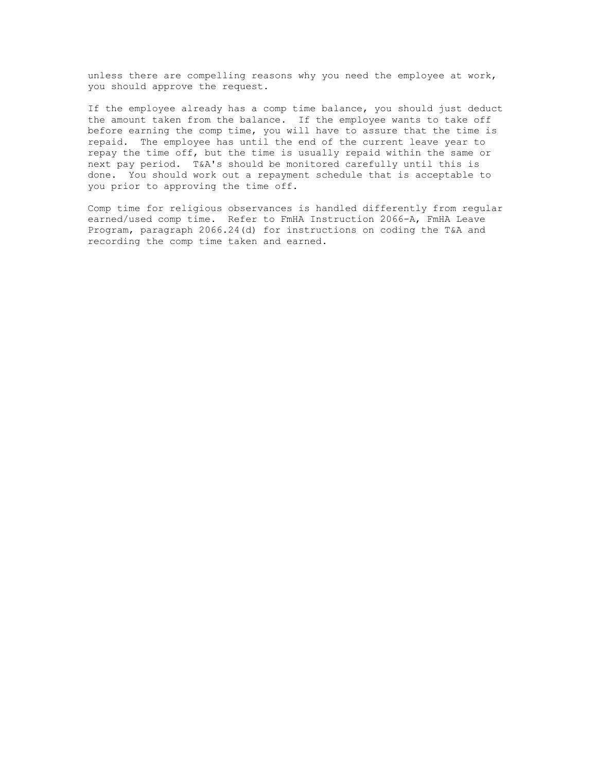unless there are compelling reasons why you need the employee at work, you should approve the request.

If the employee already has a comp time balance, you should just deduct the amount taken from the balance. If the employee wants to take off before earning the comp time, you will have to assure that the time is repaid. The employee has until the end of the current leave year to repay the time off, but the time is usually repaid within the same or next pay period. T&A's should be monitored carefully until this is done. You should work out a repayment schedule that is acceptable to you prior to approving the time off.

Comp time for religious observances is handled differently from regular earned/used comp time. Refer to FmHA Instruction 2066-A, FmHA Leave Program, paragraph 2066.24(d) for instructions on coding the T&A and recording the comp time taken and earned.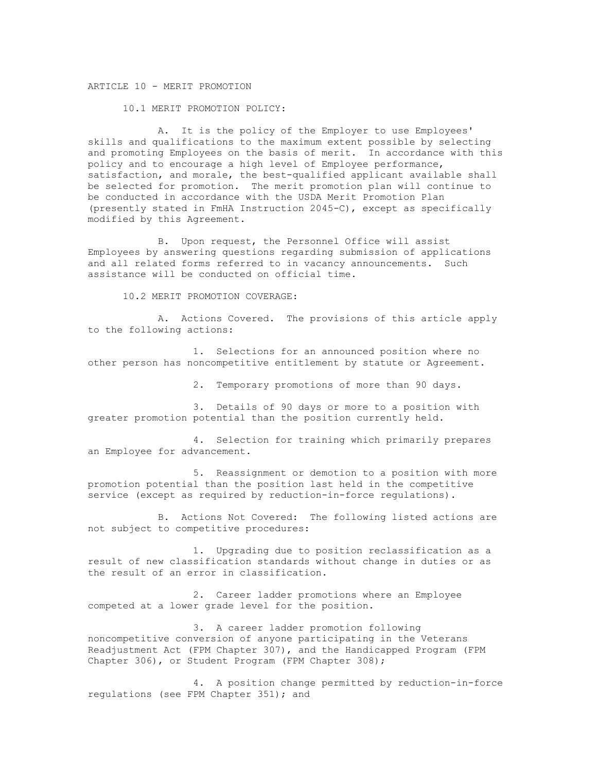## ARTICLE 10 - MERIT PROMOTION

10.1 MERIT PROMOTION POLICY:

A. It is the policy of the Employer to use Employees' skills and qualifications to the maximum extent possible by selecting and promoting Employees on the basis of merit. In accordance with this policy and to encourage a high level of Employee performance, satisfaction, and morale, the best-qualified applicant available shall be selected for promotion. The merit promotion plan will continue to be conducted in accordance with the USDA Merit Promotion Plan (presently stated in FmHA Instruction 2045-C), except as specifically modified by this Agreement.

B. Upon request, the Personnel Office will assist Employees by answering questions regarding submission of applications and all related forms referred to in vacancy announcements. Such assistance will be conducted on official time.

10.2 MERIT PROMOTION COVERAGE:

A. Actions Covered. The provisions of this article apply to the following actions:

1. Selections for an announced position where no other person has noncompetitive entitlement by statute or Agreement.

2. Temporary promotions of more than 90 days.

3. Details of 90 days or more to a position with greater promotion potential than the position currently held.

4. Selection for training which primarily prepares an Employee for advancement.

5. Reassignment or demotion to a position with more promotion potential than the position last held in the competitive service (except as required by reduction-in-force regulations).

B. Actions Not Covered: The following listed actions are not subject to competitive procedures:

1. Upgrading due to position reclassification as a result of new classification standards without change in duties or as the result of an error in classification.

2. Career ladder promotions where an Employee competed at a lower grade level for the position.

3. A career ladder promotion following noncompetitive conversion of anyone participating in the Veterans Readjustment Act (FPM Chapter 307), and the Handicapped Program (FPM Chapter 306), or Student Program (FPM Chapter 308);

4. A position change permitted by reduction-in-force regulations (see FPM Chapter 351); and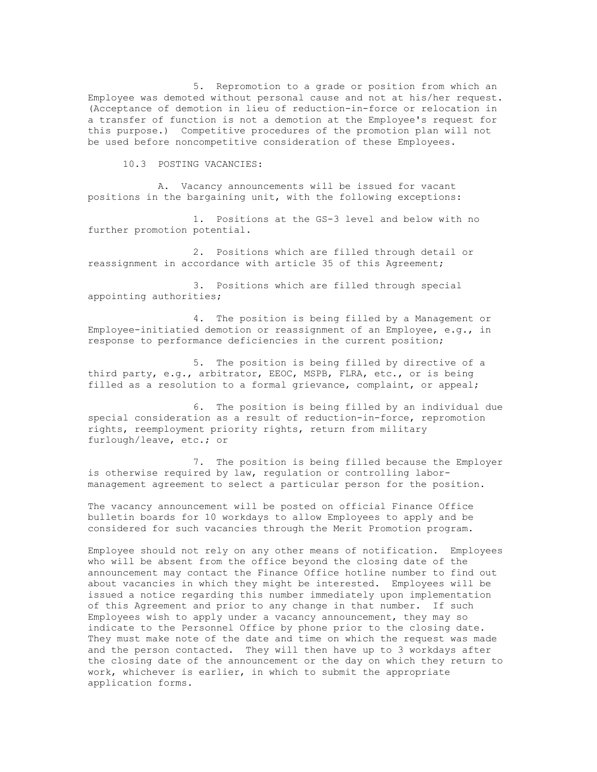5. Repromotion to a grade or position from which an Employee was demoted without personal cause and not at his/her request. (Acceptance of demotion in lieu of reduction-in-force or relocation in a transfer of function is not a demotion at the Employee's request for this purpose.) Competitive procedures of the promotion plan will not be used before noncompetitive consideration of these Employees.

10.3 POSTING VACANCIES:

A. Vacancy announcements will be issued for vacant positions in the bargaining unit, with the following exceptions:

1. Positions at the GS-3 level and below with no further promotion potential.

2. Positions which are filled through detail or reassignment in accordance with article 35 of this Agreement;

3. Positions which are filled through special appointing authorities;

4. The position is being filled by a Management or Employee-initiatied demotion or reassignment of an Employee, e.g., in response to performance deficiencies in the current position;

5. The position is being filled by directive of a third party, e.g., arbitrator, EEOC, MSPB, FLRA, etc., or is being filled as a resolution to a formal grievance, complaint, or appeal;

6. The position is being filled by an individual due special consideration as a result of reduction-in-force, repromotion rights, reemployment priority rights, return from military furlough/leave, etc.; or

7. The position is being filled because the Employer is otherwise required by law, regulation or controlling labormanagement agreement to select a particular person for the position.

The vacancy announcement will be posted on official Finance Office bulletin boards for 10 workdays to allow Employees to apply and be considered for such vacancies through the Merit Promotion program.

Employee should not rely on any other means of notification. Employees who will be absent from the office beyond the closing date of the announcement may contact the Finance Office hotline number to find out about vacancies in which they might be interested. Employees will be issued a notice regarding this number immediately upon implementation of this Agreement and prior to any change in that number. If such Employees wish to apply under a vacancy announcement, they may so indicate to the Personnel Office by phone prior to the closing date. They must make note of the date and time on which the request was made and the person contacted. They will then have up to 3 workdays after the closing date of the announcement or the day on which they return to work, whichever is earlier, in which to submit the appropriate application forms.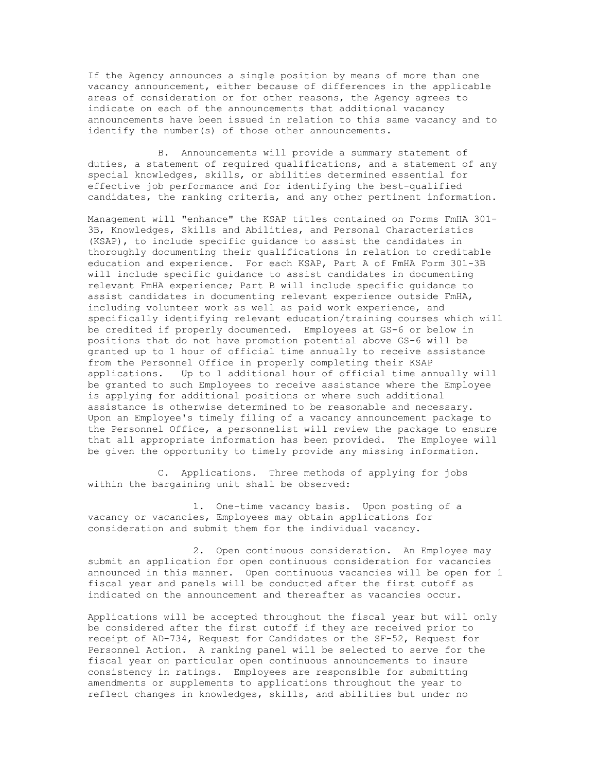If the Agency announces a single position by means of more than one vacancy announcement, either because of differences in the applicable areas of consideration or for other reasons, the Agency agrees to indicate on each of the announcements that additional vacancy announcements have been issued in relation to this same vacancy and to identify the number(s) of those other announcements.

B. Announcements will provide a summary statement of duties, a statement of required qualifications, and a statement of any special knowledges, skills, or abilities determined essential for effective job performance and for identifying the best-qualified candidates, the ranking criteria, and any other pertinent information.

Management will "enhance" the KSAP titles contained on Forms FmHA 301- 3B, Knowledges, Skills and Abilities, and Personal Characteristics (KSAP), to include specific guidance to assist the candidates in thoroughly documenting their qualifications in relation to creditable education and experience. For each KSAP, Part A of FmHA Form 301-3B will include specific guidance to assist candidates in documenting relevant FmHA experience; Part B will include specific guidance to assist candidates in documenting relevant experience outside FmHA, including volunteer work as well as paid work experience, and specifically identifying relevant education/training courses which will be credited if properly documented. Employees at GS-6 or below in positions that do not have promotion potential above GS-6 will be granted up to 1 hour of official time annually to receive assistance from the Personnel Office in properly completing their KSAP applications. Up to 1 additional hour of official time annually will be granted to such Employees to receive assistance where the Employee is applying for additional positions or where such additional assistance is otherwise determined to be reasonable and necessary. Upon an Employee's timely filing of a vacancy announcement package to the Personnel Office, a personnelist will review the package to ensure that all appropriate information has been provided. The Employee will be given the opportunity to timely provide any missing information.

C. Applications. Three methods of applying for jobs within the bargaining unit shall be observed:

1. One-time vacancy basis. Upon posting of a vacancy or vacancies, Employees may obtain applications for consideration and submit them for the individual vacancy.

2. Open continuous consideration. An Employee may submit an application for open continuous consideration for vacancies announced in this manner. Open continuous vacancies will be open for 1 fiscal year and panels will be conducted after the first cutoff as indicated on the announcement and thereafter as vacancies occur.

Applications will be accepted throughout the fiscal year but will only be considered after the first cutoff if they are received prior to receipt of AD-734, Request for Candidates or the SF-52, Request for Personnel Action. A ranking panel will be selected to serve for the fiscal year on particular open continuous announcements to insure consistency in ratings. Employees are responsible for submitting amendments or supplements to applications throughout the year to reflect changes in knowledges, skills, and abilities but under no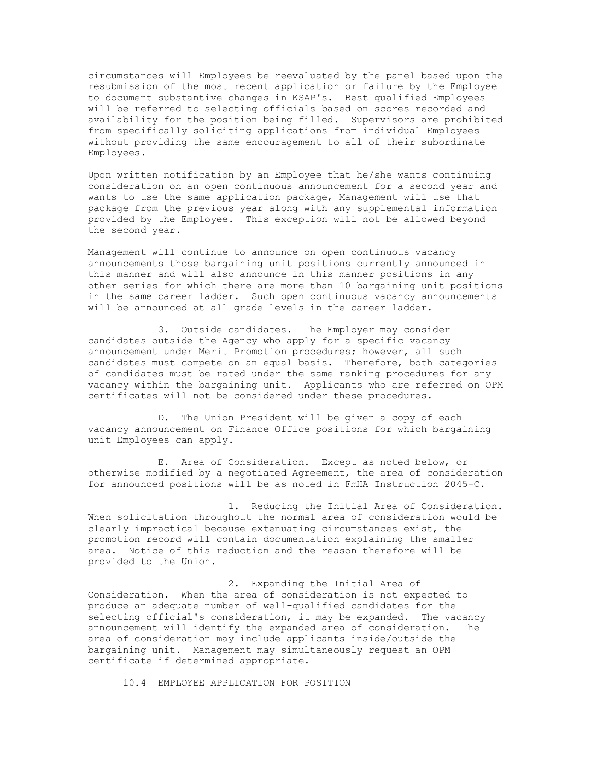circumstances will Employees be reevaluated by the panel based upon the resubmission of the most recent application or failure by the Employee to document substantive changes in KSAP's. Best qualified Employees will be referred to selecting officials based on scores recorded and availability for the position being filled. Supervisors are prohibited from specifically soliciting applications from individual Employees without providing the same encouragement to all of their subordinate Employees.

Upon written notification by an Employee that he/she wants continuing consideration on an open continuous announcement for a second year and wants to use the same application package, Management will use that package from the previous year along with any supplemental information provided by the Employee. This exception will not be allowed beyond the second year.

Management will continue to announce on open continuous vacancy announcements those bargaining unit positions currently announced in this manner and will also announce in this manner positions in any other series for which there are more than 10 bargaining unit positions in the same career ladder. Such open continuous vacancy announcements will be announced at all grade levels in the career ladder.

3. Outside candidates. The Employer may consider candidates outside the Agency who apply for a specific vacancy announcement under Merit Promotion procedures; however, all such candidates must compete on an equal basis. Therefore, both categories of candidates must be rated under the same ranking procedures for any vacancy within the bargaining unit. Applicants who are referred on OPM certificates will not be considered under these procedures.

D. The Union President will be given a copy of each vacancy announcement on Finance Office positions for which bargaining unit Employees can apply.

E. Area of Consideration. Except as noted below, or otherwise modified by a negotiated Agreement, the area of consideration for announced positions will be as noted in FmHA Instruction 2045-C.

1. Reducing the Initial Area of Consideration. When solicitation throughout the normal area of consideration would be clearly impractical because extenuating circumstances exist, the promotion record will contain documentation explaining the smaller area. Notice of this reduction and the reason therefore will be provided to the Union.

2. Expanding the Initial Area of Consideration. When the area of consideration is not expected to produce an adequate number of well-qualified candidates for the selecting official's consideration, it may be expanded. The vacancy announcement will identify the expanded area of consideration. The area of consideration may include applicants inside/outside the bargaining unit. Management may simultaneously request an OPM certificate if determined appropriate.

10.4 EMPLOYEE APPLICATION FOR POSITION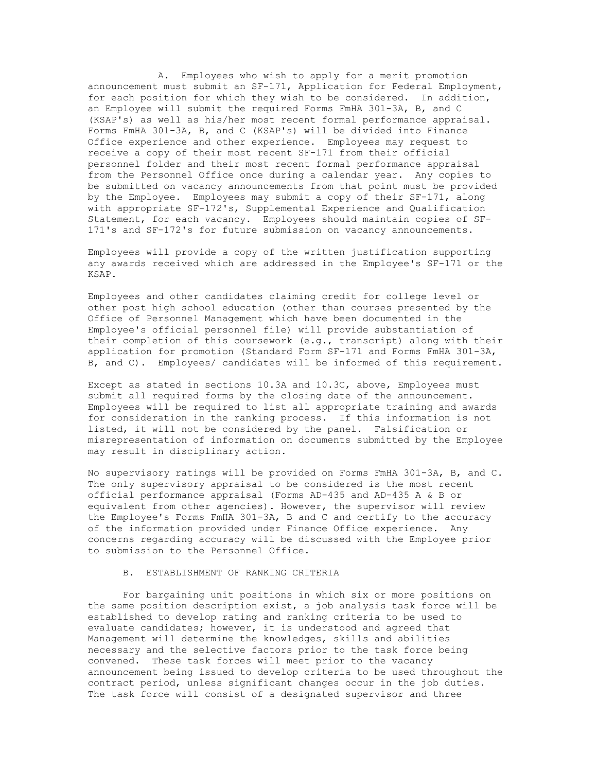A. Employees who wish to apply for a merit promotion announcement must submit an SF-171, Application for Federal Employment, for each position for which they wish to be considered. In addition, an Employee will submit the required Forms FmHA 301-3A, B, and C (KSAP's) as well as his/her most recent formal performance appraisal. Forms FmHA 301-3A, B, and C (KSAP's) will be divided into Finance Office experience and other experience. Employees may request to receive a copy of their most recent SF-171 from their official personnel folder and their most recent formal performance appraisal from the Personnel Office once during a calendar year. Any copies to be submitted on vacancy announcements from that point must be provided by the Employee. Employees may submit a copy of their SF-171, along with appropriate SF-172's, Supplemental Experience and Qualification Statement, for each vacancy. Employees should maintain copies of SF-171's and SF-172's for future submission on vacancy announcements.

Employees will provide a copy of the written justification supporting any awards received which are addressed in the Employee's SF-171 or the KSAP.

Employees and other candidates claiming credit for college level or other post high school education (other than courses presented by the Office of Personnel Management which have been documented in the Employee's official personnel file) will provide substantiation of their completion of this coursework (e.g., transcript) along with their application for promotion (Standard Form SF-171 and Forms FmHA 301-3A, B, and C). Employees/ candidates will be informed of this requirement.

Except as stated in sections 10.3A and 10.3C, above, Employees must submit all required forms by the closing date of the announcement. Employees will be required to list all appropriate training and awards for consideration in the ranking process. If this information is not listed, it will not be considered by the panel. Falsification or misrepresentation of information on documents submitted by the Employee may result in disciplinary action.

No supervisory ratings will be provided on Forms FmHA 301-3A, B, and C. The only supervisory appraisal to be considered is the most recent official performance appraisal (Forms AD-435 and AD-435 A & B or equivalent from other agencies). However, the supervisor will review the Employee's Forms FmHA 301-3A, B and C and certify to the accuracy of the information provided under Finance Office experience. Any concerns regarding accuracy will be discussed with the Employee prior to submission to the Personnel Office.

### B. ESTABLISHMENT OF RANKING CRITERIA

For bargaining unit positions in which six or more positions on the same position description exist, a job analysis task force will be established to develop rating and ranking criteria to be used to evaluate candidates; however, it is understood and agreed that Management will determine the knowledges, skills and abilities necessary and the selective factors prior to the task force being convened. These task forces will meet prior to the vacancy announcement being issued to develop criteria to be used throughout the contract period, unless significant changes occur in the job duties. The task force will consist of a designated supervisor and three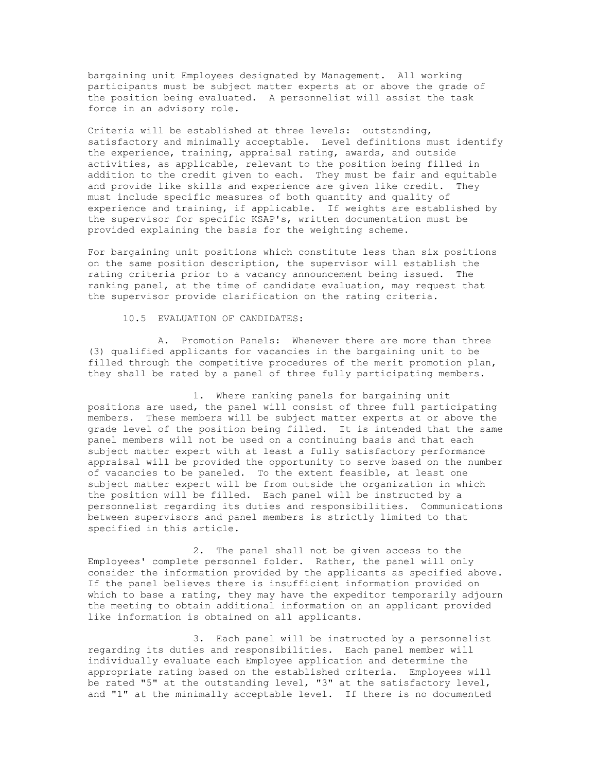bargaining unit Employees designated by Management. All working participants must be subject matter experts at or above the grade of the position being evaluated. A personnelist will assist the task force in an advisory role.

Criteria will be established at three levels: outstanding, satisfactory and minimally acceptable. Level definitions must identify the experience, training, appraisal rating, awards, and outside activities, as applicable, relevant to the position being filled in addition to the credit given to each. They must be fair and equitable and provide like skills and experience are given like credit. They must include specific measures of both quantity and quality of experience and training, if applicable. If weights are established by the supervisor for specific KSAP's, written documentation must be provided explaining the basis for the weighting scheme.

For bargaining unit positions which constitute less than six positions on the same position description, the supervisor will establish the rating criteria prior to a vacancy announcement being issued. The ranking panel, at the time of candidate evaluation, may request that the supervisor provide clarification on the rating criteria.

10.5 EVALUATION OF CANDIDATES:

A. Promotion Panels: Whenever there are more than three (3) qualified applicants for vacancies in the bargaining unit to be filled through the competitive procedures of the merit promotion plan, they shall be rated by a panel of three fully participating members.

1. Where ranking panels for bargaining unit positions are used, the panel will consist of three full participating members. These members will be subject matter experts at or above the grade level of the position being filled. It is intended that the same panel members will not be used on a continuing basis and that each subject matter expert with at least a fully satisfactory performance appraisal will be provided the opportunity to serve based on the number of vacancies to be paneled. To the extent feasible, at least one subject matter expert will be from outside the organization in which the position will be filled. Each panel will be instructed by a personnelist regarding its duties and responsibilities. Communications between supervisors and panel members is strictly limited to that specified in this article.

2. The panel shall not be given access to the Employees' complete personnel folder. Rather, the panel will only consider the information provided by the applicants as specified above. If the panel believes there is insufficient information provided on which to base a rating, they may have the expeditor temporarily adjourn the meeting to obtain additional information on an applicant provided like information is obtained on all applicants.

3. Each panel will be instructed by a personnelist regarding its duties and responsibilities. Each panel member will individually evaluate each Employee application and determine the appropriate rating based on the established criteria. Employees will be rated "5" at the outstanding level, "3" at the satisfactory level, and "1" at the minimally acceptable level. If there is no documented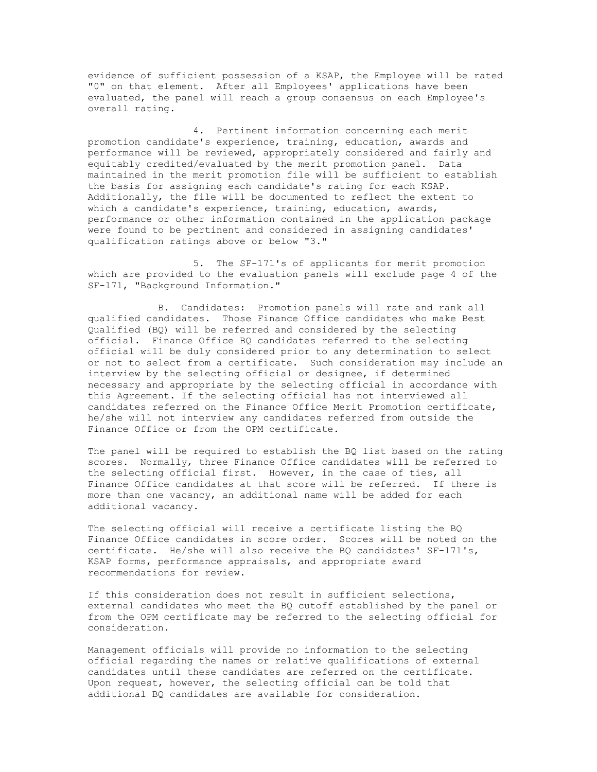evidence of sufficient possession of a KSAP, the Employee will be rated "0" on that element. After all Employees' applications have been evaluated, the panel will reach a group consensus on each Employee's overall rating.

4. Pertinent information concerning each merit promotion candidate's experience, training, education, awards and performance will be reviewed, appropriately considered and fairly and equitably credited/evaluated by the merit promotion panel. Data maintained in the merit promotion file will be sufficient to establish the basis for assigning each candidate's rating for each KSAP. Additionally, the file will be documented to reflect the extent to which a candidate's experience, training, education, awards, performance or other information contained in the application package were found to be pertinent and considered in assigning candidates' qualification ratings above or below "3."

5. The SF-171's of applicants for merit promotion which are provided to the evaluation panels will exclude page 4 of the SF-171, "Background Information."

B. Candidates: Promotion panels will rate and rank all qualified candidates. Those Finance Office candidates who make Best Qualified (BQ) will be referred and considered by the selecting official. Finance Office BQ candidates referred to the selecting official will be duly considered prior to any determination to select or not to select from a certificate. Such consideration may include an interview by the selecting official or designee, if determined necessary and appropriate by the selecting official in accordance with this Agreement. If the selecting official has not interviewed all candidates referred on the Finance Office Merit Promotion certificate, he/she will not interview any candidates referred from outside the Finance Office or from the OPM certificate.

The panel will be required to establish the BQ list based on the rating scores. Normally, three Finance Office candidates will be referred to the selecting official first. However, in the case of ties, all Finance Office candidates at that score will be referred. If there is more than one vacancy, an additional name will be added for each additional vacancy.

The selecting official will receive a certificate listing the BQ Finance Office candidates in score order. Scores will be noted on the certificate. He/she will also receive the BQ candidates' SF-171's, KSAP forms, performance appraisals, and appropriate award recommendations for review.

If this consideration does not result in sufficient selections, external candidates who meet the BQ cutoff established by the panel or from the OPM certificate may be referred to the selecting official for consideration.

Management officials will provide no information to the selecting official regarding the names or relative qualifications of external candidates until these candidates are referred on the certificate. Upon request, however, the selecting official can be told that additional BQ candidates are available for consideration.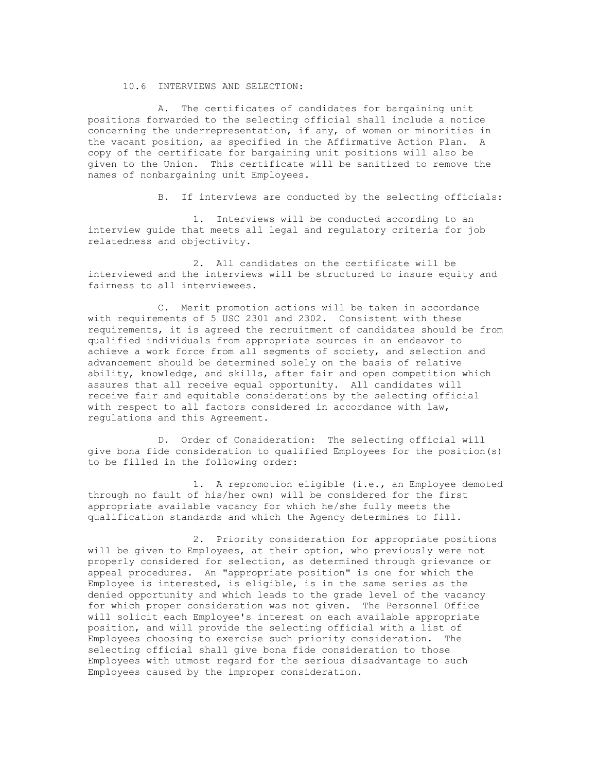## 10.6 INTERVIEWS AND SELECTION:

A. The certificates of candidates for bargaining unit positions forwarded to the selecting official shall include a notice concerning the underrepresentation, if any, of women or minorities in the vacant position, as specified in the Affirmative Action Plan. A copy of the certificate for bargaining unit positions will also be given to the Union. This certificate will be sanitized to remove the names of nonbargaining unit Employees.

B. If interviews are conducted by the selecting officials:

1. Interviews will be conducted according to an interview guide that meets all legal and regulatory criteria for job relatedness and objectivity.

2. All candidates on the certificate will be interviewed and the interviews will be structured to insure equity and fairness to all interviewees.

C. Merit promotion actions will be taken in accordance with requirements of 5 USC 2301 and 2302. Consistent with these requirements, it is agreed the recruitment of candidates should be from qualified individuals from appropriate sources in an endeavor to achieve a work force from all segments of society, and selection and advancement should be determined solely on the basis of relative ability, knowledge, and skills, after fair and open competition which assures that all receive equal opportunity. All candidates will receive fair and equitable considerations by the selecting official with respect to all factors considered in accordance with law, regulations and this Agreement.

D. Order of Consideration: The selecting official will give bona fide consideration to qualified Employees for the position(s) to be filled in the following order:

1. A repromotion eligible (i.e., an Employee demoted through no fault of his/her own) will be considered for the first appropriate available vacancy for which he/she fully meets the qualification standards and which the Agency determines to fill.

2. Priority consideration for appropriate positions will be given to Employees, at their option, who previously were not properly considered for selection, as determined through grievance or appeal procedures. An "appropriate position" is one for which the Employee is interested, is eligible, is in the same series as the denied opportunity and which leads to the grade level of the vacancy for which proper consideration was not given. The Personnel Office will solicit each Employee's interest on each available appropriate position, and will provide the selecting official with a list of Employees choosing to exercise such priority consideration. The selecting official shall give bona fide consideration to those Employees with utmost regard for the serious disadvantage to such Employees caused by the improper consideration.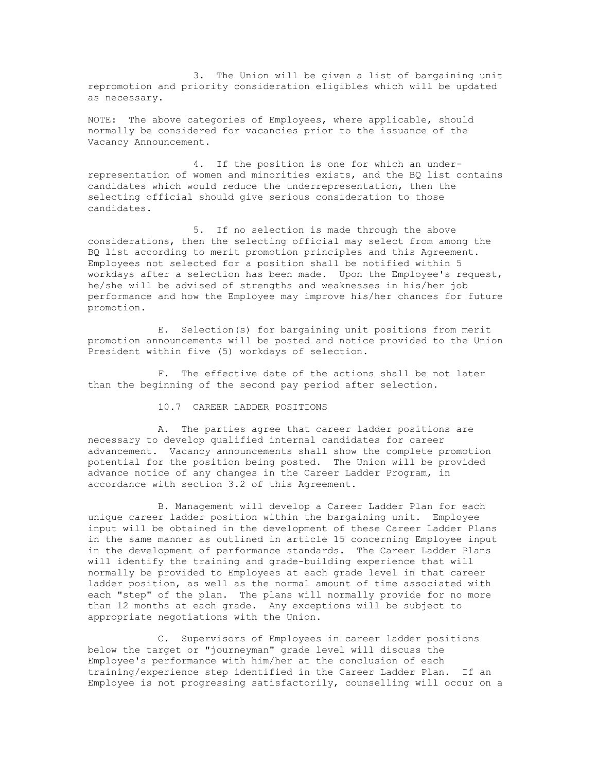3. The Union will be given a list of bargaining unit repromotion and priority consideration eligibles which will be updated as necessary.

NOTE: The above categories of Employees, where applicable, should normally be considered for vacancies prior to the issuance of the Vacancy Announcement.

4. If the position is one for which an underrepresentation of women and minorities exists, and the BQ list contains candidates which would reduce the underrepresentation, then the selecting official should give serious consideration to those candidates.

5. If no selection is made through the above considerations, then the selecting official may select from among the BQ list according to merit promotion principles and this Agreement. Employees not selected for a position shall be notified within 5 workdays after a selection has been made. Upon the Employee's request, he/she will be advised of strengths and weaknesses in his/her job performance and how the Employee may improve his/her chances for future promotion.

E. Selection(s) for bargaining unit positions from merit promotion announcements will be posted and notice provided to the Union President within five (5) workdays of selection.

F. The effective date of the actions shall be not later than the beginning of the second pay period after selection.

10.7 CAREER LADDER POSITIONS

A. The parties agree that career ladder positions are necessary to develop qualified internal candidates for career advancement. Vacancy announcements shall show the complete promotion potential for the position being posted. The Union will be provided advance notice of any changes in the Career Ladder Program, in accordance with section 3.2 of this Agreement.

B. Management will develop a Career Ladder Plan for each unique career ladder position within the bargaining unit. Employee input will be obtained in the development of these Career Ladder Plans in the same manner as outlined in article 15 concerning Employee input in the development of performance standards. The Career Ladder Plans will identify the training and grade-building experience that will normally be provided to Employees at each grade level in that career ladder position, as well as the normal amount of time associated with each "step" of the plan. The plans will normally provide for no more than 12 months at each grade. Any exceptions will be subject to appropriate negotiations with the Union.

C. Supervisors of Employees in career ladder positions below the target or "journeyman" grade level will discuss the Employee's performance with him/her at the conclusion of each training/experience step identified in the Career Ladder Plan. If an Employee is not progressing satisfactorily, counselling will occur on a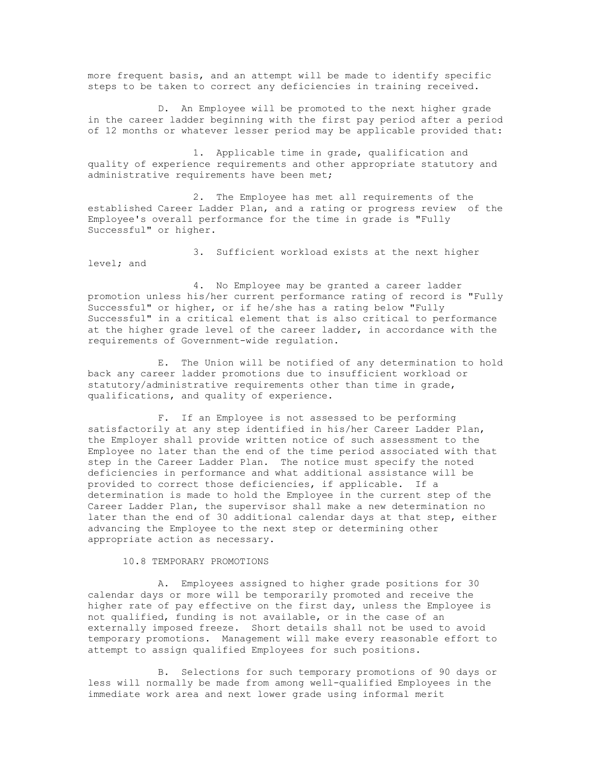more frequent basis, and an attempt will be made to identify specific steps to be taken to correct any deficiencies in training received.

D. An Employee will be promoted to the next higher grade in the career ladder beginning with the first pay period after a period of 12 months or whatever lesser period may be applicable provided that:

1. Applicable time in grade, qualification and quality of experience requirements and other appropriate statutory and administrative requirements have been met;

2. The Employee has met all requirements of the established Career Ladder Plan, and a rating or progress review of the Employee's overall performance for the time in grade is "Fully Successful" or higher.

3. Sufficient workload exists at the next higher level; and

4. No Employee may be granted a career ladder promotion unless his/her current performance rating of record is "Fully Successful" or higher, or if he/she has a rating below "Fully Successful" in a critical element that is also critical to performance at the higher grade level of the career ladder, in accordance with the requirements of Government-wide regulation.

E. The Union will be notified of any determination to hold back any career ladder promotions due to insufficient workload or statutory/administrative requirements other than time in grade, qualifications, and quality of experience.

F. If an Employee is not assessed to be performing satisfactorily at any step identified in his/her Career Ladder Plan, the Employer shall provide written notice of such assessment to the Employee no later than the end of the time period associated with that step in the Career Ladder Plan. The notice must specify the noted deficiencies in performance and what additional assistance will be provided to correct those deficiencies, if applicable. If a determination is made to hold the Employee in the current step of the Career Ladder Plan, the supervisor shall make a new determination no later than the end of 30 additional calendar days at that step, either advancing the Employee to the next step or determining other appropriate action as necessary.

10.8 TEMPORARY PROMOTIONS

 A. Employees assigned to higher grade positions for 30 calendar days or more will be temporarily promoted and receive the higher rate of pay effective on the first day, unless the Employee is not qualified, funding is not available, or in the case of an externally imposed freeze. Short details shall not be used to avoid temporary promotions. Management will make every reasonable effort to attempt to assign qualified Employees for such positions.

B. Selections for such temporary promotions of 90 days or less will normally be made from among well-qualified Employees in the immediate work area and next lower grade using informal merit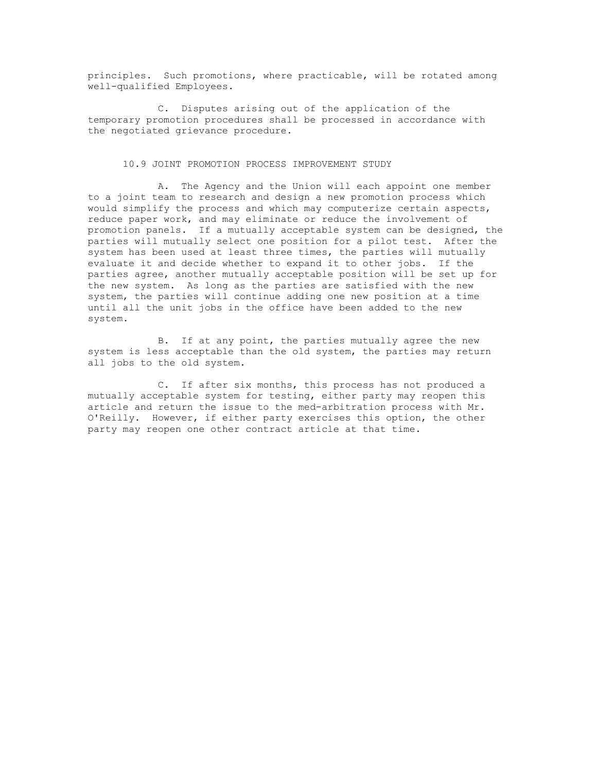principles. Such promotions, where practicable, will be rotated among well-qualified Employees.

C. Disputes arising out of the application of the temporary promotion procedures shall be processed in accordance with the negotiated grievance procedure.

## 10.9 JOINT PROMOTION PROCESS IMPROVEMENT STUDY

A. The Agency and the Union will each appoint one member to a joint team to research and design a new promotion process which would simplify the process and which may computerize certain aspects, reduce paper work, and may eliminate or reduce the involvement of promotion panels. If a mutually acceptable system can be designed, the parties will mutually select one position for a pilot test. After the system has been used at least three times, the parties will mutually evaluate it and decide whether to expand it to other jobs. If the parties agree, another mutually acceptable position will be set up for the new system. As long as the parties are satisfied with the new system, the parties will continue adding one new position at a time until all the unit jobs in the office have been added to the new system.

B. If at any point, the parties mutually agree the new system is less acceptable than the old system, the parties may return all jobs to the old system.

C. If after six months, this process has not produced a mutually acceptable system for testing, either party may reopen this article and return the issue to the med-arbitration process with Mr. O'Reilly. However, if either party exercises this option, the other party may reopen one other contract article at that time.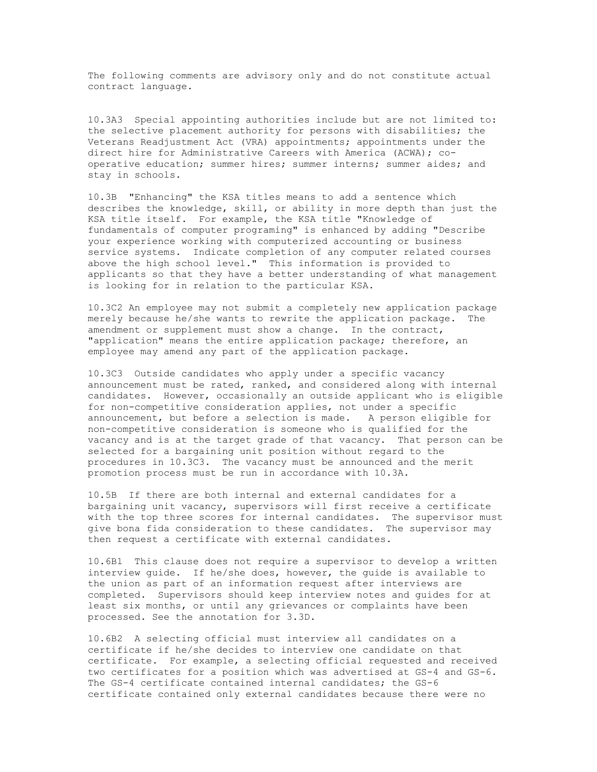The following comments are advisory only and do not constitute actual contract language.

10.3A3 Special appointing authorities include but are not limited to: the selective placement authority for persons with disabilities; the Veterans Readjustment Act (VRA) appointments; appointments under the direct hire for Administrative Careers with America (ACWA); cooperative education; summer hires; summer interns; summer aides; and stay in schools.

10.3B "Enhancing" the KSA titles means to add a sentence which describes the knowledge, skill, or ability in more depth than just the KSA title itself. For example, the KSA title "Knowledge of fundamentals of computer programing" is enhanced by adding "Describe your experience working with computerized accounting or business service systems. Indicate completion of any computer related courses above the high school level." This information is provided to applicants so that they have a better understanding of what management is looking for in relation to the particular KSA.

10.3C2 An employee may not submit a completely new application package merely because he/she wants to rewrite the application package. The amendment or supplement must show a change. In the contract, "application" means the entire application package; therefore, an employee may amend any part of the application package.

10.3C3 Outside candidates who apply under a specific vacancy announcement must be rated, ranked, and considered along with internal candidates. However, occasionally an outside applicant who is eligible for non-competitive consideration applies, not under a specific announcement, but before a selection is made. A person eligible for non-competitive consideration is someone who is qualified for the vacancy and is at the target grade of that vacancy. That person can be selected for a bargaining unit position without regard to the procedures in 10.3C3. The vacancy must be announced and the merit promotion process must be run in accordance with 10.3A.

10.5B If there are both internal and external candidates for a bargaining unit vacancy, supervisors will first receive a certificate with the top three scores for internal candidates. The supervisor must give bona fida consideration to these candidates. The supervisor may then request a certificate with external candidates.

10.6B1 This clause does not require a supervisor to develop a written interview guide. If he/she does, however, the guide is available to the union as part of an information request after interviews are completed. Supervisors should keep interview notes and guides for at least six months, or until any grievances or complaints have been processed. See the annotation for 3.3D.

10.6B2 A selecting official must interview all candidates on a certificate if he/she decides to interview one candidate on that certificate. For example, a selecting official requested and received two certificates for a position which was advertised at GS-4 and GS-6. The GS-4 certificate contained internal candidates; the GS-6 certificate contained only external candidates because there were no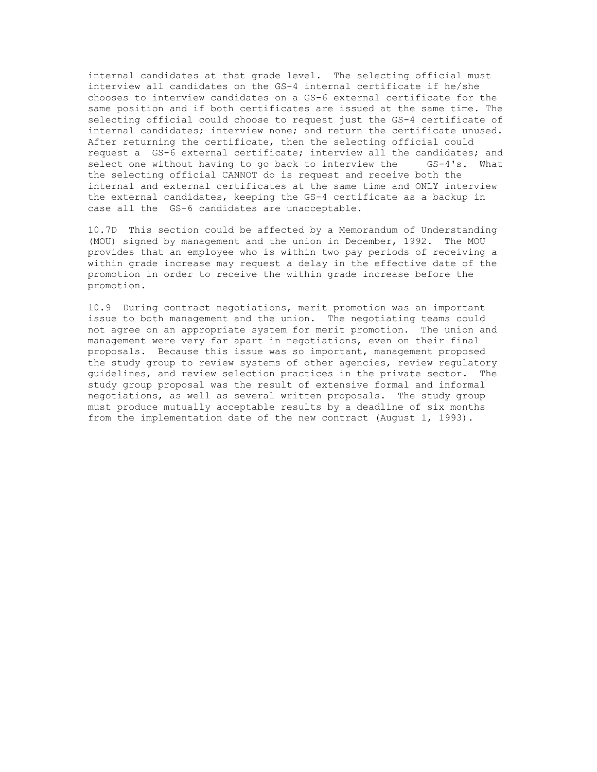internal candidates at that grade level. The selecting official must interview all candidates on the GS-4 internal certificate if he/she chooses to interview candidates on a GS-6 external certificate for the same position and if both certificates are issued at the same time. The selecting official could choose to request just the GS-4 certificate of internal candidates; interview none; and return the certificate unused. After returning the certificate, then the selecting official could request a GS-6 external certificate; interview all the candidates; and select one without having to go back to interview the GS-4's. What the selecting official CANNOT do is request and receive both the internal and external certificates at the same time and ONLY interview the external candidates, keeping the GS-4 certificate as a backup in case all the GS-6 candidates are unacceptable.

10.7D This section could be affected by a Memorandum of Understanding (MOU) signed by management and the union in December, 1992. The MOU provides that an employee who is within two pay periods of receiving a within grade increase may request a delay in the effective date of the promotion in order to receive the within grade increase before the promotion.

10.9 During contract negotiations, merit promotion was an important issue to both management and the union. The negotiating teams could not agree on an appropriate system for merit promotion. The union and management were very far apart in negotiations, even on their final proposals. Because this issue was so important, management proposed the study group to review systems of other agencies, review regulatory guidelines, and review selection practices in the private sector. The study group proposal was the result of extensive formal and informal negotiations, as well as several written proposals. The study group must produce mutually acceptable results by a deadline of six months from the implementation date of the new contract (August 1, 1993).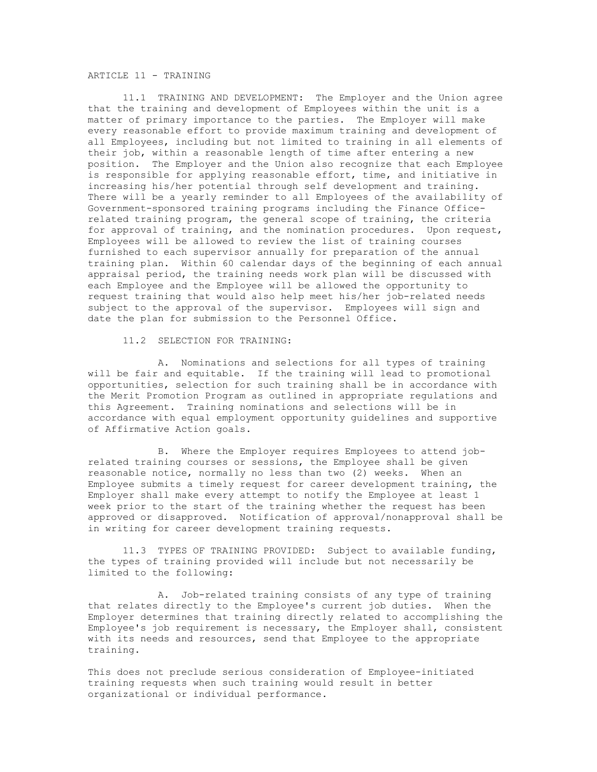## ARTICLE 11 - TRAINING

11.1 TRAINING AND DEVELOPMENT: The Employer and the Union agree that the training and development of Employees within the unit is a matter of primary importance to the parties. The Employer will make every reasonable effort to provide maximum training and development of all Employees, including but not limited to training in all elements of their job, within a reasonable length of time after entering a new position. The Employer and the Union also recognize that each Employee is responsible for applying reasonable effort, time, and initiative in increasing his/her potential through self development and training. There will be a yearly reminder to all Employees of the availability of Government-sponsored training programs including the Finance Officerelated training program, the general scope of training, the criteria for approval of training, and the nomination procedures. Upon request, Employees will be allowed to review the list of training courses furnished to each supervisor annually for preparation of the annual training plan. Within 60 calendar days of the beginning of each annual appraisal period, the training needs work plan will be discussed with each Employee and the Employee will be allowed the opportunity to request training that would also help meet his/her job-related needs subject to the approval of the supervisor. Employees will sign and date the plan for submission to the Personnel Office.

11.2 SELECTION FOR TRAINING:

A. Nominations and selections for all types of training will be fair and equitable. If the training will lead to promotional opportunities, selection for such training shall be in accordance with the Merit Promotion Program as outlined in appropriate regulations and this Agreement. Training nominations and selections will be in accordance with equal employment opportunity guidelines and supportive of Affirmative Action goals.

B. Where the Employer requires Employees to attend jobrelated training courses or sessions, the Employee shall be given reasonable notice, normally no less than two (2) weeks. When an Employee submits a timely request for career development training, the Employer shall make every attempt to notify the Employee at least 1 week prior to the start of the training whether the request has been approved or disapproved. Notification of approval/nonapproval shall be in writing for career development training requests.

11.3 TYPES OF TRAINING PROVIDED: Subject to available funding, the types of training provided will include but not necessarily be limited to the following:

A. Job-related training consists of any type of training that relates directly to the Employee's current job duties. When the Employer determines that training directly related to accomplishing the Employee's job requirement is necessary, the Employer shall, consistent with its needs and resources, send that Employee to the appropriate training.

This does not preclude serious consideration of Employee-initiated training requests when such training would result in better organizational or individual performance.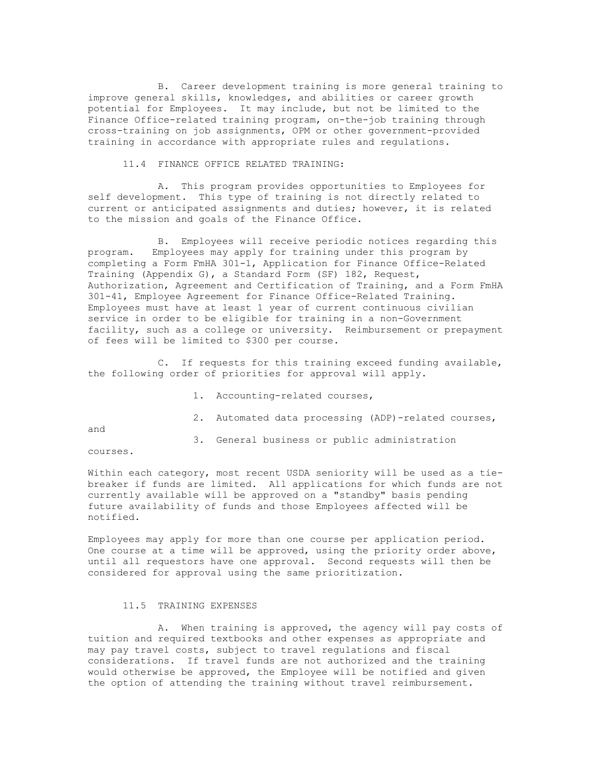B. Career development training is more general training to improve general skills, knowledges, and abilities or career growth potential for Employees. It may include, but not be limited to the Finance Office-related training program, on-the-job training through cross-training on job assignments, OPM or other government-provided training in accordance with appropriate rules and regulations.

11.4 FINANCE OFFICE RELATED TRAINING:

A. This program provides opportunities to Employees for self development. This type of training is not directly related to current or anticipated assignments and duties; however, it is related to the mission and goals of the Finance Office.

B. Employees will receive periodic notices regarding this program. Employees may apply for training under this program by completing a Form FmHA 301-1, Application for Finance Office-Related Training (Appendix G), a Standard Form (SF) 182, Request, Authorization, Agreement and Certification of Training, and a Form FmHA 301-41, Employee Agreement for Finance Office-Related Training. Employees must have at least 1 year of current continuous civilian service in order to be eligible for training in a non-Government facility, such as a college or university. Reimbursement or prepayment of fees will be limited to \$300 per course.

C. If requests for this training exceed funding available, the following order of priorities for approval will apply.

1. Accounting-related courses,

2. Automated data processing (ADP)-related courses,

and

3. General business or public administration

courses.

Within each category, most recent USDA seniority will be used as a tiebreaker if funds are limited. All applications for which funds are not currently available will be approved on a "standby" basis pending future availability of funds and those Employees affected will be notified.

Employees may apply for more than one course per application period. One course at a time will be approved, using the priority order above, until all requestors have one approval. Second requests will then be considered for approval using the same prioritization.

## 11.5 TRAINING EXPENSES

A. When training is approved, the agency will pay costs of tuition and required textbooks and other expenses as appropriate and may pay travel costs, subject to travel regulations and fiscal considerations. If travel funds are not authorized and the training would otherwise be approved, the Employee will be notified and given the option of attending the training without travel reimbursement.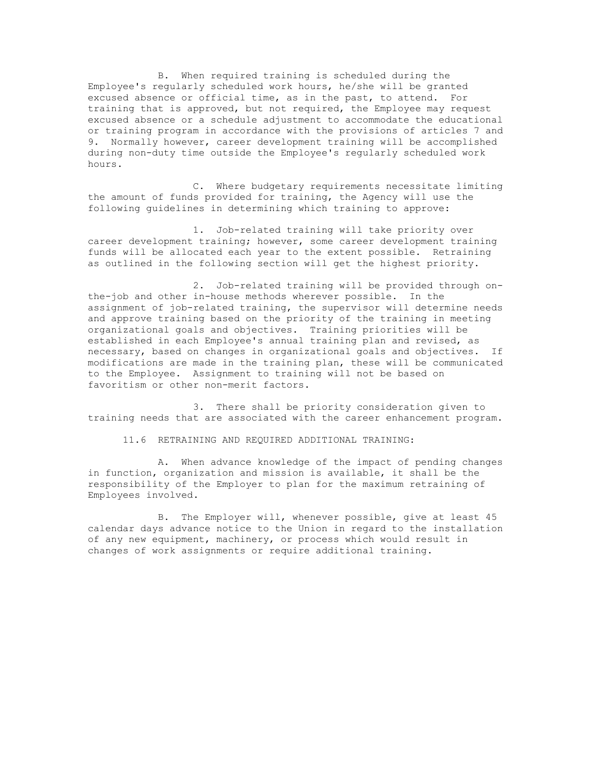B. When required training is scheduled during the Employee's regularly scheduled work hours, he/she will be granted excused absence or official time, as in the past, to attend. For training that is approved, but not required, the Employee may request excused absence or a schedule adjustment to accommodate the educational or training program in accordance with the provisions of articles 7 and 9. Normally however, career development training will be accomplished during non-duty time outside the Employee's regularly scheduled work hours.

C. Where budgetary requirements necessitate limiting the amount of funds provided for training, the Agency will use the following guidelines in determining which training to approve:

1. Job-related training will take priority over career development training; however, some career development training funds will be allocated each year to the extent possible. Retraining as outlined in the following section will get the highest priority.

2. Job-related training will be provided through onthe-job and other in-house methods wherever possible. In the assignment of job-related training, the supervisor will determine needs and approve training based on the priority of the training in meeting organizational goals and objectives. Training priorities will be established in each Employee's annual training plan and revised, as necessary, based on changes in organizational goals and objectives. If modifications are made in the training plan, these will be communicated to the Employee. Assignment to training will not be based on favoritism or other non-merit factors.

3. There shall be priority consideration given to training needs that are associated with the career enhancement program.

11.6 RETRAINING AND REQUIRED ADDITIONAL TRAINING:

A. When advance knowledge of the impact of pending changes in function, organization and mission is available, it shall be the responsibility of the Employer to plan for the maximum retraining of Employees involved.

B. The Employer will, whenever possible, give at least 45 calendar days advance notice to the Union in regard to the installation of any new equipment, machinery, or process which would result in changes of work assignments or require additional training.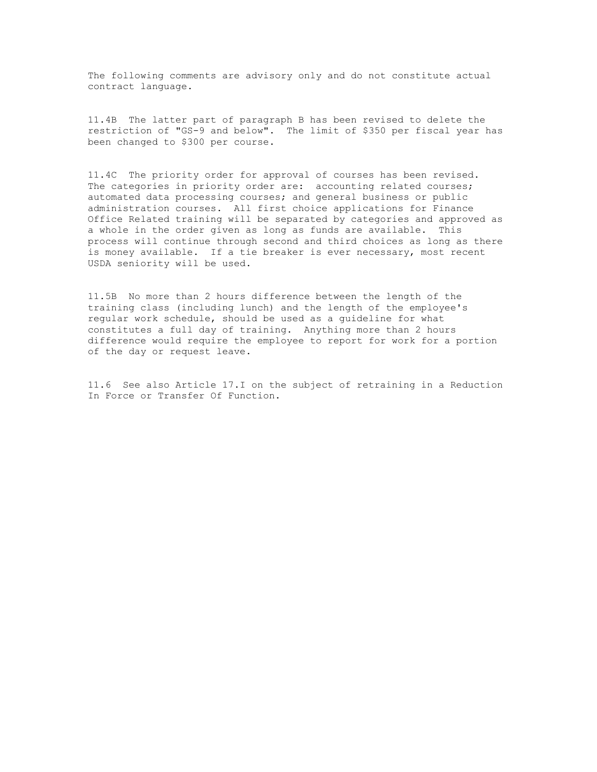The following comments are advisory only and do not constitute actual contract language.

11.4B The latter part of paragraph B has been revised to delete the restriction of "GS-9 and below". The limit of \$350 per fiscal year has been changed to \$300 per course.

11.4C The priority order for approval of courses has been revised. The categories in priority order are: accounting related courses; automated data processing courses; and general business or public administration courses. All first choice applications for Finance Office Related training will be separated by categories and approved as a whole in the order given as long as funds are available. This process will continue through second and third choices as long as there is money available. If a tie breaker is ever necessary, most recent USDA seniority will be used.

11.5B No more than 2 hours difference between the length of the training class (including lunch) and the length of the employee's regular work schedule, should be used as a guideline for what constitutes a full day of training. Anything more than 2 hours difference would require the employee to report for work for a portion of the day or request leave.

11.6 See also Article 17.I on the subject of retraining in a Reduction In Force or Transfer Of Function.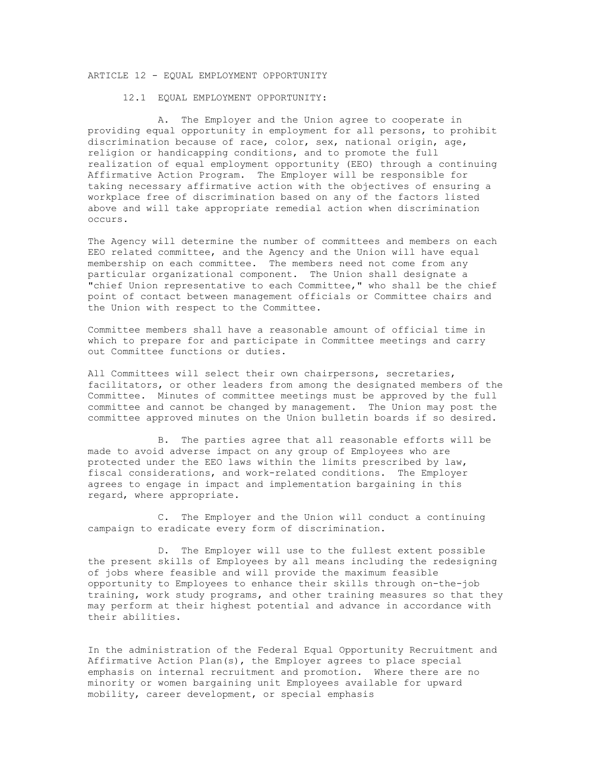# ARTICLE 12 - EQUAL EMPLOYMENT OPPORTUNITY

12.1 EQUAL EMPLOYMENT OPPORTUNITY:

A. The Employer and the Union agree to cooperate in providing equal opportunity in employment for all persons, to prohibit discrimination because of race, color, sex, national origin, age, religion or handicapping conditions, and to promote the full realization of equal employment opportunity (EEO) through a continuing Affirmative Action Program. The Employer will be responsible for taking necessary affirmative action with the objectives of ensuring a workplace free of discrimination based on any of the factors listed above and will take appropriate remedial action when discrimination occurs.

The Agency will determine the number of committees and members on each EEO related committee, and the Agency and the Union will have equal membership on each committee. The members need not come from any particular organizational component. The Union shall designate a "chief Union representative to each Committee," who shall be the chief point of contact between management officials or Committee chairs and the Union with respect to the Committee.

Committee members shall have a reasonable amount of official time in which to prepare for and participate in Committee meetings and carry out Committee functions or duties.

All Committees will select their own chairpersons, secretaries, facilitators, or other leaders from among the designated members of the Committee. Minutes of committee meetings must be approved by the full committee and cannot be changed by management. The Union may post the committee approved minutes on the Union bulletin boards if so desired.

B. The parties agree that all reasonable efforts will be made to avoid adverse impact on any group of Employees who are protected under the EEO laws within the limits prescribed by law, fiscal considerations, and work-related conditions. The Employer agrees to engage in impact and implementation bargaining in this regard, where appropriate.

C. The Employer and the Union will conduct a continuing campaign to eradicate every form of discrimination.

D. The Employer will use to the fullest extent possible the present skills of Employees by all means including the redesigning of jobs where feasible and will provide the maximum feasible opportunity to Employees to enhance their skills through on-the-job training, work study programs, and other training measures so that they may perform at their highest potential and advance in accordance with their abilities.

In the administration of the Federal Equal Opportunity Recruitment and Affirmative Action Plan(s), the Employer agrees to place special emphasis on internal recruitment and promotion. Where there are no minority or women bargaining unit Employees available for upward mobility, career development, or special emphasis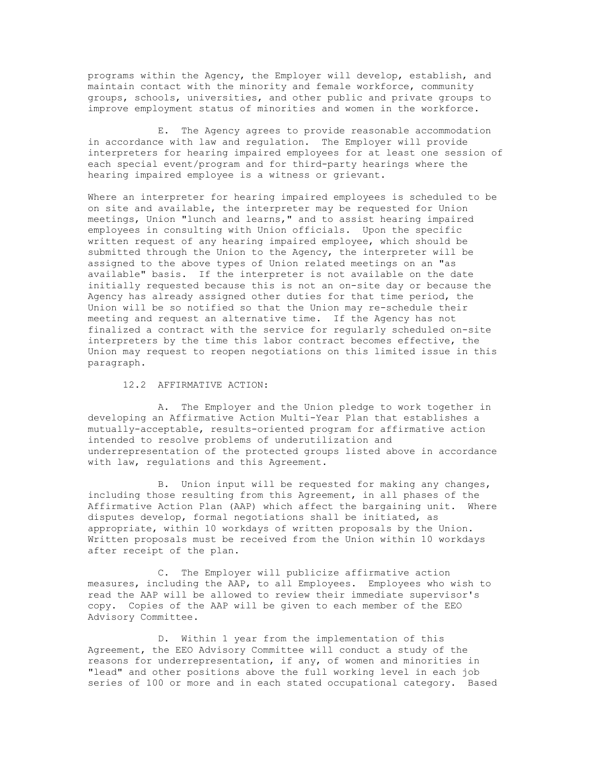programs within the Agency, the Employer will develop, establish, and maintain contact with the minority and female workforce, community groups, schools, universities, and other public and private groups to improve employment status of minorities and women in the workforce.

E. The Agency agrees to provide reasonable accommodation in accordance with law and regulation. The Employer will provide interpreters for hearing impaired employees for at least one session of each special event/program and for third-party hearings where the hearing impaired employee is a witness or grievant.

Where an interpreter for hearing impaired employees is scheduled to be on site and available, the interpreter may be requested for Union meetings, Union "lunch and learns," and to assist hearing impaired employees in consulting with Union officials. Upon the specific written request of any hearing impaired employee, which should be submitted through the Union to the Agency, the interpreter will be assigned to the above types of Union related meetings on an "as available" basis. If the interpreter is not available on the date initially requested because this is not an on-site day or because the Agency has already assigned other duties for that time period, the Union will be so notified so that the Union may re-schedule their meeting and request an alternative time. If the Agency has not finalized a contract with the service for regularly scheduled on-site interpreters by the time this labor contract becomes effective, the Union may request to reopen negotiations on this limited issue in this paragraph.

12.2 AFFIRMATIVE ACTION:

A. The Employer and the Union pledge to work together in developing an Affirmative Action Multi-Year Plan that establishes a mutually-acceptable, results-oriented program for affirmative action intended to resolve problems of underutilization and underrepresentation of the protected groups listed above in accordance with law, regulations and this Agreement.

B. Union input will be requested for making any changes, including those resulting from this Agreement, in all phases of the Affirmative Action Plan (AAP) which affect the bargaining unit. Where disputes develop, formal negotiations shall be initiated, as appropriate, within 10 workdays of written proposals by the Union. Written proposals must be received from the Union within 10 workdays after receipt of the plan.

C. The Employer will publicize affirmative action measures, including the AAP, to all Employees. Employees who wish to read the AAP will be allowed to review their immediate supervisor's copy. Copies of the AAP will be given to each member of the EEO Advisory Committee.

D. Within 1 year from the implementation of this Agreement, the EEO Advisory Committee will conduct a study of the reasons for underrepresentation, if any, of women and minorities in "lead" and other positions above the full working level in each job series of 100 or more and in each stated occupational category. Based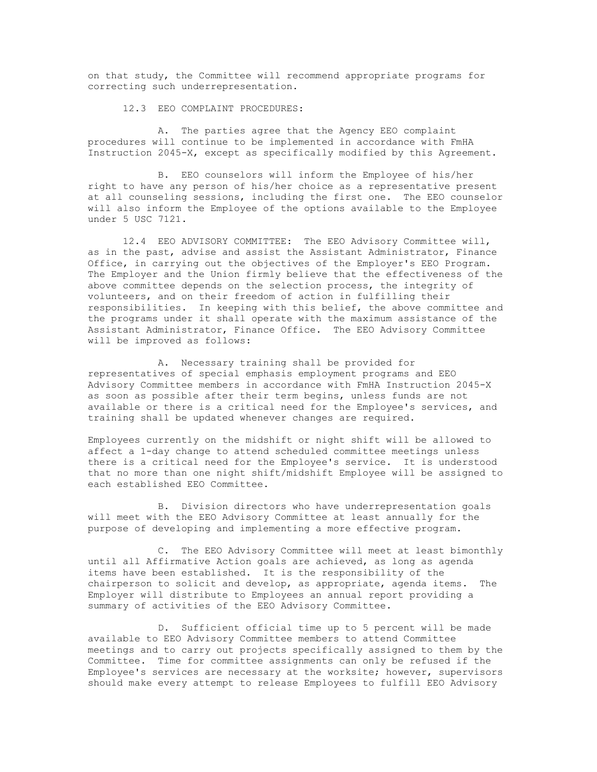on that study, the Committee will recommend appropriate programs for correcting such underrepresentation.

12.3 EEO COMPLAINT PROCEDURES:

A. The parties agree that the Agency EEO complaint procedures will continue to be implemented in accordance with FmHA Instruction 2045-X, except as specifically modified by this Agreement.

B. EEO counselors will inform the Employee of his/her right to have any person of his/her choice as a representative present at all counseling sessions, including the first one. The EEO counselor will also inform the Employee of the options available to the Employee under 5 USC 7121.

12.4 EEO ADVISORY COMMITTEE: The EEO Advisory Committee will, as in the past, advise and assist the Assistant Administrator, Finance Office, in carrying out the objectives of the Employer's EEO Program. The Employer and the Union firmly believe that the effectiveness of the above committee depends on the selection process, the integrity of volunteers, and on their freedom of action in fulfilling their responsibilities. In keeping with this belief, the above committee and the programs under it shall operate with the maximum assistance of the Assistant Administrator, Finance Office. The EEO Advisory Committee will be improved as follows:

A. Necessary training shall be provided for representatives of special emphasis employment programs and EEO Advisory Committee members in accordance with FmHA Instruction 2045-X as soon as possible after their term begins, unless funds are not available or there is a critical need for the Employee's services, and training shall be updated whenever changes are required.

Employees currently on the midshift or night shift will be allowed to affect a 1-day change to attend scheduled committee meetings unless there is a critical need for the Employee's service. It is understood that no more than one night shift/midshift Employee will be assigned to each established EEO Committee.

B. Division directors who have underrepresentation goals will meet with the EEO Advisory Committee at least annually for the purpose of developing and implementing a more effective program.

C. The EEO Advisory Committee will meet at least bimonthly until all Affirmative Action goals are achieved, as long as agenda items have been established. It is the responsibility of the chairperson to solicit and develop, as appropriate, agenda items. The Employer will distribute to Employees an annual report providing a summary of activities of the EEO Advisory Committee.

D. Sufficient official time up to 5 percent will be made available to EEO Advisory Committee members to attend Committee meetings and to carry out projects specifically assigned to them by the Committee. Time for committee assignments can only be refused if the Employee's services are necessary at the worksite; however, supervisors should make every attempt to release Employees to fulfill EEO Advisory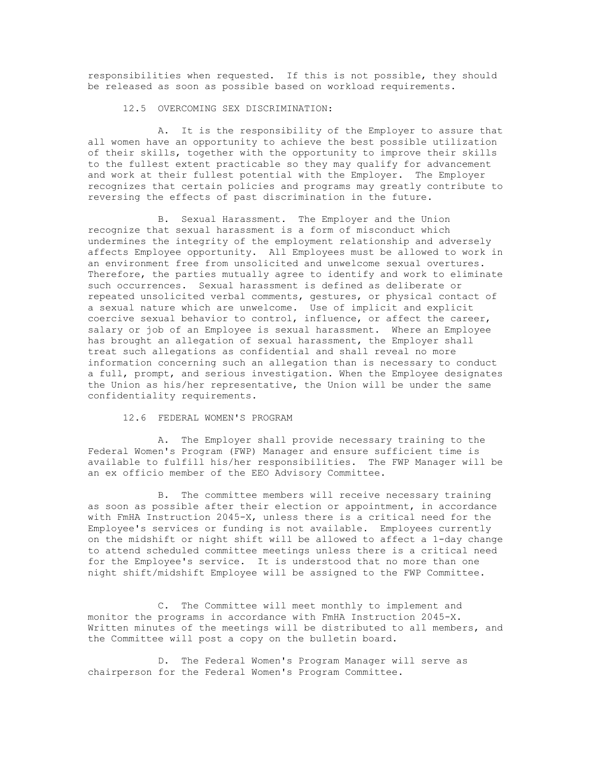responsibilities when requested. If this is not possible, they should be released as soon as possible based on workload requirements.

12.5 OVERCOMING SEX DISCRIMINATION:

A. It is the responsibility of the Employer to assure that all women have an opportunity to achieve the best possible utilization of their skills, together with the opportunity to improve their skills to the fullest extent practicable so they may qualify for advancement and work at their fullest potential with the Employer. The Employer recognizes that certain policies and programs may greatly contribute to reversing the effects of past discrimination in the future.

B. Sexual Harassment. The Employer and the Union recognize that sexual harassment is a form of misconduct which undermines the integrity of the employment relationship and adversely affects Employee opportunity. All Employees must be allowed to work in an environment free from unsolicited and unwelcome sexual overtures. Therefore, the parties mutually agree to identify and work to eliminate such occurrences. Sexual harassment is defined as deliberate or repeated unsolicited verbal comments, gestures, or physical contact of a sexual nature which are unwelcome. Use of implicit and explicit coercive sexual behavior to control, influence, or affect the career, salary or job of an Employee is sexual harassment. Where an Employee has brought an allegation of sexual harassment, the Employer shall treat such allegations as confidential and shall reveal no more information concerning such an allegation than is necessary to conduct a full, prompt, and serious investigation. When the Employee designates the Union as his/her representative, the Union will be under the same confidentiality requirements.

## 12.6 FEDERAL WOMEN'S PROGRAM

A. The Employer shall provide necessary training to the Federal Women's Program (FWP) Manager and ensure sufficient time is available to fulfill his/her responsibilities. The FWP Manager will be an ex officio member of the EEO Advisory Committee.

B. The committee members will receive necessary training as soon as possible after their election or appointment, in accordance with FmHA Instruction 2045-X, unless there is a critical need for the Employee's services or funding is not available. Employees currently on the midshift or night shift will be allowed to affect a 1-day change to attend scheduled committee meetings unless there is a critical need for the Employee's service. It is understood that no more than one night shift/midshift Employee will be assigned to the FWP Committee.

C. The Committee will meet monthly to implement and monitor the programs in accordance with FmHA Instruction 2045-X. Written minutes of the meetings will be distributed to all members, and the Committee will post a copy on the bulletin board.

D. The Federal Women's Program Manager will serve as chairperson for the Federal Women's Program Committee.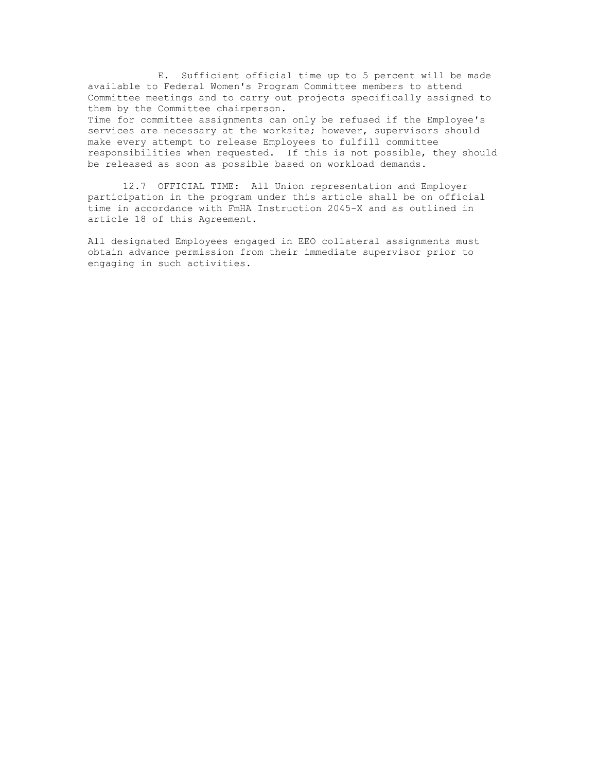E. Sufficient official time up to 5 percent will be made available to Federal Women's Program Committee members to attend Committee meetings and to carry out projects specifically assigned to them by the Committee chairperson. Time for committee assignments can only be refused if the Employee's services are necessary at the worksite; however, supervisors should make every attempt to release Employees to fulfill committee responsibilities when requested. If this is not possible, they should be released as soon as possible based on workload demands.

12.7 OFFICIAL TIME: All Union representation and Employer participation in the program under this article shall be on official time in accordance with FmHA Instruction 2045-X and as outlined in article 18 of this Agreement.

All designated Employees engaged in EEO collateral assignments must obtain advance permission from their immediate supervisor prior to engaging in such activities.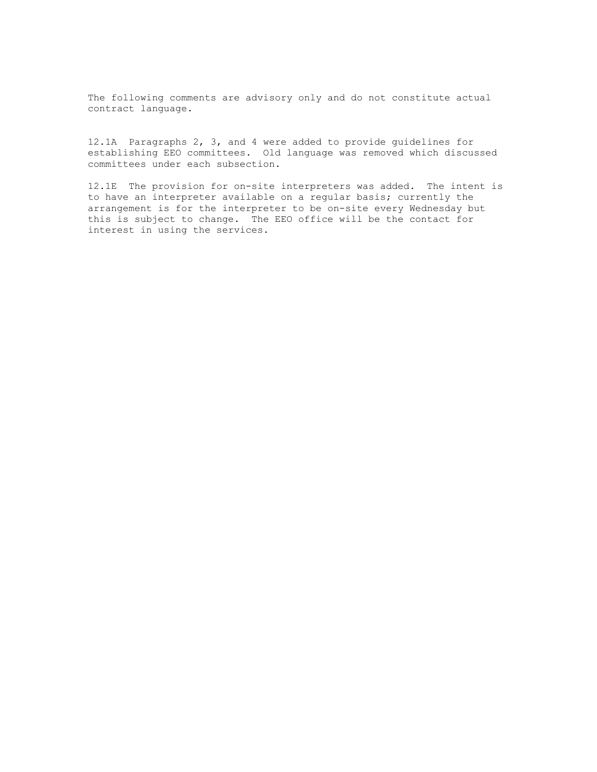The following comments are advisory only and do not constitute actual contract language.

12.1A Paragraphs 2, 3, and 4 were added to provide guidelines for establishing EEO committees. Old language was removed which discussed committees under each subsection.

12.1E The provision for on-site interpreters was added. The intent is to have an interpreter available on a regular basis; currently the arrangement is for the interpreter to be on-site every Wednesday but this is subject to change. The EEO office will be the contact for interest in using the services.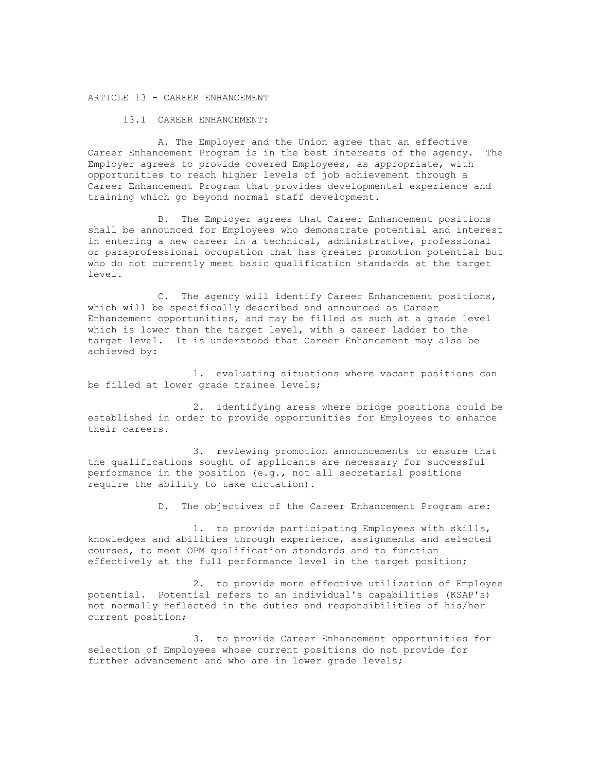#### ARTICLE 13 - CAREER ENHANCEMENT

13.1 CAREER ENHANCEMENT:

A. The Employer and the Union agree that an effective Career Enhancement Program is in the best interests of the agency. The Employer agrees to provide covered Employees, as appropriate, with opportunities to reach higher levels of job achievement through a Career Enhancement Program that provides developmental experience and training which go beyond normal staff development.

B. The Employer agrees that Career Enhancement positions shall be announced for Employees who demonstrate potential and interest in entering a new career in a technical, administrative, professional or paraprofessional occupation that has greater promotion potential but who do not currently meet basic qualification standards at the target level.

C. The agency will identify Career Enhancement positions, which will be specifically described and announced as Career Enhancement opportunities, and may be filled as such at a grade level which is lower than the target level, with a career ladder to the target level. It is understood that Career Enhancement may also be achieved by:

1. evaluating situations where vacant positions can be filled at lower grade trainee levels;

2. identifying areas where bridge positions could be established in order to provide opportunities for Employees to enhance their careers.

3. reviewing promotion announcements to ensure that the qualifications sought of applicants are necessary for successful performance in the position (e.g., not all secretarial positions require the ability to take dictation).

D. The objectives of the Career Enhancement Program are:

1. to provide participating Employees with skills, knowledges and abilities through experience, assignments and selected courses, to meet OPM qualification standards and to function effectively at the full performance level in the target position;

2. to provide more effective utilization of Employee potential. Potential refers to an individual's capabilities (KSAP's) not normally reflected in the duties and responsibilities of his/her current position;

3. to provide Career Enhancement opportunities for selection of Employees whose current positions do not provide for further advancement and who are in lower grade levels;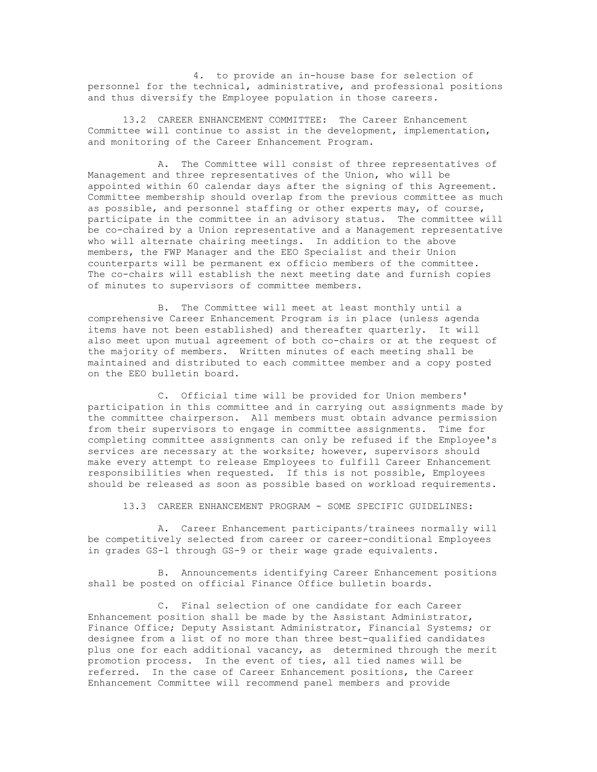4. to provide an in-house base for selection of personnel for the technical, administrative, and professional positions and thus diversify the Employee population in those careers.

13.2 CAREER ENHANCEMENT COMMITTEE: The Career Enhancement Committee will continue to assist in the development, implementation, and monitoring of the Career Enhancement Program.

A. The Committee will consist of three representatives of Management and three representatives of the Union, who will be appointed within 60 calendar days after the signing of this Agreement. Committee membership should overlap from the previous committee as much as possible, and personnel staffing or other experts may, of course, participate in the committee in an advisory status. The committee will be co-chaired by a Union representative and a Management representative who will alternate chairing meetings. In addition to the above members, the FWP Manager and the EEO Specialist and their Union counterparts will be permanent ex officio members of the committee. The co-chairs will establish the next meeting date and furnish copies of minutes to supervisors of committee members.

B. The Committee will meet at least monthly until a comprehensive Career Enhancement Program is in place (unless agenda items have not been established) and thereafter quarterly. It will also meet upon mutual agreement of both co-chairs or at the request of the majority of members. Written minutes of each meeting shall be maintained and distributed to each committee member and a copy posted on the EEO bulletin board.

C. Official time will be provided for Union members' participation in this committee and in carrying out assignments made by the committee chairperson. All members must obtain advance permission from their supervisors to engage in committee assignments. Time for completing committee assignments can only be refused if the Employee's services are necessary at the worksite; however, supervisors should make every attempt to release Employees to fulfill Career Enhancement responsibilities when requested. If this is not possible, Employees should be released as soon as possible based on workload requirements.

13.3 CAREER ENHANCEMENT PROGRAM - SOME SPECIFIC GUIDELINES:

A. Career Enhancement participants/trainees normally will be competitively selected from career or career-conditional Employees in grades GS-1 through GS-9 or their wage grade equivalents.

B. Announcements identifying Career Enhancement positions shall be posted on official Finance Office bulletin boards.

C. Final selection of one candidate for each Career Enhancement position shall be made by the Assistant Administrator, Finance Office; Deputy Assistant Administrator, Financial Systems; or designee from a list of no more than three best-qualified candidates plus one for each additional vacancy, as determined through the merit promotion process. In the event of ties, all tied names will be referred. In the case of Career Enhancement positions, the Career Enhancement Committee will recommend panel members and provide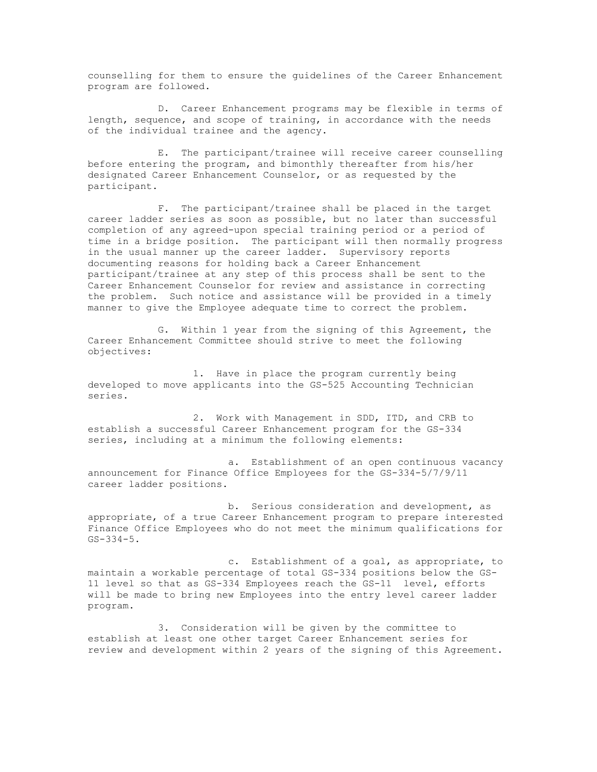counselling for them to ensure the guidelines of the Career Enhancement program are followed.

D. Career Enhancement programs may be flexible in terms of length, sequence, and scope of training, in accordance with the needs of the individual trainee and the agency.

E. The participant/trainee will receive career counselling before entering the program, and bimonthly thereafter from his/her designated Career Enhancement Counselor, or as requested by the participant.

F. The participant/trainee shall be placed in the target career ladder series as soon as possible, but no later than successful completion of any agreed-upon special training period or a period of time in a bridge position. The participant will then normally progress in the usual manner up the career ladder. Supervisory reports documenting reasons for holding back a Career Enhancement participant/trainee at any step of this process shall be sent to the Career Enhancement Counselor for review and assistance in correcting the problem. Such notice and assistance will be provided in a timely manner to give the Employee adequate time to correct the problem.

G. Within 1 year from the signing of this Agreement, the Career Enhancement Committee should strive to meet the following objectives:

1. Have in place the program currently being developed to move applicants into the GS-525 Accounting Technician series.

2. Work with Management in SDD, ITD, and CRB to establish a successful Career Enhancement program for the GS-334 series, including at a minimum the following elements:

a. Establishment of an open continuous vacancy announcement for Finance Office Employees for the GS-334-5/7/9/11 career ladder positions.

b. Serious consideration and development, as appropriate, of a true Career Enhancement program to prepare interested Finance Office Employees who do not meet the minimum qualifications for  $GS-334-5.$ 

c. Establishment of a goal, as appropriate, to maintain a workable percentage of total GS-334 positions below the GS-11 level so that as GS-334 Employees reach the GS-11 level, efforts will be made to bring new Employees into the entry level career ladder program.

3. Consideration will be given by the committee to establish at least one other target Career Enhancement series for review and development within 2 years of the signing of this Agreement.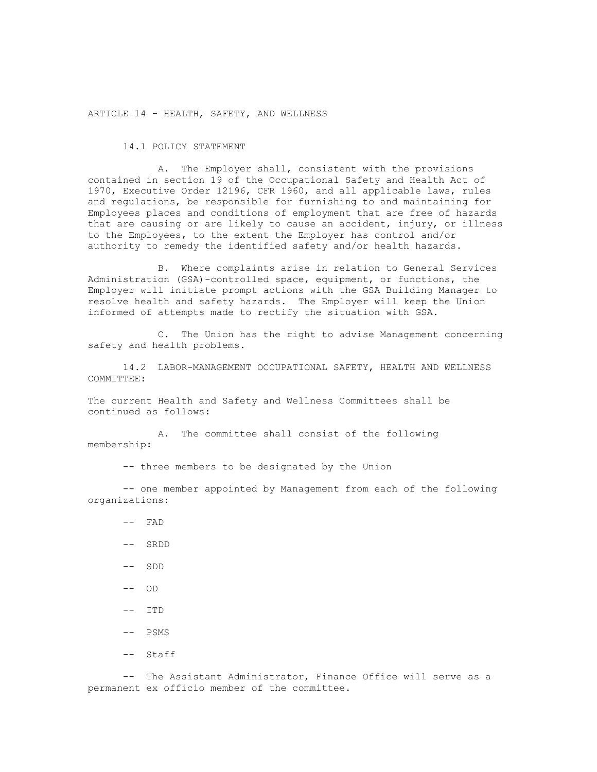ARTICLE 14 - HEALTH, SAFETY, AND WELLNESS

### 14.1 POLICY STATEMENT

A. The Employer shall, consistent with the provisions contained in section 19 of the Occupational Safety and Health Act of 1970, Executive Order 12196, CFR 1960, and all applicable laws, rules and regulations, be responsible for furnishing to and maintaining for Employees places and conditions of employment that are free of hazards that are causing or are likely to cause an accident, injury, or illness to the Employees, to the extent the Employer has control and/or authority to remedy the identified safety and/or health hazards.

B. Where complaints arise in relation to General Services Administration (GSA)-controlled space, equipment, or functions, the Employer will initiate prompt actions with the GSA Building Manager to resolve health and safety hazards. The Employer will keep the Union informed of attempts made to rectify the situation with GSA.

C. The Union has the right to advise Management concerning safety and health problems.

14.2 LABOR-MANAGEMENT OCCUPATIONAL SAFETY, HEALTH AND WELLNESS COMMITTEE:

The current Health and Safety and Wellness Committees shall be continued as follows:

A. The committee shall consist of the following membership:

-- three members to be designated by the Union

-- one member appointed by Management from each of the following organizations:

- -- FAD
- -- SRDD
- -- SDD
- $--$  OD
- -- ITD
- -- PSMS
- -- Staff

-- The Assistant Administrator, Finance Office will serve as a permanent ex officio member of the committee.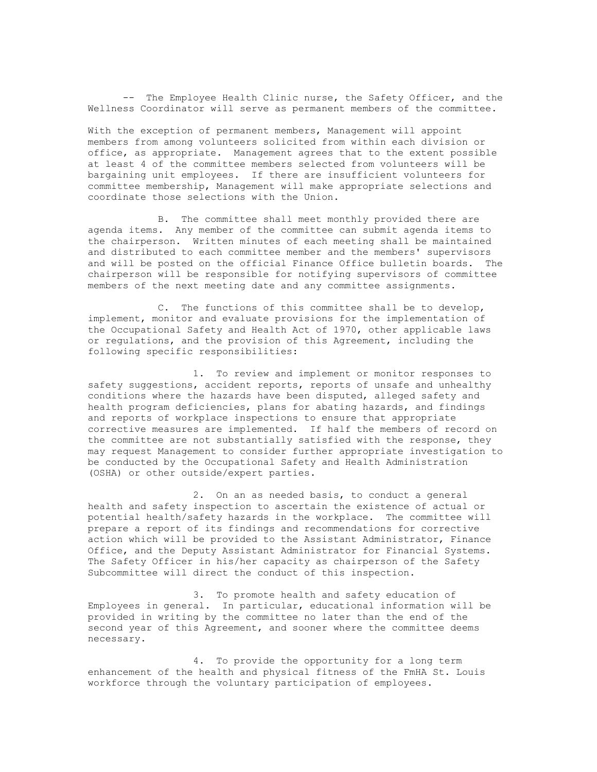-- The Employee Health Clinic nurse, the Safety Officer, and the Wellness Coordinator will serve as permanent members of the committee.

With the exception of permanent members, Management will appoint members from among volunteers solicited from within each division or office, as appropriate. Management agrees that to the extent possible at least 4 of the committee members selected from volunteers will be bargaining unit employees. If there are insufficient volunteers for committee membership, Management will make appropriate selections and coordinate those selections with the Union.

B. The committee shall meet monthly provided there are agenda items. Any member of the committee can submit agenda items to the chairperson. Written minutes of each meeting shall be maintained and distributed to each committee member and the members' supervisors and will be posted on the official Finance Office bulletin boards. The chairperson will be responsible for notifying supervisors of committee members of the next meeting date and any committee assignments.

C. The functions of this committee shall be to develop, implement, monitor and evaluate provisions for the implementation of the Occupational Safety and Health Act of 1970, other applicable laws or regulations, and the provision of this Agreement, including the following specific responsibilities:

1. To review and implement or monitor responses to safety suggestions, accident reports, reports of unsafe and unhealthy conditions where the hazards have been disputed, alleged safety and health program deficiencies, plans for abating hazards, and findings and reports of workplace inspections to ensure that appropriate corrective measures are implemented. If half the members of record on the committee are not substantially satisfied with the response, they may request Management to consider further appropriate investigation to be conducted by the Occupational Safety and Health Administration (OSHA) or other outside/expert parties.

2. On an as needed basis, to conduct a general health and safety inspection to ascertain the existence of actual or potential health/safety hazards in the workplace. The committee will prepare a report of its findings and recommendations for corrective action which will be provided to the Assistant Administrator, Finance Office, and the Deputy Assistant Administrator for Financial Systems. The Safety Officer in his/her capacity as chairperson of the Safety Subcommittee will direct the conduct of this inspection.

3. To promote health and safety education of Employees in general. In particular, educational information will be provided in writing by the committee no later than the end of the second year of this Agreement, and sooner where the committee deems necessary.

4. To provide the opportunity for a long term enhancement of the health and physical fitness of the FmHA St. Louis workforce through the voluntary participation of employees.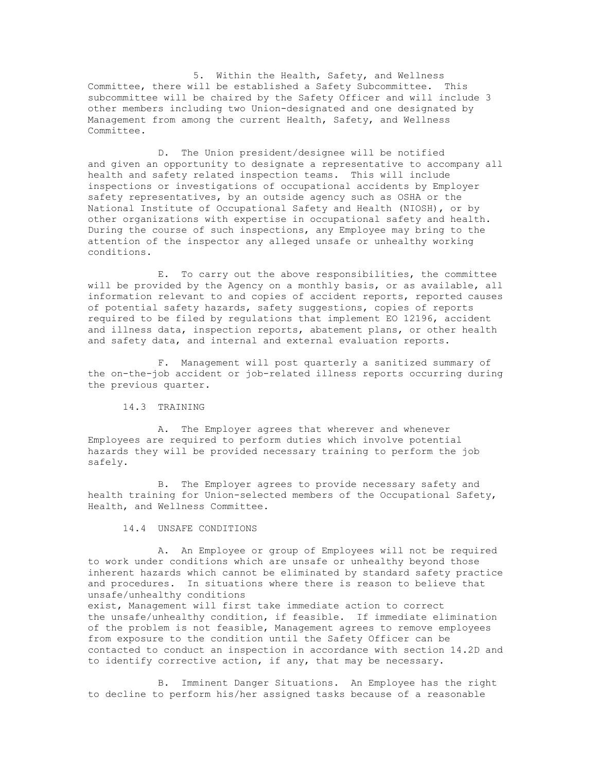5. Within the Health, Safety, and Wellness Committee, there will be established a Safety Subcommittee. This subcommittee will be chaired by the Safety Officer and will include 3 other members including two Union-designated and one designated by Management from among the current Health, Safety, and Wellness Committee.

D. The Union president/designee will be notified and given an opportunity to designate a representative to accompany all health and safety related inspection teams. This will include inspections or investigations of occupational accidents by Employer safety representatives, by an outside agency such as OSHA or the National Institute of Occupational Safety and Health (NIOSH), or by other organizations with expertise in occupational safety and health. During the course of such inspections, any Employee may bring to the attention of the inspector any alleged unsafe or unhealthy working conditions.

E. To carry out the above responsibilities, the committee will be provided by the Agency on a monthly basis, or as available, all information relevant to and copies of accident reports, reported causes of potential safety hazards, safety suggestions, copies of reports required to be filed by regulations that implement EO 12196, accident and illness data, inspection reports, abatement plans, or other health and safety data, and internal and external evaluation reports.

F. Management will post quarterly a sanitized summary of the on-the-job accident or job-related illness reports occurring during the previous quarter.

14.3 TRAINING

A. The Employer agrees that wherever and whenever Employees are required to perform duties which involve potential hazards they will be provided necessary training to perform the job safely.

B. The Employer agrees to provide necessary safety and health training for Union-selected members of the Occupational Safety, Health, and Wellness Committee.

14.4 UNSAFE CONDITIONS

A. An Employee or group of Employees will not be required to work under conditions which are unsafe or unhealthy beyond those inherent hazards which cannot be eliminated by standard safety practice and procedures. In situations where there is reason to believe that unsafe/unhealthy conditions

exist, Management will first take immediate action to correct the unsafe/unhealthy condition, if feasible. If immediate elimination of the problem is not feasible, Management agrees to remove employees from exposure to the condition until the Safety Officer can be contacted to conduct an inspection in accordance with section 14.2D and to identify corrective action, if any, that may be necessary.

B. Imminent Danger Situations. An Employee has the right to decline to perform his/her assigned tasks because of a reasonable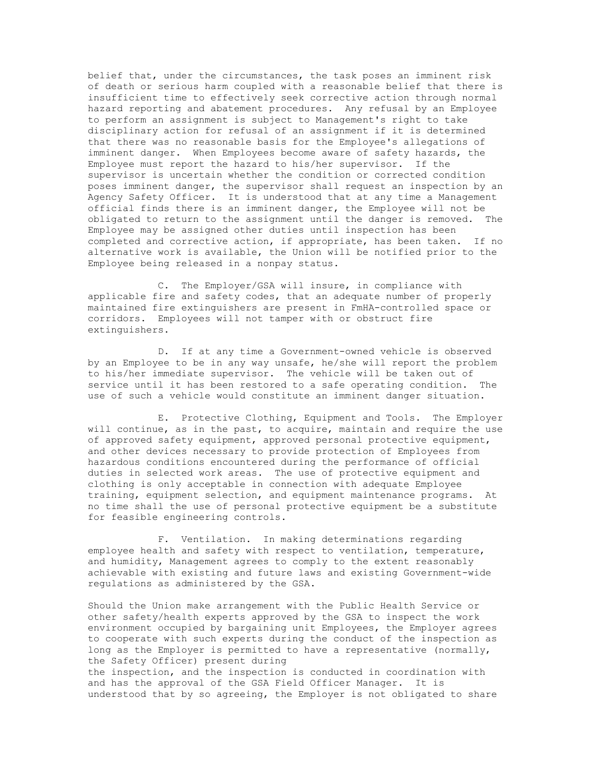belief that, under the circumstances, the task poses an imminent risk of death or serious harm coupled with a reasonable belief that there is insufficient time to effectively seek corrective action through normal hazard reporting and abatement procedures. Any refusal by an Employee to perform an assignment is subject to Management's right to take disciplinary action for refusal of an assignment if it is determined that there was no reasonable basis for the Employee's allegations of imminent danger. When Employees become aware of safety hazards, the Employee must report the hazard to his/her supervisor. If the supervisor is uncertain whether the condition or corrected condition poses imminent danger, the supervisor shall request an inspection by an Agency Safety Officer. It is understood that at any time a Management official finds there is an imminent danger, the Employee will not be obligated to return to the assignment until the danger is removed. The Employee may be assigned other duties until inspection has been completed and corrective action, if appropriate, has been taken. If no alternative work is available, the Union will be notified prior to the Employee being released in a nonpay status.

C. The Employer/GSA will insure, in compliance with applicable fire and safety codes, that an adequate number of properly maintained fire extinguishers are present in FmHA-controlled space or corridors. Employees will not tamper with or obstruct fire extinguishers.

D. If at any time a Government-owned vehicle is observed by an Employee to be in any way unsafe, he/she will report the problem to his/her immediate supervisor. The vehicle will be taken out of service until it has been restored to a safe operating condition. The use of such a vehicle would constitute an imminent danger situation.

E. Protective Clothing, Equipment and Tools. The Employer will continue, as in the past, to acquire, maintain and require the use of approved safety equipment, approved personal protective equipment, and other devices necessary to provide protection of Employees from hazardous conditions encountered during the performance of official duties in selected work areas. The use of protective equipment and clothing is only acceptable in connection with adequate Employee training, equipment selection, and equipment maintenance programs. At no time shall the use of personal protective equipment be a substitute for feasible engineering controls.

F. Ventilation. In making determinations regarding employee health and safety with respect to ventilation, temperature, and humidity, Management agrees to comply to the extent reasonably achievable with existing and future laws and existing Government-wide regulations as administered by the GSA.

Should the Union make arrangement with the Public Health Service or other safety/health experts approved by the GSA to inspect the work environment occupied by bargaining unit Employees, the Employer agrees to cooperate with such experts during the conduct of the inspection as long as the Employer is permitted to have a representative (normally, the Safety Officer) present during the inspection, and the inspection is conducted in coordination with and has the approval of the GSA Field Officer Manager. It is understood that by so agreeing, the Employer is not obligated to share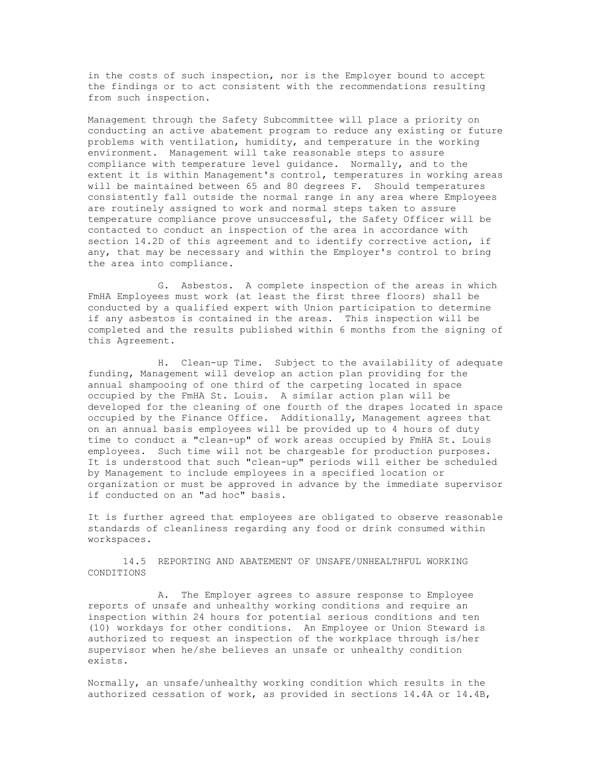in the costs of such inspection, nor is the Employer bound to accept the findings or to act consistent with the recommendations resulting from such inspection.

Management through the Safety Subcommittee will place a priority on conducting an active abatement program to reduce any existing or future problems with ventilation, humidity, and temperature in the working environment. Management will take reasonable steps to assure compliance with temperature level guidance. Normally, and to the extent it is within Management's control, temperatures in working areas will be maintained between 65 and 80 degrees F. Should temperatures consistently fall outside the normal range in any area where Employees are routinely assigned to work and normal steps taken to assure temperature compliance prove unsuccessful, the Safety Officer will be contacted to conduct an inspection of the area in accordance with section 14.2D of this agreement and to identify corrective action, if any, that may be necessary and within the Employer's control to bring the area into compliance.

G. Asbestos. A complete inspection of the areas in which FmHA Employees must work (at least the first three floors) shall be conducted by a qualified expert with Union participation to determine if any asbestos is contained in the areas. This inspection will be completed and the results published within 6 months from the signing of this Agreement.

H. Clean-up Time. Subject to the availability of adequate funding, Management will develop an action plan providing for the annual shampooing of one third of the carpeting located in space occupied by the FmHA St. Louis. A similar action plan will be developed for the cleaning of one fourth of the drapes located in space occupied by the Finance Office. Additionally, Management agrees that on an annual basis employees will be provided up to 4 hours of duty time to conduct a "clean-up" of work areas occupied by FmHA St. Louis employees. Such time will not be chargeable for production purposes. It is understood that such "clean-up" periods will either be scheduled by Management to include employees in a specified location or organization or must be approved in advance by the immediate supervisor if conducted on an "ad hoc" basis.

It is further agreed that employees are obligated to observe reasonable standards of cleanliness regarding any food or drink consumed within workspaces.

14.5 REPORTING AND ABATEMENT OF UNSAFE/UNHEALTHFUL WORKING CONDITIONS

A. The Employer agrees to assure response to Employee reports of unsafe and unhealthy working conditions and require an inspection within 24 hours for potential serious conditions and ten (10) workdays for other conditions. An Employee or Union Steward is authorized to request an inspection of the workplace through is/her supervisor when he/she believes an unsafe or unhealthy condition exists.

Normally, an unsafe/unhealthy working condition which results in the authorized cessation of work, as provided in sections 14.4A or 14.4B,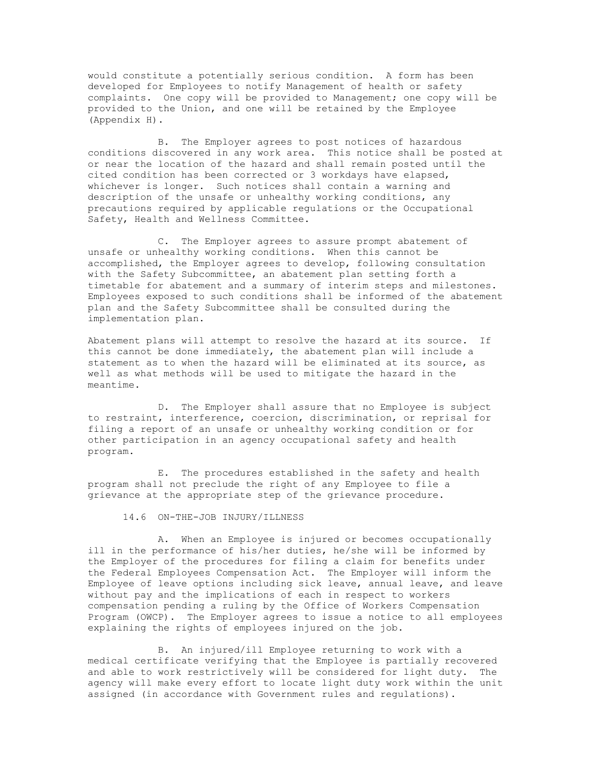would constitute a potentially serious condition. A form has been developed for Employees to notify Management of health or safety complaints. One copy will be provided to Management; one copy will be provided to the Union, and one will be retained by the Employee (Appendix H).

B. The Employer agrees to post notices of hazardous conditions discovered in any work area. This notice shall be posted at or near the location of the hazard and shall remain posted until the cited condition has been corrected or 3 workdays have elapsed, whichever is longer. Such notices shall contain a warning and description of the unsafe or unhealthy working conditions, any precautions required by applicable regulations or the Occupational Safety, Health and Wellness Committee.

C. The Employer agrees to assure prompt abatement of unsafe or unhealthy working conditions. When this cannot be accomplished, the Employer agrees to develop, following consultation with the Safety Subcommittee, an abatement plan setting forth a timetable for abatement and a summary of interim steps and milestones. Employees exposed to such conditions shall be informed of the abatement plan and the Safety Subcommittee shall be consulted during the implementation plan.

Abatement plans will attempt to resolve the hazard at its source. If this cannot be done immediately, the abatement plan will include a statement as to when the hazard will be eliminated at its source, as well as what methods will be used to mitigate the hazard in the meantime.

D. The Employer shall assure that no Employee is subject to restraint, interference, coercion, discrimination, or reprisal for filing a report of an unsafe or unhealthy working condition or for other participation in an agency occupational safety and health program.

E. The procedures established in the safety and health program shall not preclude the right of any Employee to file a grievance at the appropriate step of the grievance procedure.

### 14.6 ON-THE-JOB INJURY/ILLNESS

A. When an Employee is injured or becomes occupationally ill in the performance of his/her duties, he/she will be informed by the Employer of the procedures for filing a claim for benefits under the Federal Employees Compensation Act. The Employer will inform the Employee of leave options including sick leave, annual leave, and leave without pay and the implications of each in respect to workers compensation pending a ruling by the Office of Workers Compensation Program (OWCP). The Employer agrees to issue a notice to all employees explaining the rights of employees injured on the job.

B. An injured/ill Employee returning to work with a medical certificate verifying that the Employee is partially recovered and able to work restrictively will be considered for light duty. The agency will make every effort to locate light duty work within the unit assigned (in accordance with Government rules and regulations).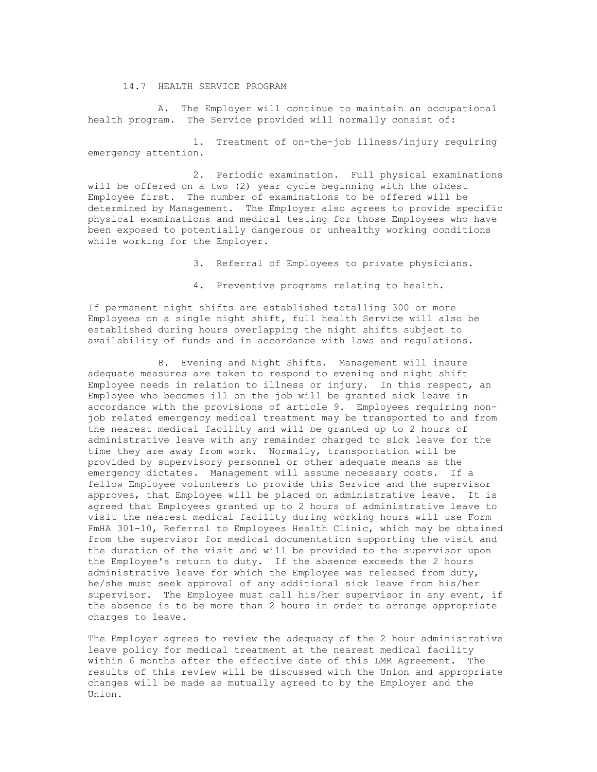14.7 HEALTH SERVICE PROGRAM

A. The Employer will continue to maintain an occupational health program. The Service provided will normally consist of:

1. Treatment of on-the-job illness/injury requiring emergency attention.

2. Periodic examination. Full physical examinations will be offered on a two (2) year cycle beginning with the oldest Employee first. The number of examinations to be offered will be determined by Management. The Employer also agrees to provide specific physical examinations and medical testing for those Employees who have been exposed to potentially dangerous or unhealthy working conditions while working for the Employer.

3. Referral of Employees to private physicians.

4. Preventive programs relating to health.

If permanent night shifts are established totalling 300 or more Employees on a single night shift, full health Service will also be established during hours overlapping the night shifts subject to availability of funds and in accordance with laws and regulations.

B. Evening and Night Shifts. Management will insure adequate measures are taken to respond to evening and night shift Employee needs in relation to illness or injury. In this respect, an Employee who becomes ill on the job will be granted sick leave in accordance with the provisions of article 9. Employees requiring nonjob related emergency medical treatment may be transported to and from the nearest medical facility and will be granted up to 2 hours of administrative leave with any remainder charged to sick leave for the time they are away from work. Normally, transportation will be provided by supervisory personnel or other adequate means as the emergency dictates. Management will assume necessary costs. If a fellow Employee volunteers to provide this Service and the supervisor approves, that Employee will be placed on administrative leave. It is agreed that Employees granted up to 2 hours of administrative leave to visit the nearest medical facility during working hours will use Form FmHA 301-10, Referral to Employees Health Clinic, which may be obtained from the supervisor for medical documentation supporting the visit and the duration of the visit and will be provided to the supervisor upon the Employee's return to duty. If the absence exceeds the 2 hours administrative leave for which the Employee was released from duty, he/she must seek approval of any additional sick leave from his/her supervisor. The Employee must call his/her supervisor in any event, if the absence is to be more than 2 hours in order to arrange appropriate charges to leave.

The Employer agrees to review the adequacy of the 2 hour administrative leave policy for medical treatment at the nearest medical facility within 6 months after the effective date of this LMR Agreement. The results of this review will be discussed with the Union and appropriate changes will be made as mutually agreed to by the Employer and the Union.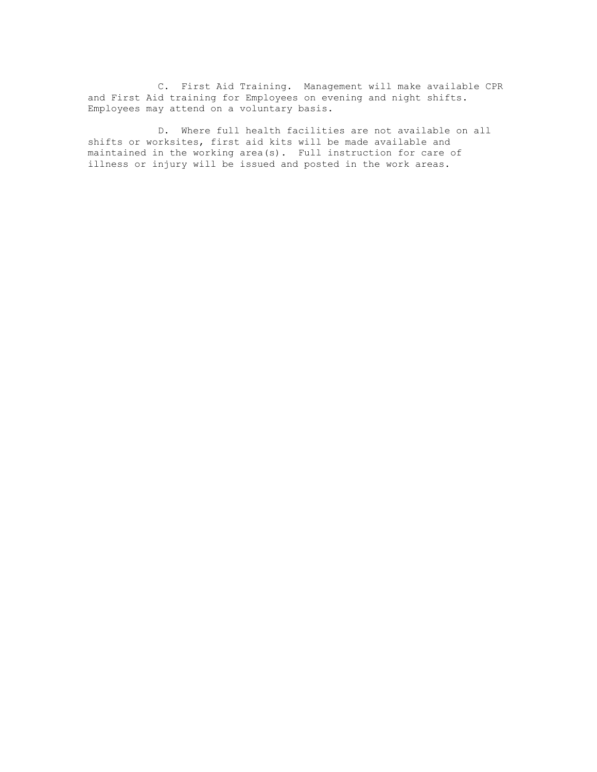C. First Aid Training. Management will make available CPR and First Aid training for Employees on evening and night shifts. Employees may attend on a voluntary basis.

D. Where full health facilities are not available on all shifts or worksites, first aid kits will be made available and maintained in the working area(s). Full instruction for care of illness or injury will be issued and posted in the work areas.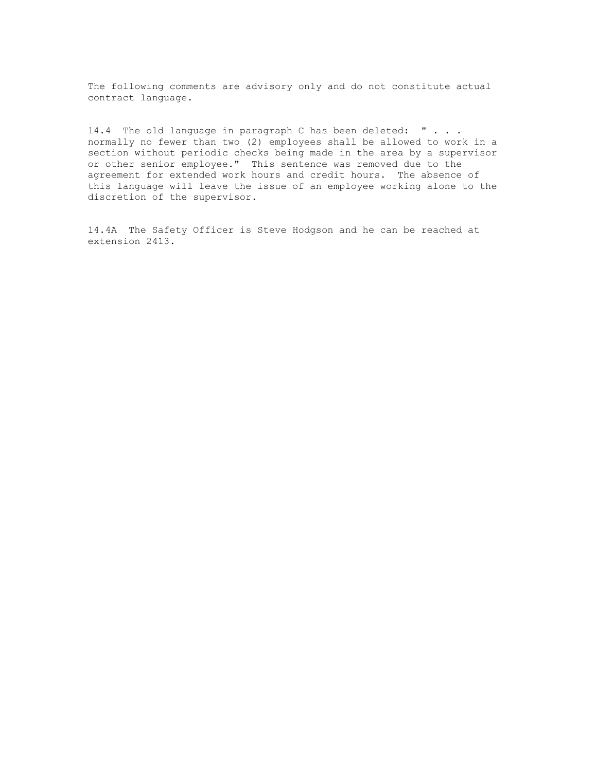The following comments are advisory only and do not constitute actual contract language.

14.4 The old language in paragraph C has been deleted: " . . . normally no fewer than two (2) employees shall be allowed to work in a section without periodic checks being made in the area by a supervisor or other senior employee." This sentence was removed due to the agreement for extended work hours and credit hours. The absence of this language will leave the issue of an employee working alone to the discretion of the supervisor.

14.4A The Safety Officer is Steve Hodgson and he can be reached at extension 2413.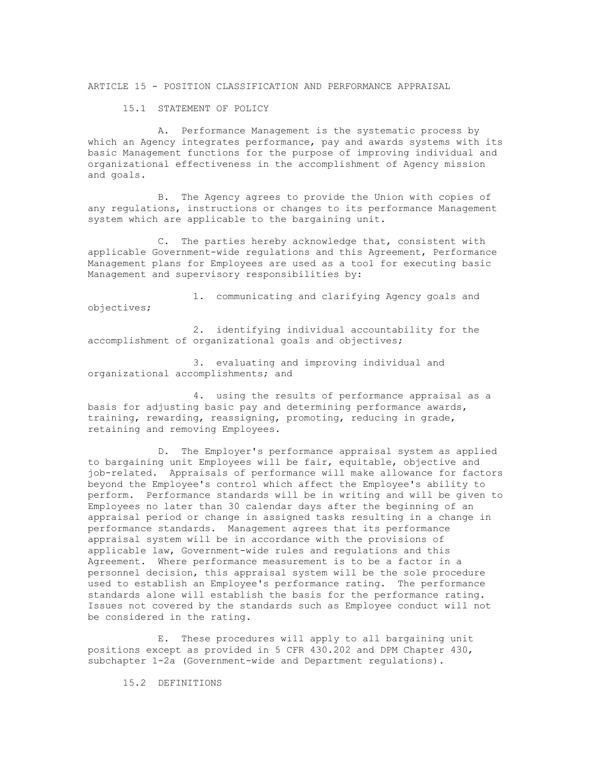ARTICLE 15 - POSITION CLASSIFICATION AND PERFORMANCE APPRAISAL

15.1 STATEMENT OF POLICY

A. Performance Management is the systematic process by which an Agency integrates performance, pay and awards systems with its basic Management functions for the purpose of improving individual and organizational effectiveness in the accomplishment of Agency mission and goals.

B. The Agency agrees to provide the Union with copies of any regulations, instructions or changes to its performance Management system which are applicable to the bargaining unit.

C. The parties hereby acknowledge that, consistent with applicable Government-wide regulations and this Agreement, Performance Management plans for Employees are used as a tool for executing basic Management and supervisory responsibilities by:

1. communicating and clarifying Agency goals and objectives;

2. identifying individual accountability for the accomplishment of organizational goals and objectives;

3. evaluating and improving individual and organizational accomplishments; and

4. using the results of performance appraisal as a basis for adjusting basic pay and determining performance awards, training, rewarding, reassigning, promoting, reducing in grade, retaining and removing Employees.

D. The Employer's performance appraisal system as applied to bargaining unit Employees will be fair, equitable, objective and job-related. Appraisals of performance will make allowance for factors beyond the Employee's control which affect the Employee's ability to perform. Performance standards will be in writing and will be given to Employees no later than 30 calendar days after the beginning of an appraisal period or change in assigned tasks resulting in a change in performance standards. Management agrees that its performance appraisal system will be in accordance with the provisions of applicable law, Government-wide rules and regulations and this Agreement. Where performance measurement is to be a factor in a personnel decision, this appraisal system will be the sole procedure used to establish an Employee's performance rating. The performance standards alone will establish the basis for the performance rating. Issues not covered by the standards such as Employee conduct will not be considered in the rating.

E. These procedures will apply to all bargaining unit positions except as provided in 5 CFR 430.202 and DPM Chapter 430, subchapter 1-2a (Government-wide and Department regulations).

15.2 DEFINITIONS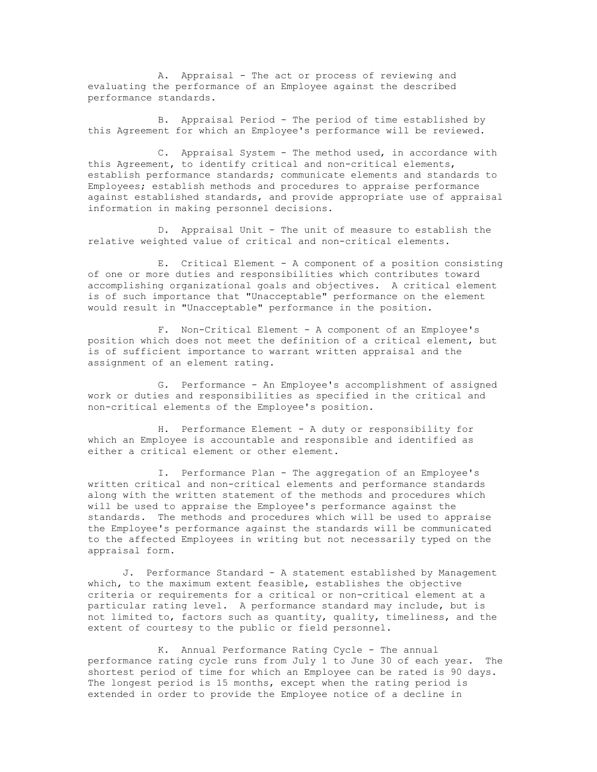A. Appraisal - The act or process of reviewing and evaluating the performance of an Employee against the described performance standards.

B. Appraisal Period - The period of time established by this Agreement for which an Employee's performance will be reviewed.

C. Appraisal System - The method used, in accordance with this Agreement, to identify critical and non-critical elements, establish performance standards; communicate elements and standards to Employees; establish methods and procedures to appraise performance against established standards, and provide appropriate use of appraisal information in making personnel decisions.

D. Appraisal Unit - The unit of measure to establish the relative weighted value of critical and non-critical elements.

E. Critical Element - A component of a position consisting of one or more duties and responsibilities which contributes toward accomplishing organizational goals and objectives. A critical element is of such importance that "Unacceptable" performance on the element would result in "Unacceptable" performance in the position.

F. Non-Critical Element - A component of an Employee's position which does not meet the definition of a critical element, but is of sufficient importance to warrant written appraisal and the assignment of an element rating.

G. Performance - An Employee's accomplishment of assigned work or duties and responsibilities as specified in the critical and non-critical elements of the Employee's position.

H. Performance Element - A duty or responsibility for which an Employee is accountable and responsible and identified as either a critical element or other element.

I. Performance Plan - The aggregation of an Employee's written critical and non-critical elements and performance standards along with the written statement of the methods and procedures which will be used to appraise the Employee's performance against the standards. The methods and procedures which will be used to appraise the Employee's performance against the standards will be communicated to the affected Employees in writing but not necessarily typed on the appraisal form.

J. Performance Standard - A statement established by Management which, to the maximum extent feasible, establishes the objective criteria or requirements for a critical or non-critical element at a particular rating level. A performance standard may include, but is not limited to, factors such as quantity, quality, timeliness, and the extent of courtesy to the public or field personnel.

K. Annual Performance Rating Cycle - The annual performance rating cycle runs from July 1 to June 30 of each year. The shortest period of time for which an Employee can be rated is 90 days. The longest period is 15 months, except when the rating period is extended in order to provide the Employee notice of a decline in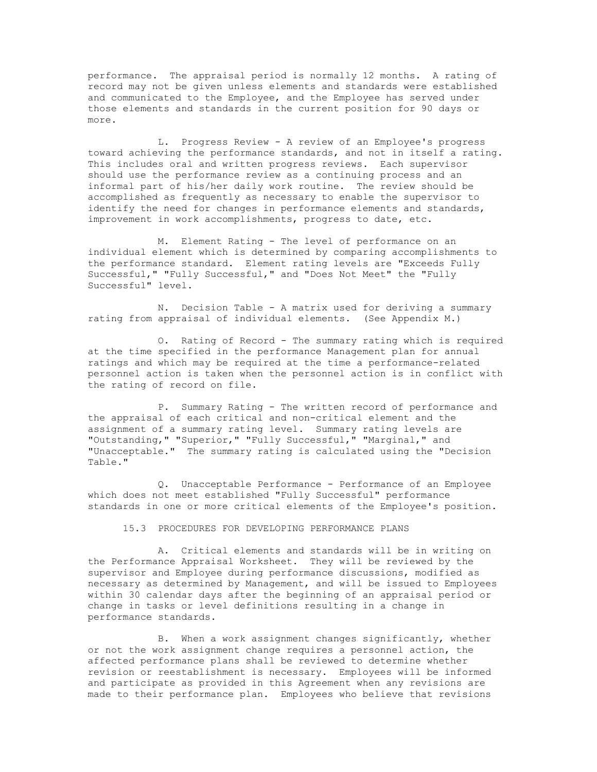performance. The appraisal period is normally 12 months. A rating of record may not be given unless elements and standards were established and communicated to the Employee, and the Employee has served under those elements and standards in the current position for 90 days or more.

L. Progress Review - A review of an Employee's progress toward achieving the performance standards, and not in itself a rating. This includes oral and written progress reviews. Each supervisor should use the performance review as a continuing process and an informal part of his/her daily work routine. The review should be accomplished as frequently as necessary to enable the supervisor to identify the need for changes in performance elements and standards, improvement in work accomplishments, progress to date, etc.

M. Element Rating - The level of performance on an individual element which is determined by comparing accomplishments to the performance standard. Element rating levels are "Exceeds Fully Successful," "Fully Successful," and "Does Not Meet" the "Fully Successful" level.

N. Decision Table - A matrix used for deriving a summary rating from appraisal of individual elements. (See Appendix M.)

O. Rating of Record - The summary rating which is required at the time specified in the performance Management plan for annual ratings and which may be required at the time a performance-related personnel action is taken when the personnel action is in conflict with the rating of record on file.

P. Summary Rating - The written record of performance and the appraisal of each critical and non-critical element and the assignment of a summary rating level. Summary rating levels are "Outstanding," "Superior," "Fully Successful," "Marginal," and "Unacceptable." The summary rating is calculated using the "Decision Table."

Q. Unacceptable Performance - Performance of an Employee which does not meet established "Fully Successful" performance standards in one or more critical elements of the Employee's position.

15.3 PROCEDURES FOR DEVELOPING PERFORMANCE PLANS

A. Critical elements and standards will be in writing on the Performance Appraisal Worksheet. They will be reviewed by the supervisor and Employee during performance discussions, modified as necessary as determined by Management, and will be issued to Employees within 30 calendar days after the beginning of an appraisal period or change in tasks or level definitions resulting in a change in performance standards.

B. When a work assignment changes significantly, whether or not the work assignment change requires a personnel action, the affected performance plans shall be reviewed to determine whether revision or reestablishment is necessary. Employees will be informed and participate as provided in this Agreement when any revisions are made to their performance plan. Employees who believe that revisions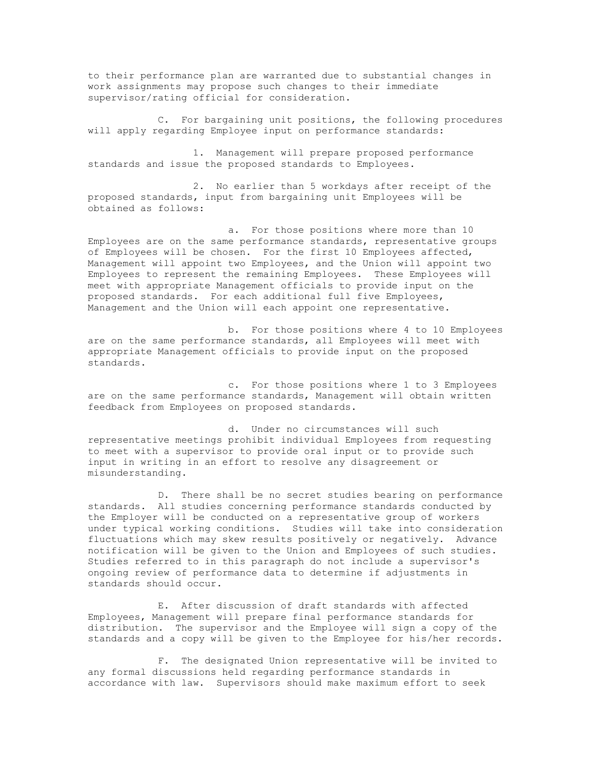to their performance plan are warranted due to substantial changes in work assignments may propose such changes to their immediate supervisor/rating official for consideration.

C. For bargaining unit positions, the following procedures will apply regarding Employee input on performance standards:

1. Management will prepare proposed performance standards and issue the proposed standards to Employees.

2. No earlier than 5 workdays after receipt of the proposed standards, input from bargaining unit Employees will be obtained as follows:

a. For those positions where more than 10 Employees are on the same performance standards, representative groups of Employees will be chosen. For the first 10 Employees affected, Management will appoint two Employees, and the Union will appoint two Employees to represent the remaining Employees. These Employees will meet with appropriate Management officials to provide input on the proposed standards. For each additional full five Employees, Management and the Union will each appoint one representative.

b. For those positions where 4 to 10 Employees are on the same performance standards, all Employees will meet with appropriate Management officials to provide input on the proposed standards.

c. For those positions where 1 to 3 Employees are on the same performance standards, Management will obtain written feedback from Employees on proposed standards.

d. Under no circumstances will such representative meetings prohibit individual Employees from requesting to meet with a supervisor to provide oral input or to provide such input in writing in an effort to resolve any disagreement or misunderstanding.

D. There shall be no secret studies bearing on performance standards. All studies concerning performance standards conducted by the Employer will be conducted on a representative group of workers under typical working conditions. Studies will take into consideration fluctuations which may skew results positively or negatively. Advance notification will be given to the Union and Employees of such studies. Studies referred to in this paragraph do not include a supervisor's ongoing review of performance data to determine if adjustments in standards should occur.

E. After discussion of draft standards with affected Employees, Management will prepare final performance standards for distribution. The supervisor and the Employee will sign a copy of the standards and a copy will be given to the Employee for his/her records.

F. The designated Union representative will be invited to any formal discussions held regarding performance standards in accordance with law. Supervisors should make maximum effort to seek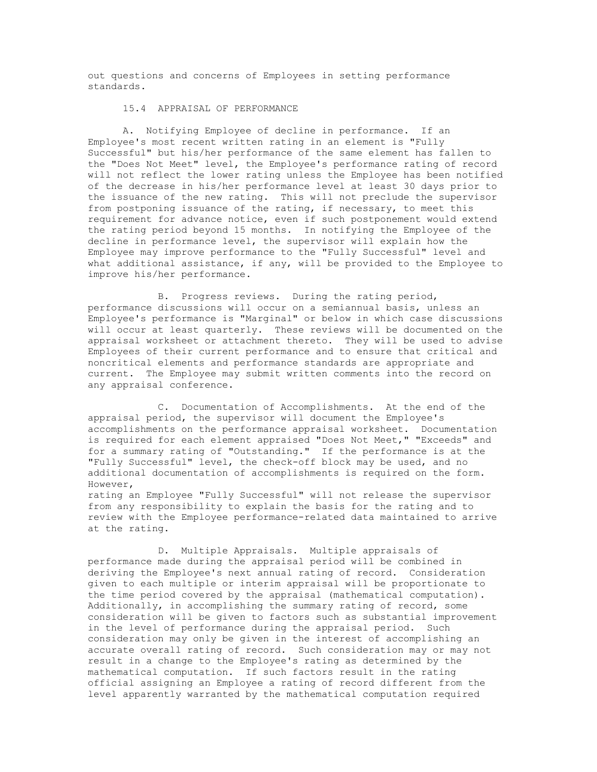out questions and concerns of Employees in setting performance standards.

### 15.4 APPRAISAL OF PERFORMANCE

A. Notifying Employee of decline in performance. If an Employee's most recent written rating in an element is "Fully Successful" but his/her performance of the same element has fallen to the "Does Not Meet" level, the Employee's performance rating of record will not reflect the lower rating unless the Employee has been notified of the decrease in his/her performance level at least 30 days prior to the issuance of the new rating. This will not preclude the supervisor from postponing issuance of the rating, if necessary, to meet this requirement for advance notice, even if such postponement would extend the rating period beyond 15 months. In notifying the Employee of the decline in performance level, the supervisor will explain how the Employee may improve performance to the "Fully Successful" level and what additional assistance, if any, will be provided to the Employee to improve his/her performance.

B. Progress reviews. During the rating period, performance discussions will occur on a semiannual basis, unless an Employee's performance is "Marginal" or below in which case discussions will occur at least quarterly. These reviews will be documented on the appraisal worksheet or attachment thereto. They will be used to advise Employees of their current performance and to ensure that critical and noncritical elements and performance standards are appropriate and current. The Employee may submit written comments into the record on any appraisal conference.

C. Documentation of Accomplishments. At the end of the appraisal period, the supervisor will document the Employee's accomplishments on the performance appraisal worksheet. Documentation is required for each element appraised "Does Not Meet," "Exceeds" and for a summary rating of "Outstanding." If the performance is at the "Fully Successful" level, the check-off block may be used, and no additional documentation of accomplishments is required on the form. However,

rating an Employee "Fully Successful" will not release the supervisor from any responsibility to explain the basis for the rating and to review with the Employee performance-related data maintained to arrive at the rating.

D. Multiple Appraisals. Multiple appraisals of performance made during the appraisal period will be combined in deriving the Employee's next annual rating of record. Consideration given to each multiple or interim appraisal will be proportionate to the time period covered by the appraisal (mathematical computation). Additionally, in accomplishing the summary rating of record, some consideration will be given to factors such as substantial improvement in the level of performance during the appraisal period. Such consideration may only be given in the interest of accomplishing an accurate overall rating of record. Such consideration may or may not result in a change to the Employee's rating as determined by the mathematical computation. If such factors result in the rating official assigning an Employee a rating of record different from the level apparently warranted by the mathematical computation required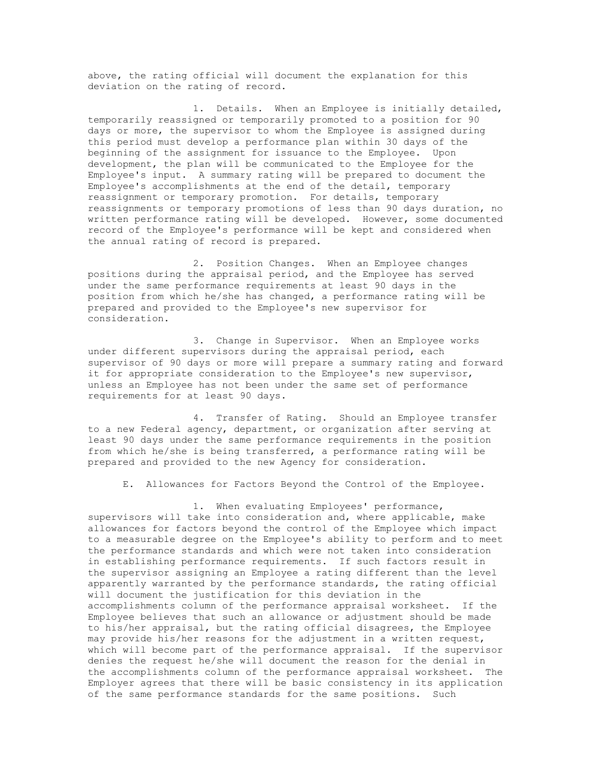above, the rating official will document the explanation for this deviation on the rating of record.

1. Details. When an Employee is initially detailed, temporarily reassigned or temporarily promoted to a position for 90 days or more, the supervisor to whom the Employee is assigned during this period must develop a performance plan within 30 days of the beginning of the assignment for issuance to the Employee. Upon development, the plan will be communicated to the Employee for the Employee's input. A summary rating will be prepared to document the Employee's accomplishments at the end of the detail, temporary reassignment or temporary promotion. For details, temporary reassignments or temporary promotions of less than 90 days duration, no written performance rating will be developed. However, some documented record of the Employee's performance will be kept and considered when the annual rating of record is prepared.

2. Position Changes. When an Employee changes positions during the appraisal period, and the Employee has served under the same performance requirements at least 90 days in the position from which he/she has changed, a performance rating will be prepared and provided to the Employee's new supervisor for consideration.

3. Change in Supervisor. When an Employee works under different supervisors during the appraisal period, each supervisor of 90 days or more will prepare a summary rating and forward it for appropriate consideration to the Employee's new supervisor, unless an Employee has not been under the same set of performance requirements for at least 90 days.

4. Transfer of Rating. Should an Employee transfer to a new Federal agency, department, or organization after serving at least 90 days under the same performance requirements in the position from which he/she is being transferred, a performance rating will be prepared and provided to the new Agency for consideration.

E. Allowances for Factors Beyond the Control of the Employee.

1. When evaluating Employees' performance, supervisors will take into consideration and, where applicable, make allowances for factors beyond the control of the Employee which impact to a measurable degree on the Employee's ability to perform and to meet the performance standards and which were not taken into consideration in establishing performance requirements. If such factors result in the supervisor assigning an Employee a rating different than the level apparently warranted by the performance standards, the rating official will document the justification for this deviation in the accomplishments column of the performance appraisal worksheet. If the Employee believes that such an allowance or adjustment should be made to his/her appraisal, but the rating official disagrees, the Employee may provide his/her reasons for the adjustment in a written request, which will become part of the performance appraisal. If the supervisor denies the request he/she will document the reason for the denial in the accomplishments column of the performance appraisal worksheet. The Employer agrees that there will be basic consistency in its application of the same performance standards for the same positions. Such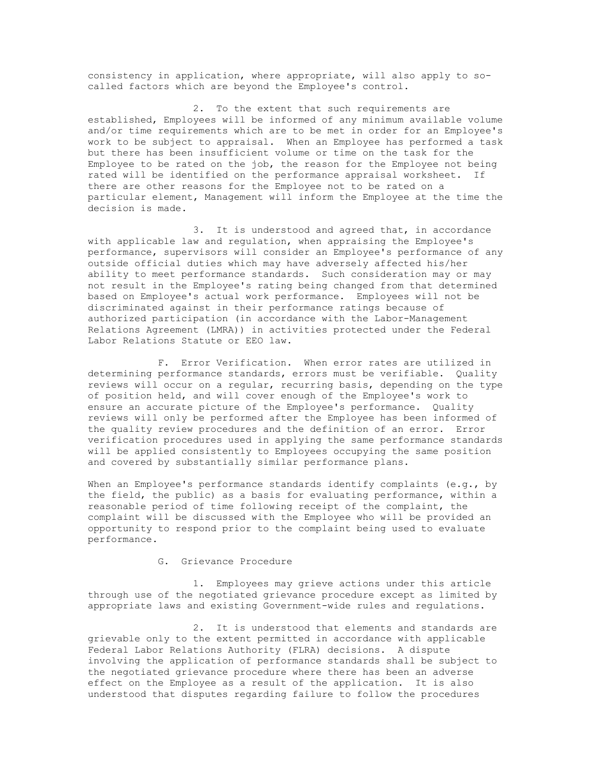consistency in application, where appropriate, will also apply to socalled factors which are beyond the Employee's control.

2. To the extent that such requirements are established, Employees will be informed of any minimum available volume and/or time requirements which are to be met in order for an Employee's work to be subject to appraisal. When an Employee has performed a task but there has been insufficient volume or time on the task for the Employee to be rated on the job, the reason for the Employee not being rated will be identified on the performance appraisal worksheet. If there are other reasons for the Employee not to be rated on a particular element, Management will inform the Employee at the time the decision is made.

3. It is understood and agreed that, in accordance with applicable law and regulation, when appraising the Employee's performance, supervisors will consider an Employee's performance of any outside official duties which may have adversely affected his/her ability to meet performance standards. Such consideration may or may not result in the Employee's rating being changed from that determined based on Employee's actual work performance. Employees will not be discriminated against in their performance ratings because of authorized participation (in accordance with the Labor-Management Relations Agreement (LMRA)) in activities protected under the Federal Labor Relations Statute or EEO law.

F. Error Verification. When error rates are utilized in determining performance standards, errors must be verifiable. Quality reviews will occur on a regular, recurring basis, depending on the type of position held, and will cover enough of the Employee's work to ensure an accurate picture of the Employee's performance. Quality reviews will only be performed after the Employee has been informed of the quality review procedures and the definition of an error. Error verification procedures used in applying the same performance standards will be applied consistently to Employees occupying the same position and covered by substantially similar performance plans.

When an Employee's performance standards identify complaints (e.g., by the field, the public) as a basis for evaluating performance, within a reasonable period of time following receipt of the complaint, the complaint will be discussed with the Employee who will be provided an opportunity to respond prior to the complaint being used to evaluate performance.

# G. Grievance Procedure

1. Employees may grieve actions under this article through use of the negotiated grievance procedure except as limited by appropriate laws and existing Government-wide rules and regulations.

2. It is understood that elements and standards are grievable only to the extent permitted in accordance with applicable Federal Labor Relations Authority (FLRA) decisions. A dispute involving the application of performance standards shall be subject to the negotiated grievance procedure where there has been an adverse effect on the Employee as a result of the application. It is also understood that disputes regarding failure to follow the procedures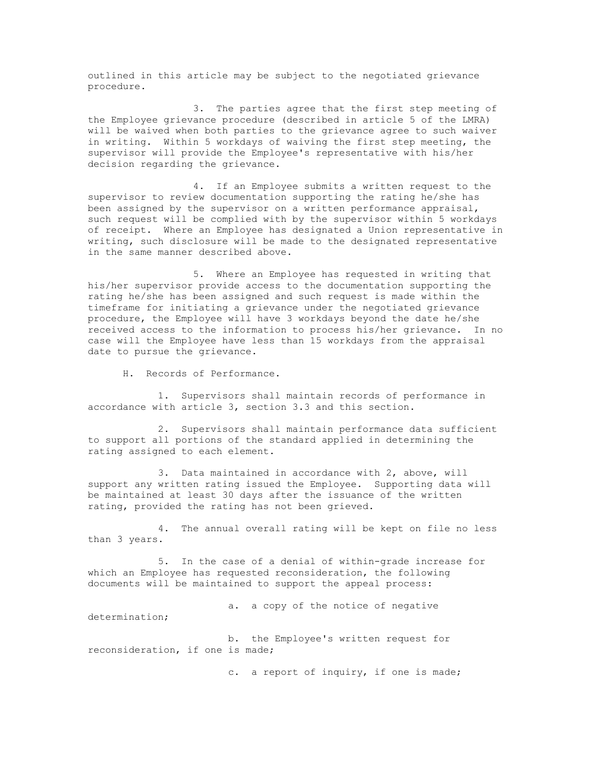outlined in this article may be subject to the negotiated grievance procedure.

3. The parties agree that the first step meeting of the Employee grievance procedure (described in article 5 of the LMRA) will be waived when both parties to the grievance agree to such waiver in writing. Within 5 workdays of waiving the first step meeting, the supervisor will provide the Employee's representative with his/her decision regarding the grievance.

4. If an Employee submits a written request to the supervisor to review documentation supporting the rating he/she has been assigned by the supervisor on a written performance appraisal, such request will be complied with by the supervisor within 5 workdays of receipt. Where an Employee has designated a Union representative in writing, such disclosure will be made to the designated representative in the same manner described above.

5. Where an Employee has requested in writing that his/her supervisor provide access to the documentation supporting the rating he/she has been assigned and such request is made within the timeframe for initiating a grievance under the negotiated grievance procedure, the Employee will have 3 workdays beyond the date he/she received access to the information to process his/her grievance. In no case will the Employee have less than 15 workdays from the appraisal date to pursue the grievance.

H. Records of Performance.

1. Supervisors shall maintain records of performance in accordance with article 3, section 3.3 and this section.

2. Supervisors shall maintain performance data sufficient to support all portions of the standard applied in determining the rating assigned to each element.

3. Data maintained in accordance with 2, above, will support any written rating issued the Employee. Supporting data will be maintained at least 30 days after the issuance of the written rating, provided the rating has not been grieved.

4. The annual overall rating will be kept on file no less than 3 years.

5. In the case of a denial of within-grade increase for which an Employee has requested reconsideration, the following documents will be maintained to support the appeal process:

a. a copy of the notice of negative

determination;

b. the Employee's written request for reconsideration, if one is made;

c. a report of inquiry, if one is made;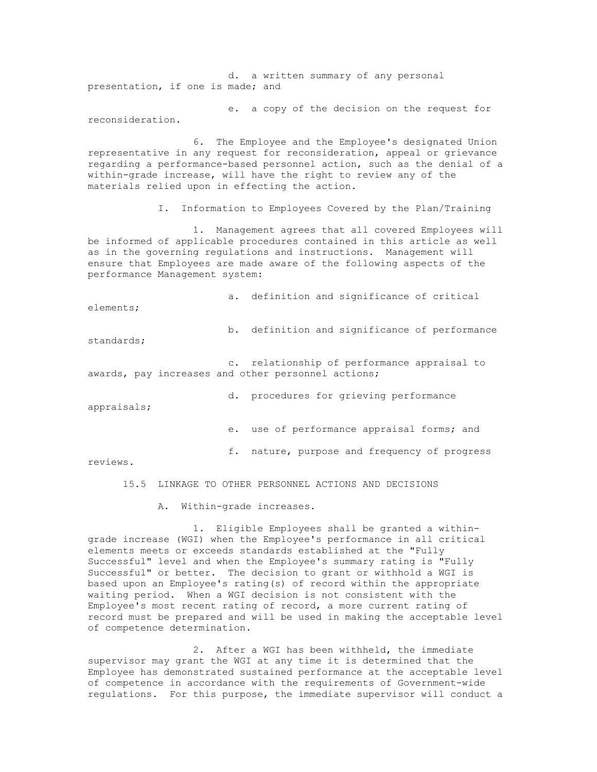d. a written summary of any personal presentation, if one is made; and

e. a copy of the decision on the request for reconsideration.

6. The Employee and the Employee's designated Union representative in any request for reconsideration, appeal or grievance regarding a performance-based personnel action, such as the denial of a within-grade increase, will have the right to review any of the materials relied upon in effecting the action.

I. Information to Employees Covered by the Plan/Training

1. Management agrees that all covered Employees will be informed of applicable procedures contained in this article as well as in the governing regulations and instructions. Management will ensure that Employees are made aware of the following aspects of the performance Management system:

a. definition and significance of critical elements; b. definition and significance of performance

standards;

c. relationship of performance appraisal to awards, pay increases and other personnel actions;

d. procedures for grieving performance

appraisals;

e. use of performance appraisal forms; and

f. nature, purpose and frequency of progress

reviews.

15.5 LINKAGE TO OTHER PERSONNEL ACTIONS AND DECISIONS

A. Within-grade increases.

1. Eligible Employees shall be granted a withingrade increase (WGI) when the Employee's performance in all critical elements meets or exceeds standards established at the "Fully Successful" level and when the Employee's summary rating is "Fully Successful" or better. The decision to grant or withhold a WGI is based upon an Employee's rating(s) of record within the appropriate waiting period. When a WGI decision is not consistent with the Employee's most recent rating of record, a more current rating of record must be prepared and will be used in making the acceptable level of competence determination.

2. After a WGI has been withheld, the immediate supervisor may grant the WGI at any time it is determined that the Employee has demonstrated sustained performance at the acceptable level of competence in accordance with the requirements of Government-wide regulations. For this purpose, the immediate supervisor will conduct a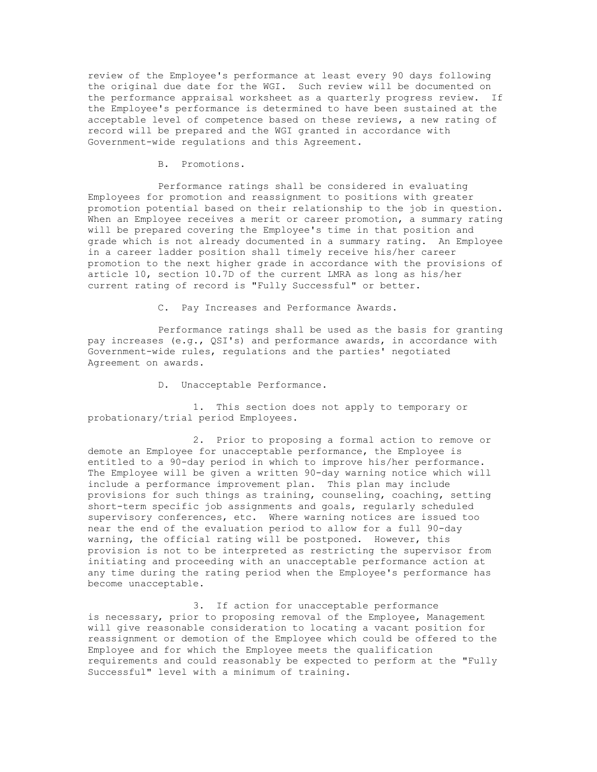review of the Employee's performance at least every 90 days following the original due date for the WGI. Such review will be documented on the performance appraisal worksheet as a quarterly progress review. If the Employee's performance is determined to have been sustained at the acceptable level of competence based on these reviews, a new rating of record will be prepared and the WGI granted in accordance with Government-wide regulations and this Agreement.

B. Promotions.

Performance ratings shall be considered in evaluating Employees for promotion and reassignment to positions with greater promotion potential based on their relationship to the job in question. When an Employee receives a merit or career promotion, a summary rating will be prepared covering the Employee's time in that position and grade which is not already documented in a summary rating. An Employee in a career ladder position shall timely receive his/her career promotion to the next higher grade in accordance with the provisions of article 10, section 10.7D of the current LMRA as long as his/her current rating of record is "Fully Successful" or better.

C. Pay Increases and Performance Awards.

Performance ratings shall be used as the basis for granting pay increases (e.g., QSI's) and performance awards, in accordance with Government-wide rules, regulations and the parties' negotiated Agreement on awards.

D. Unacceptable Performance.

1. This section does not apply to temporary or probationary/trial period Employees.

2. Prior to proposing a formal action to remove or demote an Employee for unacceptable performance, the Employee is entitled to a 90-day period in which to improve his/her performance. The Employee will be given a written 90-day warning notice which will include a performance improvement plan. This plan may include provisions for such things as training, counseling, coaching, setting short-term specific job assignments and goals, regularly scheduled supervisory conferences, etc. Where warning notices are issued too near the end of the evaluation period to allow for a full 90-day warning, the official rating will be postponed. However, this provision is not to be interpreted as restricting the supervisor from initiating and proceeding with an unacceptable performance action at any time during the rating period when the Employee's performance has become unacceptable.

3. If action for unacceptable performance is necessary, prior to proposing removal of the Employee, Management will give reasonable consideration to locating a vacant position for reassignment or demotion of the Employee which could be offered to the Employee and for which the Employee meets the qualification requirements and could reasonably be expected to perform at the "Fully Successful" level with a minimum of training.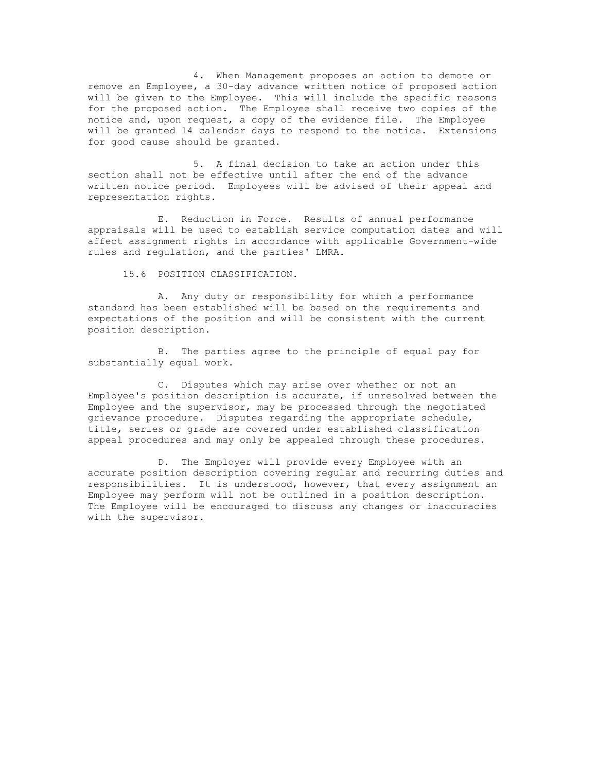4. When Management proposes an action to demote or remove an Employee, a 30-day advance written notice of proposed action will be given to the Employee. This will include the specific reasons for the proposed action. The Employee shall receive two copies of the notice and, upon request, a copy of the evidence file. The Employee will be granted 14 calendar days to respond to the notice. Extensions for good cause should be granted.

5. A final decision to take an action under this section shall not be effective until after the end of the advance written notice period. Employees will be advised of their appeal and representation rights.

E. Reduction in Force. Results of annual performance appraisals will be used to establish service computation dates and will affect assignment rights in accordance with applicable Government-wide rules and regulation, and the parties' LMRA.

15.6 POSITION CLASSIFICATION.

A. Any duty or responsibility for which a performance standard has been established will be based on the requirements and expectations of the position and will be consistent with the current position description.

B. The parties agree to the principle of equal pay for substantially equal work.

C. Disputes which may arise over whether or not an Employee's position description is accurate, if unresolved between the Employee and the supervisor, may be processed through the negotiated grievance procedure. Disputes regarding the appropriate schedule, title, series or grade are covered under established classification appeal procedures and may only be appealed through these procedures.

D. The Employer will provide every Employee with an accurate position description covering regular and recurring duties and responsibilities. It is understood, however, that every assignment an Employee may perform will not be outlined in a position description. The Employee will be encouraged to discuss any changes or inaccuracies with the supervisor.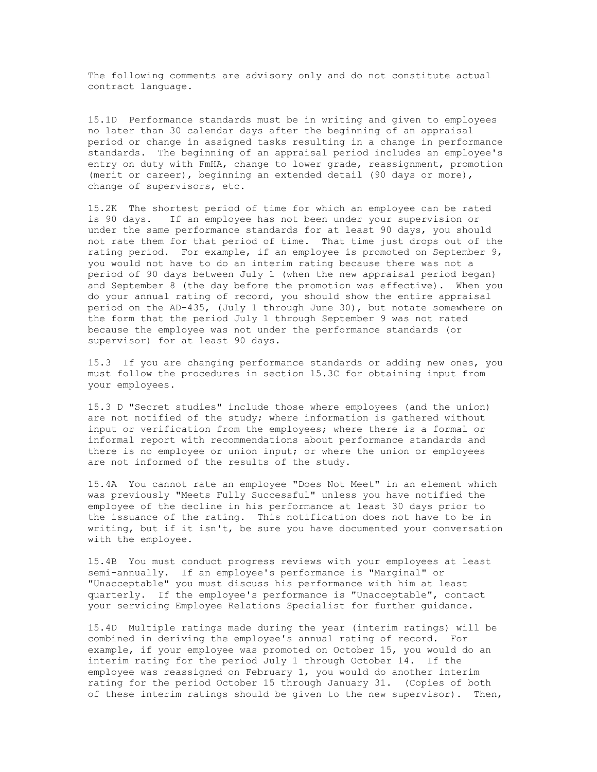The following comments are advisory only and do not constitute actual contract language.

15.1D Performance standards must be in writing and given to employees no later than 30 calendar days after the beginning of an appraisal period or change in assigned tasks resulting in a change in performance standards. The beginning of an appraisal period includes an employee's entry on duty with FmHA, change to lower grade, reassignment, promotion (merit or career), beginning an extended detail (90 days or more), change of supervisors, etc.

15.2K The shortest period of time for which an employee can be rated is 90 days. If an employee has not been under your supervision or under the same performance standards for at least 90 days, you should not rate them for that period of time. That time just drops out of the rating period. For example, if an employee is promoted on September 9, you would not have to do an interim rating because there was not a period of 90 days between July 1 (when the new appraisal period began) and September 8 (the day before the promotion was effective). When you do your annual rating of record, you should show the entire appraisal period on the AD-435, (July 1 through June 30), but notate somewhere on the form that the period July 1 through September 9 was not rated because the employee was not under the performance standards (or supervisor) for at least 90 days.

15.3 If you are changing performance standards or adding new ones, you must follow the procedures in section 15.3C for obtaining input from your employees.

15.3 D "Secret studies" include those where employees (and the union) are not notified of the study; where information is gathered without input or verification from the employees; where there is a formal or informal report with recommendations about performance standards and there is no employee or union input; or where the union or employees are not informed of the results of the study.

15.4A You cannot rate an employee "Does Not Meet" in an element which was previously "Meets Fully Successful" unless you have notified the employee of the decline in his performance at least 30 days prior to the issuance of the rating. This notification does not have to be in writing, but if it isn't, be sure you have documented your conversation with the employee.

15.4B You must conduct progress reviews with your employees at least semi-annually. If an employee's performance is "Marginal" or "Unacceptable" you must discuss his performance with him at least quarterly. If the employee's performance is "Unacceptable", contact your servicing Employee Relations Specialist for further guidance.

15.4D Multiple ratings made during the year (interim ratings) will be combined in deriving the employee's annual rating of record. For example, if your employee was promoted on October 15, you would do an interim rating for the period July 1 through October 14. If the employee was reassigned on February 1, you would do another interim rating for the period October 15 through January 31. (Copies of both of these interim ratings should be given to the new supervisor). Then,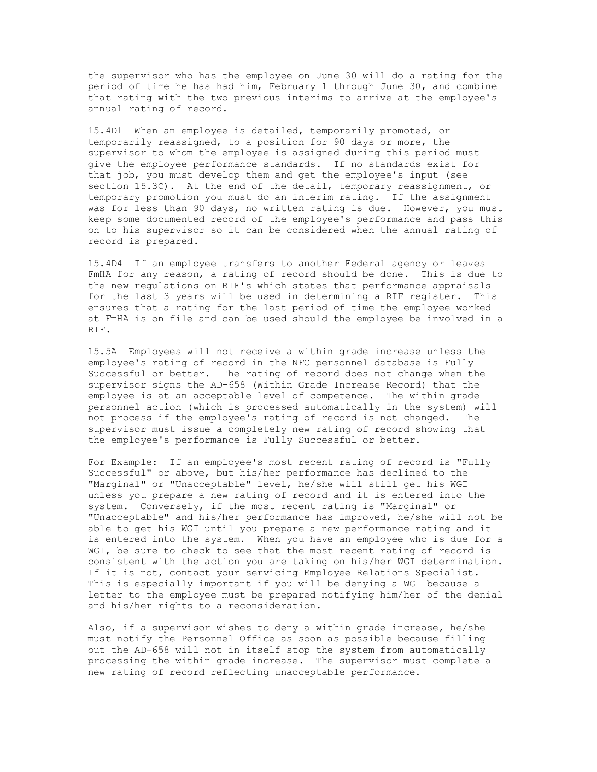the supervisor who has the employee on June 30 will do a rating for the period of time he has had him, February 1 through June 30, and combine that rating with the two previous interims to arrive at the employee's annual rating of record.

15.4D1 When an employee is detailed, temporarily promoted, or temporarily reassigned, to a position for 90 days or more, the supervisor to whom the employee is assigned during this period must give the employee performance standards. If no standards exist for that job, you must develop them and get the employee's input (see section 15.3C). At the end of the detail, temporary reassignment, or temporary promotion you must do an interim rating. If the assignment was for less than 90 days, no written rating is due. However, you must keep some documented record of the employee's performance and pass this on to his supervisor so it can be considered when the annual rating of record is prepared.

15.4D4 If an employee transfers to another Federal agency or leaves FmHA for any reason, a rating of record should be done. This is due to the new regulations on RIF's which states that performance appraisals for the last 3 years will be used in determining a RIF register. This ensures that a rating for the last period of time the employee worked at FmHA is on file and can be used should the employee be involved in a RIF.

15.5A Employees will not receive a within grade increase unless the employee's rating of record in the NFC personnel database is Fully Successful or better. The rating of record does not change when the supervisor signs the AD-658 (Within Grade Increase Record) that the employee is at an acceptable level of competence. The within grade personnel action (which is processed automatically in the system) will not process if the employee's rating of record is not changed. The supervisor must issue a completely new rating of record showing that the employee's performance is Fully Successful or better.

For Example: If an employee's most recent rating of record is "Fully Successful" or above, but his/her performance has declined to the "Marginal" or "Unacceptable" level, he/she will still get his WGI unless you prepare a new rating of record and it is entered into the system. Conversely, if the most recent rating is "Marginal" or "Unacceptable" and his/her performance has improved, he/she will not be able to get his WGI until you prepare a new performance rating and it is entered into the system. When you have an employee who is due for a WGI, be sure to check to see that the most recent rating of record is consistent with the action you are taking on his/her WGI determination. If it is not, contact your servicing Employee Relations Specialist. This is especially important if you will be denying a WGI because a letter to the employee must be prepared notifying him/her of the denial and his/her rights to a reconsideration.

Also, if a supervisor wishes to deny a within grade increase, he/she must notify the Personnel Office as soon as possible because filling out the AD-658 will not in itself stop the system from automatically processing the within grade increase. The supervisor must complete a new rating of record reflecting unacceptable performance.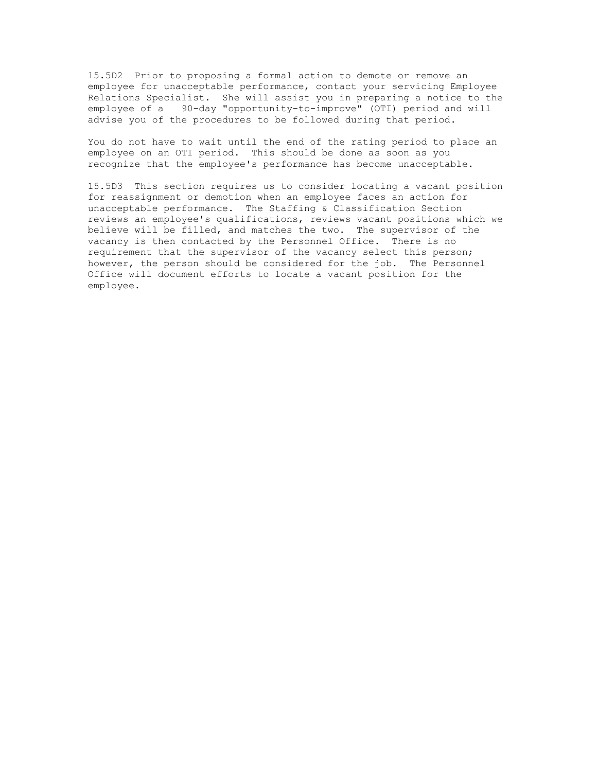15.5D2 Prior to proposing a formal action to demote or remove an employee for unacceptable performance, contact your servicing Employee Relations Specialist. She will assist you in preparing a notice to the employee of a 90-day "opportunity-to-improve" (OTI) period and will advise you of the procedures to be followed during that period.

You do not have to wait until the end of the rating period to place an employee on an OTI period. This should be done as soon as you recognize that the employee's performance has become unacceptable.

15.5D3 This section requires us to consider locating a vacant position for reassignment or demotion when an employee faces an action for unacceptable performance. The Staffing & Classification Section reviews an employee's qualifications, reviews vacant positions which we believe will be filled, and matches the two. The supervisor of the vacancy is then contacted by the Personnel Office. There is no requirement that the supervisor of the vacancy select this person; however, the person should be considered for the job. The Personnel Office will document efforts to locate a vacant position for the employee.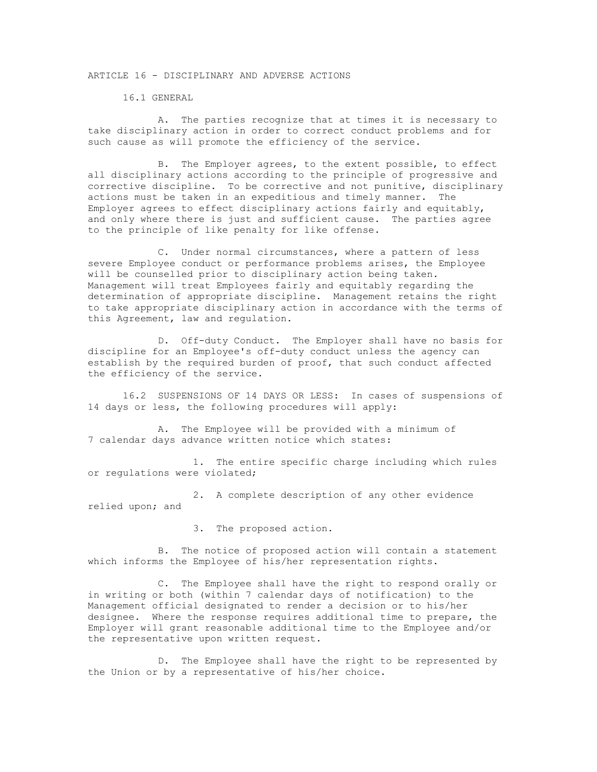### ARTICLE 16 - DISCIPLINARY AND ADVERSE ACTIONS

16.1 GENERAL

A. The parties recognize that at times it is necessary to take disciplinary action in order to correct conduct problems and for such cause as will promote the efficiency of the service.

B. The Employer agrees, to the extent possible, to effect all disciplinary actions according to the principle of progressive and corrective discipline. To be corrective and not punitive, disciplinary actions must be taken in an expeditious and timely manner. The Employer agrees to effect disciplinary actions fairly and equitably, and only where there is just and sufficient cause. The parties agree to the principle of like penalty for like offense.

C. Under normal circumstances, where a pattern of less severe Employee conduct or performance problems arises, the Employee will be counselled prior to disciplinary action being taken. Management will treat Employees fairly and equitably regarding the determination of appropriate discipline. Management retains the right to take appropriate disciplinary action in accordance with the terms of this Agreement, law and regulation.

D. Off-duty Conduct. The Employer shall have no basis for discipline for an Employee's off-duty conduct unless the agency can establish by the required burden of proof, that such conduct affected the efficiency of the service.

16.2 SUSPENSIONS OF 14 DAYS OR LESS: In cases of suspensions of 14 days or less, the following procedures will apply:

A. The Employee will be provided with a minimum of 7 calendar days advance written notice which states:

1. The entire specific charge including which rules or regulations were violated;

2. A complete description of any other evidence relied upon; and

3. The proposed action.

B. The notice of proposed action will contain a statement which informs the Employee of his/her representation rights.

C. The Employee shall have the right to respond orally or in writing or both (within 7 calendar days of notification) to the Management official designated to render a decision or to his/her designee. Where the response requires additional time to prepare, the Employer will grant reasonable additional time to the Employee and/or the representative upon written request.

D. The Employee shall have the right to be represented by the Union or by a representative of his/her choice.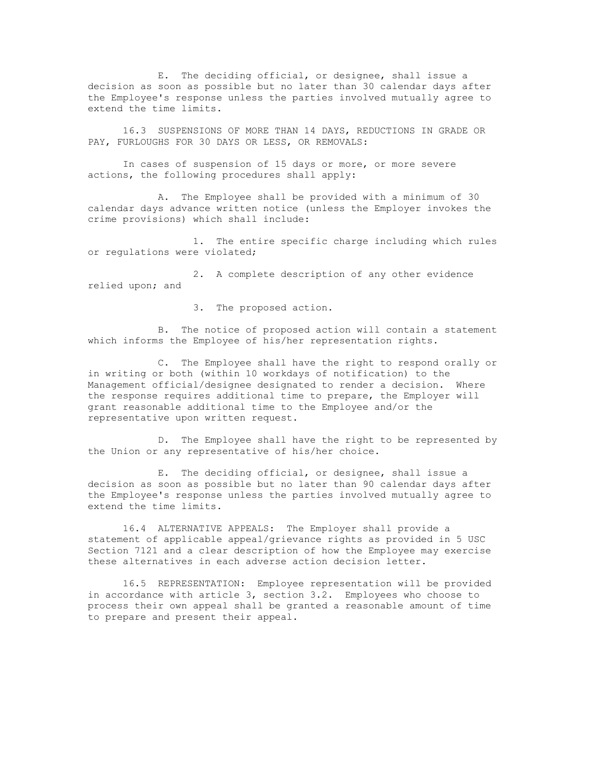E. The deciding official, or designee, shall issue a decision as soon as possible but no later than 30 calendar days after the Employee's response unless the parties involved mutually agree to extend the time limits.

16.3 SUSPENSIONS OF MORE THAN 14 DAYS, REDUCTIONS IN GRADE OR PAY, FURLOUGHS FOR 30 DAYS OR LESS, OR REMOVALS:

In cases of suspension of 15 days or more, or more severe actions, the following procedures shall apply:

A. The Employee shall be provided with a minimum of 30 calendar days advance written notice (unless the Employer invokes the crime provisions) which shall include:

1. The entire specific charge including which rules or regulations were violated;

2. A complete description of any other evidence relied upon; and

3. The proposed action.

B. The notice of proposed action will contain a statement which informs the Employee of his/her representation rights.

C. The Employee shall have the right to respond orally or in writing or both (within 10 workdays of notification) to the Management official/designee designated to render a decision. Where the response requires additional time to prepare, the Employer will grant reasonable additional time to the Employee and/or the representative upon written request.

D. The Employee shall have the right to be represented by the Union or any representative of his/her choice.

E. The deciding official, or designee, shall issue a decision as soon as possible but no later than 90 calendar days after the Employee's response unless the parties involved mutually agree to extend the time limits.

16.4 ALTERNATIVE APPEALS: The Employer shall provide a statement of applicable appeal/grievance rights as provided in 5 USC Section 7121 and a clear description of how the Employee may exercise these alternatives in each adverse action decision letter.

16.5 REPRESENTATION: Employee representation will be provided in accordance with article 3, section 3.2. Employees who choose to process their own appeal shall be granted a reasonable amount of time to prepare and present their appeal.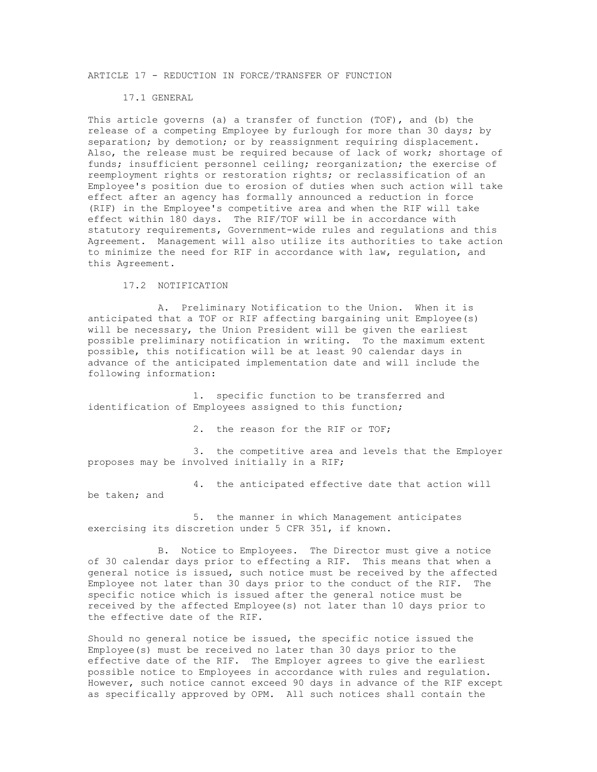### ARTICLE 17 - REDUCTION IN FORCE/TRANSFER OF FUNCTION

#### 17.1 GENERAL

This article governs (a) a transfer of function (TOF), and (b) the release of a competing Employee by furlough for more than 30 days; by separation; by demotion; or by reassignment requiring displacement. Also, the release must be required because of lack of work; shortage of funds; insufficient personnel ceiling; reorganization; the exercise of reemployment rights or restoration rights; or reclassification of an Employee's position due to erosion of duties when such action will take effect after an agency has formally announced a reduction in force (RIF) in the Employee's competitive area and when the RIF will take effect within 180 days. The RIF/TOF will be in accordance with statutory requirements, Government-wide rules and regulations and this Agreement. Management will also utilize its authorities to take action to minimize the need for RIF in accordance with law, regulation, and this Agreement.

17.2 NOTIFICATION

be taken; and

A. Preliminary Notification to the Union. When it is anticipated that a TOF or RIF affecting bargaining unit Employee(s) will be necessary, the Union President will be given the earliest possible preliminary notification in writing. To the maximum extent possible, this notification will be at least 90 calendar days in advance of the anticipated implementation date and will include the following information:

1. specific function to be transferred and identification of Employees assigned to this function;

2. the reason for the RIF or TOF;

3. the competitive area and levels that the Employer proposes may be involved initially in a RIF;

4. the anticipated effective date that action will

5. the manner in which Management anticipates exercising its discretion under 5 CFR 351, if known.

B. Notice to Employees. The Director must give a notice of 30 calendar days prior to effecting a RIF. This means that when a general notice is issued, such notice must be received by the affected Employee not later than 30 days prior to the conduct of the RIF. The specific notice which is issued after the general notice must be received by the affected Employee(s) not later than 10 days prior to the effective date of the RIF.

Should no general notice be issued, the specific notice issued the Employee(s) must be received no later than 30 days prior to the effective date of the RIF. The Employer agrees to give the earliest possible notice to Employees in accordance with rules and regulation. However, such notice cannot exceed 90 days in advance of the RIF except as specifically approved by OPM. All such notices shall contain the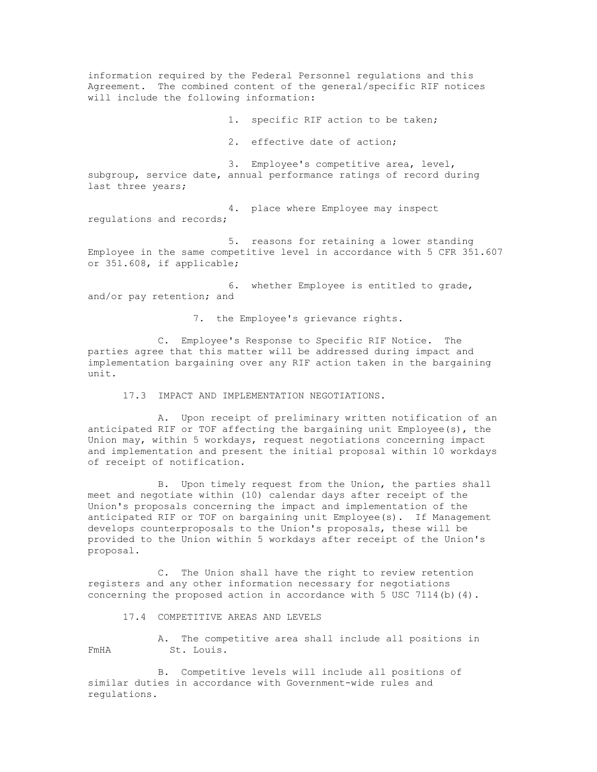information required by the Federal Personnel regulations and this Agreement. The combined content of the general/specific RIF notices will include the following information:

1. specific RIF action to be taken;

2. effective date of action;

3. Employee's competitive area, level, subgroup, service date, annual performance ratings of record during last three years;

4. place where Employee may inspect regulations and records;

5. reasons for retaining a lower standing Employee in the same competitive level in accordance with 5 CFR 351.607 or 351.608, if applicable;

6. whether Employee is entitled to grade, and/or pay retention; and

7. the Employee's grievance rights.

C. Employee's Response to Specific RIF Notice. The parties agree that this matter will be addressed during impact and implementation bargaining over any RIF action taken in the bargaining unit.

17.3 IMPACT AND IMPLEMENTATION NEGOTIATIONS.

A. Upon receipt of preliminary written notification of an anticipated RIF or TOF affecting the bargaining unit Employee(s), the Union may, within 5 workdays, request negotiations concerning impact and implementation and present the initial proposal within 10 workdays of receipt of notification.

B. Upon timely request from the Union, the parties shall meet and negotiate within (10) calendar days after receipt of the Union's proposals concerning the impact and implementation of the anticipated RIF or TOF on bargaining unit Employee(s). If Management develops counterproposals to the Union's proposals, these will be provided to the Union within 5 workdays after receipt of the Union's proposal.

C. The Union shall have the right to review retention registers and any other information necessary for negotiations concerning the proposed action in accordance with  $5$  USC  $7114$  (b)  $(4)$ .

17.4 COMPETITIVE AREAS AND LEVELS

A. The competitive area shall include all positions in FmHA St. Louis.

B. Competitive levels will include all positions of similar duties in accordance with Government-wide rules and regulations.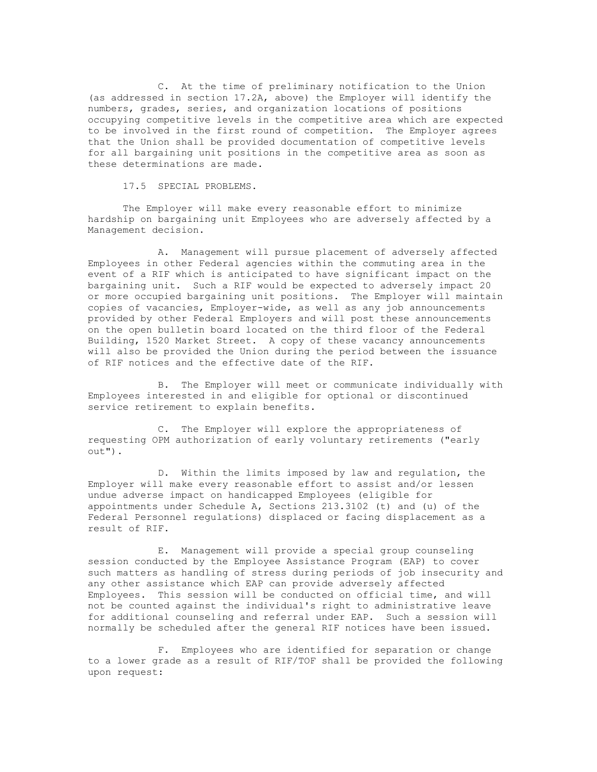C. At the time of preliminary notification to the Union (as addressed in section 17.2A, above) the Employer will identify the numbers, grades, series, and organization locations of positions occupying competitive levels in the competitive area which are expected to be involved in the first round of competition. The Employer agrees that the Union shall be provided documentation of competitive levels for all bargaining unit positions in the competitive area as soon as these determinations are made.

17.5 SPECIAL PROBLEMS.

The Employer will make every reasonable effort to minimize hardship on bargaining unit Employees who are adversely affected by a Management decision.

A. Management will pursue placement of adversely affected Employees in other Federal agencies within the commuting area in the event of a RIF which is anticipated to have significant impact on the bargaining unit. Such a RIF would be expected to adversely impact 20 or more occupied bargaining unit positions. The Employer will maintain copies of vacancies, Employer-wide, as well as any job announcements provided by other Federal Employers and will post these announcements on the open bulletin board located on the third floor of the Federal Building, 1520 Market Street. A copy of these vacancy announcements will also be provided the Union during the period between the issuance of RIF notices and the effective date of the RIF.

B. The Employer will meet or communicate individually with Employees interested in and eligible for optional or discontinued service retirement to explain benefits.

C. The Employer will explore the appropriateness of requesting OPM authorization of early voluntary retirements ("early out").

D. Within the limits imposed by law and regulation, the Employer will make every reasonable effort to assist and/or lessen undue adverse impact on handicapped Employees (eligible for appointments under Schedule A, Sections 213.3102 (t) and (u) of the Federal Personnel regulations) displaced or facing displacement as a result of RIF.

E. Management will provide a special group counseling session conducted by the Employee Assistance Program (EAP) to cover such matters as handling of stress during periods of job insecurity and any other assistance which EAP can provide adversely affected Employees. This session will be conducted on official time, and will not be counted against the individual's right to administrative leave for additional counseling and referral under EAP. Such a session will normally be scheduled after the general RIF notices have been issued.

F. Employees who are identified for separation or change to a lower grade as a result of RIF/TOF shall be provided the following upon request: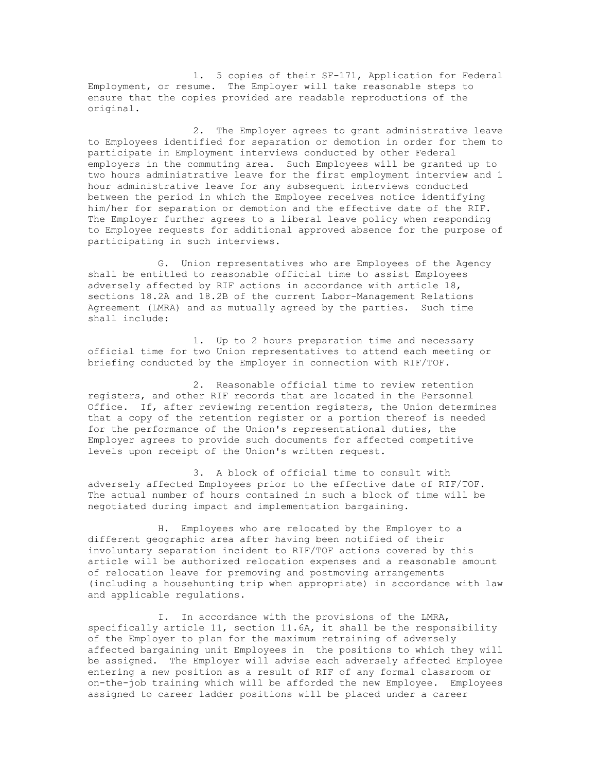1. 5 copies of their SF-171, Application for Federal Employment, or resume. The Employer will take reasonable steps to ensure that the copies provided are readable reproductions of the original.

2. The Employer agrees to grant administrative leave to Employees identified for separation or demotion in order for them to participate in Employment interviews conducted by other Federal employers in the commuting area. Such Employees will be granted up to two hours administrative leave for the first employment interview and 1 hour administrative leave for any subsequent interviews conducted between the period in which the Employee receives notice identifying him/her for separation or demotion and the effective date of the RIF. The Employer further agrees to a liberal leave policy when responding to Employee requests for additional approved absence for the purpose of participating in such interviews.

G. Union representatives who are Employees of the Agency shall be entitled to reasonable official time to assist Employees adversely affected by RIF actions in accordance with article 18, sections 18.2A and 18.2B of the current Labor-Management Relations Agreement (LMRA) and as mutually agreed by the parties. Such time shall include:

1. Up to 2 hours preparation time and necessary official time for two Union representatives to attend each meeting or briefing conducted by the Employer in connection with RIF/TOF.

2. Reasonable official time to review retention registers, and other RIF records that are located in the Personnel Office. If, after reviewing retention registers, the Union determines that a copy of the retention register or a portion thereof is needed for the performance of the Union's representational duties, the Employer agrees to provide such documents for affected competitive levels upon receipt of the Union's written request.

3. A block of official time to consult with adversely affected Employees prior to the effective date of RIF/TOF. The actual number of hours contained in such a block of time will be negotiated during impact and implementation bargaining.

H. Employees who are relocated by the Employer to a different geographic area after having been notified of their involuntary separation incident to RIF/TOF actions covered by this article will be authorized relocation expenses and a reasonable amount of relocation leave for premoving and postmoving arrangements (including a househunting trip when appropriate) in accordance with law and applicable regulations.

I. In accordance with the provisions of the LMRA, specifically article 11, section 11.6A, it shall be the responsibility of the Employer to plan for the maximum retraining of adversely affected bargaining unit Employees in the positions to which they will be assigned. The Employer will advise each adversely affected Employee entering a new position as a result of RIF of any formal classroom or on-the-job training which will be afforded the new Employee. Employees assigned to career ladder positions will be placed under a career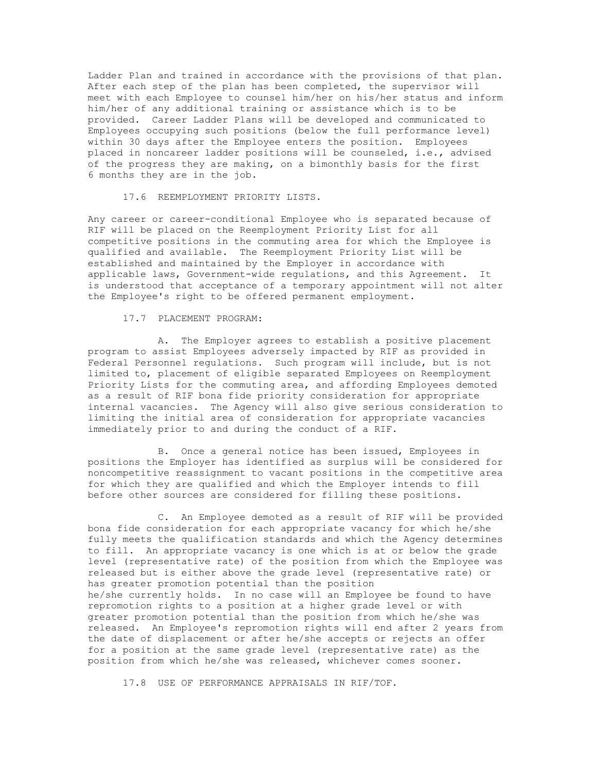Ladder Plan and trained in accordance with the provisions of that plan. After each step of the plan has been completed, the supervisor will meet with each Employee to counsel him/her on his/her status and inform him/her of any additional training or assistance which is to be provided. Career Ladder Plans will be developed and communicated to Employees occupying such positions (below the full performance level) within 30 days after the Employee enters the position. Employees placed in noncareer ladder positions will be counseled, i.e., advised of the progress they are making, on a bimonthly basis for the first 6 months they are in the job.

17.6 REEMPLOYMENT PRIORITY LISTS.

Any career or career-conditional Employee who is separated because of RIF will be placed on the Reemployment Priority List for all competitive positions in the commuting area for which the Employee is qualified and available. The Reemployment Priority List will be established and maintained by the Employer in accordance with applicable laws, Government-wide regulations, and this Agreement. It is understood that acceptance of a temporary appointment will not alter the Employee's right to be offered permanent employment.

#### 17.7 PLACEMENT PROGRAM:

A. The Employer agrees to establish a positive placement program to assist Employees adversely impacted by RIF as provided in Federal Personnel regulations. Such program will include, but is not limited to, placement of eligible separated Employees on Reemployment Priority Lists for the commuting area, and affording Employees demoted as a result of RIF bona fide priority consideration for appropriate internal vacancies. The Agency will also give serious consideration to limiting the initial area of consideration for appropriate vacancies immediately prior to and during the conduct of a RIF.

B. Once a general notice has been issued, Employees in positions the Employer has identified as surplus will be considered for noncompetitive reassignment to vacant positions in the competitive area for which they are qualified and which the Employer intends to fill before other sources are considered for filling these positions.

C. An Employee demoted as a result of RIF will be provided bona fide consideration for each appropriate vacancy for which he/she fully meets the qualification standards and which the Agency determines to fill. An appropriate vacancy is one which is at or below the grade level (representative rate) of the position from which the Employee was released but is either above the grade level (representative rate) or has greater promotion potential than the position he/she currently holds. In no case will an Employee be found to have repromotion rights to a position at a higher grade level or with greater promotion potential than the position from which he/she was released. An Employee's repromotion rights will end after 2 years from the date of displacement or after he/she accepts or rejects an offer for a position at the same grade level (representative rate) as the position from which he/she was released, whichever comes sooner.

17.8 USE OF PERFORMANCE APPRAISALS IN RIF/TOF.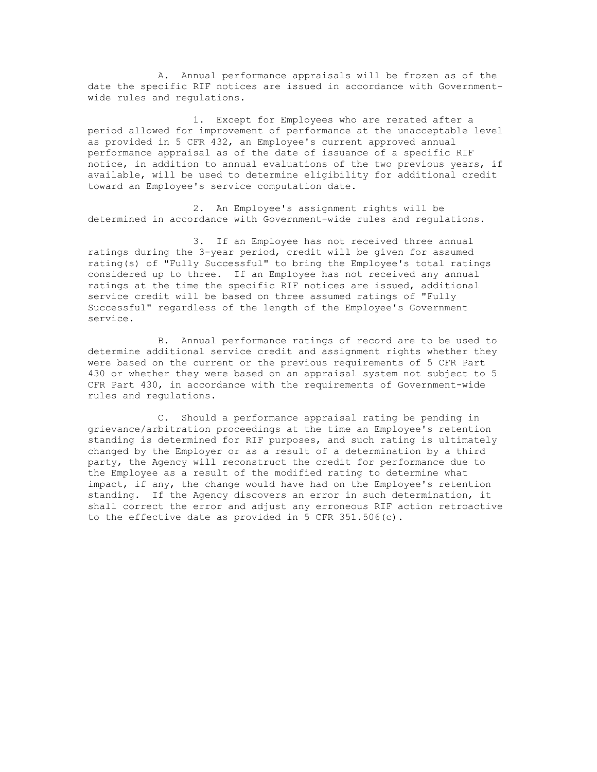A. Annual performance appraisals will be frozen as of the date the specific RIF notices are issued in accordance with Governmentwide rules and regulations.

1. Except for Employees who are rerated after a period allowed for improvement of performance at the unacceptable level as provided in 5 CFR 432, an Employee's current approved annual performance appraisal as of the date of issuance of a specific RIF notice, in addition to annual evaluations of the two previous years, if available, will be used to determine eligibility for additional credit toward an Employee's service computation date.

2. An Employee's assignment rights will be determined in accordance with Government-wide rules and regulations.

3. If an Employee has not received three annual ratings during the 3-year period, credit will be given for assumed rating(s) of "Fully Successful" to bring the Employee's total ratings considered up to three. If an Employee has not received any annual ratings at the time the specific RIF notices are issued, additional service credit will be based on three assumed ratings of "Fully Successful" regardless of the length of the Employee's Government service.

B. Annual performance ratings of record are to be used to determine additional service credit and assignment rights whether they were based on the current or the previous requirements of 5 CFR Part 430 or whether they were based on an appraisal system not subject to 5 CFR Part 430, in accordance with the requirements of Government-wide rules and regulations.

C. Should a performance appraisal rating be pending in grievance/arbitration proceedings at the time an Employee's retention standing is determined for RIF purposes, and such rating is ultimately changed by the Employer or as a result of a determination by a third party, the Agency will reconstruct the credit for performance due to the Employee as a result of the modified rating to determine what impact, if any, the change would have had on the Employee's retention standing. If the Agency discovers an error in such determination, it shall correct the error and adjust any erroneous RIF action retroactive to the effective date as provided in 5 CFR 351.506(c).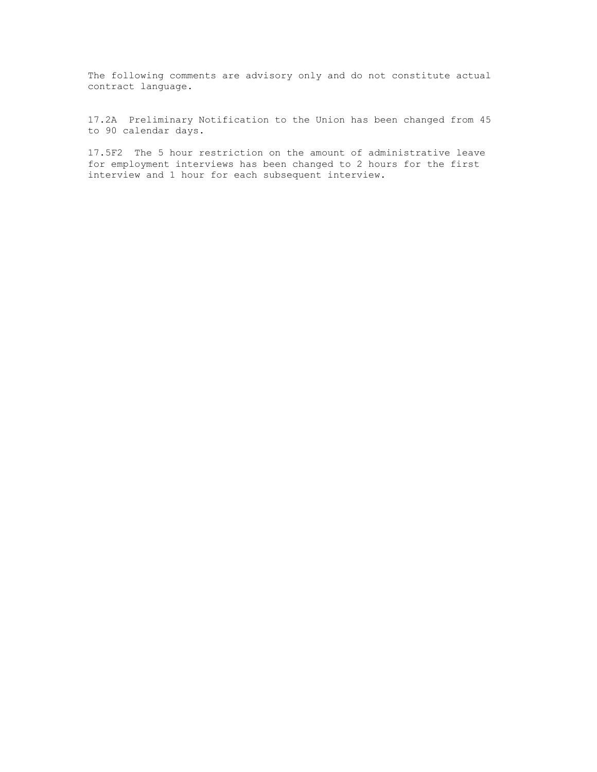The following comments are advisory only and do not constitute actual contract language.

17.2A Preliminary Notification to the Union has been changed from 45 to 90 calendar days.

17.5F2 The 5 hour restriction on the amount of administrative leave for employment interviews has been changed to 2 hours for the first interview and 1 hour for each subsequent interview.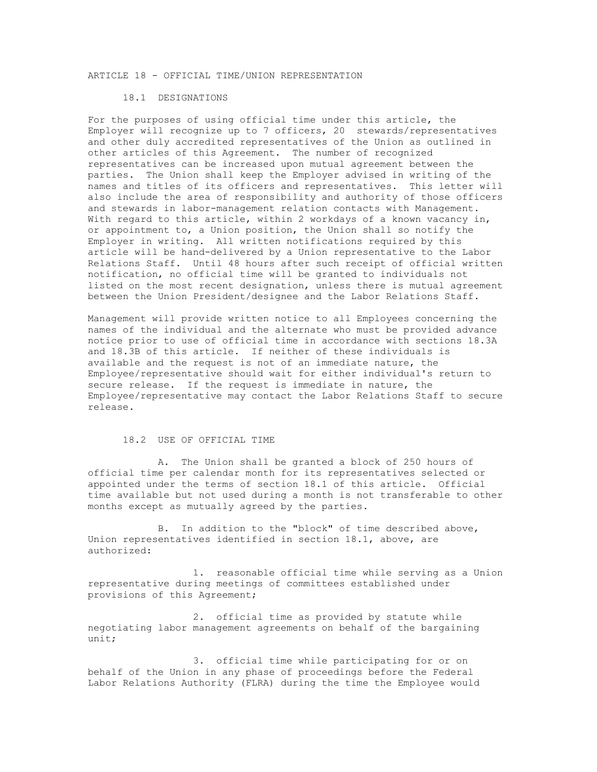# ARTICLE 18 - OFFICIAL TIME/UNION REPRESENTATION

### 18.1 DESIGNATIONS

For the purposes of using official time under this article, the Employer will recognize up to 7 officers, 20 stewards/representatives and other duly accredited representatives of the Union as outlined in other articles of this Agreement. The number of recognized representatives can be increased upon mutual agreement between the parties. The Union shall keep the Employer advised in writing of the names and titles of its officers and representatives. This letter will also include the area of responsibility and authority of those officers and stewards in labor-management relation contacts with Management. With regard to this article, within 2 workdays of a known vacancy in, or appointment to, a Union position, the Union shall so notify the Employer in writing. All written notifications required by this article will be hand-delivered by a Union representative to the Labor Relations Staff. Until 48 hours after such receipt of official written notification, no official time will be granted to individuals not listed on the most recent designation, unless there is mutual agreement between the Union President/designee and the Labor Relations Staff.

Management will provide written notice to all Employees concerning the names of the individual and the alternate who must be provided advance notice prior to use of official time in accordance with sections 18.3A and 18.3B of this article. If neither of these individuals is available and the request is not of an immediate nature, the Employee/representative should wait for either individual's return to secure release. If the request is immediate in nature, the Employee/representative may contact the Labor Relations Staff to secure release.

#### 18.2 USE OF OFFICIAL TIME

A. The Union shall be granted a block of 250 hours of official time per calendar month for its representatives selected or appointed under the terms of section 18.1 of this article. Official time available but not used during a month is not transferable to other months except as mutually agreed by the parties.

B. In addition to the "block" of time described above, Union representatives identified in section 18.1, above, are authorized:

1. reasonable official time while serving as a Union representative during meetings of committees established under provisions of this Agreement;

2. official time as provided by statute while negotiating labor management agreements on behalf of the bargaining unit;

3. official time while participating for or on behalf of the Union in any phase of proceedings before the Federal Labor Relations Authority (FLRA) during the time the Employee would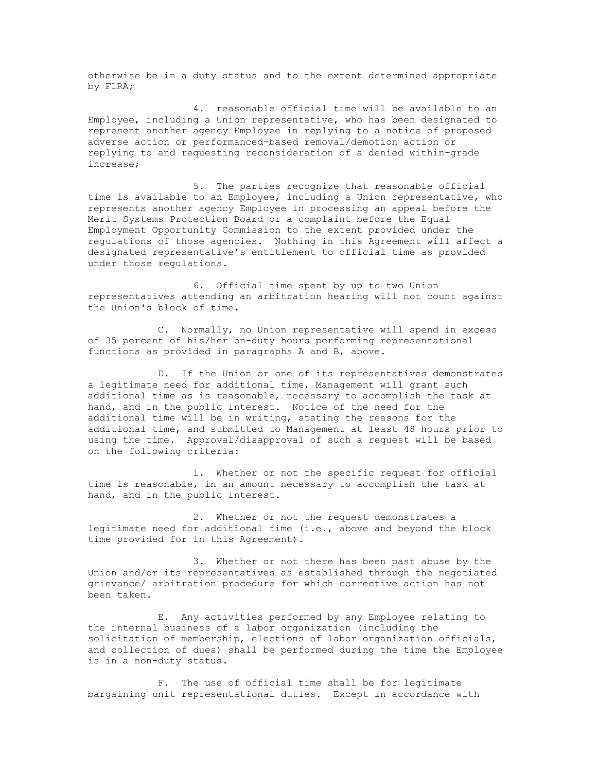otherwise be in a duty status and to the extent determined appropriate by FLRA;

4. reasonable official time will be available to an Employee, including a Union representative, who has been designated to represent another agency Employee in replying to a notice of proposed adverse action or performanced-based removal/demotion action or replying to and requesting reconsideration of a denied within-grade increase;

5. The parties recognize that reasonable official time is available to an Employee, including a Union representative, who represents another agency Employee in processing an appeal before the Merit Systems Protection Board or a complaint before the Equal Employment Opportunity Commission to the extent provided under the regulations of those agencies. Nothing in this Agreement will affect a designated representative's entitlement to official time as provided under those regulations.

6. Official time spent by up to two Union representatives attending an arbitration hearing will not count against the Union's block of time.

C. Normally, no Union representative will spend in excess of 35 percent of his/her on-duty hours performing representational functions as provided in paragraphs A and B, above.

D. If the Union or one of its representatives demonstrates a legitimate need for additional time, Management will grant such additional time as is reasonable, necessary to accomplish the task at hand, and in the public interest. Notice of the need for the additional time will be in writing, stating the reasons for the additional time, and submitted to Management at least 48 hours prior to using the time. Approval/disapproval of such a request will be based on the following criteria:

1. Whether or not the specific request for official time is reasonable, in an amount necessary to accomplish the task at hand, and in the public interest.

2. Whether or not the request demonstrates a legitimate need for additional time (i.e., above and beyond the block time provided for in this Agreement).

3. Whether or not there has been past abuse by the Union and/or its representatives as established through the negotiated grievance/ arbitration procedure for which corrective action has not been taken.

E. Any activities performed by any Employee relating to the internal business of a labor organization (including the solicitation of membership, elections of labor organization officials, and collection of dues) shall be performed during the time the Employee is in a non-duty status.

F. The use of official time shall be for legitimate bargaining unit representational duties. Except in accordance with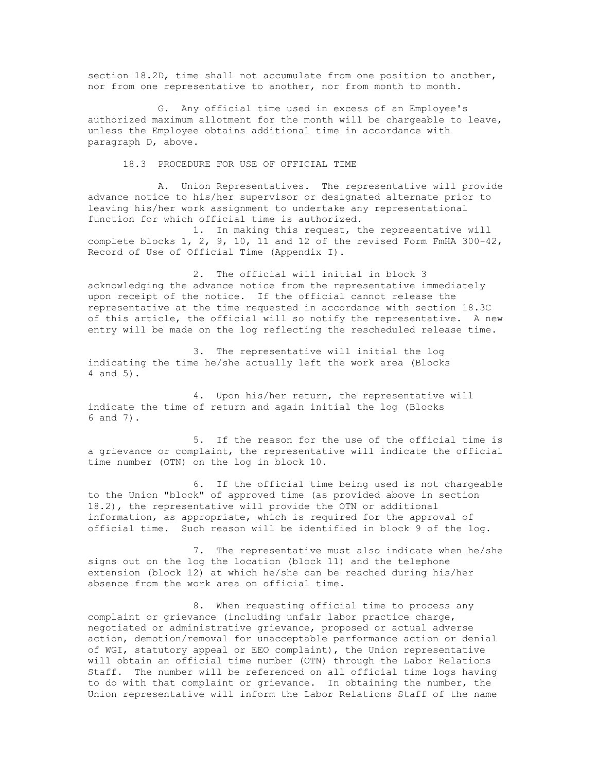section 18.2D, time shall not accumulate from one position to another, nor from one representative to another, nor from month to month.

G. Any official time used in excess of an Employee's authorized maximum allotment for the month will be chargeable to leave, unless the Employee obtains additional time in accordance with paragraph D, above.

18.3 PROCEDURE FOR USE OF OFFICIAL TIME

A. Union Representatives. The representative will provide advance notice to his/her supervisor or designated alternate prior to leaving his/her work assignment to undertake any representational function for which official time is authorized.

1. In making this request, the representative will complete blocks 1, 2, 9, 10, 11 and 12 of the revised Form FmHA 300-42, Record of Use of Official Time (Appendix I).

2. The official will initial in block 3 acknowledging the advance notice from the representative immediately upon receipt of the notice. If the official cannot release the representative at the time requested in accordance with section 18.3C of this article, the official will so notify the representative. A new entry will be made on the log reflecting the rescheduled release time.

3. The representative will initial the log indicating the time he/she actually left the work area (Blocks 4 and 5).

4. Upon his/her return, the representative will indicate the time of return and again initial the log (Blocks 6 and 7).

5. If the reason for the use of the official time is a grievance or complaint, the representative will indicate the official time number (OTN) on the log in block 10.

6. If the official time being used is not chargeable to the Union "block" of approved time (as provided above in section 18.2), the representative will provide the OTN or additional information, as appropriate, which is required for the approval of official time. Such reason will be identified in block 9 of the log.

7. The representative must also indicate when he/she signs out on the log the location (block 11) and the telephone extension (block 12) at which he/she can be reached during his/her absence from the work area on official time.

8. When requesting official time to process any complaint or grievance (including unfair labor practice charge, negotiated or administrative grievance, proposed or actual adverse action, demotion/removal for unacceptable performance action or denial of WGI, statutory appeal or EEO complaint), the Union representative will obtain an official time number (OTN) through the Labor Relations Staff. The number will be referenced on all official time logs having to do with that complaint or grievance. In obtaining the number, the Union representative will inform the Labor Relations Staff of the name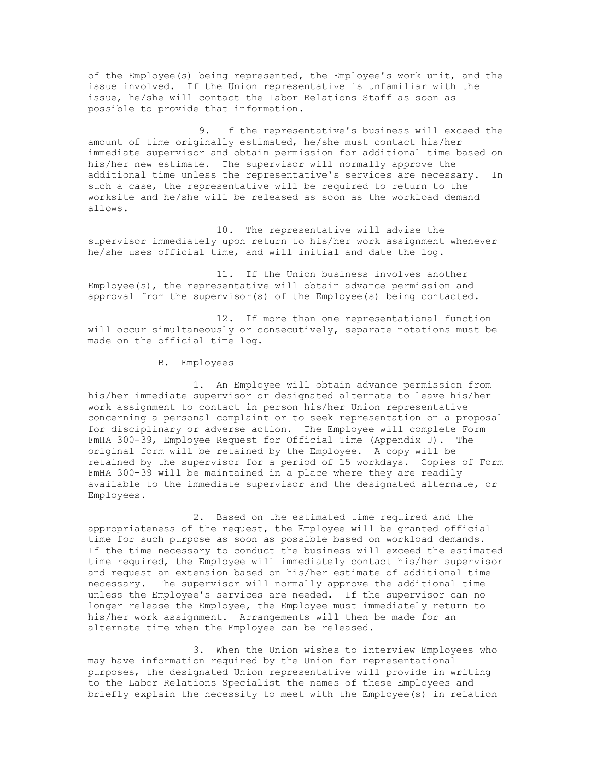of the Employee(s) being represented, the Employee's work unit, and the issue involved. If the Union representative is unfamiliar with the issue, he/she will contact the Labor Relations Staff as soon as possible to provide that information.

9. If the representative's business will exceed the amount of time originally estimated, he/she must contact his/her immediate supervisor and obtain permission for additional time based on his/her new estimate. The supervisor will normally approve the additional time unless the representative's services are necessary. In such a case, the representative will be required to return to the worksite and he/she will be released as soon as the workload demand allows.

 10. The representative will advise the supervisor immediately upon return to his/her work assignment whenever he/she uses official time, and will initial and date the log.

 11. If the Union business involves another Employee(s), the representative will obtain advance permission and approval from the supervisor(s) of the Employee(s) being contacted.

 12. If more than one representational function will occur simultaneously or consecutively, separate notations must be made on the official time log.

B. Employees

1. An Employee will obtain advance permission from his/her immediate supervisor or designated alternate to leave his/her work assignment to contact in person his/her Union representative concerning a personal complaint or to seek representation on a proposal for disciplinary or adverse action. The Employee will complete Form FmHA 300-39, Employee Request for Official Time (Appendix J). The original form will be retained by the Employee. A copy will be retained by the supervisor for a period of 15 workdays. Copies of Form FmHA 300-39 will be maintained in a place where they are readily available to the immediate supervisor and the designated alternate, or Employees.

2. Based on the estimated time required and the appropriateness of the request, the Employee will be granted official time for such purpose as soon as possible based on workload demands. If the time necessary to conduct the business will exceed the estimated time required, the Employee will immediately contact his/her supervisor and request an extension based on his/her estimate of additional time necessary. The supervisor will normally approve the additional time unless the Employee's services are needed. If the supervisor can no longer release the Employee, the Employee must immediately return to his/her work assignment. Arrangements will then be made for an alternate time when the Employee can be released.

3. When the Union wishes to interview Employees who may have information required by the Union for representational purposes, the designated Union representative will provide in writing to the Labor Relations Specialist the names of these Employees and briefly explain the necessity to meet with the Employee(s) in relation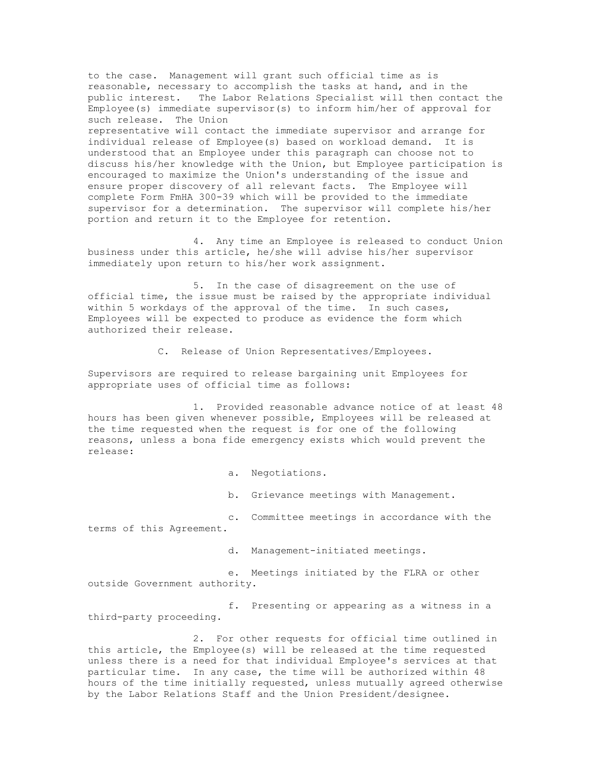to the case. Management will grant such official time as is reasonable, necessary to accomplish the tasks at hand, and in the public interest. The Labor Relations Specialist will then contact the Employee(s) immediate supervisor(s) to inform him/her of approval for such release. The Union representative will contact the immediate supervisor and arrange for individual release of Employee(s) based on workload demand. It is understood that an Employee under this paragraph can choose not to discuss his/her knowledge with the Union, but Employee participation is encouraged to maximize the Union's understanding of the issue and ensure proper discovery of all relevant facts. The Employee will complete Form FmHA 300-39 which will be provided to the immediate supervisor for a determination. The supervisor will complete his/her portion and return it to the Employee for retention.

4. Any time an Employee is released to conduct Union business under this article, he/she will advise his/her supervisor immediately upon return to his/her work assignment.

5. In the case of disagreement on the use of official time, the issue must be raised by the appropriate individual within 5 workdays of the approval of the time. In such cases, Employees will be expected to produce as evidence the form which authorized their release.

C. Release of Union Representatives/Employees.

Supervisors are required to release bargaining unit Employees for appropriate uses of official time as follows:

1. Provided reasonable advance notice of at least 48 hours has been given whenever possible, Employees will be released at the time requested when the request is for one of the following reasons, unless a bona fide emergency exists which would prevent the release:

a. Negotiations.

b. Grievance meetings with Management.

c. Committee meetings in accordance with the terms of this Agreement.

d. Management-initiated meetings.

e. Meetings initiated by the FLRA or other outside Government authority.

f. Presenting or appearing as a witness in a third-party proceeding.

2. For other requests for official time outlined in this article, the Employee(s) will be released at the time requested unless there is a need for that individual Employee's services at that particular time. In any case, the time will be authorized within 48 hours of the time initially requested, unless mutually agreed otherwise by the Labor Relations Staff and the Union President/designee.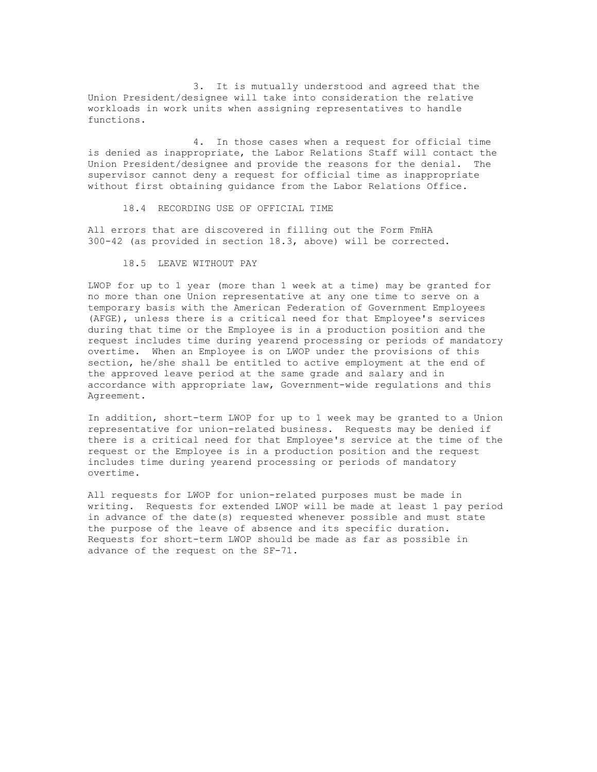3. It is mutually understood and agreed that the Union President/designee will take into consideration the relative workloads in work units when assigning representatives to handle functions.

4. In those cases when a request for official time is denied as inappropriate, the Labor Relations Staff will contact the Union President/designee and provide the reasons for the denial. The supervisor cannot deny a request for official time as inappropriate without first obtaining guidance from the Labor Relations Office.

18.4 RECORDING USE OF OFFICIAL TIME

All errors that are discovered in filling out the Form FmHA 300-42 (as provided in section 18.3, above) will be corrected.

l8.5 LEAVE WITHOUT PAY

LWOP for up to 1 year (more than 1 week at a time) may be granted for no more than one Union representative at any one time to serve on a temporary basis with the American Federation of Government Employees (AFGE), unless there is a critical need for that Employee's services during that time or the Employee is in a production position and the request includes time during yearend processing or periods of mandatory overtime. When an Employee is on LWOP under the provisions of this section, he/she shall be entitled to active employment at the end of the approved leave period at the same grade and salary and in accordance with appropriate law, Government-wide regulations and this Agreement.

In addition, short-term LWOP for up to 1 week may be granted to a Union representative for union-related business. Requests may be denied if there is a critical need for that Employee's service at the time of the request or the Employee is in a production position and the request includes time during yearend processing or periods of mandatory overtime.

All requests for LWOP for union-related purposes must be made in writing. Requests for extended LWOP will be made at least 1 pay period in advance of the date(s) requested whenever possible and must state the purpose of the leave of absence and its specific duration. Requests for short-term LWOP should be made as far as possible in advance of the request on the SF-71.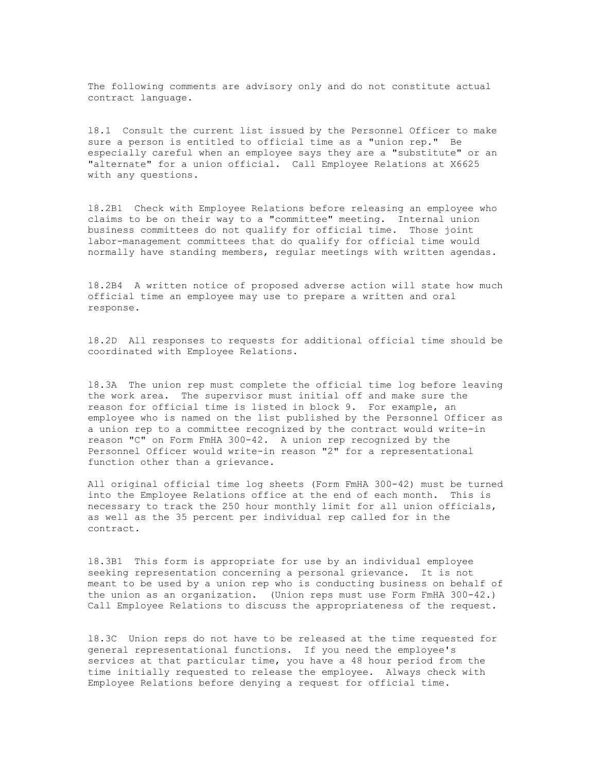The following comments are advisory only and do not constitute actual contract language.

l8.1 Consult the current list issued by the Personnel Officer to make sure a person is entitled to official time as a "union rep." Be especially careful when an employee says they are a "substitute" or an "alternate" for a union official. Call Employee Relations at X6625 with any questions.

l8.2B1 Check with Employee Relations before releasing an employee who claims to be on their way to a "committee" meeting. Internal union business committees do not qualify for official time. Those joint labor-management committees that do qualify for official time would normally have standing members, regular meetings with written agendas.

18.2B4 A written notice of proposed adverse action will state how much official time an employee may use to prepare a written and oral response.

l8.2D All responses to requests for additional official time should be coordinated with Employee Relations.

l8.3A The union rep must complete the official time log before leaving the work area. The supervisor must initial off and make sure the reason for official time is listed in block 9. For example, an employee who is named on the list published by the Personnel Officer as a union rep to a committee recognized by the contract would write-in reason "C" on Form FmHA 300-42. A union rep recognized by the Personnel Officer would write-in reason "2" for a representational function other than a grievance.

All original official time log sheets (Form FmHA 300-42) must be turned into the Employee Relations office at the end of each month. This is necessary to track the 250 hour monthly limit for all union officials, as well as the 35 percent per individual rep called for in the contract.

l8.3B1 This form is appropriate for use by an individual employee seeking representation concerning a personal grievance. It is not meant to be used by a union rep who is conducting business on behalf of the union as an organization. (Union reps must use Form FmHA 300-42.) Call Employee Relations to discuss the appropriateness of the request.

l8.3C Union reps do not have to be released at the time requested for general representational functions. If you need the employee's services at that particular time, you have a 48 hour period from the time initially requested to release the employee. Always check with Employee Relations before denying a request for official time.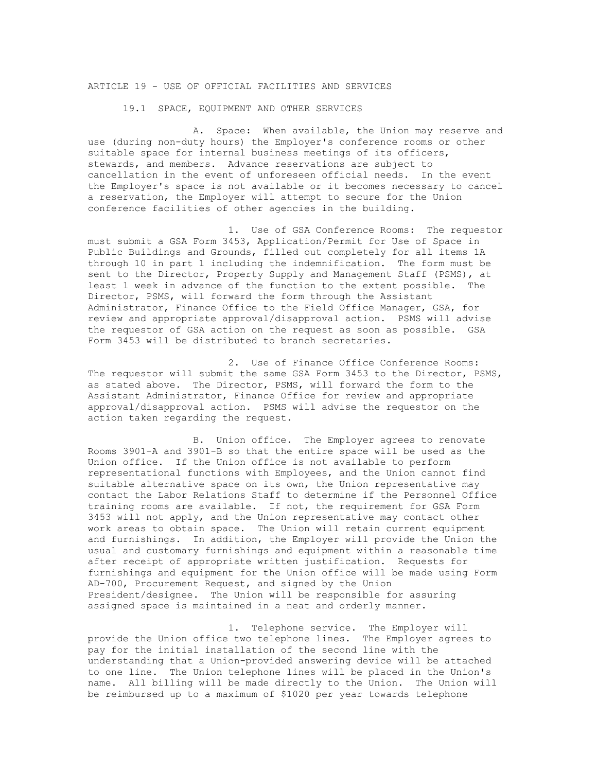# ARTICLE 19 - USE OF OFFICIAL FACILITIES AND SERVICES

19.1 SPACE, EQUIPMENT AND OTHER SERVICES

A. Space: When available, the Union may reserve and use (during non-duty hours) the Employer's conference rooms or other suitable space for internal business meetings of its officers, stewards, and members. Advance reservations are subject to cancellation in the event of unforeseen official needs. In the event the Employer's space is not available or it becomes necessary to cancel a reservation, the Employer will attempt to secure for the Union conference facilities of other agencies in the building.

1. Use of GSA Conference Rooms: The requestor must submit a GSA Form 3453, Application/Permit for Use of Space in Public Buildings and Grounds, filled out completely for all items 1A through 10 in part 1 including the indemnification. The form must be sent to the Director, Property Supply and Management Staff (PSMS), at least 1 week in advance of the function to the extent possible. The Director, PSMS, will forward the form through the Assistant Administrator, Finance Office to the Field Office Manager, GSA, for review and appropriate approval/disapproval action. PSMS will advise the requestor of GSA action on the request as soon as possible. GSA Form 3453 will be distributed to branch secretaries.

2. Use of Finance Office Conference Rooms: The requestor will submit the same GSA Form 3453 to the Director, PSMS, as stated above. The Director, PSMS, will forward the form to the Assistant Administrator, Finance Office for review and appropriate approval/disapproval action. PSMS will advise the requestor on the action taken regarding the request.

B. Union office. The Employer agrees to renovate Rooms 3901-A and 3901-B so that the entire space will be used as the Union office. If the Union office is not available to perform representational functions with Employees, and the Union cannot find suitable alternative space on its own, the Union representative may contact the Labor Relations Staff to determine if the Personnel Office training rooms are available. If not, the requirement for GSA Form 3453 will not apply, and the Union representative may contact other work areas to obtain space. The Union will retain current equipment and furnishings. In addition, the Employer will provide the Union the usual and customary furnishings and equipment within a reasonable time after receipt of appropriate written justification. Requests for furnishings and equipment for the Union office will be made using Form AD-700, Procurement Request, and signed by the Union President/designee. The Union will be responsible for assuring assigned space is maintained in a neat and orderly manner.

1. Telephone service. The Employer will provide the Union office two telephone lines. The Employer agrees to pay for the initial installation of the second line with the understanding that a Union-provided answering device will be attached to one line. The Union telephone lines will be placed in the Union's name. All billing will be made directly to the Union. The Union will be reimbursed up to a maximum of \$1020 per year towards telephone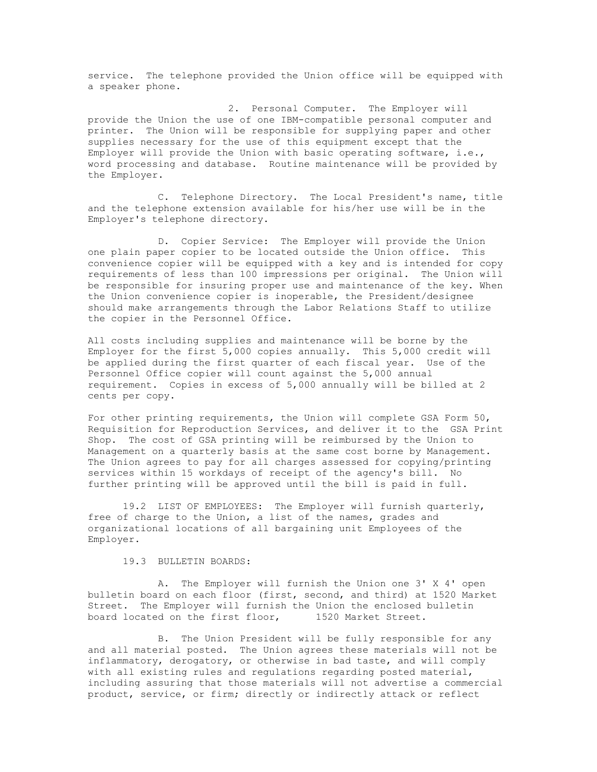service. The telephone provided the Union office will be equipped with a speaker phone.

2. Personal Computer. The Employer will provide the Union the use of one IBM-compatible personal computer and printer. The Union will be responsible for supplying paper and other supplies necessary for the use of this equipment except that the Employer will provide the Union with basic operating software, i.e., word processing and database. Routine maintenance will be provided by the Employer.

C. Telephone Directory. The Local President's name, title and the telephone extension available for his/her use will be in the Employer's telephone directory.

D. Copier Service: The Employer will provide the Union one plain paper copier to be located outside the Union office. This convenience copier will be equipped with a key and is intended for copy requirements of less than 100 impressions per original. The Union will be responsible for insuring proper use and maintenance of the key. When the Union convenience copier is inoperable, the President/designee should make arrangements through the Labor Relations Staff to utilize the copier in the Personnel Office.

All costs including supplies and maintenance will be borne by the Employer for the first 5,000 copies annually. This 5,000 credit will be applied during the first quarter of each fiscal year. Use of the Personnel Office copier will count against the 5,000 annual requirement. Copies in excess of 5,000 annually will be billed at 2 cents per copy.

For other printing requirements, the Union will complete GSA Form 50, Requisition for Reproduction Services, and deliver it to the GSA Print Shop. The cost of GSA printing will be reimbursed by the Union to Management on a quarterly basis at the same cost borne by Management. The Union agrees to pay for all charges assessed for copying/printing services within 15 workdays of receipt of the agency's bill. No further printing will be approved until the bill is paid in full.

19.2 LIST OF EMPLOYEES: The Employer will furnish quarterly, free of charge to the Union, a list of the names, grades and organizational locations of all bargaining unit Employees of the Employer.

19.3 BULLETIN BOARDS:

A. The Employer will furnish the Union one 3' X 4' open bulletin board on each floor (first, second, and third) at 1520 Market Street. The Employer will furnish the Union the enclosed bulletin board located on the first floor, 1520 Market Street.

B. The Union President will be fully responsible for any and all material posted. The Union agrees these materials will not be inflammatory, derogatory, or otherwise in bad taste, and will comply with all existing rules and regulations regarding posted material, including assuring that those materials will not advertise a commercial product, service, or firm; directly or indirectly attack or reflect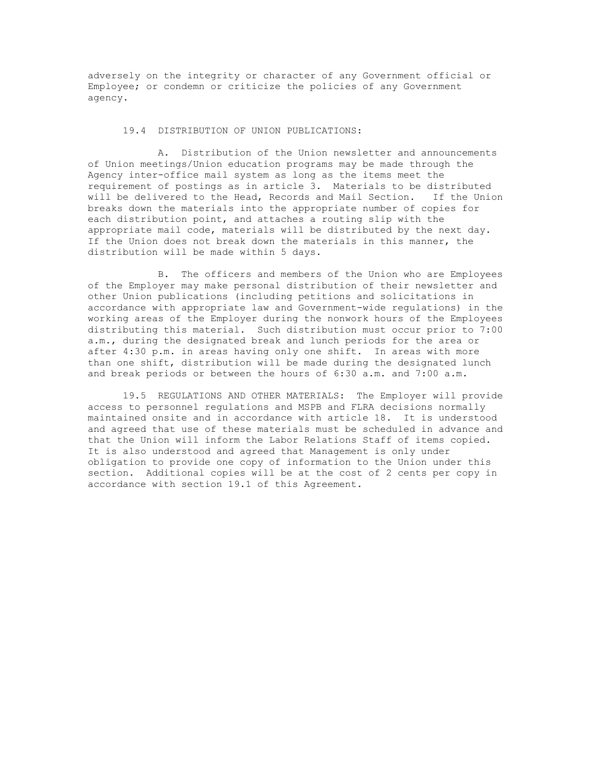adversely on the integrity or character of any Government official or Employee; or condemn or criticize the policies of any Government agency.

#### 19.4 DISTRIBUTION OF UNION PUBLICATIONS:

A. Distribution of the Union newsletter and announcements of Union meetings/Union education programs may be made through the Agency inter-office mail system as long as the items meet the requirement of postings as in article 3. Materials to be distributed will be delivered to the Head, Records and Mail Section. If the Union breaks down the materials into the appropriate number of copies for each distribution point, and attaches a routing slip with the appropriate mail code, materials will be distributed by the next day. If the Union does not break down the materials in this manner, the distribution will be made within 5 days.

B. The officers and members of the Union who are Employees of the Employer may make personal distribution of their newsletter and other Union publications (including petitions and solicitations in accordance with appropriate law and Government-wide regulations) in the working areas of the Employer during the nonwork hours of the Employees distributing this material. Such distribution must occur prior to 7:00 a.m., during the designated break and lunch periods for the area or after 4:30 p.m. in areas having only one shift. In areas with more than one shift, distribution will be made during the designated lunch and break periods or between the hours of 6:30 a.m. and 7:00 a.m.

19.5 REGULATIONS AND OTHER MATERIALS: The Employer will provide access to personnel regulations and MSPB and FLRA decisions normally maintained onsite and in accordance with article 18. It is understood and agreed that use of these materials must be scheduled in advance and that the Union will inform the Labor Relations Staff of items copied. It is also understood and agreed that Management is only under obligation to provide one copy of information to the Union under this section. Additional copies will be at the cost of 2 cents per copy in accordance with section 19.1 of this Agreement.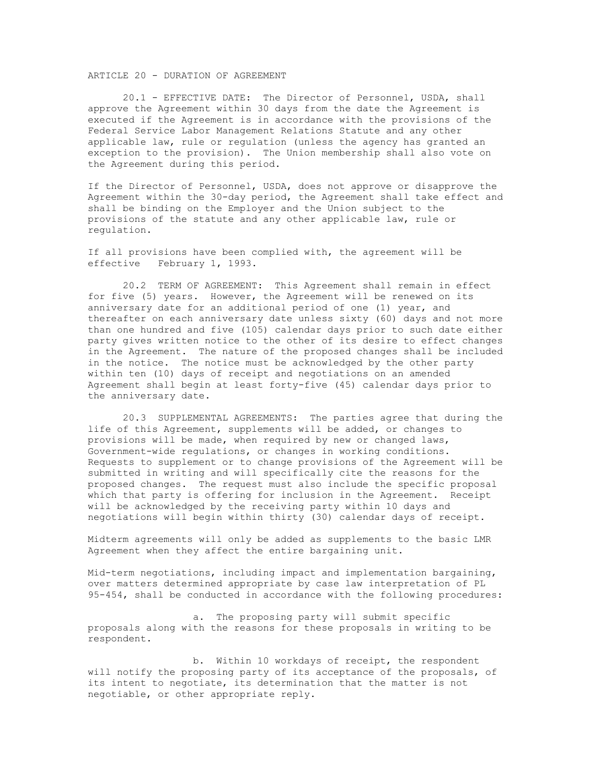### ARTICLE 20 - DURATION OF AGREEMENT

20.1 - EFFECTIVE DATE: The Director of Personnel, USDA, shall approve the Agreement within 30 days from the date the Agreement is executed if the Agreement is in accordance with the provisions of the Federal Service Labor Management Relations Statute and any other applicable law, rule or regulation (unless the agency has granted an exception to the provision). The Union membership shall also vote on the Agreement during this period.

If the Director of Personnel, USDA, does not approve or disapprove the Agreement within the 30-day period, the Agreement shall take effect and shall be binding on the Employer and the Union subject to the provisions of the statute and any other applicable law, rule or regulation.

If all provisions have been complied with, the agreement will be effective February 1, 1993.

20.2 TERM OF AGREEMENT: This Agreement shall remain in effect for five (5) years. However, the Agreement will be renewed on its anniversary date for an additional period of one (1) year, and thereafter on each anniversary date unless sixty (60) days and not more than one hundred and five (105) calendar days prior to such date either party gives written notice to the other of its desire to effect changes in the Agreement. The nature of the proposed changes shall be included in the notice. The notice must be acknowledged by the other party within ten (10) days of receipt and negotiations on an amended Agreement shall begin at least forty-five (45) calendar days prior to the anniversary date.

20.3 SUPPLEMENTAL AGREEMENTS: The parties agree that during the life of this Agreement, supplements will be added, or changes to provisions will be made, when required by new or changed laws, Government-wide regulations, or changes in working conditions. Requests to supplement or to change provisions of the Agreement will be submitted in writing and will specifically cite the reasons for the proposed changes. The request must also include the specific proposal which that party is offering for inclusion in the Agreement. Receipt will be acknowledged by the receiving party within 10 days and negotiations will begin within thirty (30) calendar days of receipt.

Midterm agreements will only be added as supplements to the basic LMR Agreement when they affect the entire bargaining unit.

Mid-term negotiations, including impact and implementation bargaining, over matters determined appropriate by case law interpretation of PL 95-454, shall be conducted in accordance with the following procedures:

a. The proposing party will submit specific proposals along with the reasons for these proposals in writing to be respondent.

b. Within 10 workdays of receipt, the respondent will notify the proposing party of its acceptance of the proposals, of its intent to negotiate, its determination that the matter is not negotiable, or other appropriate reply.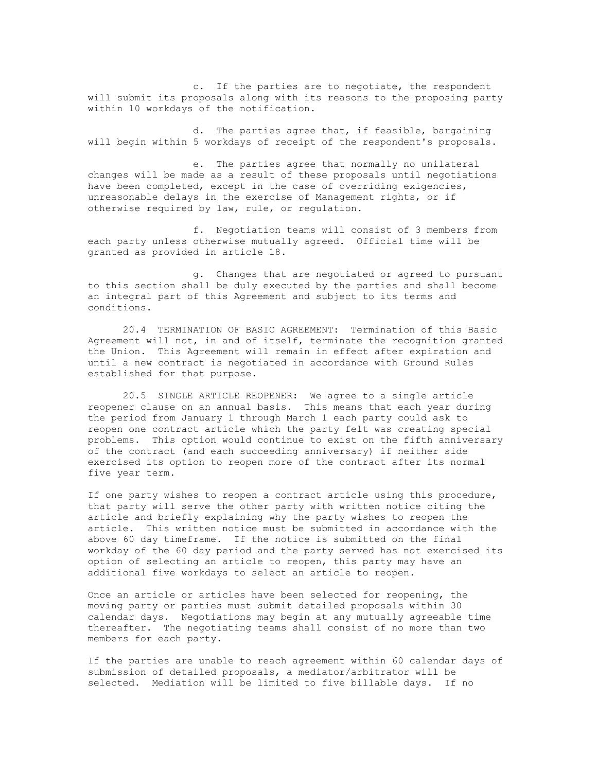c. If the parties are to negotiate, the respondent will submit its proposals along with its reasons to the proposing party within 10 workdays of the notification.

d. The parties agree that, if feasible, bargaining will begin within 5 workdays of receipt of the respondent's proposals.

e. The parties agree that normally no unilateral changes will be made as a result of these proposals until negotiations have been completed, except in the case of overriding exigencies, unreasonable delays in the exercise of Management rights, or if otherwise required by law, rule, or regulation.

f. Negotiation teams will consist of 3 members from each party unless otherwise mutually agreed. Official time will be granted as provided in article 18.

g. Changes that are negotiated or agreed to pursuant to this section shall be duly executed by the parties and shall become an integral part of this Agreement and subject to its terms and conditions.

20.4 TERMINATION OF BASIC AGREEMENT: Termination of this Basic Agreement will not, in and of itself, terminate the recognition granted the Union. This Agreement will remain in effect after expiration and until a new contract is negotiated in accordance with Ground Rules established for that purpose.

20.5 SINGLE ARTICLE REOPENER: We agree to a single article reopener clause on an annual basis. This means that each year during the period from January 1 through March 1 each party could ask to reopen one contract article which the party felt was creating special problems. This option would continue to exist on the fifth anniversary of the contract (and each succeeding anniversary) if neither side exercised its option to reopen more of the contract after its normal five year term.

If one party wishes to reopen a contract article using this procedure, that party will serve the other party with written notice citing the article and briefly explaining why the party wishes to reopen the article. This written notice must be submitted in accordance with the above 60 day timeframe. If the notice is submitted on the final workday of the 60 day period and the party served has not exercised its option of selecting an article to reopen, this party may have an additional five workdays to select an article to reopen.

Once an article or articles have been selected for reopening, the moving party or parties must submit detailed proposals within 30 calendar days. Negotiations may begin at any mutually agreeable time thereafter. The negotiating teams shall consist of no more than two members for each party.

If the parties are unable to reach agreement within 60 calendar days of submission of detailed proposals, a mediator/arbitrator will be selected. Mediation will be limited to five billable days. If no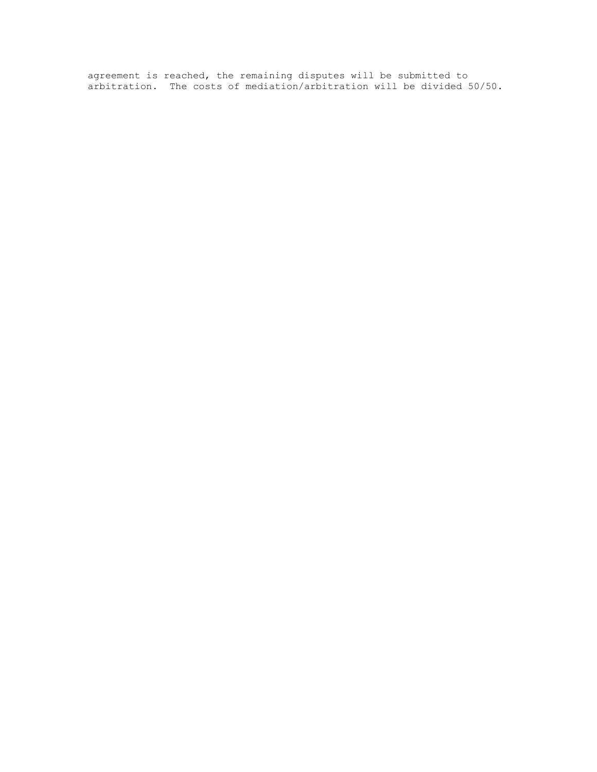agreement is reached, the remaining disputes will be submitted to arbitration. The costs of mediation/arbitration will be divided 50/50.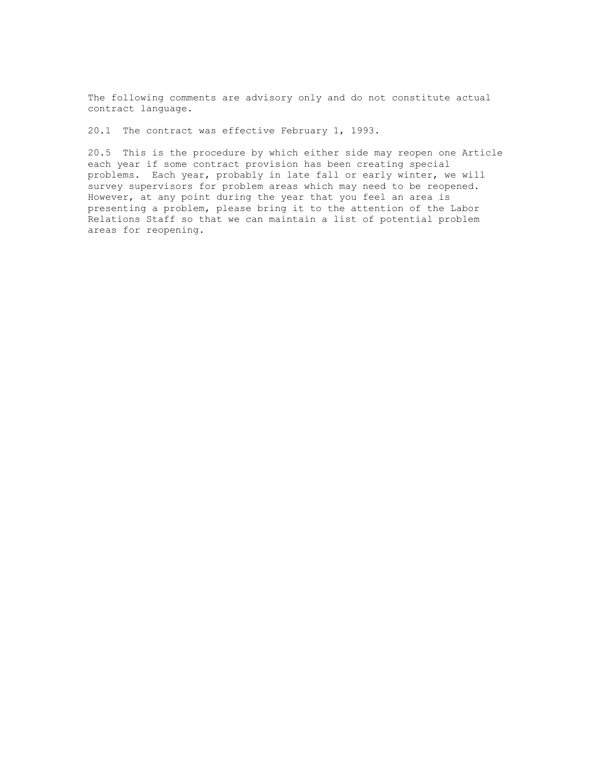The following comments are advisory only and do not constitute actual contract language.

20.1 The contract was effective February 1, 1993.

20.5 This is the procedure by which either side may reopen one Article each year if some contract provision has been creating special problems. Each year, probably in late fall or early winter, we will survey supervisors for problem areas which may need to be reopened. However, at any point during the year that you feel an area is presenting a problem, please bring it to the attention of the Labor Relations Staff so that we can maintain a list of potential problem areas for reopening.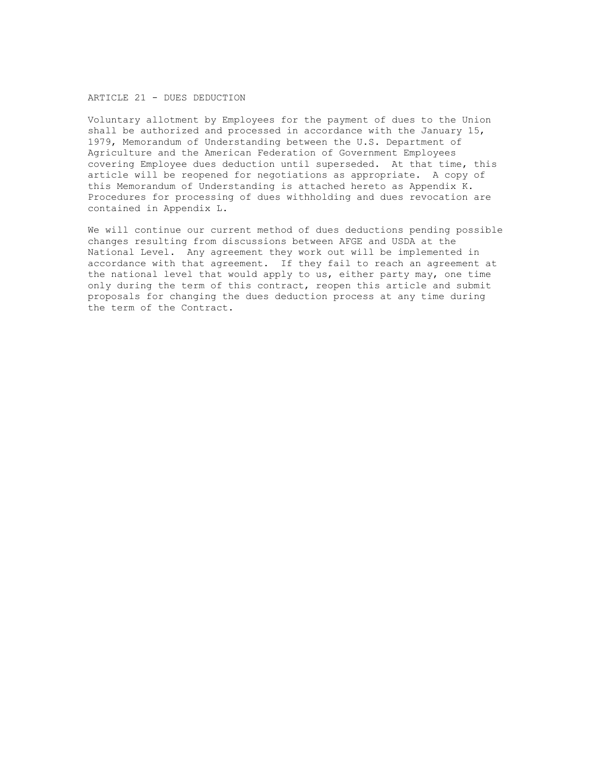#### ARTICLE 21 - DUES DEDUCTION

Voluntary allotment by Employees for the payment of dues to the Union shall be authorized and processed in accordance with the January 15, 1979, Memorandum of Understanding between the U.S. Department of Agriculture and the American Federation of Government Employees covering Employee dues deduction until superseded. At that time, this article will be reopened for negotiations as appropriate. A copy of this Memorandum of Understanding is attached hereto as Appendix K. Procedures for processing of dues withholding and dues revocation are contained in Appendix L.

We will continue our current method of dues deductions pending possible changes resulting from discussions between AFGE and USDA at the National Level. Any agreement they work out will be implemented in accordance with that agreement. If they fail to reach an agreement at the national level that would apply to us, either party may, one time only during the term of this contract, reopen this article and submit proposals for changing the dues deduction process at any time during the term of the Contract.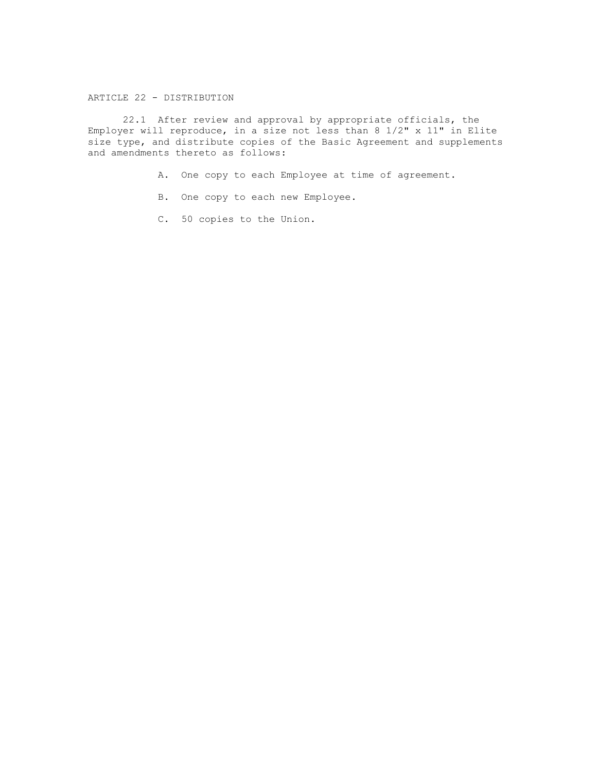# ARTICLE 22 - DISTRIBUTION

22.1 After review and approval by appropriate officials, the Employer will reproduce, in a size not less than 8 1/2" x 11" in Elite size type, and distribute copies of the Basic Agreement and supplements and amendments thereto as follows:

- A. One copy to each Employee at time of agreement.
- B. One copy to each new Employee.
- C. 50 copies to the Union.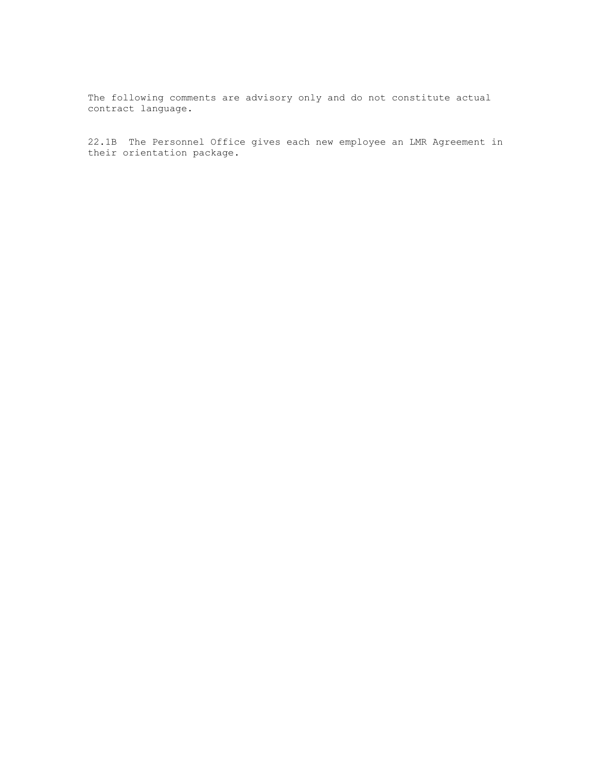22.1B The Personnel Office gives each new employee an LMR Agreement in their orientation package.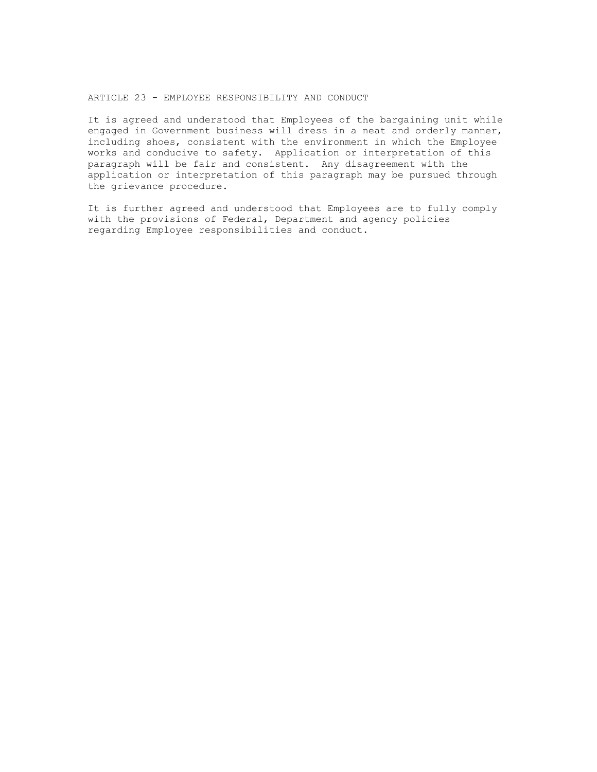### ARTICLE 23 - EMPLOYEE RESPONSIBILITY AND CONDUCT

It is agreed and understood that Employees of the bargaining unit while engaged in Government business will dress in a neat and orderly manner, including shoes, consistent with the environment in which the Employee works and conducive to safety. Application or interpretation of this paragraph will be fair and consistent. Any disagreement with the application or interpretation of this paragraph may be pursued through the grievance procedure.

It is further agreed and understood that Employees are to fully comply with the provisions of Federal, Department and agency policies regarding Employee responsibilities and conduct.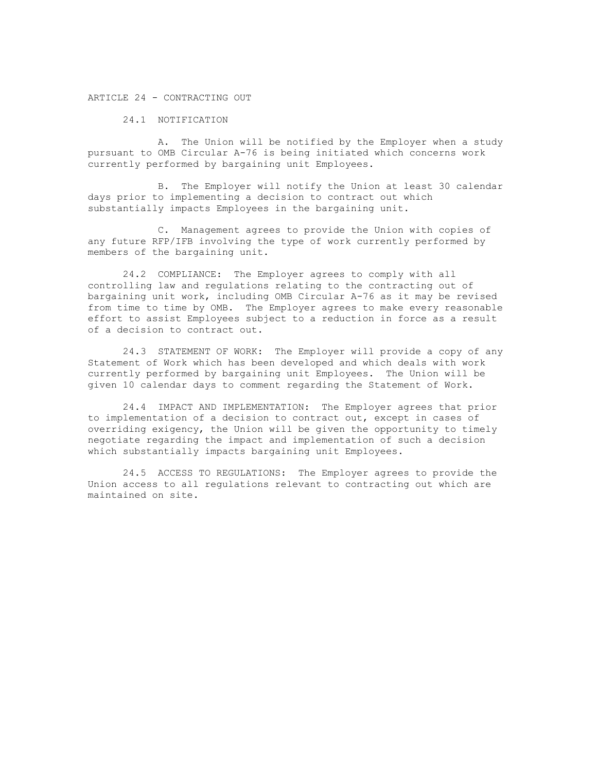ARTICLE 24 - CONTRACTING OUT

24.1 NOTIFICATION

A. The Union will be notified by the Employer when a study pursuant to OMB Circular A-76 is being initiated which concerns work currently performed by bargaining unit Employees.

B. The Employer will notify the Union at least 30 calendar days prior to implementing a decision to contract out which substantially impacts Employees in the bargaining unit.

C. Management agrees to provide the Union with copies of any future RFP/IFB involving the type of work currently performed by members of the bargaining unit.

24.2 COMPLIANCE: The Employer agrees to comply with all controlling law and regulations relating to the contracting out of bargaining unit work, including OMB Circular A-76 as it may be revised from time to time by OMB. The Employer agrees to make every reasonable effort to assist Employees subject to a reduction in force as a result of a decision to contract out.

24.3 STATEMENT OF WORK: The Employer will provide a copy of any Statement of Work which has been developed and which deals with work currently performed by bargaining unit Employees. The Union will be given 10 calendar days to comment regarding the Statement of Work.

24.4 IMPACT AND IMPLEMENTATION: The Employer agrees that prior to implementation of a decision to contract out, except in cases of overriding exigency, the Union will be given the opportunity to timely negotiate regarding the impact and implementation of such a decision which substantially impacts bargaining unit Employees.

24.5 ACCESS TO REGULATIONS: The Employer agrees to provide the Union access to all regulations relevant to contracting out which are maintained on site.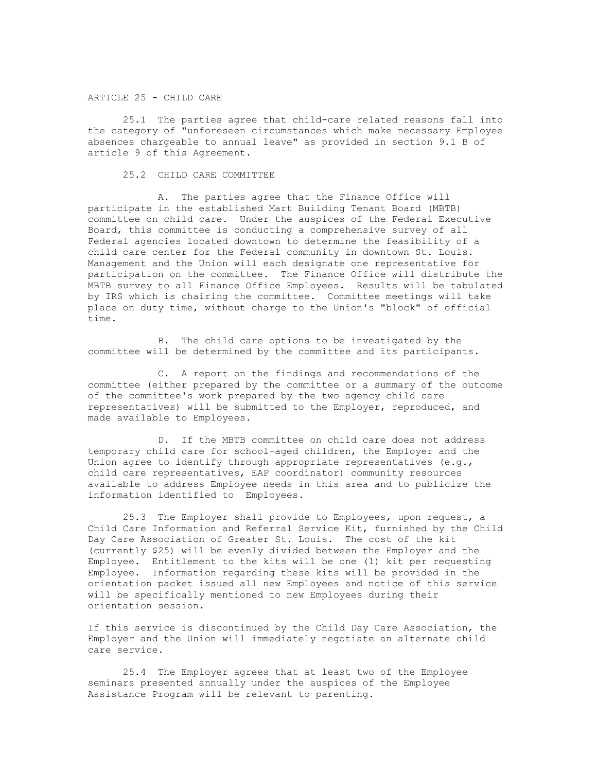#### ARTICLE 25 - CHILD CARE

25.1 The parties agree that child-care related reasons fall into the category of "unforeseen circumstances which make necessary Employee absences chargeable to annual leave" as provided in section 9.1 B of article 9 of this Agreement.

## 25.2 CHILD CARE COMMITTEE

A. The parties agree that the Finance Office will participate in the established Mart Building Tenant Board (MBTB) committee on child care. Under the auspices of the Federal Executive Board, this committee is conducting a comprehensive survey of all Federal agencies located downtown to determine the feasibility of a child care center for the Federal community in downtown St. Louis. Management and the Union will each designate one representative for participation on the committee. The Finance Office will distribute the MBTB survey to all Finance Office Employees. Results will be tabulated by IRS which is chairing the committee. Committee meetings will take place on duty time, without charge to the Union's "block" of official time.

B. The child care options to be investigated by the committee will be determined by the committee and its participants.

C. A report on the findings and recommendations of the committee (either prepared by the committee or a summary of the outcome of the committee's work prepared by the two agency child care representatives) will be submitted to the Employer, reproduced, and made available to Employees.

D. If the MBTB committee on child care does not address temporary child care for school-aged children, the Employer and the Union agree to identify through appropriate representatives  $(e.g.,)$ child care representatives, EAP coordinator) community resources available to address Employee needs in this area and to publicize the information identified to Employees.

25.3 The Employer shall provide to Employees, upon request, a Child Care Information and Referral Service Kit, furnished by the Child Day Care Association of Greater St. Louis. The cost of the kit (currently \$25) will be evenly divided between the Employer and the Employee. Entitlement to the kits will be one (1) kit per requesting Employee. Information regarding these kits will be provided in the orientation packet issued all new Employees and notice of this service will be specifically mentioned to new Employees during their orientation session.

If this service is discontinued by the Child Day Care Association, the Employer and the Union will immediately negotiate an alternate child care service.

25.4 The Employer agrees that at least two of the Employee seminars presented annually under the auspices of the Employee Assistance Program will be relevant to parenting.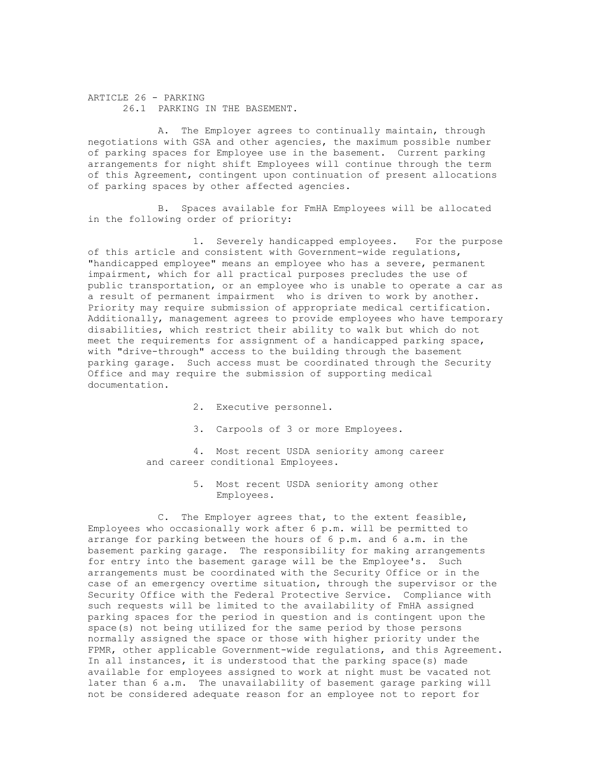ARTICLE 26 - PARKING 26.1 PARKING IN THE BASEMENT.

A. The Employer agrees to continually maintain, through negotiations with GSA and other agencies, the maximum possible number of parking spaces for Employee use in the basement. Current parking arrangements for night shift Employees will continue through the term of this Agreement, contingent upon continuation of present allocations of parking spaces by other affected agencies.

B. Spaces available for FmHA Employees will be allocated in the following order of priority:

1. Severely handicapped employees. For the purpose of this article and consistent with Government-wide regulations, "handicapped employee" means an employee who has a severe, permanent impairment, which for all practical purposes precludes the use of public transportation, or an employee who is unable to operate a car as a result of permanent impairment who is driven to work by another. Priority may require submission of appropriate medical certification. Additionally, management agrees to provide employees who have temporary disabilities, which restrict their ability to walk but which do not meet the requirements for assignment of a handicapped parking space, with "drive-through" access to the building through the basement parking garage. Such access must be coordinated through the Security Office and may require the submission of supporting medical documentation.

- 2. Executive personnel.
- 3. Carpools of 3 or more Employees.

4. Most recent USDA seniority among career and career conditional Employees.

> 5. Most recent USDA seniority among other Employees.

C. The Employer agrees that, to the extent feasible, Employees who occasionally work after 6 p.m. will be permitted to arrange for parking between the hours of 6 p.m. and 6 a.m. in the basement parking garage. The responsibility for making arrangements for entry into the basement garage will be the Employee's. Such arrangements must be coordinated with the Security Office or in the case of an emergency overtime situation, through the supervisor or the Security Office with the Federal Protective Service. Compliance with such requests will be limited to the availability of FmHA assigned parking spaces for the period in question and is contingent upon the space(s) not being utilized for the same period by those persons normally assigned the space or those with higher priority under the FPMR, other applicable Government-wide regulations, and this Agreement. In all instances, it is understood that the parking space(s) made available for employees assigned to work at night must be vacated not later than 6 a.m. The unavailability of basement garage parking will not be considered adequate reason for an employee not to report for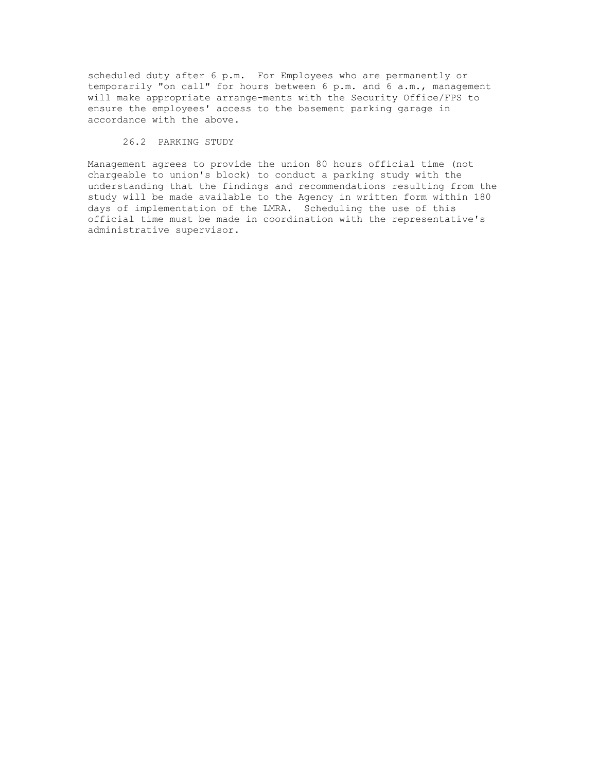scheduled duty after 6 p.m. For Employees who are permanently or temporarily "on call" for hours between 6 p.m. and 6 a.m., management will make appropriate arrange-ments with the Security Office/FPS to ensure the employees' access to the basement parking garage in accordance with the above.

### 26.2 PARKING STUDY

Management agrees to provide the union 80 hours official time (not chargeable to union's block) to conduct a parking study with the understanding that the findings and recommendations resulting from the study will be made available to the Agency in written form within 180 days of implementation of the LMRA. Scheduling the use of this official time must be made in coordination with the representative's administrative supervisor.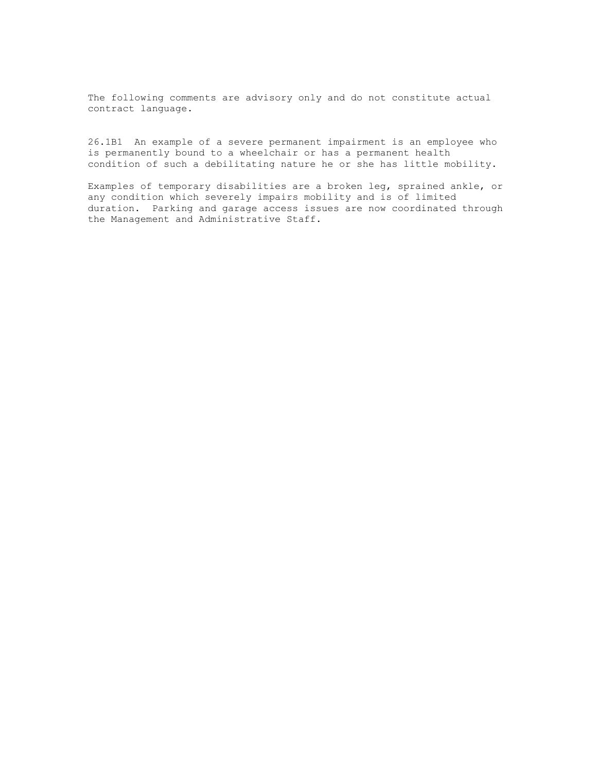26.1B1 An example of a severe permanent impairment is an employee who is permanently bound to a wheelchair or has a permanent health condition of such a debilitating nature he or she has little mobility.

Examples of temporary disabilities are a broken leg, sprained ankle, or any condition which severely impairs mobility and is of limited duration. Parking and garage access issues are now coordinated through the Management and Administrative Staff.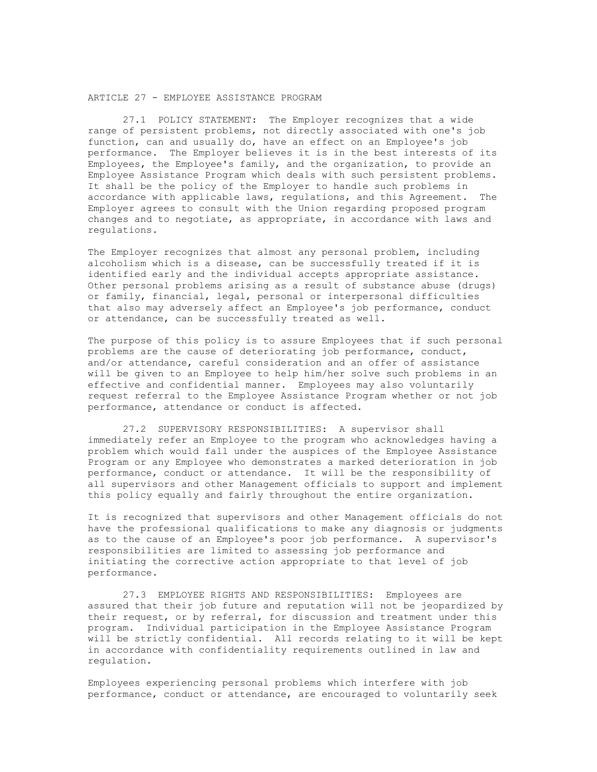#### ARTICLE 27 - EMPLOYEE ASSISTANCE PROGRAM

27.1 POLICY STATEMENT: The Employer recognizes that a wide range of persistent problems, not directly associated with one's job function, can and usually do, have an effect on an Employee's job performance. The Employer believes it is in the best interests of its Employees, the Employee's family, and the organization, to provide an Employee Assistance Program which deals with such persistent problems. It shall be the policy of the Employer to handle such problems in accordance with applicable laws, regulations, and this Agreement. The Employer agrees to consult with the Union regarding proposed program changes and to negotiate, as appropriate, in accordance with laws and regulations.

The Employer recognizes that almost any personal problem, including alcoholism which is a disease, can be successfully treated if it is identified early and the individual accepts appropriate assistance. Other personal problems arising as a result of substance abuse (drugs) or family, financial, legal, personal or interpersonal difficulties that also may adversely affect an Employee's job performance, conduct or attendance, can be successfully treated as well.

The purpose of this policy is to assure Employees that if such personal problems are the cause of deteriorating job performance, conduct, and/or attendance, careful consideration and an offer of assistance will be given to an Employee to help him/her solve such problems in an effective and confidential manner. Employees may also voluntarily request referral to the Employee Assistance Program whether or not job performance, attendance or conduct is affected.

27.2 SUPERVISORY RESPONSIBILITIES: A supervisor shall immediately refer an Employee to the program who acknowledges having a problem which would fall under the auspices of the Employee Assistance Program or any Employee who demonstrates a marked deterioration in job performance, conduct or attendance. It will be the responsibility of all supervisors and other Management officials to support and implement this policy equally and fairly throughout the entire organization.

It is recognized that supervisors and other Management officials do not have the professional qualifications to make any diagnosis or judgments as to the cause of an Employee's poor job performance. A supervisor's responsibilities are limited to assessing job performance and initiating the corrective action appropriate to that level of job performance.

27.3 EMPLOYEE RIGHTS AND RESPONSIBILITIES: Employees are assured that their job future and reputation will not be jeopardized by their request, or by referral, for discussion and treatment under this program. Individual participation in the Employee Assistance Program will be strictly confidential. All records relating to it will be kept in accordance with confidentiality requirements outlined in law and regulation.

Employees experiencing personal problems which interfere with job performance, conduct or attendance, are encouraged to voluntarily seek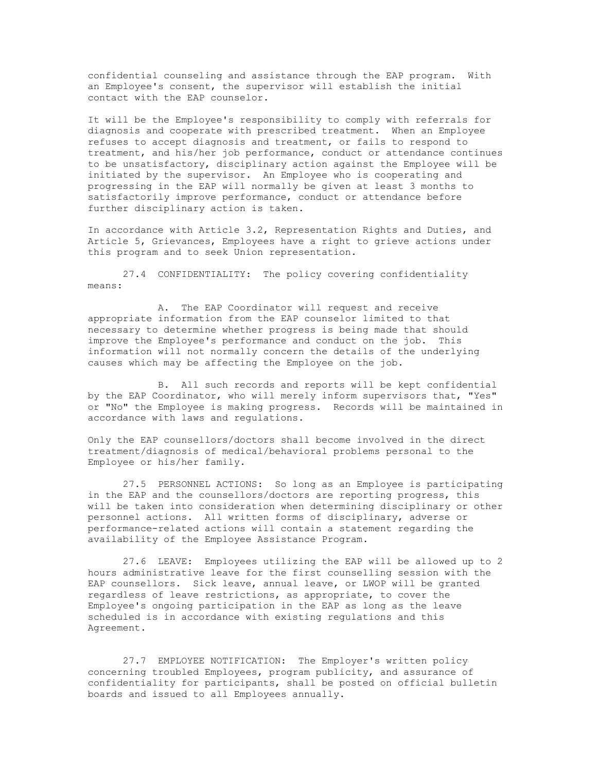confidential counseling and assistance through the EAP program. With an Employee's consent, the supervisor will establish the initial contact with the EAP counselor.

It will be the Employee's responsibility to comply with referrals for diagnosis and cooperate with prescribed treatment. When an Employee refuses to accept diagnosis and treatment, or fails to respond to treatment, and his/her job performance, conduct or attendance continues to be unsatisfactory, disciplinary action against the Employee will be initiated by the supervisor. An Employee who is cooperating and progressing in the EAP will normally be given at least 3 months to satisfactorily improve performance, conduct or attendance before further disciplinary action is taken.

In accordance with Article 3.2, Representation Rights and Duties, and Article 5, Grievances, Employees have a right to grieve actions under this program and to seek Union representation.

27.4 CONFIDENTIALITY: The policy covering confidentiality means:

A. The EAP Coordinator will request and receive appropriate information from the EAP counselor limited to that necessary to determine whether progress is being made that should improve the Employee's performance and conduct on the job. This information will not normally concern the details of the underlying causes which may be affecting the Employee on the job.

B. All such records and reports will be kept confidential by the EAP Coordinator, who will merely inform supervisors that, "Yes" or "No" the Employee is making progress. Records will be maintained in accordance with laws and regulations.

Only the EAP counsellors/doctors shall become involved in the direct treatment/diagnosis of medical/behavioral problems personal to the Employee or his/her family.

27.5 PERSONNEL ACTIONS: So long as an Employee is participating in the EAP and the counsellors/doctors are reporting progress, this will be taken into consideration when determining disciplinary or other personnel actions. All written forms of disciplinary, adverse or performance-related actions will contain a statement regarding the availability of the Employee Assistance Program.

27.6 LEAVE: Employees utilizing the EAP will be allowed up to 2 hours administrative leave for the first counselling session with the EAP counsellors. Sick leave, annual leave, or LWOP will be granted regardless of leave restrictions, as appropriate, to cover the Employee's ongoing participation in the EAP as long as the leave scheduled is in accordance with existing regulations and this Agreement.

27.7 EMPLOYEE NOTIFICATION: The Employer's written policy concerning troubled Employees, program publicity, and assurance of confidentiality for participants, shall be posted on official bulletin boards and issued to all Employees annually.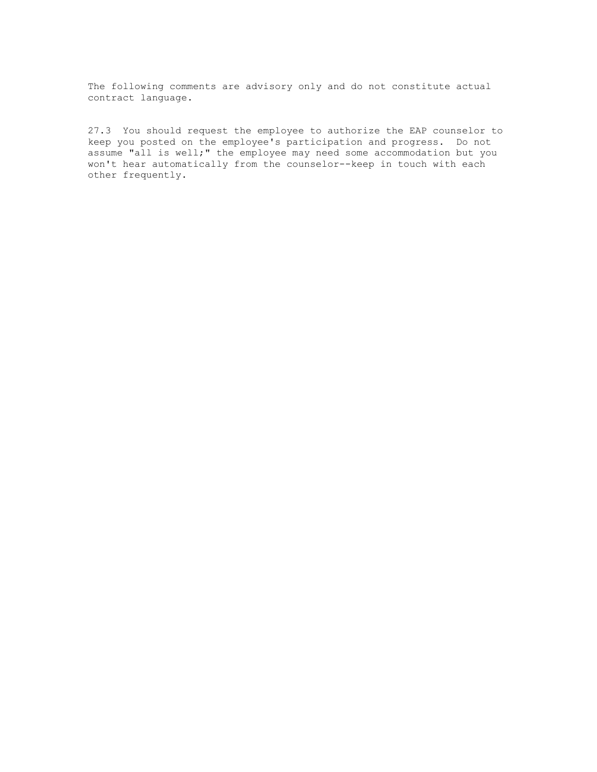27.3 You should request the employee to authorize the EAP counselor to keep you posted on the employee's participation and progress. Do not assume "all is well;" the employee may need some accommodation but you won't hear automatically from the counselor--keep in touch with each other frequently.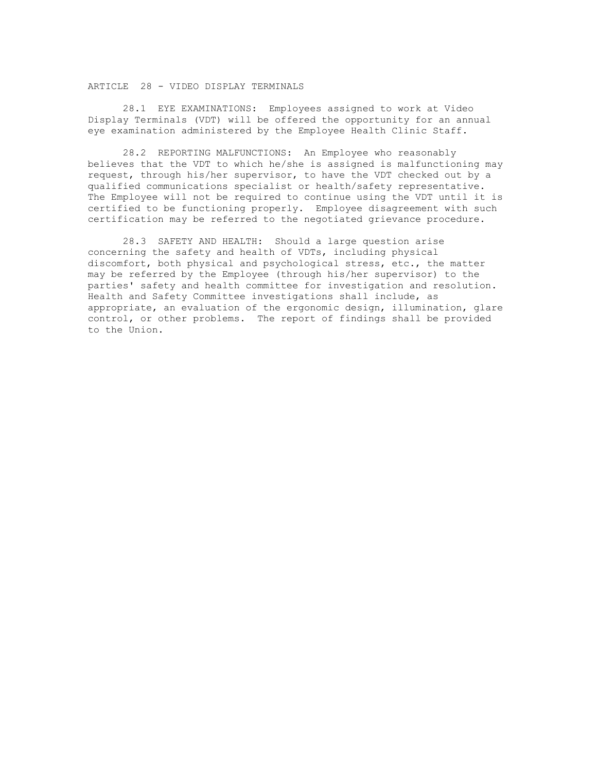## ARTICLE 28 - VIDEO DISPLAY TERMINALS

28.1 EYE EXAMINATIONS: Employees assigned to work at Video Display Terminals (VDT) will be offered the opportunity for an annual eye examination administered by the Employee Health Clinic Staff.

28.2 REPORTING MALFUNCTIONS: An Employee who reasonably believes that the VDT to which he/she is assigned is malfunctioning may request, through his/her supervisor, to have the VDT checked out by a qualified communications specialist or health/safety representative. The Employee will not be required to continue using the VDT until it is certified to be functioning properly. Employee disagreement with such certification may be referred to the negotiated grievance procedure.

28.3 SAFETY AND HEALTH: Should a large question arise concerning the safety and health of VDTs, including physical discomfort, both physical and psychological stress, etc., the matter may be referred by the Employee (through his/her supervisor) to the parties' safety and health committee for investigation and resolution. Health and Safety Committee investigations shall include, as appropriate, an evaluation of the ergonomic design, illumination, glare control, or other problems. The report of findings shall be provided to the Union.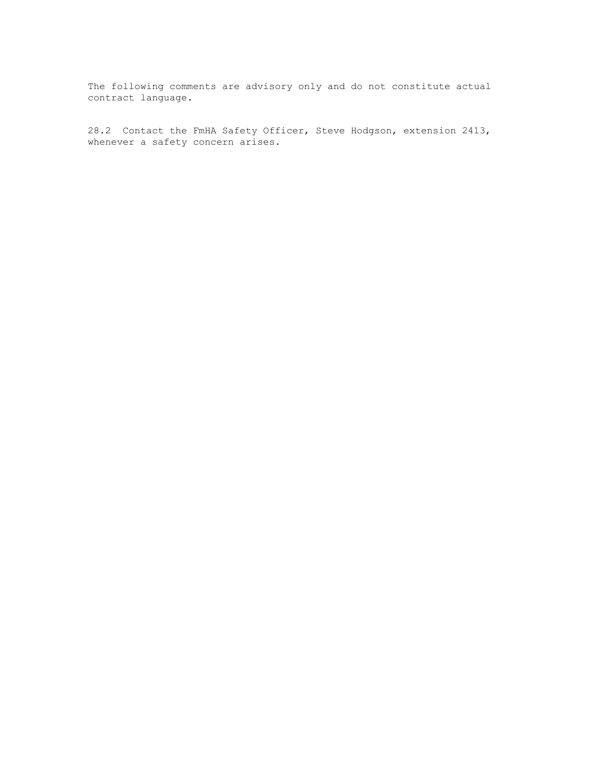28.2 Contact the FmHA Safety Officer, Steve Hodgson, extension 2413, whenever a safety concern arises.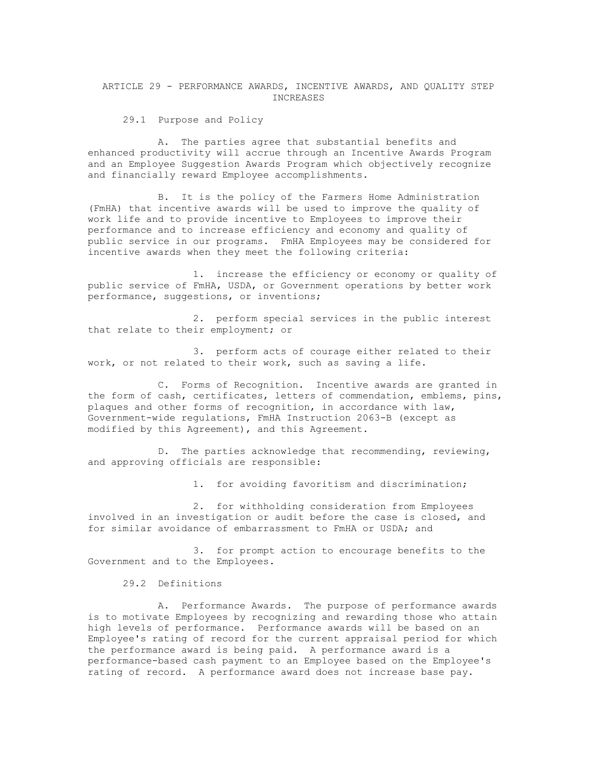ARTICLE 29 - PERFORMANCE AWARDS, INCENTIVE AWARDS, AND QUALITY STEP INCREASES

29.1 Purpose and Policy

A. The parties agree that substantial benefits and enhanced productivity will accrue through an Incentive Awards Program and an Employee Suggestion Awards Program which objectively recognize and financially reward Employee accomplishments.

B. It is the policy of the Farmers Home Administration (FmHA) that incentive awards will be used to improve the quality of work life and to provide incentive to Employees to improve their performance and to increase efficiency and economy and quality of public service in our programs. FmHA Employees may be considered for incentive awards when they meet the following criteria:

1. increase the efficiency or economy or quality of public service of FmHA, USDA, or Government operations by better work performance, suggestions, or inventions;

2. perform special services in the public interest that relate to their employment; or

3. perform acts of courage either related to their work, or not related to their work, such as saving a life.

C. Forms of Recognition. Incentive awards are granted in the form of cash, certificates, letters of commendation, emblems, pins, plaques and other forms of recognition, in accordance with law, Government-wide regulations, FmHA Instruction 2063-B (except as modified by this Agreement), and this Agreement.

D. The parties acknowledge that recommending, reviewing, and approving officials are responsible:

1. for avoiding favoritism and discrimination;

2. for withholding consideration from Employees involved in an investigation or audit before the case is closed, and for similar avoidance of embarrassment to FmHA or USDA; and

3. for prompt action to encourage benefits to the Government and to the Employees.

29.2 Definitions

A. Performance Awards. The purpose of performance awards is to motivate Employees by recognizing and rewarding those who attain high levels of performance. Performance awards will be based on an Employee's rating of record for the current appraisal period for which the performance award is being paid. A performance award is a performance-based cash payment to an Employee based on the Employee's rating of record. A performance award does not increase base pay.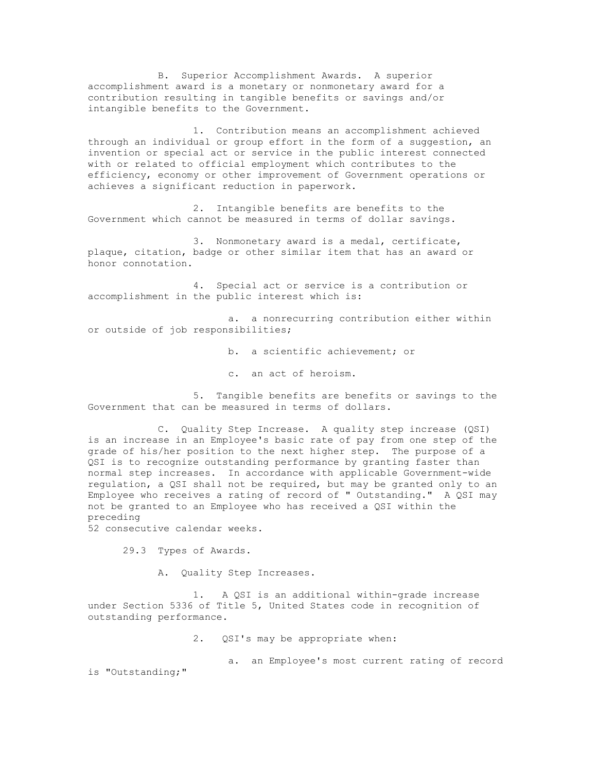B. Superior Accomplishment Awards. A superior accomplishment award is a monetary or nonmonetary award for a contribution resulting in tangible benefits or savings and/or intangible benefits to the Government.

1. Contribution means an accomplishment achieved through an individual or group effort in the form of a suggestion, an invention or special act or service in the public interest connected with or related to official employment which contributes to the efficiency, economy or other improvement of Government operations or achieves a significant reduction in paperwork.

2. Intangible benefits are benefits to the Government which cannot be measured in terms of dollar savings.

3. Nonmonetary award is a medal, certificate, plaque, citation, badge or other similar item that has an award or honor connotation.

4. Special act or service is a contribution or accomplishment in the public interest which is:

a. a nonrecurring contribution either within or outside of job responsibilities;

b. a scientific achievement; or

c. an act of heroism.

5. Tangible benefits are benefits or savings to the Government that can be measured in terms of dollars.

C. Quality Step Increase. A quality step increase (QSI) is an increase in an Employee's basic rate of pay from one step of the grade of his/her position to the next higher step. The purpose of a QSI is to recognize outstanding performance by granting faster than normal step increases. In accordance with applicable Government-wide regulation, a QSI shall not be required, but may be granted only to an Employee who receives a rating of record of " Outstanding." A QSI may not be granted to an Employee who has received a QSI within the preceding

52 consecutive calendar weeks.

29.3 Types of Awards.

A. Quality Step Increases.

1. A QSI is an additional within-grade increase under Section 5336 of Title 5, United States code in recognition of outstanding performance.

2. QSI's may be appropriate when:

a. an Employee's most current rating of record is "Outstanding;"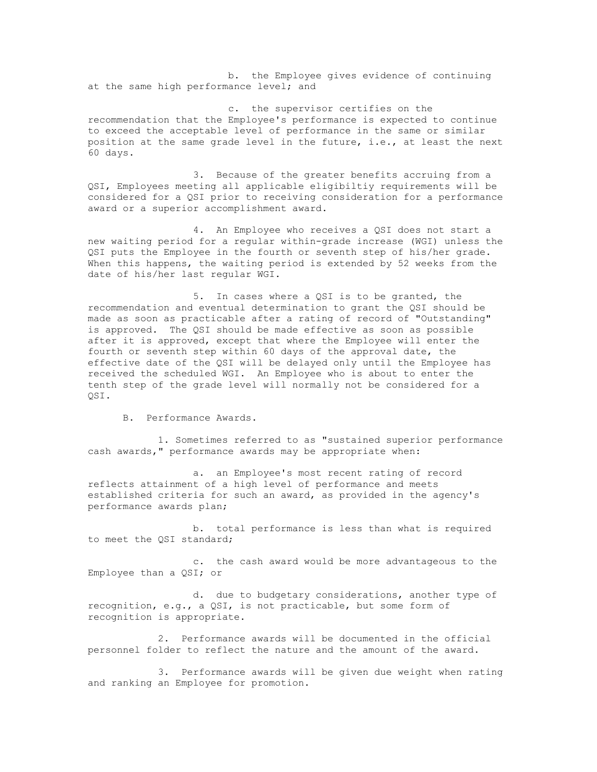b. the Employee gives evidence of continuing at the same high performance level; and

c. the supervisor certifies on the recommendation that the Employee's performance is expected to continue to exceed the acceptable level of performance in the same or similar position at the same grade level in the future, i.e., at least the next 60 days.

3. Because of the greater benefits accruing from a QSI, Employees meeting all applicable eligibiltiy requirements will be considered for a QSI prior to receiving consideration for a performance award or a superior accomplishment award.

4. An Employee who receives a QSI does not start a new waiting period for a regular within-grade increase (WGI) unless the QSI puts the Employee in the fourth or seventh step of his/her grade. When this happens, the waiting period is extended by 52 weeks from the date of his/her last regular WGI.

5. In cases where a QSI is to be granted, the recommendation and eventual determination to grant the QSI should be made as soon as practicable after a rating of record of "Outstanding" is approved. The QSI should be made effective as soon as possible after it is approved, except that where the Employee will enter the fourth or seventh step within 60 days of the approval date, the effective date of the QSI will be delayed only until the Employee has received the scheduled WGI. An Employee who is about to enter the tenth step of the grade level will normally not be considered for a QSI.

B. Performance Awards.

1. Sometimes referred to as "sustained superior performance cash awards," performance awards may be appropriate when:

a. an Employee's most recent rating of record reflects attainment of a high level of performance and meets established criteria for such an award, as provided in the agency's performance awards plan;

b. total performance is less than what is required to meet the QSI standard;

c. the cash award would be more advantageous to the Employee than a QSI; or

d. due to budgetary considerations, another type of recognition, e.g., a QSI, is not practicable, but some form of recognition is appropriate.

2. Performance awards will be documented in the official personnel folder to reflect the nature and the amount of the award.

3. Performance awards will be given due weight when rating and ranking an Employee for promotion.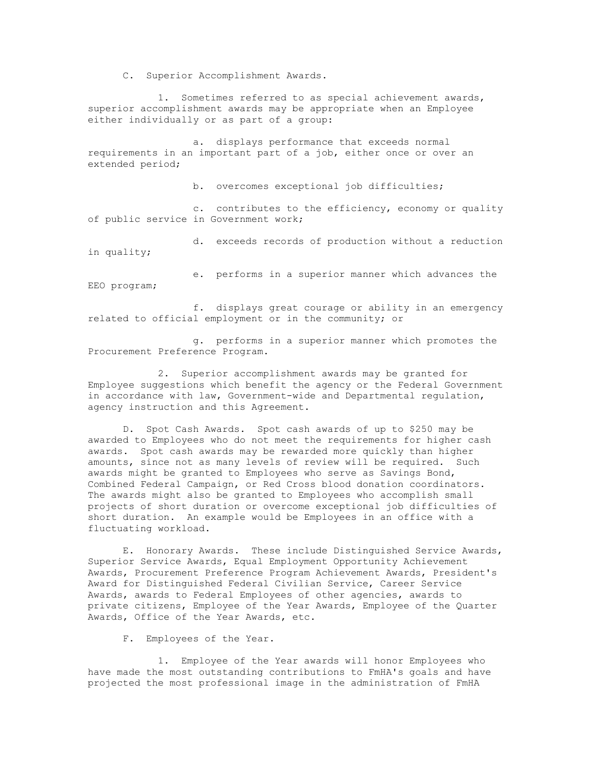C. Superior Accomplishment Awards.

1. Sometimes referred to as special achievement awards, superior accomplishment awards may be appropriate when an Employee either individually or as part of a group:

a. displays performance that exceeds normal requirements in an important part of a job, either once or over an extended period;

b. overcomes exceptional job difficulties;

c. contributes to the efficiency, economy or quality of public service in Government work;

d. exceeds records of production without a reduction in quality;

e. performs in a superior manner which advances the EEO program;

f. displays great courage or ability in an emergency related to official employment or in the community; or

g. performs in a superior manner which promotes the Procurement Preference Program.

2. Superior accomplishment awards may be granted for Employee suggestions which benefit the agency or the Federal Government in accordance with law, Government-wide and Departmental regulation, agency instruction and this Agreement.

D. Spot Cash Awards. Spot cash awards of up to \$250 may be awarded to Employees who do not meet the requirements for higher cash awards. Spot cash awards may be rewarded more quickly than higher amounts, since not as many levels of review will be required. Such awards might be granted to Employees who serve as Savings Bond, Combined Federal Campaign, or Red Cross blood donation coordinators. The awards might also be granted to Employees who accomplish small projects of short duration or overcome exceptional job difficulties of short duration. An example would be Employees in an office with a fluctuating workload.

E. Honorary Awards. These include Distinguished Service Awards, Superior Service Awards, Equal Employment Opportunity Achievement Awards, Procurement Preference Program Achievement Awards, President's Award for Distinguished Federal Civilian Service, Career Service Awards, awards to Federal Employees of other agencies, awards to private citizens, Employee of the Year Awards, Employee of the Quarter Awards, Office of the Year Awards, etc.

F. Employees of the Year.

1. Employee of the Year awards will honor Employees who have made the most outstanding contributions to FmHA's goals and have projected the most professional image in the administration of FmHA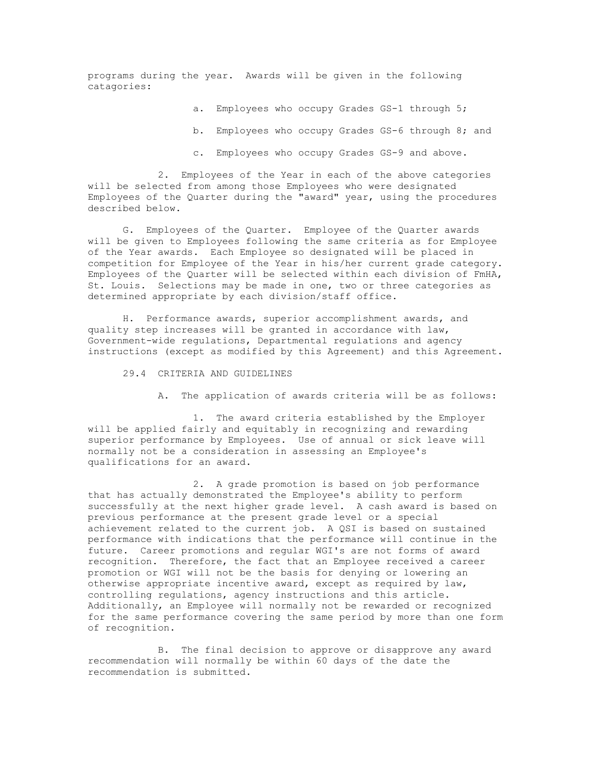programs during the year. Awards will be given in the following catagories:

a. Employees who occupy Grades GS-1 through 5;

- b. Employees who occupy Grades GS-6 through 8; and
- c. Employees who occupy Grades GS-9 and above.

2. Employees of the Year in each of the above categories will be selected from among those Employees who were designated Employees of the Quarter during the "award" year, using the procedures described below.

G. Employees of the Quarter. Employee of the Quarter awards will be given to Employees following the same criteria as for Employee of the Year awards. Each Employee so designated will be placed in competition for Employee of the Year in his/her current grade category. Employees of the Quarter will be selected within each division of FmHA, St. Louis. Selections may be made in one, two or three categories as determined appropriate by each division/staff office.

H. Performance awards, superior accomplishment awards, and quality step increases will be granted in accordance with law, Government-wide regulations, Departmental regulations and agency instructions (except as modified by this Agreement) and this Agreement.

- 29.4 CRITERIA AND GUIDELINES
	- A. The application of awards criteria will be as follows:

1. The award criteria established by the Employer will be applied fairly and equitably in recognizing and rewarding superior performance by Employees. Use of annual or sick leave will normally not be a consideration in assessing an Employee's qualifications for an award.

2. A grade promotion is based on job performance that has actually demonstrated the Employee's ability to perform successfully at the next higher grade level. A cash award is based on previous performance at the present grade level or a special achievement related to the current job. A QSI is based on sustained performance with indications that the performance will continue in the future. Career promotions and regular WGI's are not forms of award recognition. Therefore, the fact that an Employee received a career promotion or WGI will not be the basis for denying or lowering an otherwise appropriate incentive award, except as required by law, controlling regulations, agency instructions and this article. Additionally, an Employee will normally not be rewarded or recognized for the same performance covering the same period by more than one form of recognition.

B. The final decision to approve or disapprove any award recommendation will normally be within 60 days of the date the recommendation is submitted.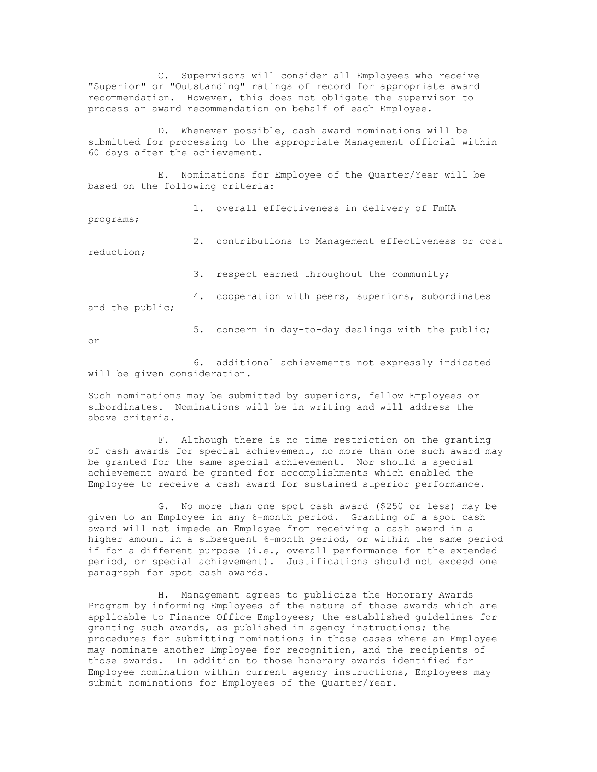C. Supervisors will consider all Employees who receive "Superior" or "Outstanding" ratings of record for appropriate award recommendation. However, this does not obligate the supervisor to process an award recommendation on behalf of each Employee.

D. Whenever possible, cash award nominations will be submitted for processing to the appropriate Management official within 60 days after the achievement.

E. Nominations for Employee of the Quarter/Year will be based on the following criteria:

1. overall effectiveness in delivery of FmHA

programs;

2. contributions to Management effectiveness or cost reduction;

3. respect earned throughout the community;

4. cooperation with peers, superiors, subordinates and the public;

or

5. concern in day-to-day dealings with the public;

6. additional achievements not expressly indicated will be given consideration.

Such nominations may be submitted by superiors, fellow Employees or subordinates. Nominations will be in writing and will address the above criteria.

F. Although there is no time restriction on the granting of cash awards for special achievement, no more than one such award may be granted for the same special achievement. Nor should a special achievement award be granted for accomplishments which enabled the Employee to receive a cash award for sustained superior performance.

G. No more than one spot cash award (\$250 or less) may be given to an Employee in any 6-month period. Granting of a spot cash award will not impede an Employee from receiving a cash award in a higher amount in a subsequent 6-month period, or within the same period if for a different purpose (i.e., overall performance for the extended period, or special achievement). Justifications should not exceed one paragraph for spot cash awards.

H. Management agrees to publicize the Honorary Awards Program by informing Employees of the nature of those awards which are applicable to Finance Office Employees; the established guidelines for granting such awards, as published in agency instructions; the procedures for submitting nominations in those cases where an Employee may nominate another Employee for recognition, and the recipients of those awards. In addition to those honorary awards identified for Employee nomination within current agency instructions, Employees may submit nominations for Employees of the Quarter/Year.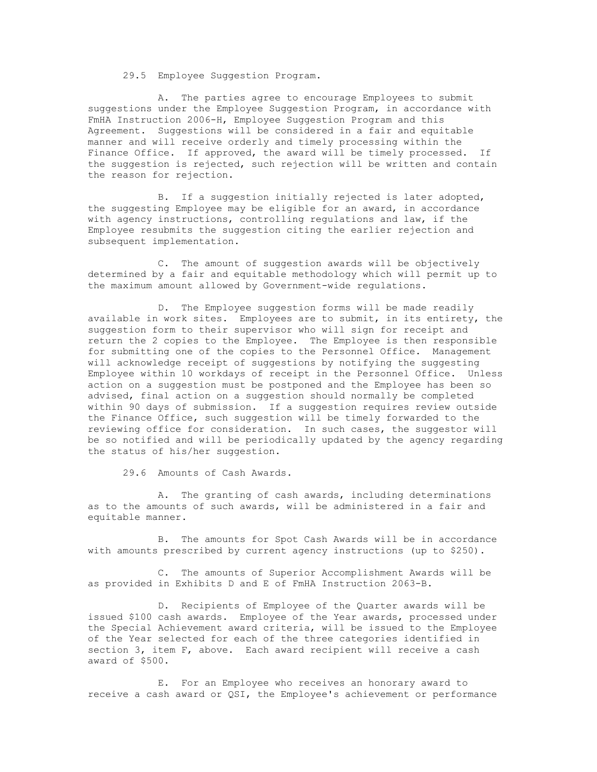29.5 Employee Suggestion Program.

A. The parties agree to encourage Employees to submit suggestions under the Employee Suggestion Program, in accordance with FmHA Instruction 2006-H, Employee Suggestion Program and this Agreement. Suggestions will be considered in a fair and equitable manner and will receive orderly and timely processing within the Finance Office. If approved, the award will be timely processed. If the suggestion is rejected, such rejection will be written and contain the reason for rejection.

B. If a suggestion initially rejected is later adopted, the suggesting Employee may be eligible for an award, in accordance with agency instructions, controlling regulations and law, if the Employee resubmits the suggestion citing the earlier rejection and subsequent implementation.

C. The amount of suggestion awards will be objectively determined by a fair and equitable methodology which will permit up to the maximum amount allowed by Government-wide regulations.

D. The Employee suggestion forms will be made readily available in work sites. Employees are to submit, in its entirety, the suggestion form to their supervisor who will sign for receipt and return the 2 copies to the Employee. The Employee is then responsible for submitting one of the copies to the Personnel Office. Management will acknowledge receipt of suggestions by notifying the suggesting Employee within 10 workdays of receipt in the Personnel Office. Unless action on a suggestion must be postponed and the Employee has been so advised, final action on a suggestion should normally be completed within 90 days of submission. If a suggestion requires review outside the Finance Office, such suggestion will be timely forwarded to the reviewing office for consideration. In such cases, the suggestor will be so notified and will be periodically updated by the agency regarding the status of his/her suggestion.

29.6 Amounts of Cash Awards.

A. The granting of cash awards, including determinations as to the amounts of such awards, will be administered in a fair and equitable manner.

B. The amounts for Spot Cash Awards will be in accordance with amounts prescribed by current agency instructions (up to \$250).

C. The amounts of Superior Accomplishment Awards will be as provided in Exhibits D and E of FmHA Instruction 2063-B.

D. Recipients of Employee of the Quarter awards will be issued \$100 cash awards. Employee of the Year awards, processed under the Special Achievement award criteria, will be issued to the Employee of the Year selected for each of the three categories identified in section 3, item F, above. Each award recipient will receive a cash award of \$500.

E. For an Employee who receives an honorary award to receive a cash award or QSI, the Employee's achievement or performance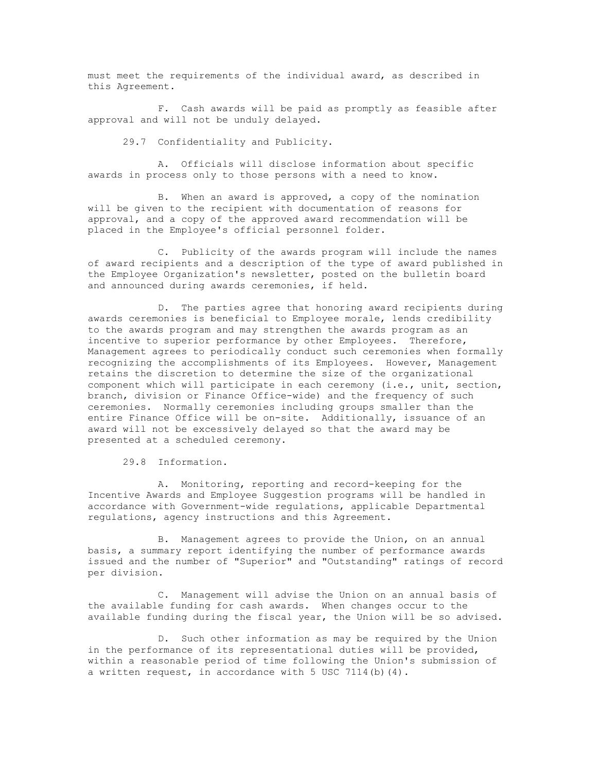must meet the requirements of the individual award, as described in this Agreement.

F. Cash awards will be paid as promptly as feasible after approval and will not be unduly delayed.

29.7 Confidentiality and Publicity.

A. Officials will disclose information about specific awards in process only to those persons with a need to know.

B. When an award is approved, a copy of the nomination will be given to the recipient with documentation of reasons for approval, and a copy of the approved award recommendation will be placed in the Employee's official personnel folder.

C. Publicity of the awards program will include the names of award recipients and a description of the type of award published in the Employee Organization's newsletter, posted on the bulletin board and announced during awards ceremonies, if held.

D. The parties agree that honoring award recipients during awards ceremonies is beneficial to Employee morale, lends credibility to the awards program and may strengthen the awards program as an incentive to superior performance by other Employees. Therefore, Management agrees to periodically conduct such ceremonies when formally recognizing the accomplishments of its Employees. However, Management retains the discretion to determine the size of the organizational component which will participate in each ceremony (i.e., unit, section, branch, division or Finance Office-wide) and the frequency of such ceremonies. Normally ceremonies including groups smaller than the entire Finance Office will be on-site. Additionally, issuance of an award will not be excessively delayed so that the award may be presented at a scheduled ceremony.

29.8 Information.

A. Monitoring, reporting and record-keeping for the Incentive Awards and Employee Suggestion programs will be handled in accordance with Government-wide regulations, applicable Departmental regulations, agency instructions and this Agreement.

B. Management agrees to provide the Union, on an annual basis, a summary report identifying the number of performance awards issued and the number of "Superior" and "Outstanding" ratings of record per division.

C. Management will advise the Union on an annual basis of the available funding for cash awards. When changes occur to the available funding during the fiscal year, the Union will be so advised.

D. Such other information as may be required by the Union in the performance of its representational duties will be provided, within a reasonable period of time following the Union's submission of a written request, in accordance with  $5$  USC 7114(b)(4).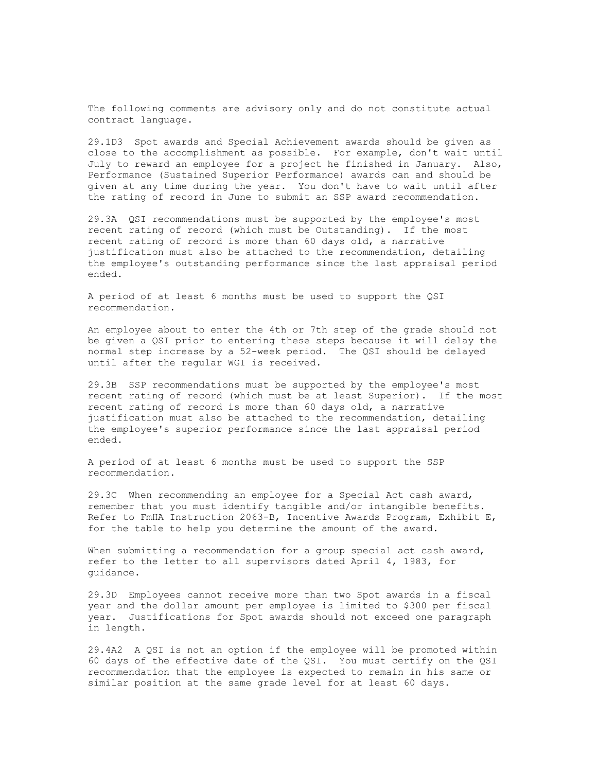29.1D3 Spot awards and Special Achievement awards should be given as close to the accomplishment as possible. For example, don't wait until July to reward an employee for a project he finished in January. Also, Performance (Sustained Superior Performance) awards can and should be given at any time during the year. You don't have to wait until after the rating of record in June to submit an SSP award recommendation.

29.3A QSI recommendations must be supported by the employee's most recent rating of record (which must be Outstanding). If the most recent rating of record is more than 60 days old, a narrative justification must also be attached to the recommendation, detailing the employee's outstanding performance since the last appraisal period ended.

A period of at least 6 months must be used to support the QSI recommendation.

An employee about to enter the 4th or 7th step of the grade should not be given a QSI prior to entering these steps because it will delay the normal step increase by a 52-week period. The QSI should be delayed until after the regular WGI is received.

29.3B SSP recommendations must be supported by the employee's most recent rating of record (which must be at least Superior). If the most recent rating of record is more than 60 days old, a narrative justification must also be attached to the recommendation, detailing the employee's superior performance since the last appraisal period ended.

A period of at least 6 months must be used to support the SSP recommendation.

29.3C When recommending an employee for a Special Act cash award, remember that you must identify tangible and/or intangible benefits. Refer to FmHA Instruction 2063-B, Incentive Awards Program, Exhibit E, for the table to help you determine the amount of the award.

When submitting a recommendation for a group special act cash award, refer to the letter to all supervisors dated April 4, 1983, for guidance.

29.3D Employees cannot receive more than two Spot awards in a fiscal year and the dollar amount per employee is limited to \$300 per fiscal year. Justifications for Spot awards should not exceed one paragraph in length.

29.4A2 A QSI is not an option if the employee will be promoted within 60 days of the effective date of the QSI. You must certify on the QSI recommendation that the employee is expected to remain in his same or similar position at the same grade level for at least 60 days.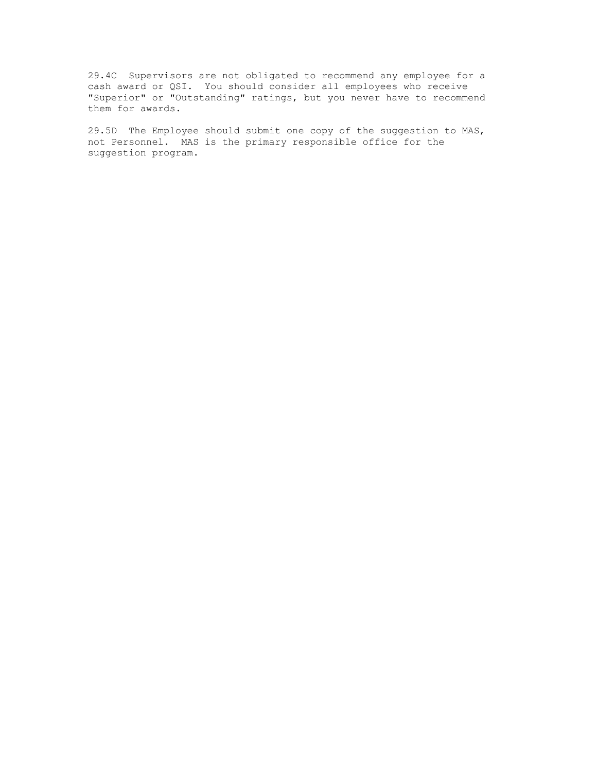29.4C Supervisors are not obligated to recommend any employee for a cash award or QSI. You should consider all employees who receive "Superior" or "Outstanding" ratings, but you never have to recommend them for awards.

29.5D The Employee should submit one copy of the suggestion to MAS, not Personnel. MAS is the primary responsible office for the suggestion program.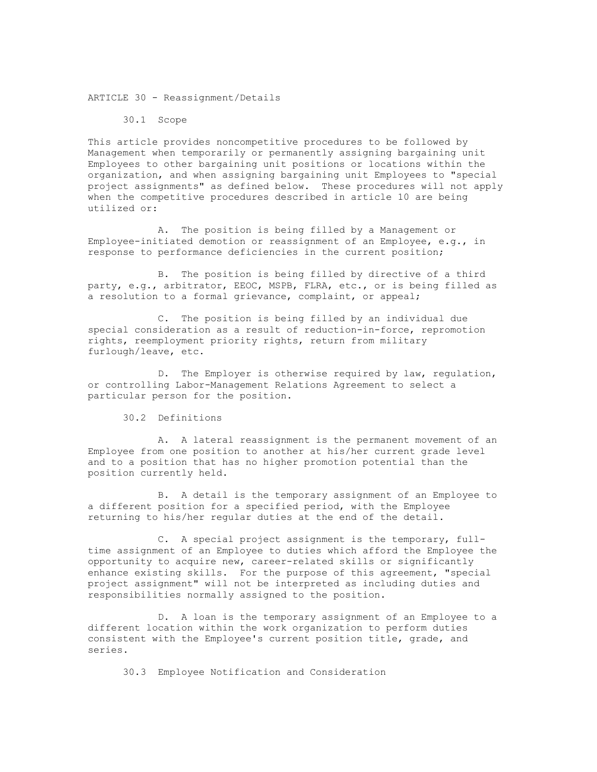ARTICLE 30 - Reassignment/Details

30.1 Scope

This article provides noncompetitive procedures to be followed by Management when temporarily or permanently assigning bargaining unit Employees to other bargaining unit positions or locations within the organization, and when assigning bargaining unit Employees to "special project assignments" as defined below. These procedures will not apply when the competitive procedures described in article 10 are being utilized or:

A. The position is being filled by a Management or Employee-initiated demotion or reassignment of an Employee, e.g., in response to performance deficiencies in the current position;

B. The position is being filled by directive of a third party, e.g., arbitrator, EEOC, MSPB, FLRA, etc., or is being filled as a resolution to a formal grievance, complaint, or appeal;

C. The position is being filled by an individual due special consideration as a result of reduction-in-force, repromotion rights, reemployment priority rights, return from military furlough/leave, etc.

D. The Employer is otherwise required by law, regulation, or controlling Labor-Management Relations Agreement to select a particular person for the position.

30.2 Definitions

A. A lateral reassignment is the permanent movement of an Employee from one position to another at his/her current grade level and to a position that has no higher promotion potential than the position currently held.

B. A detail is the temporary assignment of an Employee to a different position for a specified period, with the Employee returning to his/her regular duties at the end of the detail.

C. A special project assignment is the temporary, fulltime assignment of an Employee to duties which afford the Employee the opportunity to acquire new, career-related skills or significantly enhance existing skills. For the purpose of this agreement, "special project assignment" will not be interpreted as including duties and responsibilities normally assigned to the position.

D. A loan is the temporary assignment of an Employee to a different location within the work organization to perform duties consistent with the Employee's current position title, grade, and series.

30.3 Employee Notification and Consideration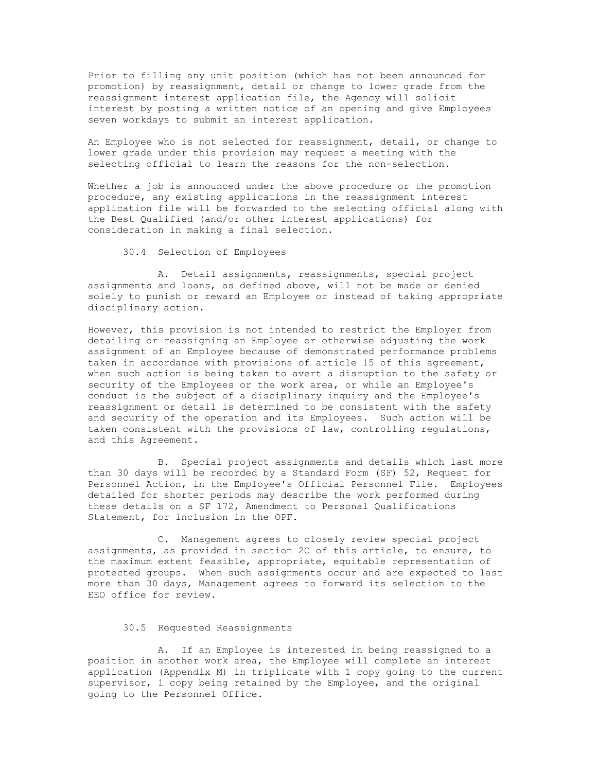Prior to filling any unit position (which has not been announced for promotion) by reassignment, detail or change to lower grade from the reassignment interest application file, the Agency will solicit interest by posting a written notice of an opening and give Employees seven workdays to submit an interest application.

An Employee who is not selected for reassignment, detail, or change to lower grade under this provision may request a meeting with the selecting official to learn the reasons for the non-selection.

Whether a job is announced under the above procedure or the promotion procedure, any existing applications in the reassignment interest application file will be forwarded to the selecting official along with the Best Qualified (and/or other interest applications) for consideration in making a final selection.

30.4 Selection of Employees

A. Detail assignments, reassignments, special project assignments and loans, as defined above, will not be made or denied solely to punish or reward an Employee or instead of taking appropriate disciplinary action.

However, this provision is not intended to restrict the Employer from detailing or reassigning an Employee or otherwise adjusting the work assignment of an Employee because of demonstrated performance problems taken in accordance with provisions of article 15 of this agreement, when such action is being taken to avert a disruption to the safety or security of the Employees or the work area, or while an Employee's conduct is the subject of a disciplinary inquiry and the Employee's reassignment or detail is determined to be consistent with the safety and security of the operation and its Employees. Such action will be taken consistent with the provisions of law, controlling regulations, and this Agreement.

B. Special project assignments and details which last more than 30 days will be recorded by a Standard Form (SF) 52, Request for Personnel Action, in the Employee's Official Personnel File. Employees detailed for shorter periods may describe the work performed during these details on a SF 172, Amendment to Personal Qualifications Statement, for inclusion in the OPF.

C. Management agrees to closely review special project assignments, as provided in section 2C of this article, to ensure, to the maximum extent feasible, appropriate, equitable representation of protected groups. When such assignments occur and are expected to last more than 30 days, Management agrees to forward its selection to the EEO office for review.

### 30.5 Requested Reassignments

A. If an Employee is interested in being reassigned to a position in another work area, the Employee will complete an interest application (Appendix M) in triplicate with 1 copy going to the current supervisor, 1 copy being retained by the Employee, and the original going to the Personnel Office.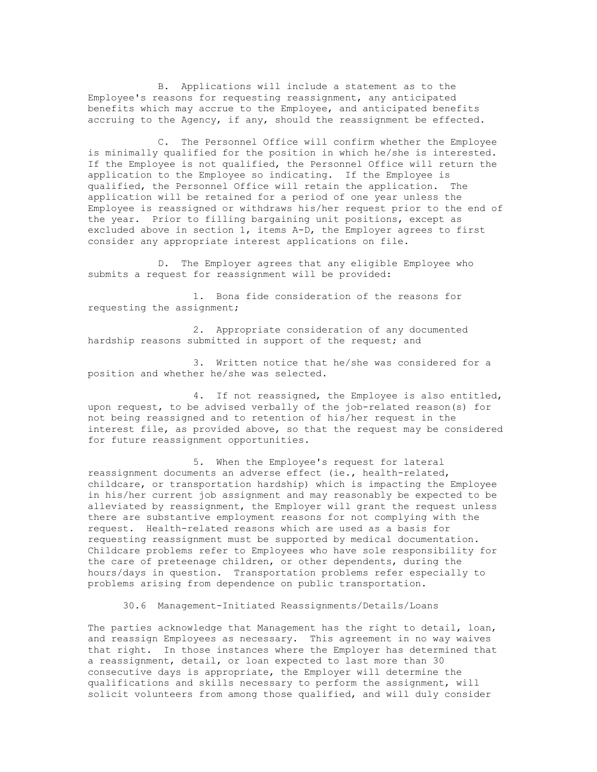B. Applications will include a statement as to the Employee's reasons for requesting reassignment, any anticipated benefits which may accrue to the Employee, and anticipated benefits accruing to the Agency, if any, should the reassignment be effected.

C. The Personnel Office will confirm whether the Employee is minimally qualified for the position in which he/she is interested. If the Employee is not qualified, the Personnel Office will return the application to the Employee so indicating. If the Employee is qualified, the Personnel Office will retain the application. The application will be retained for a period of one year unless the Employee is reassigned or withdraws his/her request prior to the end of the year. Prior to filling bargaining unit positions, except as excluded above in section 1, items A-D, the Employer agrees to first consider any appropriate interest applications on file.

D. The Employer agrees that any eligible Employee who submits a request for reassignment will be provided:

1. Bona fide consideration of the reasons for requesting the assignment;

2. Appropriate consideration of any documented hardship reasons submitted in support of the request; and

3. Written notice that he/she was considered for a position and whether he/she was selected.

4. If not reassigned, the Employee is also entitled, upon request, to be advised verbally of the job-related reason(s) for not being reassigned and to retention of his/her request in the interest file, as provided above, so that the request may be considered for future reassignment opportunities.

5. When the Employee's request for lateral reassignment documents an adverse effect (ie., health-related, childcare, or transportation hardship) which is impacting the Employee in his/her current job assignment and may reasonably be expected to be alleviated by reassignment, the Employer will grant the request unless there are substantive employment reasons for not complying with the request. Health-related reasons which are used as a basis for requesting reassignment must be supported by medical documentation. Childcare problems refer to Employees who have sole responsibility for the care of preteenage children, or other dependents, during the hours/days in question. Transportation problems refer especially to problems arising from dependence on public transportation.

30.6 Management-Initiated Reassignments/Details/Loans

The parties acknowledge that Management has the right to detail, loan, and reassign Employees as necessary. This agreement in no way waives that right. In those instances where the Employer has determined that a reassignment, detail, or loan expected to last more than 30 consecutive days is appropriate, the Employer will determine the qualifications and skills necessary to perform the assignment, will solicit volunteers from among those qualified, and will duly consider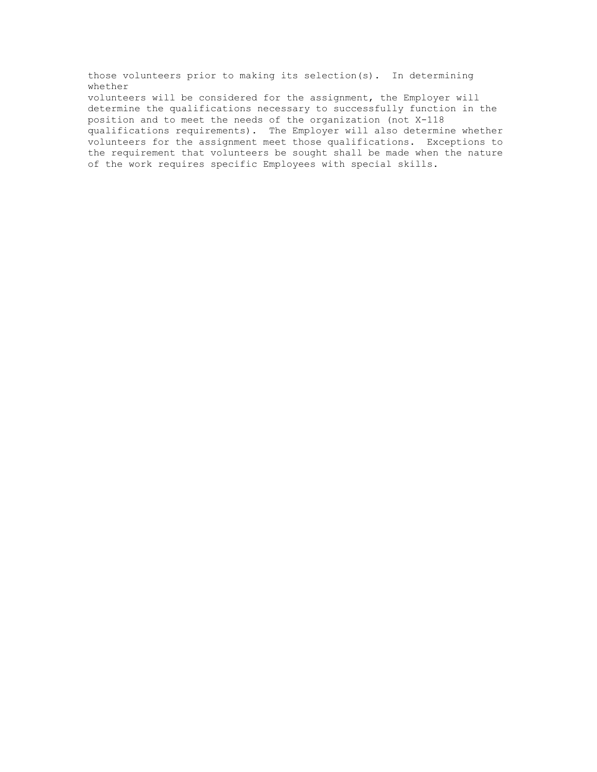those volunteers prior to making its selection(s). In determining whether volunteers will be considered for the assignment, the Employer will determine the qualifications necessary to successfully function in the position and to meet the needs of the organization (not X-118 qualifications requirements). The Employer will also determine whether volunteers for the assignment meet those qualifications. Exceptions to the requirement that volunteers be sought shall be made when the nature of the work requires specific Employees with special skills.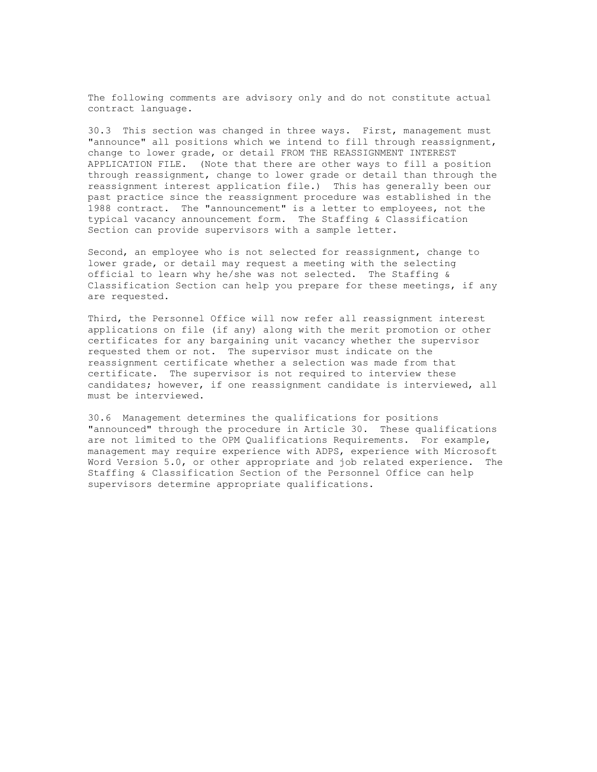30.3 This section was changed in three ways. First, management must "announce" all positions which we intend to fill through reassignment, change to lower grade, or detail FROM THE REASSIGNMENT INTEREST APPLICATION FILE. (Note that there are other ways to fill a position through reassignment, change to lower grade or detail than through the reassignment interest application file.) This has generally been our past practice since the reassignment procedure was established in the 1988 contract. The "announcement" is a letter to employees, not the typical vacancy announcement form. The Staffing & Classification Section can provide supervisors with a sample letter.

Second, an employee who is not selected for reassignment, change to lower grade, or detail may request a meeting with the selecting official to learn why he/she was not selected. The Staffing & Classification Section can help you prepare for these meetings, if any are requested.

Third, the Personnel Office will now refer all reassignment interest applications on file (if any) along with the merit promotion or other certificates for any bargaining unit vacancy whether the supervisor requested them or not. The supervisor must indicate on the reassignment certificate whether a selection was made from that certificate. The supervisor is not required to interview these candidates; however, if one reassignment candidate is interviewed, all must be interviewed.

30.6 Management determines the qualifications for positions "announced" through the procedure in Article 30. These qualifications are not limited to the OPM Qualifications Requirements. For example, management may require experience with ADPS, experience with Microsoft Word Version 5.0, or other appropriate and job related experience. The Staffing & Classification Section of the Personnel Office can help supervisors determine appropriate qualifications.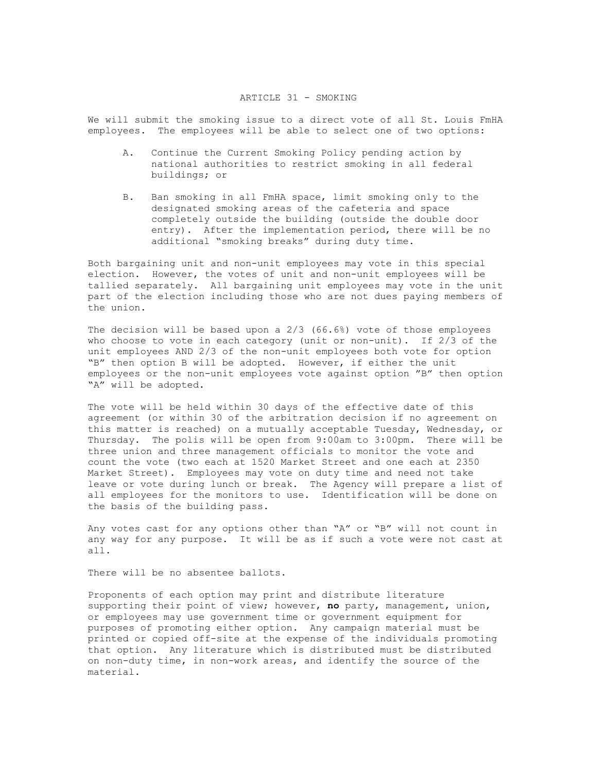#### ARTICLE 31 - SMOKING

We will submit the smoking issue to a direct vote of all St. Louis FmHA employees. The employees will be able to select one of two options:

- A. Continue the Current Smoking Policy pending action by national authorities to restrict smoking in all federal buildings; or
- B. Ban smoking in all FmHA space, limit smoking only to the designated smoking areas of the cafeteria and space completely outside the building (outside the double door entry). After the implementation period, there will be no additional "smoking breaks" during duty time.

Both bargaining unit and non-unit employees may vote in this special election. However, the votes of unit and non-unit employees will be tallied separately. All bargaining unit employees may vote in the unit part of the election including those who are not dues paying members of the union.

The decision will be based upon a 2/3 (66.6%) vote of those employees who choose to vote in each category (unit or non-unit). If 2/3 of the unit employees AND 2/3 of the non-unit employees both vote for option "B" then option B will be adopted. However, if either the unit employees or the non-unit employees vote against option "B" then option "A" will be adopted.

The vote will be held within 30 days of the effective date of this agreement (or within 30 of the arbitration decision if no agreement on this matter is reached) on a mutually acceptable Tuesday, Wednesday, or Thursday. The polis will be open from 9:00am to 3:00pm. There will be three union and three management officials to monitor the vote and count the vote (two each at 1520 Market Street and one each at 2350 Market Street). Employees may vote on duty time and need not take leave or vote during lunch or break. The Agency will prepare a list of all employees for the monitors to use. Identification will be done on the basis of the building pass.

Any votes cast for any options other than "A" or "B" will not count in any way for any purpose. It will be as if such a vote were not cast at all.

There will be no absentee ballots.

Proponents of each option may print and distribute literature supporting their point of view; however, **no** party, management, union, or employees may use government time or government equipment for purposes of promoting either option. Any campaign material must be printed or copied off-site at the expense of the individuals promoting that option. Any literature which is distributed must be distributed on non-duty time, in non-work areas, and identify the source of the material.